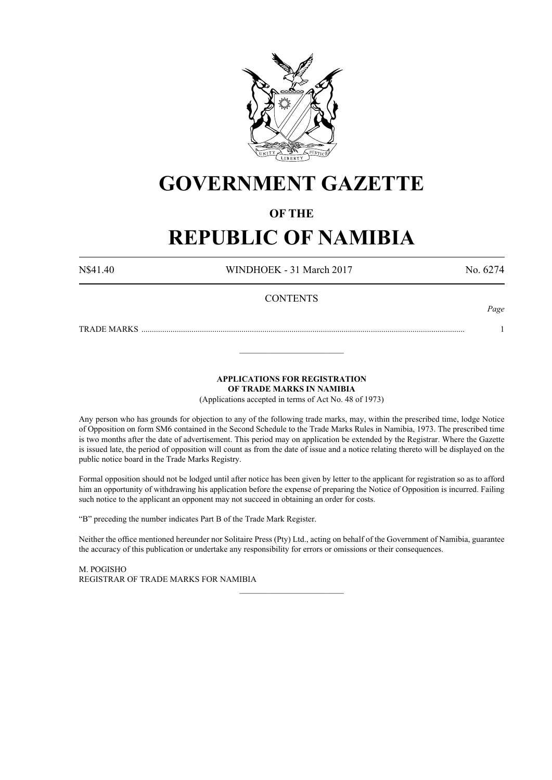

## **GOVERNMENT GAZETTE**

## **OF THE**

# **REPUBLIC OF NAMIBIA**

N\$41.40 WINDHOEK - 31 March 2017 No. 6274

*Page*

## **CONTENTS**

TRADE MARKS ........................................................................................................................................................... 1

**APPLICATIONS FOR REGISTRATION OF TRADE MARKS IN NAMIBIA**

\_\_\_\_\_\_\_\_\_\_\_\_\_\_\_\_\_\_\_\_\_\_\_\_\_

(Applications accepted in terms of Act No. 48 of 1973)

Any person who has grounds for objection to any of the following trade marks, may, within the prescribed time, lodge Notice of Opposition on form SM6 contained in the Second Schedule to the Trade Marks Rules in Namibia, 1973. The prescribed time is two months after the date of advertisement. This period may on application be extended by the Registrar. Where the Gazette is issued late, the period of opposition will count as from the date of issue and a notice relating thereto will be displayed on the public notice board in the Trade Marks Registry.

Formal opposition should not be lodged until after notice has been given by letter to the applicant for registration so as to afford him an opportunity of withdrawing his application before the expense of preparing the Notice of Opposition is incurred. Failing such notice to the applicant an opponent may not succeed in obtaining an order for costs.

"B" preceding the number indicates Part B of the Trade Mark Register.

Neither the office mentioned hereunder nor Solitaire Press (Pty) Ltd., acting on behalf of the Government of Namibia, guarantee the accuracy of this publication or undertake any responsibility for errors or omissions or their consequences.

\_\_\_\_\_\_\_\_\_\_\_\_\_\_\_\_\_\_\_\_\_\_\_\_\_

M. PogIsho REGISTRAR OF TRADE MARKS FOR NAMIBIA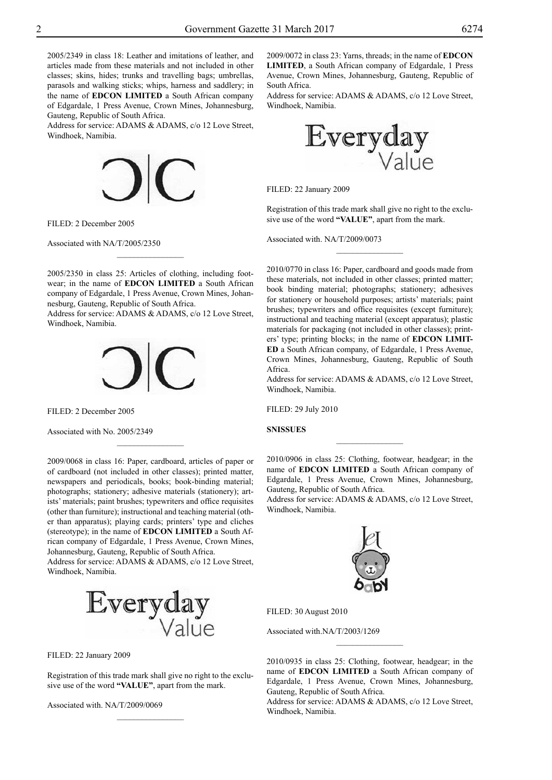2005/2349 in class 18: Leather and imitations of leather, and articles made from these materials and not included in other classes; skins, hides; trunks and travelling bags; umbrellas, parasols and walking sticks; whips, harness and saddlery; in the name of **EDCON LIMITED** a South African company of Edgardale, 1 Press Avenue, Crown Mines, Johannesburg, Gauteng, Republic of South Africa.

Address for service: ADAMS & ADAMS, c/o 12 Love Street, Windhoek, Namibia.



FILED: 2 December 2005

Associated with NA/T/2005/2350

2005/2350 in class 25: Articles of clothing, including footwear; in the name of **EDCON LIMITED** a South African company of Edgardale, 1 Press Avenue, Crown Mines, Johannesburg, Gauteng, Republic of South Africa.

 $\frac{1}{2}$ 

Address for service: ADAMS & ADAMS, c/o 12 Love Street, Windhoek, Namibia.



FILED: 2 December 2005

Associated with No. 2005/2349

2009/0068 in class 16: Paper, cardboard, articles of paper or of cardboard (not included in other classes); printed matter, newspapers and periodicals, books; book-binding material; photographs; stationery; adhesive materials (stationery); artists' materials; paint brushes; typewriters and office requisites (other than furniture); instructional and teaching material (other than apparatus); playing cards; printers' type and cliches (stereotype); in the name of **EDCON LIMITED** a South African company of Edgardale, 1 Press Avenue, Crown Mines, Johannesburg, Gauteng, Republic of South Africa.

 $\overline{\phantom{a}}$  , where  $\overline{\phantom{a}}$ 

Address for service: ADAMS & ADAMS, c/o 12 Love Street,



FILED: 22 January 2009

Registration of this trade mark shall give no right to the exclusive use of the word **"VALUE"**, apart from the mark.

 $\frac{1}{2}$ 

Associated with. NA/T/2009/0069

2009/0072 in class 23: Yarns, threads; in the name of **EDCON LIMITED**, a South African company of Edgardale, 1 Press Avenue, Crown Mines, Johannesburg, Gauteng, Republic of South Africa.

Address for service: ADAMS & ADAMS, c/o 12 Love Street, Windhoek, Namibia.



FILED: 22 January 2009

Registration of this trade mark shall give no right to the exclusive use of the word **"VALUE"**, apart from the mark.

 $\frac{1}{2}$ 

Associated with. NA/T/2009/0073

2010/0770 in class 16: Paper, cardboard and goods made from these materials, not included in other classes; printed matter; book binding material; photographs; stationery; adhesives for stationery or household purposes; artists' materials; paint brushes; typewriters and office requisites (except furniture); instructional and teaching material (except apparatus); plastic materials for packaging (not included in other classes); printers' type; printing blocks; in the name of **EDCON LIMIT-ED** a South African company, of Edgardale, 1 Press Avenue, Crown Mines, Johannesburg, Gauteng, Republic of South Africa.

Address for service: ADAMS & ADAMS, c/o 12 Love Street, Windhoek, Namibia.

FILED: 29 July 2010

**SNISSUES**

2010/0906 in class 25: Clothing, footwear, headgear; in the name of **EDCON LIMITED** a South African company of Edgardale, 1 Press Avenue, Crown Mines, Johannesburg, Gauteng, Republic of South Africa.

 $\overline{\phantom{a}}$  , where  $\overline{\phantom{a}}$ 

Address for service: ADAMS & ADAMS, c/o 12 Love Street, Windhoek, Namibia.



FILED: 30 August 2010

Associated with.NA/T/2003/1269

2010/0935 in class 25: Clothing, footwear, headgear; in the name of **EDCON LIMITED** a South African company of Edgardale, 1 Press Avenue, Crown Mines, Johannesburg, Gauteng, Republic of South Africa.

Address for service: ADAMS & ADAMS, c/o 12 Love Street, Windhoek, Namibia.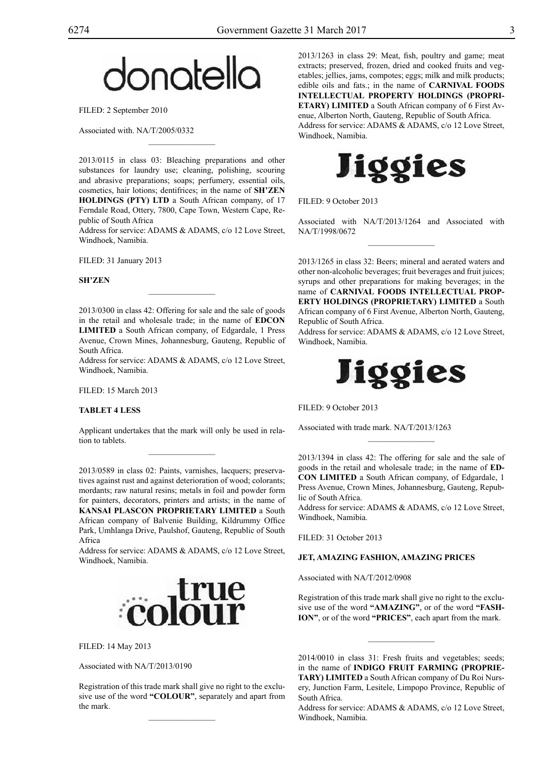# donatella

FILED: 2 September 2010

Associated with. NA/T/2005/0332

2013/0115 in class 03: Bleaching preparations and other substances for laundry use; cleaning, polishing, scouring and abrasive preparations; soaps; perfumery, essential oils, cosmetics, hair lotions; dentifrices; in the name of **SH'ZEN HOLDINGS (PTY) LTD** a South African company, of 17 Ferndale Road, Ottery, 7800, Cape Town, Western Cape, Republic of South Africa

 $\overline{\phantom{a}}$  , where  $\overline{\phantom{a}}$ 

Address for service: ADAMS & ADAMS, c/o 12 Love Street, Windhoek, Namibia.

FILED: 31 January 2013

## **SH'ZEN**

2013/0300 in class 42: Offering for sale and the sale of goods in the retail and wholesale trade; in the name of **EDCON LIMITED** a South African company, of Edgardale, 1 Press Avenue, Crown Mines, Johannesburg, Gauteng, Republic of South Africa.

 $\overline{\phantom{a}}$  , where  $\overline{\phantom{a}}$ 

Address for service: ADAMS & ADAMS, c/o 12 Love Street, Windhoek, Namibia.

FILED: 15 March 2013

## **TABLET 4 LESS**

Applicant undertakes that the mark will only be used in relation to tablets.  $\overline{\phantom{a}}$  , where  $\overline{\phantom{a}}$ 

2013/0589 in class 02: Paints, varnishes, lacquers; preservatives against rust and against deterioration of wood; colorants; mordants; raw natural resins; metals in foil and powder form for painters, decorators, printers and artists; in the name of **KANSAI PLASCON PROPRIETARY LIMITED** a South African company of Balvenie Building, Kildrummy Office Park, Umhlanga Drive, Paulshof, Gauteng, Republic of South Africa

Address for service: ADAMS & ADAMS, c/o 12 Love Street, Windhoek, Namibia.



## FILED: 14 May 2013

Associated with NA/T/2013/0190

Registration of this trade mark shall give no right to the exclusive use of the word **"COLOUR"**, separately and apart from the mark.

 $\overline{\phantom{a}}$  , where  $\overline{\phantom{a}}$ 

2013/1263 in class 29: Meat, fish, poultry and game; meat extracts; preserved, frozen, dried and cooked fruits and vegetables; jellies, jams, compotes; eggs; milk and milk products; edible oils and fats.; in the name of **CARNIVAL FOODS INTELLECTUAL PROPERTY HOLDINGS (PROPRI-ETARY) LIMITED** a South African company of 6 First Avenue, Alberton North, Gauteng, Republic of South Africa. Address for service: ADAMS & ADAMS, c/o 12 Love Street, Windhoek, Namibia.



FILED: 9 October 2013

Associated with NA/T/2013/1264 and Associated with NA/T/1998/0672  $\overline{\phantom{a}}$  , where  $\overline{\phantom{a}}$ 

2013/1265 in class 32: Beers; mineral and aerated waters and other non-alcoholic beverages; fruit beverages and fruit juices; syrups and other preparations for making beverages; in the name of **CARNIVAL FOODS INTELLECTUAL PROP-ERTY HOLDINGS (PROPRIETARY) LIMITED** a South African company of 6 First Avenue, Alberton North, Gauteng, Republic of South Africa.

Address for service: ADAMS & ADAMS, c/o 12 Love Street, Windhoek, Namibia.



FILED: 9 October 2013

Associated with trade mark. NA/T/2013/1263

2013/1394 in class 42: The offering for sale and the sale of goods in the retail and wholesale trade; in the name of **ED-CON LIMITED** a South African company, of Edgardale, 1 Press Avenue, Crown Mines, Johannesburg, Gauteng, Republic of South Africa.

 $\frac{1}{2}$ 

Address for service: ADAMS & ADAMS, c/o 12 Love Street, Windhoek, Namibia.

FILED: 31 October 2013

## **JET, AMAZING FASHION, AMAZING PRICES**

Associated with NA/T/2012/0908

Registration of this trade mark shall give no right to the exclusive use of the word **"AMAZING"**, or of the word **"FASH-ION"**, or of the word **"PRICES"**, each apart from the mark.

 $\frac{1}{2}$ 

2014/0010 in class 31: Fresh fruits and vegetables; seeds; in the name of **INDIGO FRUIT FARMING (PROPRIE-TARY) LIMITED** a South African company of Du Roi Nursery, Junction Farm, Lesitele, Limpopo Province, Republic of South Africa.

Address for service: ADAMS & ADAMS, c/o 12 Love Street, Windhoek, Namibia.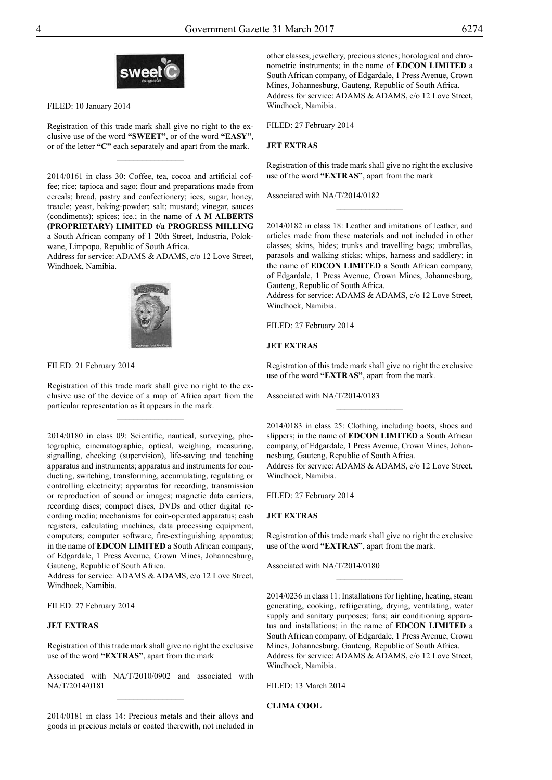

FILED: 10 January 2014

Registration of this trade mark shall give no right to the exclusive use of the word **"SWEET"**, or of the word **"EASY"**, or of the letter **"C"** each separately and apart from the mark.

 $\overline{\phantom{a}}$  , where  $\overline{\phantom{a}}$ 

2014/0161 in class 30: Coffee, tea, cocoa and artificial coffee; rice; tapioca and sago; flour and preparations made from cereals; bread, pastry and confectionery; ices; sugar, honey, treacle; yeast, baking-powder; salt; mustard; vinegar, sauces (condiments); spices; ice.; in the name of **A M ALBERTS (PROPRIETARY) LIMITED t/a PROGRESS MILLING** a South African company of 1 20th Street, Industria, Polokwane, Limpopo, Republic of South Africa.

Address for service: ADAMS & ADAMS, c/o 12 Love Street, Windhoek, Namibia.



FILED: 21 February 2014

Registration of this trade mark shall give no right to the exclusive use of the device of a map of Africa apart from the particular representation as it appears in the mark.

2014/0180 in class 09: Scientific, nautical, surveying, photographic, cinematographic, optical, weighing, measuring, signalling, checking (supervision), life-saving and teaching apparatus and instruments; apparatus and instruments for conducting, switching, transforming, accumulating, regulating or controlling electricity; apparatus for recording, transmission or reproduction of sound or images; magnetic data carriers, recording discs; compact discs, DVDs and other digital recording media; mechanisms for coin-operated apparatus; cash registers, calculating machines, data processing equipment, computers; computer software; fire-extinguishing apparatus; in the name of **EDCON LIMITED** a South African company, of Edgardale, 1 Press Avenue, Crown Mines, Johannesburg, Gauteng, Republic of South Africa.

Address for service: ADAMS & ADAMS, c/o 12 Love Street, Windhoek, Namibia.

FILED: 27 February 2014

## **JET EXTRAS**

Registration of this trade mark shall give no right the exclusive use of the word **"EXTRAS"**, apart from the mark

Associated with NA/T/2010/0902 and associated with NA/T/2014/0181  $\frac{1}{2}$ 

2014/0181 in class 14: Precious metals and their alloys and goods in precious metals or coated therewith, not included in

other classes; jewellery, precious stones; horological and chronometric instruments; in the name of **EDCON LIMITED** a South African company, of Edgardale, 1 Press Avenue, Crown Mines, Johannesburg, Gauteng, Republic of South Africa. Address for service: ADAMS & ADAMS, c/o 12 Love Street, Windhoek, Namibia.

FILED: 27 February 2014

## **JET EXTRAS**

Registration of this trade mark shall give no right the exclusive use of the word **"EXTRAS"**, apart from the mark

 $\frac{1}{2}$ 

Associated with NA/T/2014/0182

2014/0182 in class 18: Leather and imitations of leather, and articles made from these materials and not included in other classes; skins, hides; trunks and travelling bags; umbrellas, parasols and walking sticks; whips, harness and saddlery; in the name of **EDCON LIMITED** a South African company, of Edgardale, 1 Press Avenue, Crown Mines, Johannesburg, Gauteng, Republic of South Africa.

Address for service: ADAMS & ADAMS, c/o 12 Love Street, Windhoek, Namibia.

FILED: 27 February 2014

#### **JET EXTRAS**

Registration of this trade mark shall give no right the exclusive use of the word **"EXTRAS"**, apart from the mark.

 $\overline{\phantom{a}}$  , where  $\overline{\phantom{a}}$ 

Associated with NA/T/2014/0183

2014/0183 in class 25: Clothing, including boots, shoes and slippers; in the name of **EDCON LIMITED** a South African company, of Edgardale, 1 Press Avenue, Crown Mines, Johannesburg, Gauteng, Republic of South Africa. Address for service: ADAMS & ADAMS, c/o 12 Love Street, Windhoek, Namibia.

FILED: 27 February 2014

## **JET EXTRAS**

Registration of this trade mark shall give no right the exclusive use of the word **"EXTRAS"**, apart from the mark.

 $\frac{1}{2}$ 

Associated with NA/T/2014/0180

2014/0236 in class 11: Installations for lighting, heating, steam generating, cooking, refrigerating, drying, ventilating, water supply and sanitary purposes; fans; air conditioning apparatus and installations; in the name of **EDCON LIMITED** a South African company, of Edgardale, 1 Press Avenue, Crown Mines, Johannesburg, Gauteng, Republic of South Africa. Address for service: ADAMS & ADAMS, c/o 12 Love Street, Windhoek, Namibia.

FILED: 13 March 2014

**CLIMA COOL**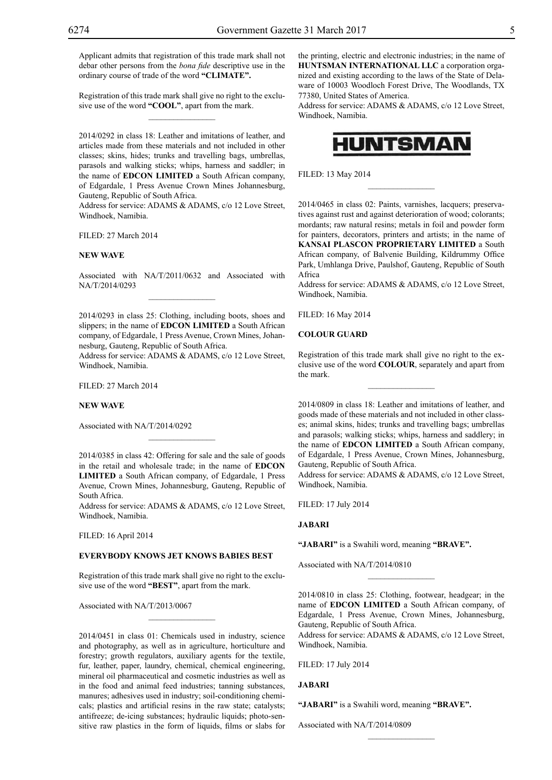Applicant admits that registration of this trade mark shall not debar other persons from the *bona fide* descriptive use in the ordinary course of trade of the word **"CLIMATE".**

Registration of this trade mark shall give no right to the exclusive use of the word **"COOL"**, apart from the mark.  $\mathcal{L}=\mathcal{L}^{\mathcal{L}}$ 

2014/0292 in class 18: Leather and imitations of leather, and articles made from these materials and not included in other classes; skins, hides; trunks and travelling bags, umbrellas, parasols and walking sticks; whips, harness and saddler; in the name of **EDCON LIMITED** a South African company, of Edgardale, 1 Press Avenue Crown Mines Johannesburg, Gauteng, Republic of South Africa.

Address for service: ADAMS & ADAMS, c/o 12 Love Street, Windhoek, Namibia.

FILED: 27 March 2014

#### **NEW WAVE**

Associated with NA/T/2011/0632 and Associated with NA/T/2014/0293  $\overline{\phantom{a}}$  , where  $\overline{\phantom{a}}$ 

2014/0293 in class 25: Clothing, including boots, shoes and slippers; in the name of **EDCON LIMITED** a South African company, of Edgardale, 1 Press Avenue, Crown Mines, Johannesburg, Gauteng, Republic of South Africa.

Address for service: ADAMS & ADAMS, c/o 12 Love Street, Windhoek, Namibia.

FILED: 27 March 2014

## **NEW WAVE**

Associated with NA/T/2014/0292

2014/0385 in class 42: Offering for sale and the sale of goods in the retail and wholesale trade; in the name of **EDCON LIMITED** a South African company, of Edgardale, 1 Press Avenue, Crown Mines, Johannesburg, Gauteng, Republic of South Africa.

 $\mathcal{L}=\mathcal{L}^{\mathcal{L}}$ 

Address for service: ADAMS & ADAMS, c/o 12 Love Street, Windhoek, Namibia.

FILED: 16 April 2014

## **EVERYBODY KNOWS JET KNOWS BABIES BEST**

Registration of this trade mark shall give no right to the exclusive use of the word **"BEST"**, apart from the mark.

 $\overline{\phantom{a}}$  , where  $\overline{\phantom{a}}$ 

Associated with NA/T/2013/0067

2014/0451 in class 01: Chemicals used in industry, science and photography, as well as in agriculture, horticulture and forestry; growth regulators, auxiliary agents for the textile, fur, leather, paper, laundry, chemical, chemical engineering, mineral oil pharmaceutical and cosmetic industries as well as in the food and animal feed industries; tanning substances, manures; adhesives used in industry; soil-conditioning chemicals; plastics and artificial resins in the raw state; catalysts; antifreeze; de-icing substances; hydraulic liquids; photo-sensitive raw plastics in the form of liquids, films or slabs for the printing, electric and electronic industries; in the name of **HUNTSMAN INTERNATIONAL LLC** a corporation organized and existing according to the laws of the State of Delaware of 10003 Woodloch Forest Drive, The Woodlands, TX 77380, United States of America.

Address for service: ADAMS & ADAMS, c/o 12 Love Street, Windhoek, Namibia.



 $\overline{\phantom{a}}$  , where  $\overline{\phantom{a}}$ 

FILED: 13 May 2014

2014/0465 in class 02: Paints, varnishes, lacquers; preservatives against rust and against deterioration of wood; colorants; mordants; raw natural resins; metals in foil and powder form for painters, decorators, printers and artists; in the name of **KANSAI PLASCON PROPRIETARY LIMITED** a South African company, of Balvenie Building, Kildrummy Office Park, Umhlanga Drive, Paulshof, Gauteng, Republic of South Africa

Address for service: ADAMS & ADAMS, c/o 12 Love Street, Windhoek, Namibia.

FILED: 16 May 2014

#### **COLOUR GUARD**

Registration of this trade mark shall give no right to the exclusive use of the word **COLOUR**, separately and apart from the mark.

 $\overline{\phantom{a}}$  , where  $\overline{\phantom{a}}$ 

2014/0809 in class 18: Leather and imitations of leather, and goods made of these materials and not included in other classes; animal skins, hides; trunks and travelling bags; umbrellas and parasols; walking sticks; whips, harness and saddlery; in the name of **EDCON LIMITED** a South African company, of Edgardale, 1 Press Avenue, Crown Mines, Johannesburg, Gauteng, Republic of South Africa.

Address for service: ADAMS & ADAMS, c/o 12 Love Street, Windhoek, Namibia.

FILED: 17 July 2014

## **JABARI**

**"JABARI"** is a Swahili word, meaning **"brave".**

Associated with NA/T/2014/0810

2014/0810 in class 25: Clothing, footwear, headgear; in the name of **EDCON LIMITED** a South African company, of Edgardale, 1 Press Avenue, Crown Mines, Johannesburg, Gauteng, Republic of South Africa.

 $\frac{1}{2}$ 

Address for service: ADAMS & ADAMS, c/o 12 Love Street, Windhoek, Namibia.

 $\frac{1}{2}$ 

FILED: 17 July 2014

## **JABARI**

**"JABARI"** is a Swahili word, meaning **"brave".**

Associated with NA/T/2014/0809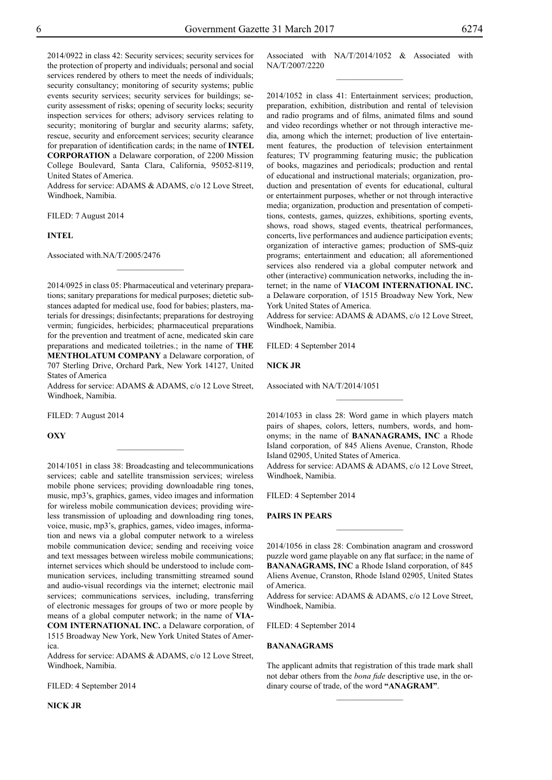2014/0922 in class 42: Security services; security services for the protection of property and individuals; personal and social services rendered by others to meet the needs of individuals; security consultancy; monitoring of security systems; public events security services; security services for buildings; security assessment of risks; opening of security locks; security inspection services for others; advisory services relating to security; monitoring of burglar and security alarms; safety, rescue, security and enforcement services; security clearance for preparation of identification cards; in the name of **INTEL Corporation** a Delaware corporation, of 2200 Mission College Boulevard, Santa Clara, California, 95052-8119, United States of America.

Address for service: ADAMS & ADAMS, c/o 12 Love Street, Windhoek, Namibia.

FILED: 7 August 2014

#### **INTEL**

Associated with.NA/T/2005/2476

2014/0925 in class 05: Pharmaceutical and veterinary preparations; sanitary preparations for medical purposes; dietetic substances adapted for medical use, food for babies; plasters, materials for dressings; disinfectants; preparations for destroying vermin; fungicides, herbicides; pharmaceutical preparations for the prevention and treatment of acne, medicated skin care preparations and medicated toiletries.; in the name of **THE MENTHOLATUM COMPANY** a Delaware corporation, of 707 Sterling Drive, Orchard Park, New York 14127, United States of America

 $\frac{1}{2}$ 

Address for service: ADAMS & ADAMS, c/o 12 Love Street, Windhoek, Namibia.

 $\frac{1}{2}$ 

FILED: 7 August 2014

**OXY**

2014/1051 in class 38: Broadcasting and telecommunications services; cable and satellite transmission services; wireless mobile phone services; providing downloadable ring tones, music, mp3's, graphics, games, video images and information for wireless mobile communication devices; providing wireless transmission of uploading and downloading ring tones, voice, music, mp3's, graphics, games, video images, information and news via a global computer network to a wireless mobile communication device; sending and receiving voice and text messages between wireless mobile communications; internet services which should be understood to include communication services, including transmitting streamed sound and audio-visual recordings via the internet; electronic mail services; communications services, including, transferring of electronic messages for groups of two or more people by means of a global computer network; in the name of **VIA-COM INTERNATIONAL INC.** a Delaware corporation, of

1515 Broadway New York, New York United States of America.

Address for service: ADAMS & ADAMS, c/o 12 Love Street, Windhoek, Namibia.

FILED: 4 September 2014

**NICK JR**

Associated with NA/T/2014/1052 & Associated with NA/T/2007/2220  $\frac{1}{2}$ 

2014/1052 in class 41: Entertainment services; production, preparation, exhibition, distribution and rental of television and radio programs and of films, animated films and sound and video recordings whether or not through interactive media, among which the internet; production of live entertainment features, the production of television entertainment features; TV programming featuring music; the publication of books, magazines and periodicals; production and rental of educational and instructional materials; organization, production and presentation of events for educational, cultural or entertainment purposes, whether or not through interactive media; organization, production and presentation of competitions, contests, games, quizzes, exhibitions, sporting events, shows, road shows, staged events, theatrical performances, concerts, live performances and audience participation events; organization of interactive games; production of SMS-quiz programs; entertainment and education; all aforementioned services also rendered via a global computer network and other (interactive) communication networks, including the internet; in the name of **VIACOM INTERNATIONAL INC.** a Delaware corporation, of 1515 Broadway New York, New York United States of America.

Address for service: ADAMS & ADAMS, c/o 12 Love Street, Windhoek, Namibia.

FILED: 4 September 2014

#### **NICK JR**

Associated with NA/T/2014/1051

2014/1053 in class 28: Word game in which players match pairs of shapes, colors, letters, numbers, words, and homonyms; in the name of **BANANAGRAMS, INC** a Rhode Island corporation, of 845 Aliens Avenue, Cranston, Rhode Island 02905, United States of America.

 $\frac{1}{2}$ 

Address for service: ADAMS & ADAMS, c/o 12 Love Street, Windhoek, Namibia.

FILED: 4 September 2014

**PAIRS IN PEARS**

2014/1056 in class 28: Combination anagram and crossword puzzle word game playable on any flat surface; in the name of **BANANAGRAMS, INC** a Rhode Island corporation, of 845 Aliens Avenue, Cranston, Rhode Island 02905, United States of America.

 $\frac{1}{2}$ 

Address for service: ADAMS & ADAMS, c/o 12 Love Street, Windhoek, Namibia.

FILED: 4 September 2014

## **BANANAGRAMS**

The applicant admits that registration of this trade mark shall not debar others from the *bona fide* descriptive use, in the ordinary course of trade, of the word **"ANAGRAM"**.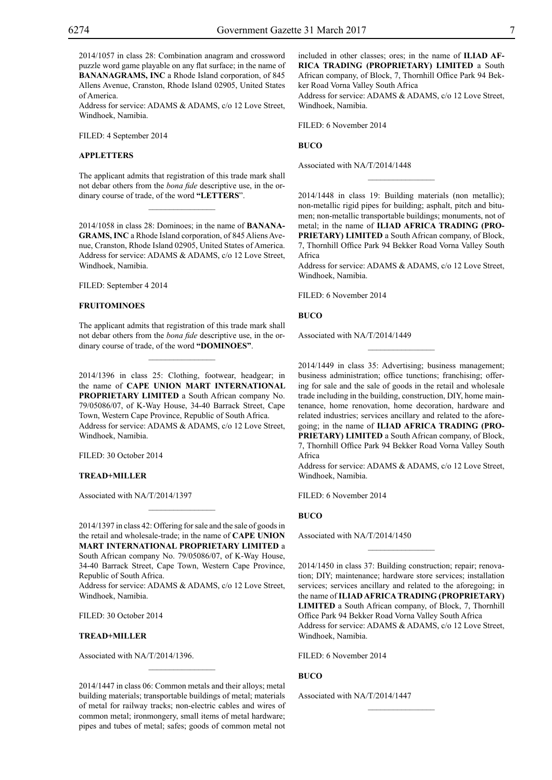2014/1057 in class 28: Combination anagram and crossword puzzle word game playable on any flat surface; in the name of **BANANAGRAMS, INC** a Rhode Island corporation, of 845 Allens Avenue, Cranston, Rhode Island 02905, United States of America.

Address for service: ADAMS & ADAMS, c/o 12 Love Street, Windhoek, Namibia.

FILED: 4 September 2014

## **APPLETTERS**

The applicant admits that registration of this trade mark shall not debar others from the *bona fide* descriptive use, in the ordinary course of trade, of the word **"LETTERS**".

 $\mathcal{L}=\mathcal{L}^{\mathcal{L}}$ 

2014/1058 in class 28: Dominoes; in the name of **BANANA-GRAMS, INC** a Rhode Island corporation, of 845 Aliens Avenue, Cranston, Rhode Island 02905, United States of America. Address for service: ADAMS & ADAMS, c/o 12 Love Street, Windhoek, Namibia.

FILED: September 4 2014

#### **FRUITOMINOES**

The applicant admits that registration of this trade mark shall not debar others from the *bona fide* descriptive use, in the ordinary course of trade, of the word **"DOMINOES"**.

 $\overline{\phantom{a}}$  , where  $\overline{\phantom{a}}$ 

2014/1396 in class 25: Clothing, footwear, headgear; in the name of **CAPE UNION MART INTERNATIONAL PROPRIETARY LIMITED** a South African company No. 79/05086/07, of K-Way House, 34-40 Barrack Street, Cape Town, Western Cape Province, Republic of South Africa. Address for service: ADAMS & ADAMS, c/o 12 Love Street, Windhoek, Namibia.

FILED: 30 October 2014

#### **TREAD+MILLER**

Associated with NA/T/2014/1397

2014/1397 in class 42: Offering for sale and the sale of goods in the retail and wholesale-trade; in the name of **CAPE UNION MART INTERNATIONAL PROPRIETARY LIMITED** a South African company No. 79/05086/07, of K-Way House, 34-40 Barrack Street, Cape Town, Western Cape Province, Republic of South Africa.

 $\overline{\phantom{a}}$  , where  $\overline{\phantom{a}}$ 

Address for service: ADAMS & ADAMS, c/o 12 Love Street, Windhoek, Namibia.

FILED: 30 October 2014

#### **TREAD+MILLER**

Associated with NA/T/2014/1396.

2014/1447 in class 06: Common metals and their alloys; metal building materials; transportable buildings of metal; materials of metal for railway tracks; non-electric cables and wires of common metal; ironmongery, small items of metal hardware; pipes and tubes of metal; safes; goods of common metal not

 $\overline{\phantom{a}}$  , where  $\overline{\phantom{a}}$ 

included in other classes; ores; in the name of **ILIAD AF-RICA TRADING (PROPRIETARY) LIMITED** a South African company, of Block, 7, Thornhill Office Park 94 Bekker Road Vorna Valley South Africa

Address for service: ADAMS & ADAMS, c/o 12 Love Street, Windhoek, Namibia.

FILED: 6 November 2014

## **BUCO**

Associated with NA/T/2014/1448

2014/1448 in class 19: Building materials (non metallic); non-metallic rigid pipes for building; asphalt, pitch and bitumen; non-metallic transportable buildings; monuments, not of metal; in the name of **ILIAD AFRICA TRADING (PRO-PRIETARY) LIMITED** a South African company, of Block, 7, Thornhill Office Park 94 Bekker Road Vorna Valley South Africa

 $\frac{1}{2}$ 

Address for service: ADAMS & ADAMS, c/o 12 Love Street, Windhoek, Namibia.

FILED: 6 November 2014

**BUCO**

Associated with NA/T/2014/1449

2014/1449 in class 35: Advertising; business management; business administration; office tunctions; franchising; offering for sale and the sale of goods in the retail and wholesale trade including in the building, construction, DIY, home maintenance, home renovation, home decoration, hardware and related industries; services ancillary and related to the aforegoing; in the name of **ILIAD AFRICA TRADING (PRO-PRIETARY) LIMITED** a South African company, of Block, 7, Thornhill Office Park 94 Bekker Road Vorna Valley South Africa

 $\overline{\phantom{a}}$  , where  $\overline{\phantom{a}}$ 

Address for service: ADAMS & ADAMS, c/o 12 Love Street, Windhoek, Namibia.

FILED: 6 November 2014

## **BUCO**

Associated with NA/T/2014/1450

2014/1450 in class 37: Building construction; repair; renovation; DIY; maintenance; hardware store services; installation services; services ancillary and related to the aforegoing; in the name of **ILIAD AFRICA TRADING (PROPRIETARY) LIMITED** a South African company, of Block, 7, Thornhill Office Park 94 Bekker Road Vorna Valley South Africa Address for service: ADAMS & ADAMS, c/o 12 Love Street, Windhoek, Namibia.

 $\frac{1}{2}$ 

 $\frac{1}{2}$ 

FILED: 6 November 2014

## **BUCO**

Associated with NA/T/2014/1447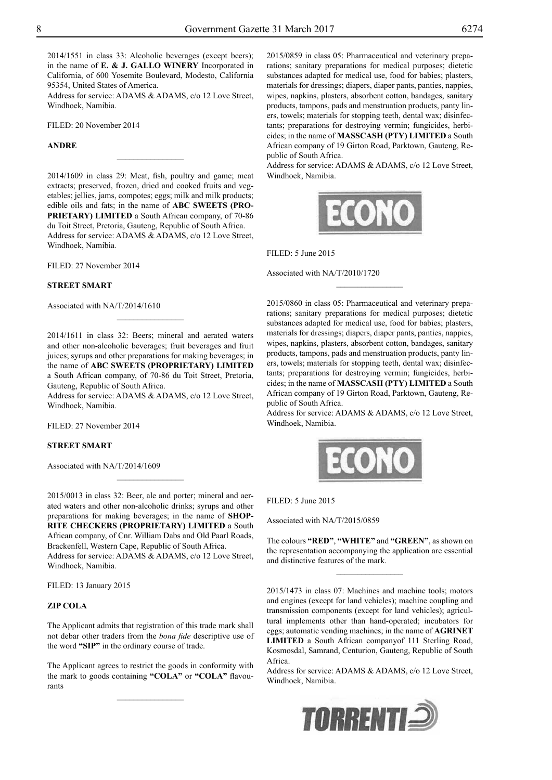2014/1551 in class 33: Alcoholic beverages (except beers); in the name of **E. & J. GALLO WINERY** Incorporated in California, of 600 Yosemite Boulevard, Modesto, California 95354, United States of America.

Address for service: ADAMS & ADAMS, c/o 12 Love Street, Windhoek, Namibia.

FILED: 20 November 2014

## **ANDRE**

2014/1609 in class 29: Meat, fish, poultry and game; meat extracts; preserved, frozen, dried and cooked fruits and vegetables; jellies, jams, compotes; eggs; milk and milk products; edible oils and fats; in the name of **ABC SWEETS (PRO-PRIETARY) LIMITED** a South African company, of 70-86 du Toit Street, Pretoria, Gauteng, Republic of South Africa. Address for service: ADAMS & ADAMS, c/o 12 Love Street, Windhoek, Namibia.

 $\frac{1}{2}$ 

FILED: 27 November 2014

### **STREET SMART**

Associated with NA/T/2014/1610

2014/1611 in class 32: Beers; mineral and aerated waters and other non-alcoholic beverages; fruit beverages and fruit juices; syrups and other preparations for making beverages; in the name of **ABC SWEETS (PROPRIETARY) LIMITED** a South African company, of 70-86 du Toit Street, Pretoria, Gauteng, Republic of South Africa.

Address for service: ADAMS & ADAMS, c/o 12 Love Street, Windhoek, Namibia.

FILED: 27 November 2014

## **STREET SMART**

Associated with NA/T/2014/1609

2015/0013 in class 32: Beer, ale and porter; mineral and aerated waters and other non-alcoholic drinks; syrups and other preparations for making beverages; in the name of **SHOP-RITE CHECKERS (PROPRIETARY) LIMITED** a South African company, of Cnr. William Dabs and Old Paarl Roads, Brackenfell, Western Cape, Republic of South Africa. Address for service: ADAMS & ADAMS, c/o 12 Love Street, Windhoek, Namibia.

 $\frac{1}{2}$ 

FILED: 13 January 2015

## **ZIP COLA**

The Applicant admits that registration of this trade mark shall not debar other traders from the *bona fide* descriptive use of the word **"SIP"** in the ordinary course of trade.

The Applicant agrees to restrict the goods in conformity with the mark to goods containing **"COLA"** or **"COLA"** flavourants

 $\frac{1}{2}$ 

2015/0859 in class 05: Pharmaceutical and veterinary preparations; sanitary preparations for medical purposes; dietetic substances adapted for medical use, food for babies; plasters, materials for dressings; diapers, diaper pants, panties, nappies, wipes, napkins, plasters, absorbent cotton, bandages, sanitary products, tampons, pads and menstruation products, panty liners, towels; materials for stopping teeth, dental wax; disinfectants; preparations for destroying vermin; fungicides, herbicides; in the name of **MASSCASH (PTY) LIMITED** a South African company of 19 Girton Road, Parktown, Gauteng, Republic of South Africa.

Address for service: ADAMS & ADAMS, c/o 12 Love Street, Windhoek, Namibia.



 $\overline{\phantom{a}}$  , where  $\overline{\phantom{a}}$ 

FILED: 5 June 2015

Associated with NA/T/2010/1720

2015/0860 in class 05: Pharmaceutical and veterinary preparations; sanitary preparations for medical purposes; dietetic substances adapted for medical use, food for babies; plasters, materials for dressings; diapers, diaper pants, panties, nappies, wipes, napkins, plasters, absorbent cotton, bandages, sanitary products, tampons, pads and menstruation products, panty liners, towels; materials for stopping teeth, dental wax; disinfectants; preparations for destroying vermin; fungicides, herbicides; in the name of **MASSCASH (PTY) LIMITED** a South African company of 19 Girton Road, Parktown, Gauteng, Republic of South Africa.

Address for service: ADAMS & ADAMS, c/o 12 Love Street, Windhoek, Namibia.



#### FILED: 5 June 2015

Associated with NA/T/2015/0859

The colours **"RED"**, **"WHITE"** and **"GREEN"**, as shown on the representation accompanying the application are essential and distinctive features of the mark.

 $\overline{\phantom{a}}$  , where  $\overline{\phantom{a}}$ 

2015/1473 in class 07: Machines and machine tools; motors and engines (except for land vehicles); machine coupling and transmission components (except for land vehicles); agricultural implements other than hand-operated; incubators for eggs; automatic vending machines; in the name of **AGRINET Limited** a South African companyof 111 Sterling Road, Kosmosdal, Samrand, Centurion, Gauteng, Republic of South Africa.

Address for service: ADAMS & ADAMS, c/o 12 Love Street, Windhoek, Namibia.

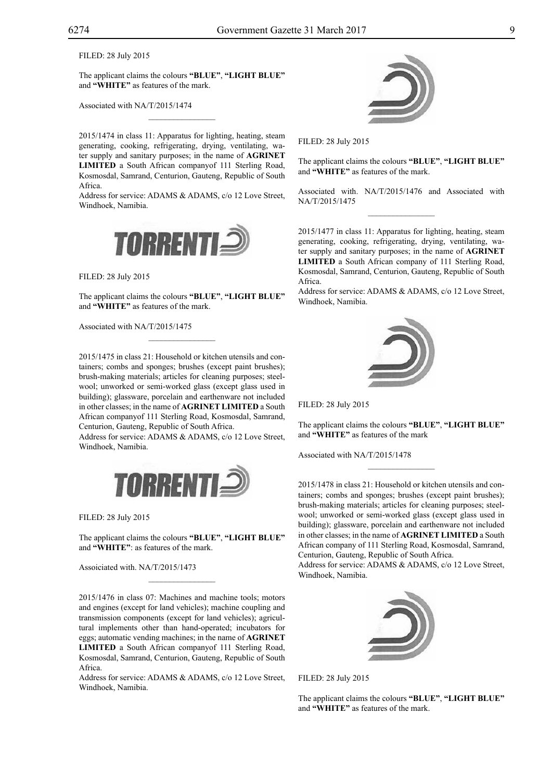FILED: 28 July 2015

The applicant claims the colours **"blue"**, **"light blue"** and **"WHITE"** as features of the mark.

 $\mathcal{L}=\mathcal{L}^{\mathcal{L}}$ 

Associated with NA/T/2015/1474

2015/1474 in class 11: Apparatus for lighting, heating, steam generating, cooking, refrigerating, drying, ventilating, water supply and sanitary purposes; in the name of **Agrinet Limited** a South African companyof 111 Sterling Road, Kosmosdal, Samrand, Centurion, Gauteng, Republic of South Africa.

Address for service: ADAMS & ADAMS, c/o 12 Love Street, Windhoek, Namibia.



FILED: 28 July 2015

The applicant claims the colours **"blue"**, **"light blue"** and **"WHITE"** as features of the mark.

Associated with NA/T/2015/1475

2015/1475 in class 21: Household or kitchen utensils and containers; combs and sponges; brushes (except paint brushes); brush-making materials; articles for cleaning purposes; steelwool; unworked or semi-worked glass (except glass used in building); glassware, porcelain and earthenware not included in other classes; in the name of **AGRINET LIMITED** a South African companyof 111 Sterling Road, Kosmosdal, Samrand, Centurion, Gauteng, Republic of South Africa.

Address for service: ADAMS & ADAMS, c/o 12 Love Street, Windhoek, Namibia.



FILED: 28 July 2015

The applicant claims the colours "BLUE", "LIGHT BLUE" and "WHITE": as features of the mark.

Assoiciated with. NA/T/2015/1473

2015/1476 in class 07: Machines and machine tools; motors and engines (except for land vehicles); machine coupling and transmission components (except for land vehicles); agricultural implements other than hand-operated; incubators for eggs; automatic vending machines; in the name of **Agrinet Limited** a South African companyof 111 Sterling Road, Kosmosdal, Samrand, Centurion, Gauteng, Republic of South Africa.

Address for service: ADAMS & ADAMS, c/o 12 Love Street, Windhoek, Namibia.



FILED: 28 July 2015

The applicant claims the colours **"blue"**, **"light blue"** and "WHITE" as features of the mark.

Associated with. NA/T/2015/1476 and Associated with NA/T/2015/1475  $\frac{1}{2}$ 

2015/1477 in class 11: Apparatus for lighting, heating, steam generating, cooking, refrigerating, drying, ventilating, water supply and sanitary purposes; in the name of **Agrinet Limited** a South African company of 111 Sterling Road, Kosmosdal, Samrand, Centurion, Gauteng, Republic of South Africa.

Address for service: ADAMS & ADAMS, c/o 12 Love Street, Windhoek, Namibia.



FILED: 28 July 2015

The applicant claims the colours **"Blue"**, **"Light Blue"** and **"White"** as features of the mark

 $\frac{1}{2}$ 

Associated with NA/T/2015/1478

2015/1478 in class 21: Household or kitchen utensils and containers; combs and sponges; brushes (except paint brushes); brush-making materials; articles for cleaning purposes; steelwool; unworked or semi-worked glass (except glass used in building); glassware, porcelain and earthenware not included in other classes; in the name of **AGRINET LIMITED** a South African company of 111 Sterling Road, Kosmosdal, Samrand, Centurion, Gauteng, Republic of South Africa.

Address for service: ADAMS & ADAMS, c/o 12 Love Street, Windhoek, Namibia.



FILED: 28 July 2015

The applicant claims the colours **"Blue"**, **"Light Blue"** and "WHITE" as features of the mark.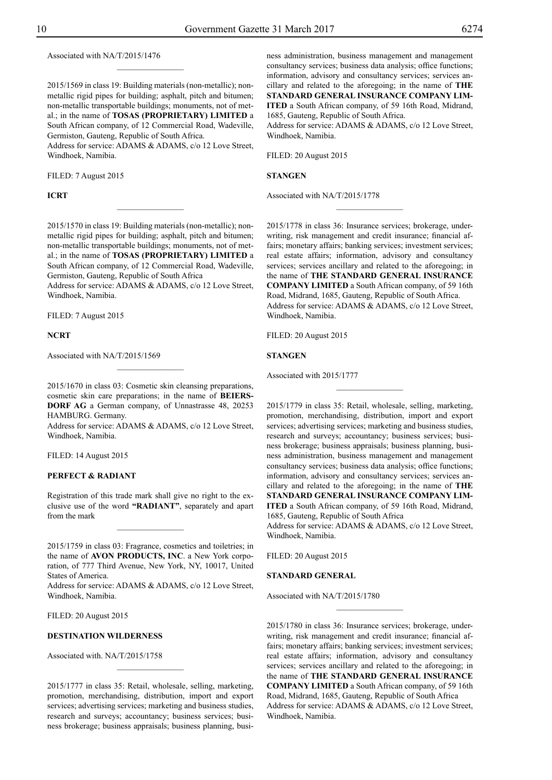Associated with NA/T/2015/1476

2015/1569 in class 19: Building materials (non-metallic); nonmetallic rigid pipes for building; asphalt, pitch and bitumen; non-metallic transportable buildings; monuments, not of metal.; in the name of **TOSAS (PROPRIETARY) LIMITED** a South African company, of 12 Commercial Road, Wadeville, Germiston, Gauteng, Republic of South Africa.

 $\frac{1}{2}$ 

Address for service: ADAMS & ADAMS, c/o 12 Love Street, Windhoek, Namibia.

FILED: 7 August 2015

## **ICRT**

2015/1570 in class 19: Building materials (non-metallic); nonmetallic rigid pipes for building; asphalt, pitch and bitumen; non-metallic transportable buildings; monuments, not of metal.; in the name of **TOSAS (PROPRIETARY) LIMITED** a South African company, of 12 Commercial Road, Wadeville, Germiston, Gauteng, Republic of South Africa

 $\frac{1}{2}$ 

Address for service: ADAMS & ADAMS, c/o 12 Love Street, Windhoek, Namibia.

FILED: 7 August 2015

#### **NCRT**

Associated with NA/T/2015/1569

2015/1670 in class 03: Cosmetic skin cleansing preparations, cosmetic skin care preparations; in the name of **Beiers-DORF AG** a German company, of Unnastrasse 48, 20253 HAMBURG. Germany.

Address for service: ADAMS & ADAMS, c/o 12 Love Street, Windhoek, Namibia.

FILED: 14 August 2015

## **PERFECT & RADIANT**

Registration of this trade mark shall give no right to the exclusive use of the word **"RADIANT"**, separately and apart from the mark

 $\frac{1}{2}$ 

2015/1759 in class 03: Fragrance, cosmetics and toiletries; in the name of **AVON PRODUCTS, INC**. a New York corporation, of 777 Third Avenue, New York, NY, 10017, United States of America.

Address for service: ADAMS & ADAMS, c/o 12 Love Street, Windhoek, Namibia.

FILED: 20 August 2015

#### **DESTINATION WILDERNESS**

Associated with. NA/T/2015/1758

2015/1777 in class 35: Retail, wholesale, selling, marketing, promotion, merchandising, distribution, import and export services; advertising services; marketing and business studies, research and surveys; accountancy; business services; business brokerage; business appraisals; business planning, busi-

 $\overline{\phantom{a}}$  , where  $\overline{\phantom{a}}$ 

ness administration, business management and management consultancy services; business data analysis; office functions; information, advisory and consultancy services; services ancillary and related to the aforegoing; in the name of **THE STANDARD GENERAL INSURANCE COMPANY LIM-ITED** a South African company, of 59 16th Road, Midrand, 1685, Gauteng, Republic of South Africa.

Address for service: ADAMS & ADAMS, c/o 12 Love Street, Windhoek, Namibia.

FILED: 20 August 2015

**STANGEN**

Associated with NA/T/2015/1778

2015/1778 in class 36: Insurance services; brokerage, underwriting, risk management and credit insurance; financial affairs; monetary affairs; banking services; investment services; real estate affairs; information, advisory and consultancy services; services ancillary and related to the aforegoing; in the name of **THE STANDARD GENERAL INSURANCE COMPANY LIMITED** a South African company, of 59 16th Road, Midrand, 1685, Gauteng, Republic of South Africa. Address for service: ADAMS & ADAMS, c/o 12 Love Street, Windhoek, Namibia.

 $\frac{1}{2}$ 

FILED: 20 August 2015

#### **STANGEN**

Associated with 2015/1777

2015/1779 in class 35: Retail, wholesale, selling, marketing, promotion, merchandising, distribution, import and export services; advertising services; marketing and business studies, research and surveys; accountancy; business services; business brokerage; business appraisals; business planning, business administration, business management and management consultancy services; business data analysis; office functions; information, advisory and consultancy services; services ancillary and related to the aforegoing; in the name of **THE STANDARD GENERAL INSURANCE COMPANY LIM-ITED** a South African company, of 59 16th Road, Midrand, 1685, Gauteng, Republic of South Africa

 $\frac{1}{2}$ 

Address for service: ADAMS & ADAMS, c/o 12 Love Street, Windhoek, Namibia.

FILED: 20 August 2015 **STANDARD GENERAL**

Associated with NA/T/2015/1780

2015/1780 in class 36: Insurance services; brokerage, underwriting, risk management and credit insurance; financial affairs; monetary affairs; banking services; investment services; real estate affairs; information, advisory and consultancy services; services ancillary and related to the aforegoing; in the name of **THE STANDARD GENERAL INSURANCE COMPANY LIMITED** a South African company, of 59 16th Road, Midrand, 1685, Gauteng, Republic of South Africa Address for service: ADAMS & ADAMS, c/o 12 Love Street, Windhoek, Namibia.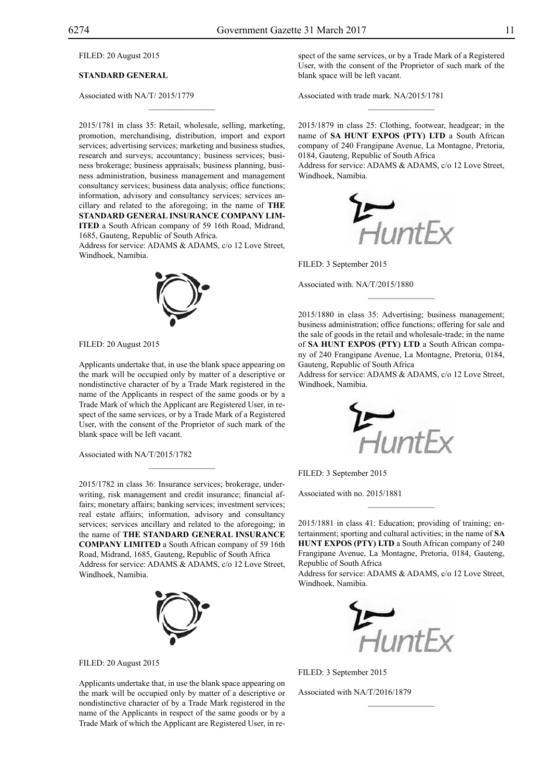FILED: 20 August 2015

## **STANDARD GENERAL**

Associated with NA/T/ 2015/1779

2015/1781 in class 35: Retail, wholesale, selling, marketing, promotion, merchandising, distribution, import and export services; advertising services; marketing and business studies, research and surveys; accountancy; business services; business brokerage; business appraisals; business planning, business administration, business management and management consultancy services; business data analysis; office functions; information, advisory and consultancy services; services ancillary and related to the aforegoing; in the name of **THE STANDARD GENERAL INSURANCE COMPANY LIM-ITED** a South African company of 59 16th Road, Midrand, 1685, Gauteng, Republic of South Africa.

 $\mathcal{L}=\mathcal{L}^{\mathcal{L}}$ 

Address for service: ADAMS & ADAMS, c/o 12 Love Street, Windhoek, Namibia.



```
FILED: 20 August 2015
```
Applicants undertake that, in use the blank space appearing on the mark will be occupied only by matter of a descriptive or nondistinctive character of by a Trade Mark registered in the name of the Applicants in respect of the same goods or by a Trade Mark of which the Applicant are Registered User, in respect of the same services, or by a Trade Mark of a Registered User, with the consent of the Proprietor of such mark of the blank space will be left vacant.

Associated with NA/T/2015/1782

2015/1782 in class 36: Insurance services; brokerage, underwriting, risk management and credit insurance; financial affairs; monetary affairs; banking services; investment services; real estate affairs; information, advisory and consultancy services; services ancillary and related to the aforegoing; in the name of **THE STANDARD GENERAL INSURANCE COMPANY LIMITED** a South African company of 59 16th Road, Midrand, 1685, Gauteng, Republic of South Africa Address for service: ADAMS & ADAMS, c/o 12 Love Street, Windhoek, Namibia.

 $\overline{\phantom{a}}$  , where  $\overline{\phantom{a}}$ 



FILED: 20 August 2015

Applicants undertake that, in use the blank space appearing on the mark will be occupied only by matter of a descriptive or nondistinctive character of by a Trade Mark registered in the name of the Applicants in respect of the same goods or by a Trade Mark of which the Applicant are Registered User, in respect of the same services, or by a Trade Mark of a Registered User, with the consent of the Proprietor of such mark of the blank space will be left vacant.

Associated with trade mark. NA/2015/1781

2015/1879 in class 25: Clothing, footwear, headgear; in the name of **SA HUNT EXPOS (PTY) LTD** a South African company of 240 Frangipane Avenue, La Montagne, Pretoria, 0184, Gauteng, Republic of South Africa

 $\frac{1}{2}$ 

Address for service: ADAMS & ADAMS, c/o 12 Love Street, Windhoek, Namibia.



FILED: 3 September 2015

Associated with. NA/T/2015/1880

2015/1880 in class 35: Advertising; business management; business administration; office functions; offering for sale and the sale of goods in the retail and wholesale-trade; in the name of **SA HUNT EXPOS (PTY) LTD** a South African company of 240 Frangipane Avenue, La Montagne, Pretoria, 0184, Gauteng, Republic of South Africa

 $\frac{1}{2}$ 

Address for service: ADAMS & ADAMS, c/o 12 Love Street, Windhoek, Namibia.



FILED: 3 September 2015

Associated with no. 2015/1881

2015/1881 in class 41: Education; providing of training; entertainment; sporting and cultural activities; in the name of **SA HUNT EXPOS (PTY) LTD** a South African company of 240 Frangipane Avenue, La Montagne, Pretoria, 0184, Gauteng, Republic of South Africa

 $\overline{\phantom{a}}$  , we can also the set of  $\overline{\phantom{a}}$ 

Address for service: ADAMS & ADAMS, c/o 12 Love Street, Windhoek, Namibia.



 $\frac{1}{2}$ 

FILED: 3 September 2015

Associated with NA/T/2016/1879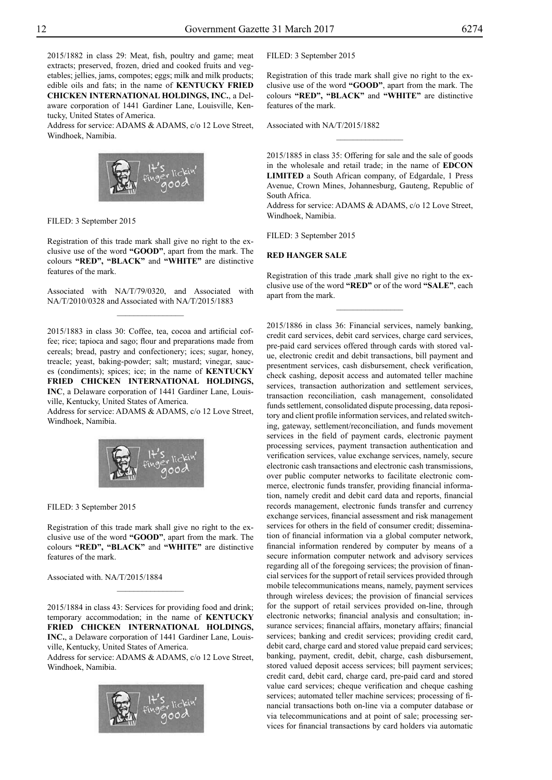2015/1882 in class 29: Meat, fish, poultry and game; meat extracts; preserved, frozen, dried and cooked fruits and vegetables; jellies, jams, compotes; eggs; milk and milk products; edible oils and fats; in the name of **KENTUCKY FRIED CHICKEN INTERNATIONAL HOLDINGS, INC.**, a Delaware corporation of 1441 Gardiner Lane, Louisville, Kentucky, United States of America.

Address for service: ADAMS & ADAMS, c/o 12 Love Street, Windhoek, Namibia.



FILED: 3 September 2015

Registration of this trade mark shall give no right to the exclusive use of the word **"GOOD"**, apart from the mark. The colours "RED", "BLACK" and "WHITE" are distinctive features of the mark.

Associated with NA/T/79/0320, and Associated with NA/T/2010/0328 and Associated with NA/T/2015/1883  $\frac{1}{2}$ 

2015/1883 in class 30: Coffee, tea, cocoa and artificial coffee; rice; tapioca and sago; flour and preparations made from cereals; bread, pastry and confectionery; ices; sugar, honey, treacle; yeast, baking-powder; salt; mustard; vinegar, sauces (condiments); spices; ice; in the name of **KENTUCKY FRIED CHICKEN INTERNATIONAL HOLDINGS, INC**, a Delaware corporation of 1441 Gardiner Lane, Louisville, Kentucky, United States of America.

Address for service: ADAMS & ADAMS, c/o 12 Love Street, Windhoek, Namibia.



FILED: 3 September 2015

Registration of this trade mark shall give no right to the exclusive use of the word **"GOOD"**, apart from the mark. The colours "RED", "BLACK" and "WHITE" are distinctive features of the mark.

Associated with. NA/T/2015/1884

2015/1884 in class 43: Services for providing food and drink; temporary accommodation; in the name of **KENTUCKY FRIED CHICKEN INTERNATIONAL HOLDINGS, INC.**, a Delaware corporation of 1441 Gardiner Lane, Louisville, Kentucky, United States of America.

 $\frac{1}{2}$ 

Address for service: ADAMS & ADAMS, c/o 12 Love Street, Windhoek, Namibia.



FILED: 3 September 2015

Registration of this trade mark shall give no right to the exclusive use of the word **"GOOD"**, apart from the mark. The colours "RED", "BLACK" and "WHITE" are distinctive features of the mark.

Associated with NA/T/2015/1882

2015/1885 in class 35: Offering for sale and the sale of goods in the wholesale and retail trade; in the name of **EDCON LIMITED** a South African company, of Edgardale, 1 Press Avenue, Crown Mines, Johannesburg, Gauteng, Republic of South Africa.

 $\overline{\phantom{a}}$  , where  $\overline{\phantom{a}}$ 

Address for service: ADAMS & ADAMS, c/o 12 Love Street, Windhoek, Namibia.

FILED: 3 September 2015

## **RED HANGER SALE**

Registration of this trade ,mark shall give no right to the exclusive use of the word **"RED"** or of the word **"SALE"**, each apart from the mark.

 $\frac{1}{2}$ 

2015/1886 in class 36: Financial services, namely banking, credit card services, debit card services, charge card services, pre-paid card services offered through cards with stored value, electronic credit and debit transactions, bill payment and presentment services, cash disbursement, check verification, check cashing, deposit access and automated teller machine services, transaction authorization and settlement services, transaction reconciliation, cash management, consolidated funds settlement, consolidated dispute processing, data repository and client profile information services, and related switching, gateway, settlement/reconciliation, and funds movement services in the field of payment cards, electronic payment processing services, payment transaction authentication and verification services, value exchange services, namely, secure electronic cash transactions and electronic cash transmissions, over public computer networks to facilitate electronic commerce, electronic funds transfer, providing financial information, namely credit and debit card data and reports, financial records management, electronic funds transfer and currency exchange services, financial assessment and risk management services for others in the field of consumer credit; dissemination of financial information via a global computer network, financial information rendered by computer by means of a secure information computer network and advisory services regarding all of the foregoing services; the provision of financial services for the support of retail services provided through mobile telecommunications means, namely, payment services through wireless devices; the provision of financial services for the support of retail services provided on-line, through electronic networks; financial analysis and consultation; insurance services; financial affairs, monetary affairs; financial services; banking and credit services; providing credit card, debit card, charge card and stored value prepaid card services; banking, payment, credit, debit, charge, cash disbursement, stored valued deposit access services; bill payment services; credit card, debit card, charge card, pre-paid card and stored value card services; cheque verification and cheque cashing services; automated teller machine services; processing of financial transactions both on-line via a computer database or via telecommunications and at point of sale; processing services for financial transactions by card holders via automatic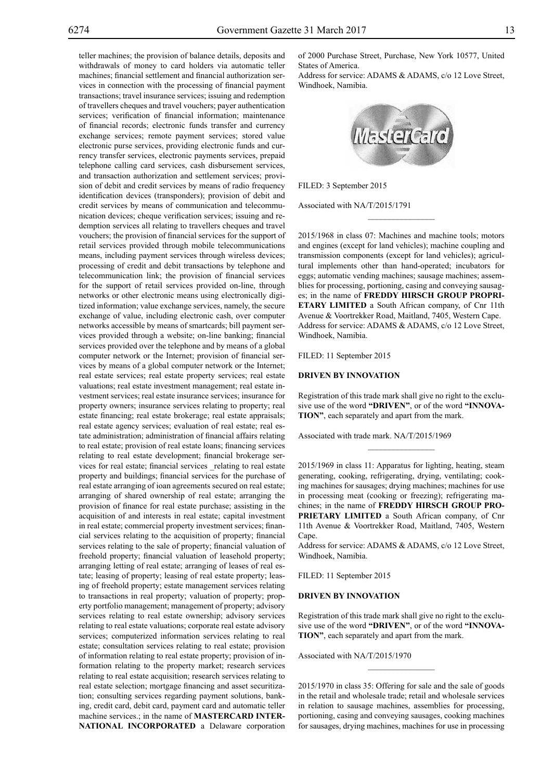teller machines; the provision of balance details, deposits and withdrawals of money to card holders via automatic teller machines; financial settlement and financial authorization services in connection with the processing of financial payment transactions; travel insurance services; issuing and redemption of travellers cheques and travel vouchers; payer authentication services; verification of financial information; maintenance of financial records; electronic funds transfer and currency exchange services; remote payment services; stored value electronic purse services, providing electronic funds and currency transfer services, electronic payments services, prepaid telephone calling card services, cash disbursement services, and transaction authorization and settlement services; provision of debit and credit services by means of radio frequency identification devices (transponders); provision of debit and credit services by means of communication and telecommunication devices; cheque verification services; issuing and redemption services all relating to travellers cheques and travel vouchers; the provision of financial services for the support of retail services provided through mobile telecommunications means, including payment services through wireless devices; processing of credit and debit transactions by telephone and telecommunication link; the provision of financial services for the support of retail services provided on-line, through networks or other electronic means using electronically digitized information; value exchange services, namely, the secure exchange of value, including electronic cash, over computer networks accessible by means of smartcards; bill payment services provided through a website; on-line banking; financial services provided over the telephone and by means of a global computer network or the Internet; provision of financial services by means of a global computer network or the Internet; real estate services; real estate property services; real estate valuations; real estate investment management; real estate investment services; real estate insurance services; insurance for property owners; insurance services relating to property; real estate financing; real estate brokerage; real estate appraisals; real estate agency services; evaluation of real estate; real estate administration; administration of financial affairs relating to real estate; provision of real estate loans; financing services relating to real estate development; financial brokerage services for real estate; financial services \_relating to real estate property and buildings; financial services for the purchase of real estate arranging of ioan agreements secured on real estate; arranging of shared ownership of real estate; arranging the provision of finance for real estate purchase; assisting in the acquisition of and interests in real estate; capital investment in real estate; commercial property investment services; financial services relating to the acquisition of property; financial services relating to the sale of property; financial valuation of freehold property; financial valuation of leasehold property; arranging letting of real estate; arranging of leases of real estate; leasing of property; leasing of real estate property; leasing of freehold property; estate management services relating to transactions in real property; valuation of property; property portfolio management; management of property; advisory services relating to real estate ownership; advisory services relating to real estate valuations; corporate real estate advisory services; computerized information services relating to real estate; consultation services relating to real estate; provision of information relating to real estate property; provision of information relating to the property market; research services relating to real estate acquisition; research services relating to real estate selection; mortgage financing and asset securitization; consulting services regarding payment solutions, banking, credit card, debit card, payment card and automatic teller machine services.; in the name of **MASTERCARD INTER-NATIONAL INCORPORATED** a Delaware corporation

of 2000 Purchase Street, Purchase, New York 10577, United States of America.

Address for service: ADAMS & ADAMS, c/o 12 Love Street, Windhoek, Namibia.



FILED: 3 September 2015

Associated with NA/T/2015/1791

2015/1968 in class 07: Machines and machine tools; motors and engines (except for land vehicles); machine coupling and transmission components (except for land vehicles); agricultural implements other than hand-operated; incubators for eggs; automatic vending machines; sausage machines; assemblies for processing, portioning, casing and conveying sausages; in the name of **FREDDY HIRSCH GROUP PROPRI-ETARY LIMITED** a South African company, of Cnr 11th Avenue & Voortrekker Road, Maitland, 7405, Western Cape. Address for service: ADAMS & ADAMS, c/o 12 Love Street, Windhoek, Namibia.

 $\frac{1}{2}$ 

FILED: 11 September 2015

#### **DRIVEN BY INNOVATION**

Registration of this trade mark shall give no right to the exclusive use of the word **"DRIVEN"**, or of the word **"INNOVA-TION"**, each separately and apart from the mark.

Associated with trade mark. NA/T/2015/1969

2015/1969 in class 11: Apparatus for lighting, heating, steam generating, cooking, refrigerating, drying, ventilating; cooking machines for sausages; drying machines; machines for use in processing meat (cooking or freezing); refrigerating machines; in the name of **FREDDY HIRSCH GROUP PRO-PRIETARY LIMITED** a South African company, of Cnr 11th Avenue & Voortrekker Road, Maitland, 7405, Western Cape.

Address for service: ADAMS & ADAMS, c/o 12 Love Street, Windhoek, Namibia.

FILED: 11 September 2015

## **DRIVEN BY INNOVATION**

Registration of this trade mark shall give no right to the exclusive use of the word **"DRIVEN"**, or of the word **"INNOVA-TION"**, each separately and apart from the mark.

Associated with NA/T/2015/1970

2015/1970 in class 35: Offering for sale and the sale of goods in the retail and wholesale trade; retail and wholesale services in relation to sausage machines, assemblies for processing, portioning, casing and conveying sausages, cooking machines for sausages, drying machines, machines for use in processing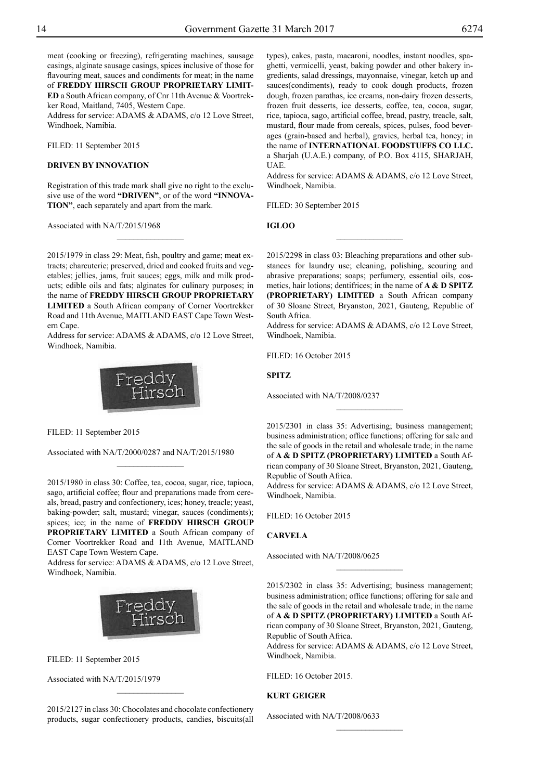meat (cooking or freezing), refrigerating machines, sausage casings, alginate sausage casings, spices inclusive of those for flavouring meat, sauces and condiments for meat; in the name of **FREDDY HIRSCH GROUP PROPRIETARY LIMIT-ED** a South African company, of Cnr 11th Avenue & Voortrekker Road, Maitland, 7405, Western Cape.

Address for service: ADAMS & ADAMS, c/o 12 Love Street, Windhoek, Namibia.

FILED: 11 September 2015

## **DRIVEN BY INNOVATION**

Registration of this trade mark shall give no right to the exclusive use of the word **"DRIVEN"**, or of the word **"INNOVA-TION"**, each separately and apart from the mark.

 $\frac{1}{2}$ 

Associated with NA/T/2015/1968

2015/1979 in class 29: Meat, fish, poultry and game; meat extracts; charcuterie; preserved, dried and cooked fruits and vegetables; jellies, jams, fruit sauces; eggs, milk and milk products; edible oils and fats; alginates for culinary purposes; in the name of **FREDDY HIRSCH GROUP PROPRIETARY LIMITED** a South African company of Corner Voortrekker Road and 11th Avenue, MAITLAND EAST Cape Town Western Cape.

Address for service: ADAMS & ADAMS, c/o 12 Love Street, Windhoek, Namibia.



FILED: 11 September 2015

Associated with NA/T/2000/0287 and NA/T/2015/1980

 $\frac{1}{2}$ 

2015/1980 in class 30: Coffee, tea, cocoa, sugar, rice, tapioca, sago, artificial coffee; flour and preparations made from cereals, bread, pastry and confectionery, ices; honey, treacle; yeast, baking-powder; salt, mustard; vinegar, sauces (condiments); spices; ice; in the name of **FREDDY HIRSCH GROUP PROPRIETARY LIMITED** a South African company of Corner Voortrekker Road and 11th Avenue, MAITLAND EAST Cape Town Western Cape.

Address for service: ADAMS & ADAMS, c/o 12 Love Street, Windhoek, Namibia.



FILED: 11 September 2015

Associated with NA/T/2015/1979

2015/2127 in class 30: Chocolates and chocolate confectionery products, sugar confectionery products, candies, biscuits(all

 $\frac{1}{2}$ 

types), cakes, pasta, macaroni, noodles, instant noodles, spaghetti, vermicelli, yeast, baking powder and other bakery ingredients, salad dressings, mayonnaise, vinegar, ketch up and sauces(condiments), ready to cook dough products, frozen dough, frozen parathas, ice creams, non-dairy frozen desserts, frozen fruit desserts, ice desserts, coffee, tea, cocoa, sugar, rice, tapioca, sago, artificial coffee, bread, pastry, treacle, salt, mustard, flour made from cereals, spices, pulses, food beverages (grain-based and herbal), gravies, herbal tea, honey; in the name of **INTERNATIONAL FOODSTUFFS CO LLC.** a Sharjah (U.A.E.) company, of P.O. Box 4115, SHARJAH, UAE.

Address for service: ADAMS & ADAMS, c/o 12 Love Street, Windhoek, Namibia.

FILED: 30 September 2015

**IGLOO**

2015/2298 in class 03: Bleaching preparations and other substances for laundry use; cleaning, polishing, scouring and abrasive preparations; soaps; perfumery, essential oils, cosmetics, hair lotions; dentifrices; in the name of **A & D SPITZ (PROPRIETARY) LIMITED** a South African company of 30 Sloane Street, Bryanston, 2021, Gauteng, Republic of South Africa.

 $\frac{1}{2}$ 

Address for service: ADAMS & ADAMS, c/o 12 Love Street, Windhoek, Namibia.

FILED: 16 October 2015

**SPITZ**

Associated with NA/T/2008/0237

2015/2301 in class 35: Advertising; business management; business administration; office functions; offering for sale and the sale of goods in the retail and wholesale trade; in the name of **A & D SPITZ (PROPRIETARY) LIMITED** a South African company of 30 Sloane Street, Bryanston, 2021, Gauteng, Republic of South Africa.

 $\overline{\phantom{a}}$  , where  $\overline{\phantom{a}}$ 

Address for service: ADAMS & ADAMS, c/o 12 Love Street, Windhoek, Namibia.

FILED: 16 October 2015

## **CARVELA**

Associated with NA/T/2008/0625

2015/2302 in class 35: Advertising; business management; business administration; office functions; offering for sale and the sale of goods in the retail and wholesale trade; in the name of **A & D SPITZ (PROPRIETARY) LIMITED** a South African company of 30 Sloane Street, Bryanston, 2021, Gauteng, Republic of South Africa.

 $\overline{\phantom{a}}$  , where  $\overline{\phantom{a}}$ 

Address for service: ADAMS & ADAMS, c/o 12 Love Street, Windhoek, Namibia.

 $\frac{1}{2}$ 

FILED: 16 October 2015.

## **KURT GEIGER**

Associated with NA/T/2008/0633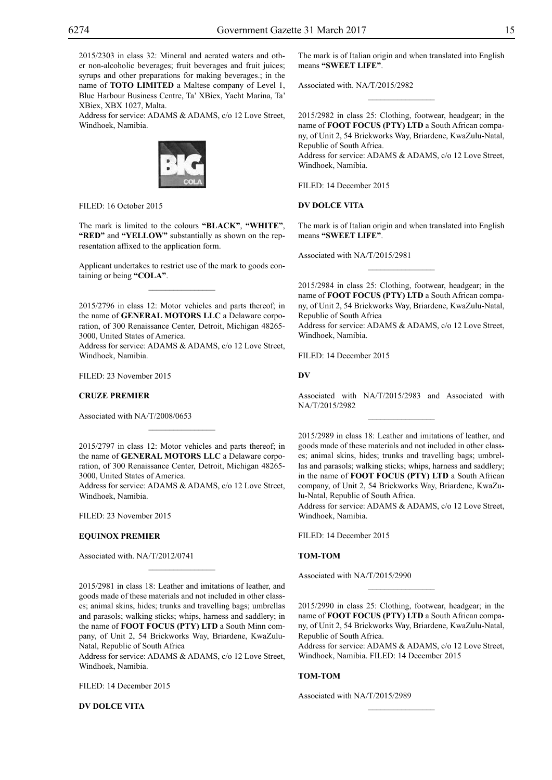2015/2303 in class 32: Mineral and aerated waters and other non-alcoholic beverages; fruit beverages and fruit juices; syrups and other preparations for making beverages.; in the name of **TOTO LIMITED** a Maltese company of Level 1, Blue Harbour Business Centre, Ta' XBiex, Yacht Marina, Ta' XBiex, XBX 1027, Malta.

Address for service: ADAMS & ADAMS, c/o 12 Love Street, Windhoek, Namibia.



FILED: 16 October 2015

The mark is limited to the colours **"BLACK"**, **"WHITE"**, **"RED"** and **"YELLOW"** substantially as shown on the representation affixed to the application form.

Applicant undertakes to restrict use of the mark to goods containing or being **"COLA"**.  $\overline{\phantom{a}}$  , where  $\overline{\phantom{a}}$ 

2015/2796 in class 12: Motor vehicles and parts thereof; in the name of **GENERAL MOTORS LLC** a Delaware corporation, of 300 Renaissance Center, Detroit, Michigan 48265- 3000, United States of America.

Address for service: ADAMS & ADAMS, c/o 12 Love Street, Windhoek, Namibia.

FILED: 23 November 2015

## **CRUZE PREMIER**

Associated with NA/T/2008/0653

2015/2797 in class 12: Motor vehicles and parts thereof; in the name of **GENERAL MOTORS LLC** a Delaware corporation, of 300 Renaissance Center, Detroit, Michigan 48265- 3000, United States of America.

 $\mathcal{L}=\mathcal{L}^{\mathcal{L}}$ 

Address for service: ADAMS & ADAMS, c/o 12 Love Street, Windhoek, Namibia.

FILED: 23 November 2015

## **EQUINOX PREMIER**

Associated with. NA/T/2012/0741

2015/2981 in class 18: Leather and imitations of leather, and goods made of these materials and not included in other classes; animal skins, hides; trunks and travelling bags; umbrellas and parasols; walking sticks; whips, harness and saddlery; in the name of **FOOT FOCUS (PTY) LTD** a South Minn company, of Unit 2, 54 Brickworks Way, Briardene, KwaZulu-Natal, Republic of South Africa

 $\mathcal{L}=\mathcal{L}^{\mathcal{L}}$ 

Address for service: ADAMS & ADAMS, c/o 12 Love Street, Windhoek, Namibia.

FILED: 14 December 2015

**DV DOLCE VITA**

The mark is of Italian origin and when translated into English means **"SWEET LIFE"**.

 $\overline{\phantom{a}}$  , where  $\overline{\phantom{a}}$ 

Associated with. NA/T/2015/2982

2015/2982 in class 25: Clothing, footwear, headgear; in the name of **FOOT FOCUS (PTY) LTD** a South African company, of Unit 2, 54 Brickworks Way, Briardene, KwaZulu-Natal, Republic of South Africa.

Address for service: ADAMS & ADAMS, c/o 12 Love Street, Windhoek, Namibia.

FILED: 14 December 2015

#### **DV DOLCE VITA**

The mark is of Italian origin and when translated into English means **"SWEET LIFE"**.

 $\frac{1}{2}$ 

Associated with NA/T/2015/2981

2015/2984 in class 25: Clothing, footwear, headgear; in the name of **FOOT FOCUS (PTY) LTD** a South African company, of Unit 2, 54 Brickworks Way, Briardene, KwaZulu-Natal, Republic of South Africa

Address for service: ADAMS & ADAMS, c/o 12 Love Street, Windhoek, Namibia.

FILED: 14 December 2015

**DV**

Associated with NA/T/2015/2983 and Associated with NA/T/2015/2982

2015/2989 in class 18: Leather and imitations of leather, and goods made of these materials and not included in other classes; animal skins, hides; trunks and travelling bags; umbrellas and parasols; walking sticks; whips, harness and saddlery; in the name of **FOOT FOCUS (PTY) LTD** a South African company, of Unit 2, 54 Brickworks Way, Briardene, KwaZulu-Natal, Republic of South Africa.

Address for service: ADAMS & ADAMS, c/o 12 Love Street, Windhoek, Namibia.

FILED: 14 December 2015

#### **TOM-TOM**

Associated with NA/T/2015/2990

2015/2990 in class 25: Clothing, footwear, headgear; in the name of **FOOT FOCUS (PTY) LTD** a South African company, of Unit 2, 54 Brickworks Way, Briardene, KwaZulu-Natal, Republic of South Africa.

 $\frac{1}{2}$ 

Address for service: ADAMS & ADAMS, c/o 12 Love Street, Windhoek, Namibia. FILED: 14 December 2015

 $\frac{1}{2}$ 

## **TOM-TOM**

Associated with NA/T/2015/2989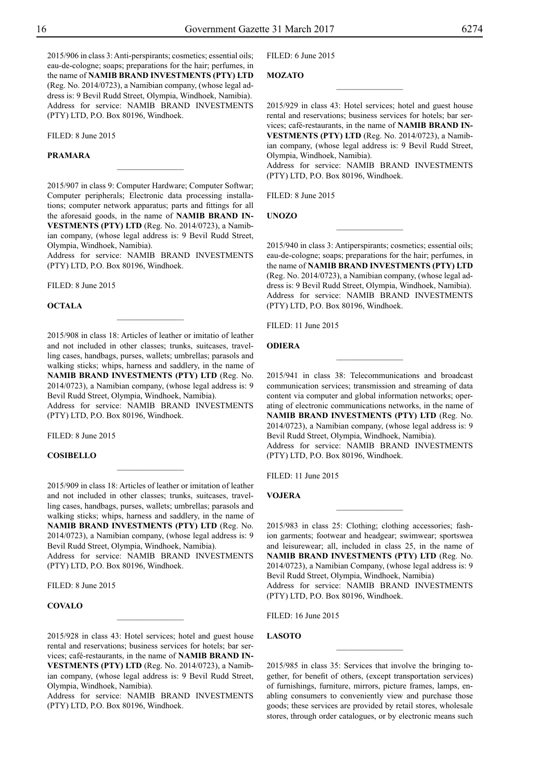2015/906 in class 3: Anti-perspirants; cosmetics; essential oils; eau-de-cologne; soaps; preparations for the hair; perfumes, in the name of **NAMIB BRAND INVESTMENTS (PTY) LTD** (Reg. No. 2014/0723), a Namibian company, (whose legal address is: 9 Bevil Rudd Street, Olympia, Windhoek, Namibia). Address for service: NAMIB BRAND INVESTMENTS (PTY) LTD, P.O. Box 80196, Windhoek.

FILED: 8 June 2015

## **Pramara**

2015/907 in class 9: Computer Hardware; Computer Softwar; Computer peripherals; Electronic data processing installations; computer network apparatus; parts and fittings for all the aforesaid goods, in the name of **NAMIB BRAND IN-VESTMENTS (PTY) LTD** (Reg. No. 2014/0723), a Namibian company, (whose legal address is: 9 Bevil Rudd Street, Olympia, Windhoek, Namibia).

 $\frac{1}{2}$ 

Address for service: NAMIB BRAND INVESTMENTS (PTY) LTD, P.O. Box 80196, Windhoek.

Filed: 8 June 2015

#### **Octala**

2015/908 in class 18: Articles of leather or imitatio of leather and not included in other classes; trunks, suitcases, travelling cases, handbags, purses, wallets; umbrellas; parasols and walking sticks; whips, harness and saddlery, in the name of **NAMIB BRAND INVESTMENTS (PTY) LTD** (Reg. No. 2014/0723), a Namibian company, (whose legal address is: 9 Bevil Rudd Street, Olympia, Windhoek, Namibia).

Address for service: NAMIB BRAND INVESTMENTS (PTY) LTD, P.O. Box 80196, Windhoek.

Filed: 8 June 2015

## **Cosibello**

2015/909 in class 18: Articles of leather or imitation of leather and not included in other classes; trunks, suitcases, travelling cases, handbags, purses, wallets; umbrellas; parasols and walking sticks; whips, harness and saddlery, in the name of **NAMIB BRAND INVESTMENTS (PTY) LTD** (Reg. No. 2014/0723), a Namibian company, (whose legal address is: 9 Bevil Rudd Street, Olympia, Windhoek, Namibia).

Address for service: NAMIB BRAND INVESTMENTS (PTY) LTD, P.O. Box 80196, Windhoek.

Filed: 8 June 2015

## **Covalo**

2015/928 in class 43: Hotel services; hotel and guest house rental and reservations; business services for hotels; bar services; café-restaurants, in the name of **NAMIB BRAND IN-VESTMENTS (PTY) LTD** (Reg. No. 2014/0723), a Namibian company, (whose legal address is: 9 Bevil Rudd Street, Olympia, Windhoek, Namibia).

 $\overline{\phantom{a}}$  , where  $\overline{\phantom{a}}$ 

Address for service: NAMIB BRAND INVESTMENTS (PTY) LTD, P.O. Box 80196, Windhoek.

FILED: 6 June 2015

## **Mozato**

2015/929 in class 43: Hotel services; hotel and guest house rental and reservations; business services for hotels; bar services; café-restaurants, in the name of **NAMIB BRAND IN-VESTMENTS (PTY) LTD** (Reg. No. 2014/0723), a Namibian company, (whose legal address is: 9 Bevil Rudd Street, Olympia, Windhoek, Namibia).

 $\overline{\phantom{a}}$  , where  $\overline{\phantom{a}}$ 

Address for service: NAMIB BRAND INVESTMENTS (PTY) LTD, P.O. Box 80196, Windhoek.

FILED: 8 June 2015

**Unozo**

2015/940 in class 3: Antiperspirants; cosmetics; essential oils; eau-de-cologne; soaps; preparations for the hair; perfumes, in the name of **NAMIB BRAND INVESTMENTS (PTY) LTD** (Reg. No. 2014/0723), a Namibian company, (whose legal address is: 9 Bevil Rudd Street, Olympia, Windhoek, Namibia). Address for service: NAMIB BRAND INVESTMENTS (PTY) LTD, P.O. Box 80196, Windhoek.

 $\frac{1}{2}$ 

Filed: 11 June 2015

#### **Odiera**

2015/941 in class 38: Telecommunications and broadcast communication services; transmission and streaming of data content via computer and global information networks; operating of electronic communications networks, in the name of **NAMIB BRAND INVESTMENTS (PTY) LTD** (Reg. No. 2014/0723), a Namibian company, (whose legal address is: 9 Bevil Rudd Street, Olympia, Windhoek, Namibia). Address for service: NAMIB BRAND INVESTMENTS (PTY) LTD, P.O. Box 80196, Windhoek.

 $\overline{\phantom{a}}$  , where  $\overline{\phantom{a}}$ 

Filed: 11 June 2015

#### **VoJera**

2015/983 in class 25: Clothing; clothing accessories; fashion garments; footwear and headgear; swimwear; sportswea and leisurewear; all, included in class 25, in the name of **NAMIB BRAND INVESTMENTS (PTY) LTD** (Reg. No. 2014/0723), a Namibian Company, (whose legal address is: 9 Bevil Rudd Street, Olympia, Windhoek, Namibia) Address for service: NAMIB BRAND INVESTMENTS (PTY) LTD, P.O. Box 80196, Windhoek.

 $\overline{\phantom{a}}$  , where  $\overline{\phantom{a}}$ 

Filed: 16 June 2015

## **Lasoto**

2015/985 in class 35: Services that involve the bringing together, for benefit of others, (except transportation services) of furnishings, furniture, mirrors, picture frames, lamps, enabling consumers to conveniently view and purchase those goods; these services are provided by retail stores, wholesale stores, through order catalogues, or by electronic means such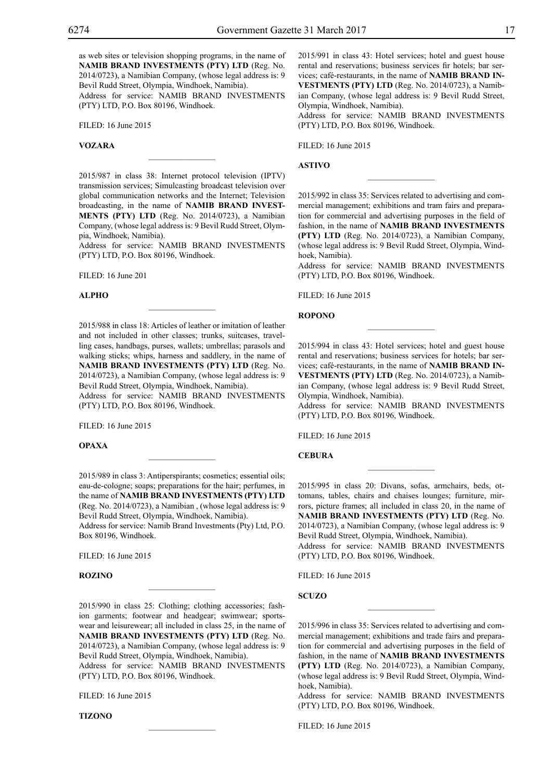as web sites or television shopping programs, in the name of **NAMIB BRAND INVESTMENTS (PTY) LTD** (Reg. No. 2014/0723), a Namibian Company, (whose legal address is: 9 Bevil Rudd Street, Olympia, Windhoek, Namibia).

Address for service: NAMIB BRAND INVESTMENTS (PTY) LTD, P.O. Box 80196, Windhoek.

Filed: 16 June 2015

## **Vozara**

2015/987 in class 38: Internet protocol television (IPTV) transmission services; Simulcasting broadcast television over global communication networks and the Internet; Television broadcasting, in the name of **NAMIB BRAND INVEST-MENTS (PTY) LTD** (Reg. No. 2014/0723), a Namibian Company, (whose legal address is: 9 Bevil Rudd Street, Olympia, Windhoek, Namibia).

 $\mathcal{L}=\mathcal{L}^{\mathcal{L}}$ 

Address for service: NAMIB BRAND INVESTMENTS (PTY) LTD, P.O. Box 80196, Windhoek.

Filed: 16 June 201

#### **Alpho**

2015/988 in class 18: Articles of leather or imitation of leather and not included in other classes; trunks, suitcases, travelling cases, handbags, purses, wallets; umbrellas; parasols and walking sticks; whips, harness and saddlery, in the name of **NAMIB BRAND INVESTMENTS (PTY) LTD** (Reg. No. 2014/0723), a Namibian Company, (whose legal address is: 9 Bevil Rudd Street, Olympia, Windhoek, Namibia).

 $\mathcal{L}=\mathcal{L}^{\mathcal{L}}$ 

Address for service: NAMIB BRAND INVESTMENTS  $(PTY)$  LTD, P.O. Box 80196, Windhoek.

Filed: 16 June 2015

## **Opaxa**

2015/989 in class 3: Antiperspirants; cosmetics; essential oils; eau-de-cologne; soaps; preparations for the hair; perfumes, in the name of **NAMIB BRAND INVESTMENTS (PTY) LTD** (Reg. No. 2014/0723), a Namibian , (whose legal address is: 9 Bevil Rudd Street, Olympia, Windhoek, Namibia). Address for service: Namib Brand Investments (Pty) Ltd, P.O. Box 80196, Windhoek.

 $\overline{\phantom{a}}$  , where  $\overline{\phantom{a}}$ 

Filed: 16 June 2015

#### **Rozino**

2015/990 in class 25: Clothing; clothing accessories; fashion garments; footwear and headgear; swimwear; sportswear and leisurewear; all included in class 25, in the name of **NAMIB BRAND INVESTMENTS (PTY) LTD** (Reg. No. 2014/0723), a Namibian Company, (whose legal address is: 9 Bevil Rudd Street, Olympia, Windhoek, Namibia).

 $\mathcal{L}=\mathcal{L}^{\text{max}}$ 

Address for service: NAMIB BRAND INVESTMENTS  $(PTY)$  LTD, P.O. Box 80196, Windhoek.

 $\mathcal{L}=\mathcal{L}^{\text{max}}$ 

Filed: 16 June 2015

**Tizono**

2015/991 in class 43: Hotel services; hotel and guest house rental and reservations; business services fir hotels; bar services; café-restaurants, in the name of **NAMIB BRAND IN-VESTMENTS (PTY) LTD** (Reg. No. 2014/0723), a Namibian Company, (whose legal address is: 9 Bevil Rudd Street, Olympia, Windhoek, Namibia).

Address for service: NAMIB BRAND INVESTMENTS (PTY) LTD, P.O. Box 80196, Windhoek.

FILED: 16 June 2015

**Astivo**

2015/992 in class 35: Services related to advertising and commercial management; exhibitions and tram fairs and preparation for commercial and advertising purposes in the field of fashion, in the name of **NAMIB BRAND INVESTMENTS (PTY) LTD** (Reg. No. 2014/0723), a Namibian Company, (whose legal address is: 9 Bevil Rudd Street, Olympia, Windhoek, Namibia).

 $\frac{1}{2}$ 

Address for service: NAMIB BRAND INVESTMENTS (PTY) LTD, P.O. Box 80196, Windhoek.

Filed: 16 June 2015

**Ropono**

2015/994 in class 43: Hotel services; hotel and guest house rental and reservations; business services for hotels; bar services; café-restaurants, in the name of **NAMIB BRAND IN-VESTMENTS (PTY) LTD** (Reg. No. 2014/0723), a Namibian Company, (whose legal address is: 9 Bevil Rudd Street, Olympia, Windhoek, Namibia).

 $\frac{1}{2}$ 

Address for service: NAMIB BRAND INVESTMENTS (PTY) LTD, P.O. Box 80196, Windhoek.

Filed: 16 June 2015

## **Cebura**

2015/995 in class 20: Divans, sofas, armchairs, beds, ottomans, tables, chairs and chaises lounges; furniture, mirrors, picture frames; all included in class 20, in the name of **NAMIB BRAND INVESTMENTS (PTY) LTD** (Reg. No. 2014/0723), a Namibian Company, (whose legal address is: 9 Bevil Rudd Street, Olympia, Windhoek, Namibia). Address for service: NAMIB BRAND INVESTMENTS (PTY) LTD, P.O. Box 80196, Windhoek.

Filed: 16 June 2015

**Scuzo**

2015/996 in class 35: Services related to advertising and commercial management; exhibitions and trade fairs and preparation for commercial and advertising purposes in the field of fashion, in the name of **NAMIB BRAND INVESTMENTS (PTY) LTD** (Reg. No. 2014/0723), a Namibian Company, (whose legal address is: 9 Bevil Rudd Street, Olympia, Windhoek, Namibia).

 $\frac{1}{2}$ 

Address for service: NAMIB BRAND INVESTMENTS (PTY) LTD, P.O. Box 80196, Windhoek.

Filed: 16 June 2015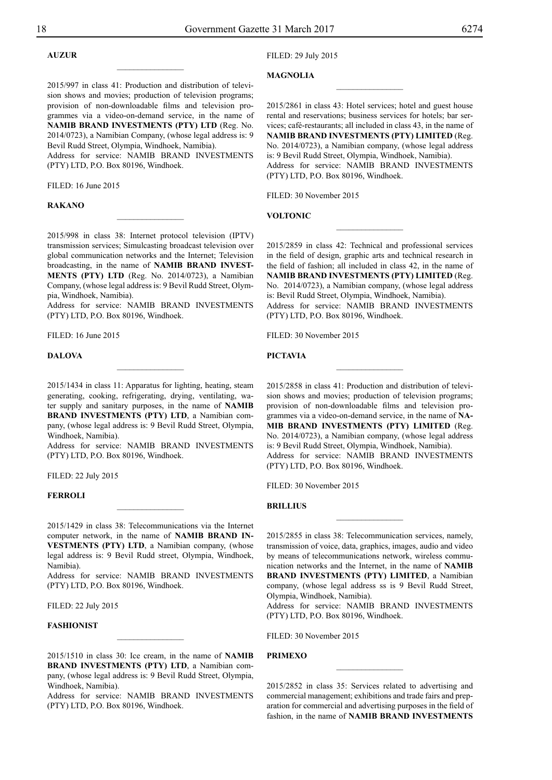## **Auzur**

2015/997 in class 41: Production and distribution of television shows and movies; production of television programs; provision of non-downloadable films and television programmes via a video-on-demand service, in the name of **NAMIB BRAND INVESTMENTS (PTY) LTD** (Reg. No. 2014/0723), a Namibian Company, (whose legal address is: 9 Bevil Rudd Street, Olympia, Windhoek, Namibia).

 $\overline{\phantom{a}}$  , where  $\overline{\phantom{a}}$ 

Address for service: NAMIB BRAND INVESTMENTS (PTY) LTD, P.O. Box 80196, Windhoek.

Filed: 16 June 2015

#### **Rakano**

2015/998 in class 38: Internet protocol television (IPTV) transmission services; Simulcasting broadcast television over global communication networks and the Internet; Television broadcasting, in the name of **NAMIB BRAND INVEST-MENTS (PTY) LTD** (Reg. No. 2014/0723), a Namibian Company, (whose legal address is: 9 Bevil Rudd Street, Olympia, Windhoek, Namibia).

 $\frac{1}{2}$ 

Address for service: NAMIB BRAND INVESTMENTS (PTY) LTD, P.O. Box 80196, Windhoek.

Filed: 16 June 2015

#### **Dalova**

2015/1434 in class 11: Apparatus for lighting, heating, steam generating, cooking, refrigerating, drying, ventilating, water supply and sanitary purposes, in the name of **NAMIB BRAND INVESTMENTS (PTY) LTD**, a Namibian company, (whose legal address is: 9 Bevil Rudd Street, Olympia, Windhoek, Namibia).

 $\frac{1}{2}$ 

Address for service: NAMIB BRAND INVESTMENTS (PTY) LTD, P.O. Box 80196, Windhoek.

Filed: 22 July 2015

## **Ferroli**

2015/1429 in class 38: Telecommunications via the Internet computer network, in the name of **NAMIB BRAND IN-VESTMENTS (PTY) LTD**, a Namibian company, (whose legal address is: 9 Bevil Rudd street, Olympia, Windhoek, Namibia).

 $\frac{1}{2}$ 

Address for service: NAMIB BRAND INVESTMENTS (PTY) LTD, P.O. Box 80196, Windhoek.

Filed: 22 July 2015

## **Fashionist**

2015/1510 in class 30: Ice cream, in the name of **NAMIB BRAND INVESTMENTS (PTY) LTD**, a Namibian company, (whose legal address is: 9 Bevil Rudd Street, Olympia, Windhoek, Namibia).

 $\frac{1}{2}$ 

Address for service: NAMIB BRAND INVESTMENTS (PTY) LTD, P.O. Box 80196, Windhoek.

## Filed: 29 July 2015

## **Magnolia**

2015/2861 in class 43: Hotel services; hotel and guest house rental and reservations; business services for hotels; bar services; café-restaurants; all included in class 43, in the name of **NAMIB BRAND INVESTMENTS (PTY) LIMITED** (Reg. No. 2014/0723), a Namibian company, (whose legal address is: 9 Bevil Rudd Street, Olympia, Windhoek, Namibia). Address for service: NAMIB BRAND INVESTMENTS (Pty) LTD, P.O. Box 80196, Windhoek.

 $\overline{\phantom{a}}$  , where  $\overline{\phantom{a}}$ 

FILED: 30 November 2015

## **voltonic**

2015/2859 in class 42: Technical and professional services in the field of design, graphic arts and technical research in the field of fashion; all included in class 42, in the name of **NAMIB BRAND INVESTMENTS (PTY) LIMITED** (Reg. No. 2014/0723), a Namibian company, (whose legal address is: Bevil Rudd Street, Olympia, Windhoek, Namibia). Address for service: NAMIB BRAND INVESTMENTS (PTY) LTD, P.O. Box 80196, Windhoek.

 $\frac{1}{2}$ 

Filed: 30 November 2015

#### **pictavia**

2015/2858 in class 41: Production and distribution of television shows and movies; production of television programs; provision of non-downloadable films and television programmes via a video-on-demand service, in the name of **NA-MIB BRAND INVESTMENTS (PTY) LIMITED** (Reg. No. 2014/0723), a Namibian company, (whose legal address is: 9 Bevil Rudd Street, Olympia, Windhoek, Namibia). Address for service: NAMIB BRAND INVESTMENTS (PTY) LTD, P.O. Box 80196, Windhoek.

FILED: 30 November 2015

## **brillius**

2015/2855 in class 38: Telecommunication services, namely, transmission of voice, data, graphics, images, audio and video by means of telecommunications network, wireless communication networks and the Internet, in the name of **NAMIB BRAND INVESTMENTS (PTY) LIMITED**, a Namibian company, (whose legal address ss is 9 Bevil Rudd Street, Olympia, Windhoek, Namibia).

Address for service: NAMIB BRAND INVESTMENTS (PTY) LTD, P.O. Box 80196, Windhoek.

FILED: 30 November 2015

## **Primexo**

2015/2852 in class 35: Services related to advertising and commercial management; exhibitions and trade fairs and preparation for commercial and advertising purposes in the field of fashion, in the name of **NAMIB BRAND INVESTMENTS** 

 $\overline{\phantom{a}}$  , where  $\overline{\phantom{a}}$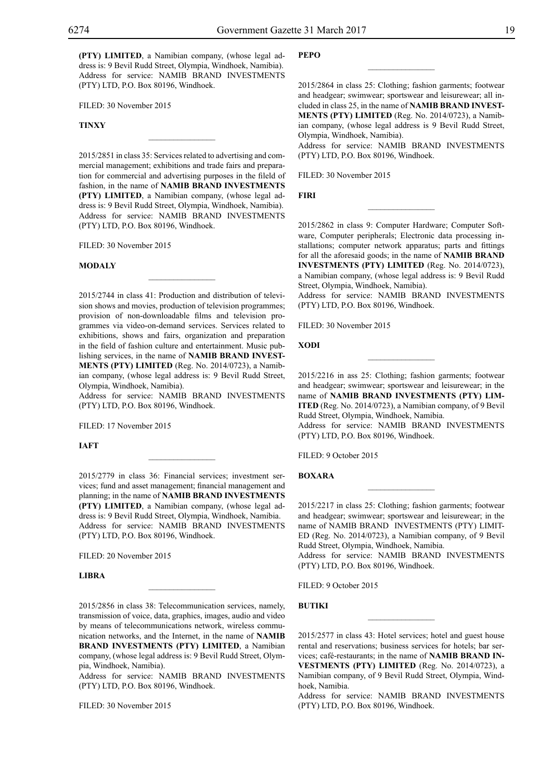**(PTY) LIMITED**, a Namibian company, (whose legal address is: 9 Bevil Rudd Street, Olympia, Windhoek, Namibia). Address for service: NAMIB BRAND INVESTMENTS (PTY) LTD, P.O. Box 80196, Windhoek.

FILED: 30 November 2015

## **Tinxy**

2015/2851 in class 35: Services related to advertising and commercial management; exhibitions and trade fairs and preparation for commercial and advertising purposes in the fileld of fashion, in the name of **NAMIB BRAND INVESTMENTS (PTY) LIMITED**, a Namibian company, (whose legal address is: 9 Bevil Rudd Street, Olympia, Windhoek, Namibia). Address for service: NAMIB BRAND INVESTMENTS (PTY) LTD, P.O. Box 80196, Windhoek.

 $\overline{\phantom{a}}$  , where  $\overline{\phantom{a}}$ 

Filed: 30 November 2015

#### **modaly**

2015/2744 in class 41: Production and distribution of television shows and movies, production of television programmes; provision of non-downloadable films and television programmes via video-on-demand services. Services related to exhibitions, shows and fairs, organization and preparation in the field of fashion culture and entertainment. Music publishing services, in the name of **NAMIB BRAND INVEST-MENTS (PTY) LIMITED** (Reg. No. 2014/0723), a Namibian company, (whose legal address is: 9 Bevil Rudd Street, Olympia, Windhoek, Namibia).

 $\mathcal{L}=\mathcal{L}^{\text{max}}$ 

Address for service: NAMIB BRAND INVESTMENTS  $(PTY)$  LTD, P.O. Box 80196, Windhoek.

FILED: 17 November 2015

#### **IAFT**

2015/2779 in class 36: Financial services; investment services; fund and asset management; financial management and planning; in the name of **NAMIB BRAND INVESTMENTS (PTY) LIMITED**, a Namibian company, (whose legal address is: 9 Bevil Rudd Street, Olympia, Windhoek, Namibia. Address for service: NAMIB BRAND INVESTMENTS  $(PTY)$  LTD, P.O. Box 80196, Windhoek.

 $\overline{\phantom{a}}$  , where  $\overline{\phantom{a}}$ 

FILED: 20 November 2015

## **LIBRA**

2015/2856 in class 38: Telecommunication services, namely, transmission of voice, data, graphics, images, audio and video by means of telecommunications network, wireless communication networks, and the Internet, in the name of **NAMIB BRAND INVESTMENTS (PTY) LIMITED**, a Namibian company, (whose legal address is: 9 Bevil Rudd Street, Olympia, Windhoek, Namibia).

 $\mathcal{L}=\mathcal{L}^{\text{max}}$ 

Address for service: NAMIB BRAND INVESTMENTS (PTY) LTD, P.O. Box 80196, Windhoek.

Filed: 30 November 2015

#### **PEPO pepo**

2015/2864 in class 25: Clothing; fashion garments; footwear and headgear; swimwear; sportswear and leisurewear; all included in class 25, in the name of **NAMIB BRAND INVEST-MENTS (PTY) LIMITED** (Reg. No. 2014/0723), a Namibian company, (whose legal address is 9 Bevil Rudd Street, Olympia, Windhoek, Namibia).

 $\overline{\phantom{a}}$  , we can also the set of  $\overline{\phantom{a}}$ 

Address for service: NAMIB BRAND INVESTMENTS (PTY) LTD, P.O. Box 80196, Windhoek.

FILED: 30 November 2015

## **firi**

2015/2862 in class 9: Computer Hardware; Computer Software, Computer peripherals; Electronic data processing installations; computer network apparatus; parts and fittings for all the aforesaid goods; in the name of **NAMIB BRAND INVESTMENTS (PTY) LIMITED** (Reg. No. 2014/0723), a Namibian company, (whose legal address is: 9 Bevil Rudd Street, Olympia, Windhoek, Namibia).

 $\frac{1}{2}$ 

Address for service: NAMIB BRAND INVESTMENTS (PTY) LTD, P.O. Box 80196, Windhoek.

FILED: 30 November 2015

#### **xodi**

2015/2216 in ass 25: Clothing; fashion garments; footwear and headgear; swimwear; sportswear and leisurewear; in the name of **NAMIB BRAND INVESTMENTS (PTY) LIM-ITED** (Reg. No. 2014/0723), a Namibian company, of 9 Bevil Rudd Street, Olympia, Windhoek, Namibia.

 $\frac{1}{2}$ 

Address for service: NAMIB BRAND INVESTMENTS (PTY) LTD, P.O. Box 80196, Windhoek.

Filed: 9 October 2015

**BOXARA**

2015/2217 in class 25: Clothing; fashion garments; footwear and headgear; swimwear; sportswear and leisurewear; in the name of NAMIB BRAND INVESTMENTS (PTY) LIMIT-ED (Reg. No. 2014/0723), a Namibian company, of 9 Bevil Rudd Street, Olympia, Windhoek, Namibia.

 $\overline{\phantom{a}}$  , we can also the set of  $\overline{\phantom{a}}$ 

Address for service: NAMIB BRAND INVESTMENTS (PTY) LTD, P.O. Box 80196, Windhoek.

Filed: 9 October 2015

## **BUTIKI**

2015/2577 in class 43: Hotel services; hotel and guest house rental and reservations; business services for hotels; bar services; café-restaurants; in the name of **NAMIB BRAND IN-VESTMENTS (PTY) LIMITED** (Reg. No. 2014/0723), a Namibian company, of 9 Bevil Rudd Street, Olympia, Windhoek, Namibia.

Address for service: NAMIB BRAND INVESTMENTS (PTY) LTD, P.O. Box 80196, Windhoek.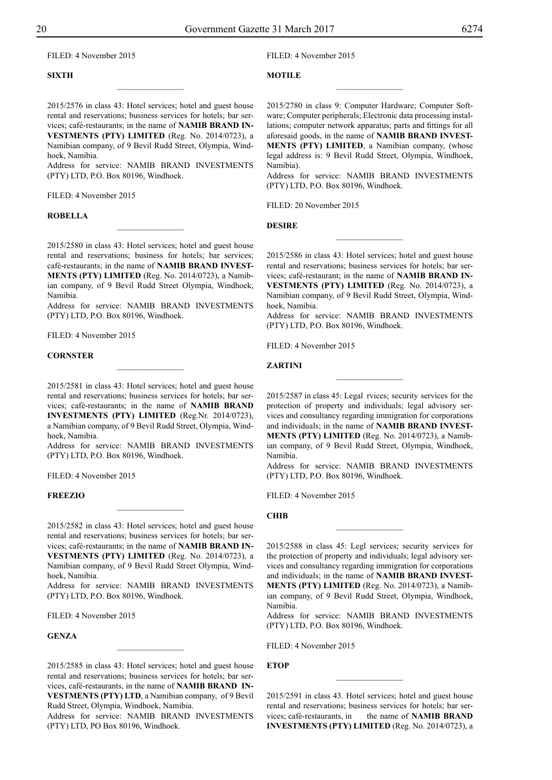Filed: 4 November 2015

## **SIXTH**

Filed: 4 November 2015

## **MOTILE**

2015/2576 in class 43: Hotel services; hotel and guest house rental and reservations; business services for hotels; bar services; café-restaurants; in the name of **NAMIB BRAND IN-VESTMENTS (PTY) LIMITED** (Reg. No. 2014/0723), a Namibian company, of 9 Bevil Rudd Street, Olympia, Windhoek, Namibia.

 $\overline{\phantom{a}}$  , where  $\overline{\phantom{a}}$ 

Address for service: NAMIB BRAND INVESTMENTS (PTY) LTD, P.O. Box 80196, Windhoek.

FILED: 4 November 2015

#### **ROBELLA**

2015/2580 in class 43: Hotel services; hotel and guest house rental and reservations; business for hotels; bar services; café-restaurants; in the name of **NAMIB BRAND INVEST-MENTS (PTY) LIMITED** (Reg. No. 2014/0723), a Namibian company, of 9 Bevil Rudd Street Olympia, Windhoek, Namibia.

 $\frac{1}{2}$ 

Address for service: NAMIB BRAND INVESTMENTS (PTY) LTD, P.O. Box 80196, Windhoek.

Filed: 4 November 2015

#### **CORNSTER**

2015/2581 in class 43: Hotel services; hotel and guest house rental and reservations; business services for hotels; bar services; café-restaurants; in the name of **NAMIB BRAND INVESTMENTS (PTY) LIMITED** (Reg.Nr. 2014/0723), a Namibian company, of 9 Bevil Rudd Street, Olympia, Windhoek, Namibia.

Address for service: NAMIB BRAND INVESTMENTS (PTY) LTD, P.O. Box 80196, Windhoek.

Filed: 4 November 2015

#### **FREEZIO**

2015/2582 in class 43: Hotel services; hotel and guest house rental and reservations; business services for hotels; bar services; café-restaurants; in the name of **NAMIB BRAND IN-VESTMENTS (PTY) LIMITED** (Reg. No. 2014/0723), a Namibian company, of 9 Bevil Rudd Street Olympia, Windhoek, Namibia.

 $\overline{\phantom{a}}$  , where  $\overline{\phantom{a}}$ 

Address for service: NAMIB BRAND INVESTMENTS (PTY) LTD, P.O. Box 80196, Windhoek.

FILED: 4 November 2015

#### **GENZA**

2015/2585 in class 43: Hotel services; hotel and guest house rental and reservations; business services for hotels; bar services, café-restaurants, in the name of **NAMIB BRAND IN-VESTMENTS (PTY) LTD**, a Namibian company, of 9 Bevil Rudd Street, Olympia, Windhoek, Namibia.

 $\frac{1}{2}$ 

Address for service: NAMIB BRAND INVESTMENTS (PTY) LTD, PO Box 80196, Windhoek.

2015/2780 in class 9: Computer Hardware; Computer Software; Computer peripherals; Electronic data processing installations; computer network apparatus; parts and fittings for all aforesaid goods, in the name of **NAMIB BRAND INVEST-MENTS (PTY) LIMITED**, a Namibian company, (whose legal address is: 9 Bevil Rudd Street, Olympia, Windhoek, Namibia).

 $\overline{\phantom{a}}$  , where  $\overline{\phantom{a}}$ 

Address for service: NAMIB BRAND INVESTMENTS (PTY) LTD, P.O. Box 80196, Windhoek.

FILED: 20 November 2015

**Desire**

2015/2586 in class 43: Hotel services; hotel and guest house rental and reservations; business services for hotels; bar services; café-restaurant; in the name of **NAMIB BRAND IN-VESTMENTS (PTY) LIMITED** (Reg. No. 2014/0723), a Namibian company, of 9 Bevil Rudd Street, Olympia, Windhoek, Namibia.

 $\frac{1}{2}$ 

Address for service: NAMIB BRAND INVESTMENTS (PTY) LTD, P.O. Box 80196, Windhoek.

FILED: 4 November 2015

#### **ZARTINI**

2015/2587 in class 45: Legal rvices; security services for the protection of property and individuals; legal advisory services and consultancy regarding immigration for corporations and individuals; in the name of **NAMIB BRAND INVEST-MENTS (PTY) LIMITED** (Reg. No. 2014/0723), a Namibian company, of 9 Bevil Rudd Street, Olympia, Windhoek, Namibia.

 $\frac{1}{2}$ 

Address for service: NAMIB BRAND INVESTMENTS (PTY) LTD, P.O. Box 80196, Windhoek.

Filed: 4 November 2015

**CHIB**

2015/2588 in class 45: Legl services; security services for the protection of property and individuals; legal advisory services and consultancy regarding immigration for corporations and individuals; in the name of **NAMIB BRAND INVEST-MENTS (PTY) LIMITED** (Reg. No. 2014/0723), a Namibian company, of 9 Bevil Rudd Street, Olympia, Windhoek, Namibia.

 $\frac{1}{2}$ 

Address for service: NAMIB BRAND INVESTMENTS (PTY) LTD, P.O. Box 80196, Windhoek.

Filed: 4 November 2015

**ETOP**

2015/2591 in class 43. Hotel services; hotel and guest house rental and reservations; business services for hotels; bar services; café-restaurants, in the name of **NAMIB BRAND INVESTMENTS (PTY) LIMITED** (Reg. No. 2014/0723), a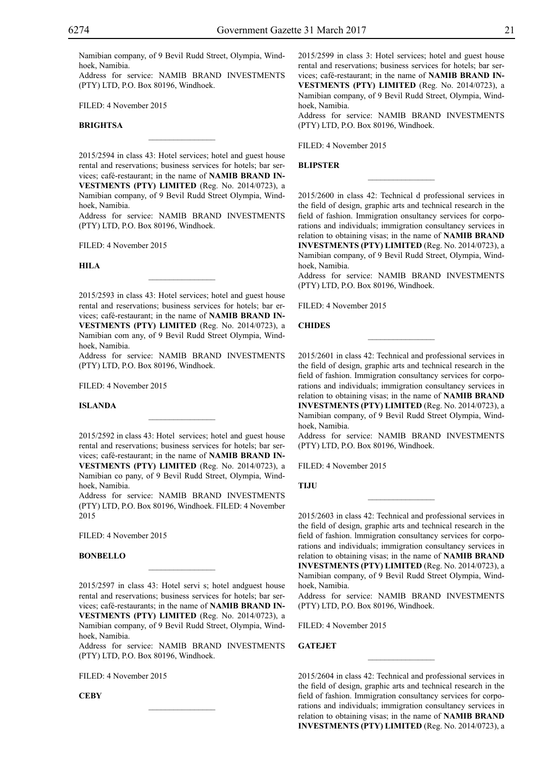Namibian company, of 9 Bevil Rudd Street, Olympia, Windhoek, Namibia.

Address for service: NAMIB BRAND INVESTMENTS (PTY) LTD, P.O. Box 80196, Windhoek.

Filed: 4 November 2015

## **BRIGHTSA**

2015/2594 in class 43: Hotel services; hotel and guest house rental and reservations; business services for hotels; bar services; café-restaurant; in the name of **NAMIB BRAND IN-VESTMENTS (PTY) LIMITED** (Reg. No. 2014/0723), a Namibian company, of 9 Bevil Rudd Street Olympia, Windhoek, Namibia.

 $\overline{\phantom{a}}$  , where  $\overline{\phantom{a}}$ 

Address for service: NAMIB BRAND INVESTMENTS (PTY) LTD, P.O. Box 80196, Windhoek.

Filed: 4 November 2015

**HILA**

2015/2593 in class 43: Hotel services; hotel and guest house rental and reservations; business services for hotels; bar ervices; café-restaurant; in the name of **NAMIB BRAND IN-VESTMENTS (PTY) LIMITED** (Reg. No. 2014/0723), a Namibian com any, of 9 Bevil Rudd Street Olympia, Windhoek, Namibia.

 $\mathcal{L}=\mathcal{L}^{\text{max}}$ 

Address for service: NAMIB BRAND INVESTMENTS (PTY) LTD, P.O. Box 80196, Windhoek.

Filed: 4 November 2015

#### **ISLANDA**

2015/2592 in class 43: Hotel services; hotel and guest house rental and reservations; business services for hotels; bar services; café-restaurant; in the name of **NAMIB BRAND IN-VESTMENTS (PTY) LIMITED** (Reg. No. 2014/0723), a Namibian co pany, of 9 Bevil Rudd Street, Olympia, Windhoek, Namibia.

Address for service: NAMIB BRAND INVESTMENTS (PTY) LTD, P.O. Box 80196, Windhoek. FILED: 4 November 2015

Filed: 4 November 2015

#### **BONBELLO**

2015/2597 in class 43: Hotel servi s; hotel andguest house rental and reservations; business services for hotels; bar services; café-restaurants; in the name of **NAMIB BRAND IN-VESTMENTS (PTY) LIMITED** (Reg. No. 2014/0723), a Namibian company, of 9 Bevil Rudd Street, Olympia, Windhoek, Namibia.

 $\overline{\phantom{a}}$  , where  $\overline{\phantom{a}}$ 

Address for service: NAMIB BRAND INVESTMENTS  $(PTY)$  LTD, P.O. Box 80196, Windhoek.

 $\mathcal{L}=\mathcal{L}^{\text{max}}$ 

Filed: 4 November 2015

**CEBY**

2015/2599 in class 3: Hotel services; hotel and guest house rental and reservations; business services for hotels; bar services; café-restaurant; in the name of **NAMIB BRAND IN-VESTMENTS (PTY) LIMITED** (Reg. No. 2014/0723), a Namibian company, of 9 Bevil Rudd Street, Olympia, Windhoek, Namibia.

Address for service: NAMIB BRAND INVESTMENTS (PTY) LTD, P.O. Box 80196, Windhoek.

Filed: 4 November 2015

#### **BLIPSTER**

2015/2600 in class 42: Technical d professional services in the field of design, graphic arts and technical research in the field of fashion. Immigration onsultancy services for corporations and individuals; immigration consultancy services in relation to obtaining visas; in the name of **NAMIB BRAND INVESTMENTS (PTY) LIMITED** (Reg. No. 2014/0723), a Namibian company, of 9 Bevil Rudd Street, Olympia, Windhoek, Namibia.

 $\frac{1}{2}$ 

Address for service: NAMIB BRAND INVESTMENTS (PTY) LTD, P.O. Box 80196, Windhoek.

 $\frac{1}{2}$ 

Filed: 4 November 2015

## **CHIDES**

2015/2601 in class 42: Technical and professional services in the field of design, graphic arts and technical research in the field of fashion. Immigration consultancy services for corporations and individuals; immigration consultancy services in relation to obtaining visas; in the name of **NAMIB BRAND INVESTMENTS (PTY) LIMITED** (Reg. No. 2014/0723), a Namibian company, of 9 Bevil Rudd Street Olympia, Windhoek, Namibia.

Address for service: NAMIB BRAND INVESTMENTS (PTY) LTD, P.O. Box 80196, Windhoek.

FILED: 4 November 2015

**TIJU**

2015/2603 in class 42: Technical and professional services in the field of design, graphic arts and technical research in the field of fashion. lmmigration consultancy services for corporations and individuals; immigration consultancy services in relation to obtaining visas; in the name of **NAMIB BRAND INVESTMENTS (PTY) LIMITED** (Reg. No. 2014/0723), a Namibian company, of 9 Bevil Rudd Street Olympia, Windhoek, Namibia.

 $\frac{1}{2}$ 

Address for service: NAMIB BRAND INVESTMENTS  $(PTY)$  LTD, P.O. Box 80196, Windhoek.

Filed: 4 November 2015

**GATEJET** 

2015/2604 in class 42: Technical and professional services in the field of design, graphic arts and technical research in the field of fashion. Immigration consultancy services for corporations and individuals; immigration consultancy services in relation to obtaining visas; in the name of **NAMIB BRAND INVESTMENTS (PTY) LIMITED** (Reg. No. 2014/0723), a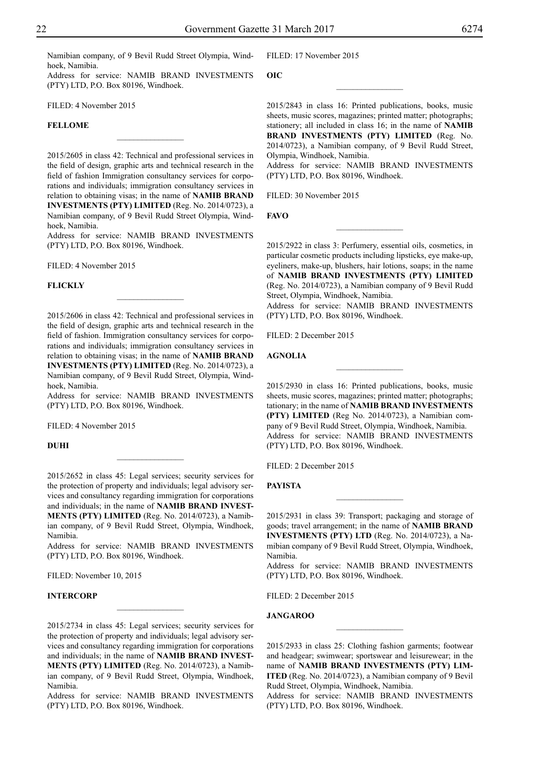**OIC**

Namibian company, of 9 Bevil Rudd Street Olympia, Windhoek, Namibia.

Address for service: NAMIB BRAND INVESTMENTS (PTY) LTD, P.O. Box 80196, Windhoek.

FILED: 4 November 2015

## **FELLOME**

2015/2605 in class 42: Technical and professional services in the field of design, graphic arts and technical research in the field of fashion Immigration consultancy services for corporations and individuals; immigration consultancy services in relation to obtaining visas; in the name of **NAMIB BRAND INVESTMENTS (PTY) LIMITED** (Reg. No. 2014/0723), a Namibian company, of 9 Bevil Rudd Street Olympia, Windhoek, Namibia.

 $\overline{\phantom{a}}$  , where  $\overline{\phantom{a}}$ 

Address for service: NAMIB BRAND INVESTMENTS (PTY) LTD, P.O. Box 80196, Windhoek.

 $\overline{\phantom{a}}$  , where  $\overline{\phantom{a}}$ 

Filed: 4 November 2015

### **FLICKLY**

2015/2606 in class 42: Technical and professional services in the field of design, graphic arts and technical research in the field of fashion. Immigration consultancy services for corporations and individuals; immigration consultancy services in relation to obtaining visas; in the name of **NAMIB BRAND INVESTMENTS (PTY) LIMITED** (Reg. No. 2014/0723), a Namibian company, of 9 Bevil Rudd Street, Olympia, Windhoek, Namibia.

Address for service: NAMIB BRAND INVESTMENTS (PTY) LTD, P.O. Box 80196, Windhoek.

FILED: 4 November 2015

**DUHI**

2015/2652 in class 45: Legal services; security services for the protection of property and individuals; legal advisory services and consultancy regarding immigration for corporations and individuals; in the name of **NAMIB BRAND INVEST-MENTS (PTY) LIMITED** (Reg. No. 2014/0723), a Namibian company, of 9 Bevil Rudd Street, Olympia, Windhoek, Namibia.

 $\overline{\phantom{a}}$  , where  $\overline{\phantom{a}}$ 

Address for service: NAMIB BRAND INVESTMENTS (PTY) LTD, P.O. Box 80196, Windhoek.

FILED: November 10, 2015

## **INTERCORP**

2015/2734 in class 45: Legal services; security services for the protection of property and individuals; legal advisory services and consultancy regarding immigration for corporations and individuals; in the name of **NAMIB BRAND INVEST-MENTS (PTY) LIMITED** (Reg. No. 2014/0723), a Namibian company, of 9 Bevil Rudd Street, Olympia, Windhoek, Namibia.

 $\frac{1}{2}$ 

Address for service: NAMIB BRAND INVESTMENTS (PTY) LTD, P.O. Box 80196, Windhoek.

Filed: 17 November 2015

2015/2843 in class 16: Printed publications, books, music sheets, music scores, magazines; printed matter; photographs; stationery; all included in class 16; in the name of **NAMIB BRAND INVESTMENTS (PTY) LIMITED** (Reg. No. 2014/0723), a Namibian company, of 9 Bevil Rudd Street, Olympia, Windhoek, Namibia.

 $\overline{\phantom{a}}$  , where  $\overline{\phantom{a}}$ 

Address for service: NAMIB BRAND INVESTMENTS (PTY) LTD, P.O. Box 80196, Windhoek.

FILED: 30 November 2015

**Favo**

2015/2922 in class 3: Perfumery, essential oils, cosmetics, in particular cosmetic products including lipsticks, eye make-up, eyeliners, make-up, blushers, hair lotions, soaps; in the name of **NAMIB BRAND INVESTMENTS (PTY) LIMITED** (Reg. No. 2014/0723), a Namibian company of 9 Bevil Rudd Street, Olympia, Windhoek, Namibia.

 $\frac{1}{2}$ 

Address for service: NAMIB BRAND INVESTMENTS (PTY) LTD, P.O. Box 80196, Windhoek.

Filed: 2 December 2015

#### **Agnolia**

2015/2930 in class 16: Printed publications, books, music sheets, music scores, magazines; printed matter; photographs; tationary; in the name of **NAMIB BRAND INVESTMENTS (PTY) LIMITED** (Reg No. 2014/0723), a Namibian company of 9 Bevil Rudd Street, Olympia, Windhoek, Namibia. Address for service: NAMIB BRAND INVESTMENTS (PTY) LTD, P.O. Box 80196, Windhoek.

FILED: 2 December 2015

**Payista**

2015/2931 in class 39: Transport; packaging and storage of goods; travel arrangement; in the name of **NAMIB BRAND INVESTMENTS (PTY) LTD** (Reg. No. 2014/0723), a Namibian company of 9 Bevil Rudd Street, Olympia, Windhoek, Namibia.

 $\frac{1}{2}$ 

Address for service: NAMIB BRAND INVESTMENTS (PTY) LTD, P.O. Box 80196, Windhoek.

Filed: 2 December 2015

**Jangaroo**

2015/2933 in class 25: Clothing fashion garments; footwear and headgear; swimwear; sportswear and leisurewear; in the name of **NAMIB BRAND INVESTMENTS (PTY) LIM-ITED** (Reg. No. 2014/0723), a Namibian company of 9 Bevil Rudd Street, Olympia, Windhoek, Namibia.

 $\frac{1}{2}$ 

Address for service: NAMIB BRAND INVESTMENTS (PTY) LTD, P.O. Box 80196, Windhoek.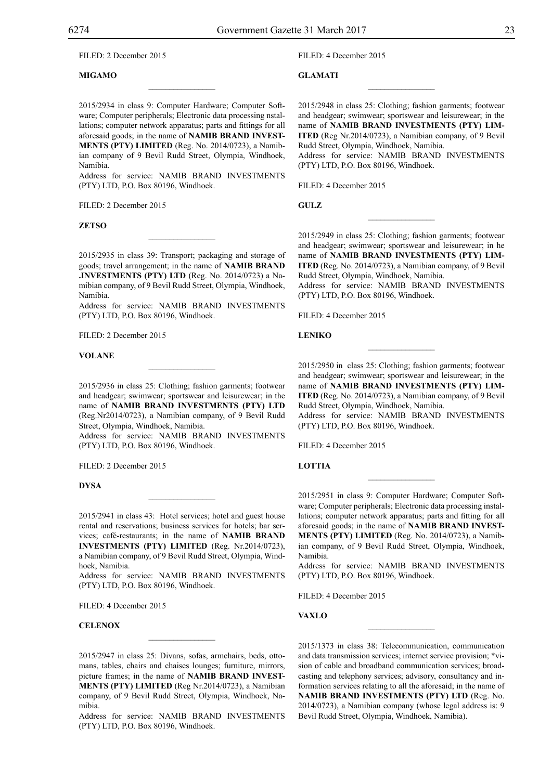Filed: 2 December 2015

## **Migamo**

2015/2934 in class 9: Computer Hardware; Computer Software; Computer peripherals; Electronic data processing nstallations; computer network apparatus; parts and fittings for all aforesaid goods; in the name of **NAMIB BRAND INVEST-MENTS (PTY) LIMITED** (Reg. No. 2014/0723), a Namibian company of 9 Bevil Rudd Street, Olympia, Windhoek, Namibia.

 $\overline{\phantom{a}}$  , where  $\overline{\phantom{a}}$ 

Address for service: NAMIB BRAND INVESTMENTS (PTY) LTD, P.O. Box 80196, Windhoek.

FILED: 2 December 2015

#### **Zetso**

2015/2935 in class 39: Transport; packaging and storage of goods; travel arrangement; in the name of **NAMIB BRAND .INVESTMENTS (PTY) LTD** (Reg. No. 2014/0723) a Namibian company, of 9 Bevil Rudd Street, Olympia, Windhoek, Namibia.

 $\mathcal{L}=\mathcal{L}^{\text{max}}$ 

Address for service: NAMIB BRAND INVESTMENTS (PTY) LTD, P.O. Box 80196, Windhoek.

FILED: 2 December 2015

#### **Volane**

2015/2936 in class 25: Clothing; fashion garments; footwear and headgear; swimwear; sportswear and leisurewear; in the name of **NAMIB BRAND INVESTMENTS (PTY) LTD** (Reg.Nr2014/0723), a Namibian company, of 9 Bevil Rudd Street, Olympia, Windhoek, Namibia.

Address for service: NAMIB BRAND INVESTMENTS (PTY) LTD, P.O. Box 80196, Windhoek.

FILED: 2 December 2015

#### **Dysa**

2015/2941 in class 43: Hotel services; hotel and guest house rental and reservations; business services for hotels; bar services; café-restaurants; in the name of **NAMIB BRAND INVESTMENTS (PTY) LIMITED** (Reg. Nr.2014/0723), a Namibian company, of 9 Bevil Rudd Street, Olympia, Windhoek, Namibia.

 $\mathcal{L}=\mathcal{L}^{\text{max}}$ 

Address for service: NAMIB BRAND INVESTMENTS (PTY) LTD, P.O. Box 80196, Windhoek.

Filed: 4 December 2015

#### **CELENOX**

2015/2947 in class 25: Divans, sofas, armchairs, beds, ottomans, tables, chairs and chaises lounges; furniture, mirrors, picture frames; in the name of **NAMIB BRAND INVEST-MENTS (PTY) LIMITED** (Reg Nr.2014/0723), a Namibian company, of 9 Bevil Rudd Street, Olympia, Windhoek, Namibia.

Address for service: NAMIB BRAND INVESTMENTS (PTY) LTD, P.O. Box 80196, Windhoek.

Filed: 4 December 2015

**Glamati**

2015/2948 in class 25: Clothing; fashion garments; footwear and headgear; swimwear; sportswear and leisurewear; in the name of **NAMIB BRAND INVESTMENTS (PTY) LIM-ITED** (Reg Nr.2014/0723), a Namibian company, of 9 Bevil Rudd Street, Olympia, Windhoek, Namibia. Address for service: NAMIB BRAND INVESTMENTS (PTY) LTD, P.O. Box 80196, Windhoek.

 $\overline{\phantom{a}}$  , we can also the set of  $\overline{\phantom{a}}$ 

FILED: 4 December 2015

**Gulz**

2015/2949 in class 25: Clothing; fashion garments; footwear and headgear; swimwear; sportswear and leisurewear; in he name of **NAMIB BRAND INVESTMENTS (PTY) LIM-ITED** (Reg. No. 2014/0723), a Namibian company, of 9 Bevil Rudd Street, Olympia, Windhoek, Namibia.

 $\frac{1}{2}$ 

Address for service: NAMIB BRAND INVESTMENTS (PTY) LTD, P.O. Box 80196, Windhoek.

FILED: 4 December 2015

**Leniko**

2015/2950 in class 25: Clothing; fashion garments; footwear and headgear; swimwear; sportswear and leisurewear; in the name of **NAMIB BRAND INVESTMENTS (PTY) LIM-ITED** (Reg. No. 2014/0723), a Namibian company, of 9 Bevil Rudd Street, Olympia, Windhoek, Namibia.

 $\overline{\phantom{a}}$  , we can also the set of  $\overline{\phantom{a}}$ 

Address for service: NAMIB BRAND INVESTMENTS (PTY) LTD, P.O. Box 80196, Windhoek.

FILED: 4 December 2015

## **LOTTIA**

2015/2951 in class 9: Computer Hardware; Computer Software; Computer peripherals; Electronic data processing installations; computer network apparatus; parts and fitting for all aforesaid goods; in the name of **NAMIB BRAND INVEST-MENTS (PTY) LIMITED** (Reg. No. 2014/0723), a Namibian company, of 9 Bevil Rudd Street, Olympia, Windhoek, Namibia.

 $\frac{1}{2}$ 

Address for service: NAMIB BRAND INVESTMENTS (PTY) LTD, P.O. Box 80196, Windhoek.

Filed: 4 December 2015

**Vaxlo**

2015/1373 in class 38: Telecommunication, communication and data transmission services; internet service provision; \*vision of cable and broadband communication services; broadcasting and telephony services; advisory, consultancy and information services relating to all the aforesaid; in the name of **NAMIB BRAND INVESTMENTS (PTY) LTD** (Reg. No. 2014/0723), a Namibian company (whose legal address is: 9 Bevil Rudd Street, Olympia, Windhoek, Namibia).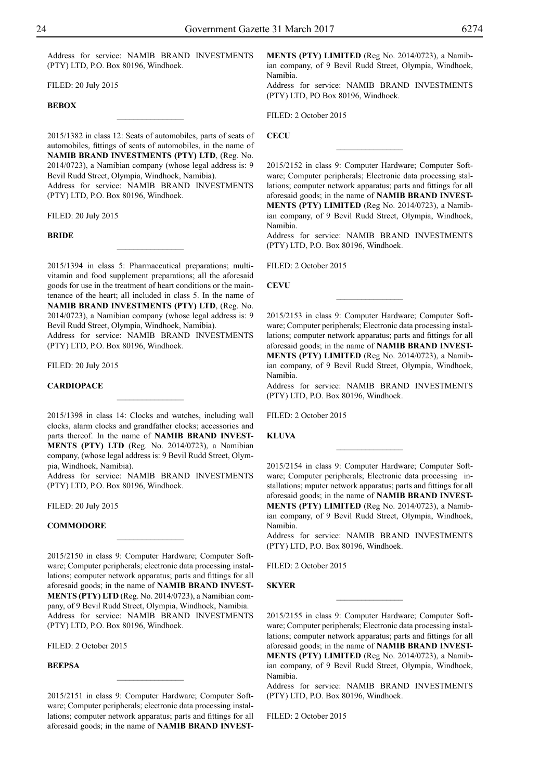Address for service: NAMIB BRAND INVESTMENTS (PTY) LTD, P.O. Box 80196, Windhoek.

 $\frac{1}{2}$ 

Filed: 20 July 2015

## **Bebox**

2015/1382 in class 12: Seats of automobiles, parts of seats of automobiles, fittings of seats of automobiles, in the name of **NAMIB BRAND INVESTMENTS (PTY) LTD**, (Reg. No. 2014/0723), a Namibian company (whose legal address is: 9 Bevil Rudd Street, Olympia, Windhoek, Namibia). Address for service: NAMIB BRAND INVESTMENTS (PTY) LTD, P.O. Box 80196, Windhoek.

Filed: 20 July 2015

**Bride**

2015/1394 in class 5: Pharmaceutical preparations; multivitamin and food supplement preparations; all the aforesaid goods for use in the treatment of heart conditions or the maintenance of the heart; all included in class 5. In the name of **NAMIB BRAND INVESTMENTS (PTY) LTD**, (Reg. No. 2014/0723), a Namibian company (whose legal address is: 9 Bevil Rudd Street, Olympia, Windhoek, Namibia).

 $\overline{\phantom{a}}$  , where  $\overline{\phantom{a}}$ 

Address for service: NAMIB BRAND INVESTMENTS (PTY) LTD, P.O. Box 80196, Windhoek.

Filed: 20 July 2015

#### **CardioPace**

2015/1398 in class 14: Clocks and watches, including wall clocks, alarm clocks and grandfather clocks; accessories and parts thereof. In the name of **NAMIB BRAND INVEST-MENTS (PTY) LTD** (Reg. No. 2014/0723), a Namibian company, (whose legal address is: 9 Bevil Rudd Street, Olympia, Windhoek, Namibia).

 $\frac{1}{2}$ 

Address for service: NAMIB BRAND INVESTMENTS (PTY) LTD, P.O. Box 80196, Windhoek.

Filed: 20 July 2015

## **Commodore**

2015/2150 in class 9: Computer Hardware; Computer Software; Computer peripherals; electronic data processing installations; computer network apparatus; parts and fittings for all aforesaid goods; in the name of **NAMIB BRAND INVEST-MENTS (PTY) LTD** (Reg. No. 2014/0723), a Namibian company, of 9 Bevil Rudd Street, Olympia, Windhoek, Namibia. Address for service: NAMIB BRAND INVESTMENTS (PTY) LTD, P.O. Box 80196, Windhoek.

 $\frac{1}{2}$ 

Filed: 2 October 2015

## **BEEPSA**

2015/2151 in class 9: Computer Hardware; Computer Software; Computer peripherals; electronic data processing installations; computer network apparatus; parts and fittings for all aforesaid goods; in the name of **NAMIB BRAND INVEST-**

 $\frac{1}{2}$ 

**MENTS (PTY) LIMITED** (Reg No. 2014/0723), a Namibian company, of 9 Bevil Rudd Street, Olympia, Windhoek, Namibia.

Address for service: NAMIB BRAND INVESTMENTS (PTY) LTD, PO Box 80196, Windhoek.

FILED: 2 October 2015

**CECU**

2015/2152 in class 9: Computer Hardware; Computer Software; Computer peripherals; Electronic data processing stallations; computer network apparatus; parts and fittings for all aforesaid goods; in the name of **NAMIB BRAND INVEST-MENTS (PTY) LIMITED** (Reg No. 2014/0723), a Namibian company, of 9 Bevil Rudd Street, Olympia, Windhoek, Namibia.

 $\overline{\phantom{a}}$  , where  $\overline{\phantom{a}}$ 

Address for service: NAMIB BRAND INVESTMENTS (PTY) LTD, P.O. Box 80196, Windhoek.

Filed: 2 October 2015

**CEVU**

2015/2153 in class 9: Computer Hardware; Computer Software; Computer peripherals; Electronic data processing installations; computer network apparatus; parts and fittings for all aforesaid goods; in the name of **NAMIB BRAND INVEST-MENTS (PTY) LIMITED** (Reg No. 2014/0723), a Namibian company, of 9 Bevil Rudd Street, Olympia, Windhoek, Namibia.

 $\overline{\phantom{a}}$  , where  $\overline{\phantom{a}}$ 

Address for service: NAMIB BRAND INVESTMENTS  $(PTY)$  LTD, P.O. Box 80196, Windhoek.

FILED: 2 October 2015

**KLUVA** 

2015/2154 in class 9: Computer Hardware; Computer Software; Computer peripherals; Electronic data processing installations; mputer network apparatus; parts and fittings for all aforesaid goods; in the name of **NAMIB BRAND INVEST-MENTS (PTY) LIMITED** (Reg No. 2014/0723), a Namibian company, of 9 Bevil Rudd Street, Olympia, Windhoek, Namibia.

 $\frac{1}{2}$ 

Address for service: NAMIB BRAND INVESTMENTS  $(PTY)$  LTD, P.O. Box 80196, Windhoek.

FILED: 2 October 2015

## **SKYER**

2015/2155 in class 9: Computer Hardware; Computer Software; Computer peripherals; Electronic data processing installations; computer network apparatus; parts and fittings for all aforesaid goods; in the name of **NAMIB BRAND INVEST-MENTS (PTY) LIMITED** (Reg No. 2014/0723), a Namibian company, of 9 Bevil Rudd Street, Olympia, Windhoek, Namibia.

 $\frac{1}{2}$ 

Address for service: NAMIB BRAND INVESTMENTS (PTY) LTD, P.O. Box 80196, Windhoek.

FILED: 2 October 2015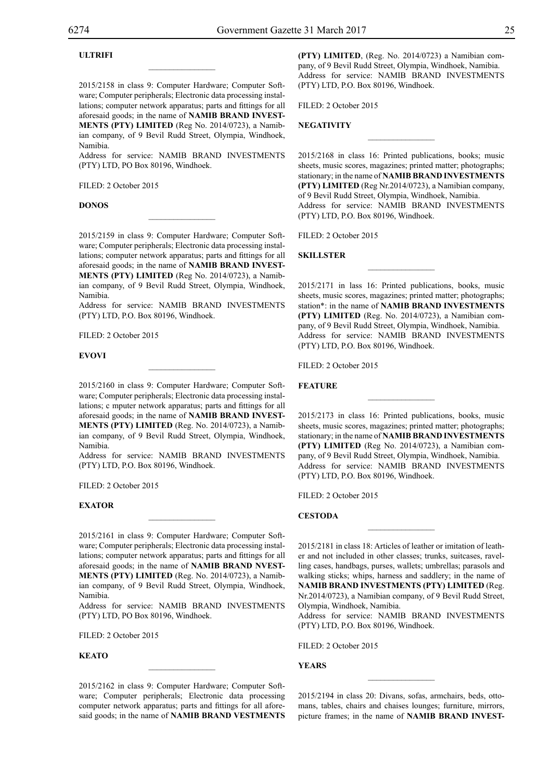## **ULTRIFI**

2015/2158 in class 9: Computer Hardware; Computer Software; Computer peripherals; Electronic data processing installations; computer network apparatus; parts and fittings for all aforesaid goods; in the name of **NAMIB BRAND INVEST-MENTS (PTY) LIMITED** (Reg No. 2014/0723), a Namib-

 $\overline{\phantom{a}}$  , where  $\overline{\phantom{a}}$ 

ian company, of 9 Bevil Rudd Street, Olympia, Windhoek, Namibia.

Address for service: NAMIB BRAND INVESTMENTS (PTY) LTD, PO Box 80196, Windhoek.

FILED: 2 October 2015

## **DONOS**

2015/2159 in class 9: Computer Hardware; Computer Software; Computer peripherals; Electronic data processing installations; computer network apparatus; parts and fittings for all aforesaid goods; in the name of **NAMIB BRAND INVEST-MENTS (PTY) LIMITED** (Reg No. 2014/0723), a Namibian company, of 9 Bevil Rudd Street, Olympia, Windhoek, Namibia.

 $\mathcal{L}=\mathcal{L}^{\text{max}}$ 

Address for service: NAMIB BRAND INVESTMENTS (PTY) LTD, P.O. Box 80196, Windhoek.

FILED: 2 October 2015

#### **EVOVI**

2015/2160 in class 9: Computer Hardware; Computer Software; Computer peripherals; Electronic data processing installations; c mputer network apparatus; parts and fittings for all aforesaid goods; in the name of **NAMIB BRAND INVEST-MENTS (PTY) LIMITED** (Reg. No. 2014/0723), a Namibian company, of 9 Bevil Rudd Street, Olympia, Windhoek, Namibia.

 $\mathcal{L}=\mathcal{L}^{\text{max}}$ 

Address for service: NAMIB BRAND INVESTMENTS  $(PTY)$  LTD, P.O. Box 80196, Windhoek.

FILED: 2 October 2015

## **EXATOR**

2015/2161 in class 9: Computer Hardware; Computer Software; Computer peripherals; Electronic data processing installations; computer network apparatus; parts and fittings for all aforesaid goods; in the name of **NAMIB BRAND NVEST-MENTS (PTY) LIMITED** (Reg. No. 2014/0723), a Namibian company, of 9 Bevil Rudd Street, Olympia, Windhoek, Namibia.

 $\mathcal{L}=\mathcal{L}^{\text{max}}$ 

Address for service: NAMIB BRAND INVESTMENTS (PTY) LTD, PO Box 80196, Windhoek.

 $FII$   $FD: 2$  October 2015

## **KEATO**

2015/2162 in class 9: Computer Hardware; Computer Software; Computer peripherals; Electronic data processing computer network apparatus; parts and fittings for all aforesaid goods; in the name of **NAMIB BRAND VESTMENTS**  **(PTY) LIMITED**, (Reg. No. 2014/0723) a Namibian company, of 9 Bevil Rudd Street, Olympia, Windhoek, Namibia. Address for service: NAMIB BRAND INVESTMENTS (PTY) LTD, P.O. Box 80196, Windhoek.

Filed: 2 October 2015

## **NEGATIVITY**

2015/2168 in class 16: Printed publications, books; music sheets, music scores, magazines; printed matter; photographs; stationary; in the name of **NAMIB BRAND INVESTMENTS (PTY) LIMITED** (Reg Nr.2014/0723), a Namibian company, of 9 Bevil Rudd Street, Olympia, Windhoek, Namibia. Address for service: NAMIB BRAND INVESTMENTS (PTY) LTD, P.O. Box 80196, Windhoek.

 $\overline{\phantom{a}}$  , we can also the set of  $\overline{\phantom{a}}$ 

 $FII$  ED: 2 October 2015

#### **SKILLSTER**

2015/2171 in lass 16: Printed publications, books, music sheets, music scores, magazines; printed matter; photographs; station\*: in the name of **NAMIB BRAND INVESTMENTS (PTY) LIMITED** (Reg. No. 2014/0723), a Namibian company, of 9 Bevil Rudd Street, Olympia, Windhoek, Namibia. Address for service: NAMIB BRAND INVESTMENTS (PTY) LTD, P.O. Box 80196, Windhoek.

 $\frac{1}{2}$ 

FILED: 2 October 2015

**FEATURE**

2015/2173 in class 16: Printed publications, books, music sheets, music scores, magazines; printed matter; photographs; stationary; in the name of **NAMIB BRAND INVESTMENTS (PTY) LIMITED** (Reg No. 2014/0723), a Namibian company, of 9 Bevil Rudd Street, Olympia, Windhoek, Namibia. Address for service: NAMIB BRAND INVESTMENTS (PTY) LTD, P.O. Box 80196, Windhoek.

 $\frac{1}{2}$ 

FILED: 2 October 2015

**CESTODA**

2015/2181 in class 18: Articles of leather or imitation of leather and not included in other classes; trunks, suitcases, ravelling cases, handbags, purses, wallets; umbrellas; parasols and walking sticks; whips, harness and saddlery; in the name of **NAMIB BRAND INVESTMENTS (PTY) LIMITED** (Reg. Nr.2014/0723), a Namibian company, of 9 Bevil Rudd Street, Olympia, Windhoek, Namibia.

 $\frac{1}{2}$ 

Address for service: NAMIB BRAND INVESTMENTS (PTY) LTD, P.O. Box 80196, Windhoek.

Filed: 2 October 2015

**YEARS**

2015/2194 in class 20: Divans, sofas, armchairs, beds, ottomans, tables, chairs and chaises lounges; furniture, mirrors, picture frames; in the name of **NAMIB BRAND INVEST-**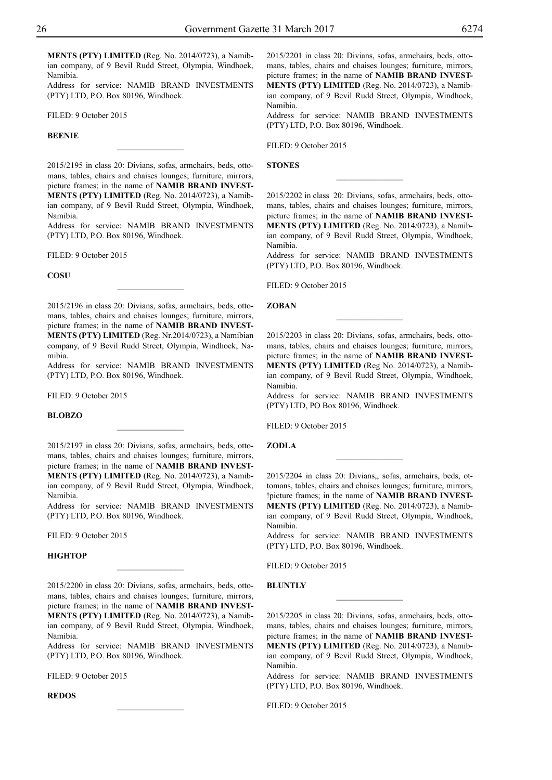**MENTS (PTY) LIMITED** (Reg. No. 2014/0723), a Namibian company, of 9 Bevil Rudd Street, Olympia, Windhoek, Namibia.

Address for service: NAMIB BRAND INVESTMENTS (PTY) LTD, P.O. Box 80196, Windhoek.

FILED: 9 October 2015

## **BEENIE**

2015/2195 in class 20: Divians, sofas, armchairs, beds, ottomans, tables, chairs and chaises lounges; furniture, mirrors, picture frames; in the name of **NAMIB BRAND INVEST-MENTS (PTY) LIMITED** (Reg. No. 2014/0723), a Namibian company, of 9 Bevil Rudd Street, Olympia, Windhoek, Namibia.

 $\overline{\phantom{a}}$  , where  $\overline{\phantom{a}}$ 

Address for service: NAMIB BRAND INVESTMENTS (PTY) LTD, P.O. Box 80196, Windhoek.

FILED: 9 October 2015

**COSU**

2015/2196 in class 20: Divians, sofas, armchairs, beds, ottomans, tables, chairs and chaises lounges; furniture, mirrors, picture frames; in the name of **NAMIB BRAND INVEST-MENTS (PTY) LIMITED** (Reg. Nr.2014/0723), a Namibian company, of 9 Bevil Rudd Street, Olympia, Windhoek, Namibia.

 $\frac{1}{2}$ 

Address for service: NAMIB BRAND INVESTMENTS (PTY) LTD, P.O. Box 80196, Windhoek.

FILED: 9 October 2015

## **BLOBZO**

2015/2197 in class 20: Divians, sofas, armchairs, beds, ottomans, tables, chairs and chaises lounges; furniture, mirrors, picture frames; in the name of **NAMIB BRAND INVEST-MENTS (PTY) LIMITED** (Reg. No. 2014/0723), a Namibian company, of 9 Bevil Rudd Street, Olympia, Windhoek, Namibia.

 $\frac{1}{2}$ 

Address for service: NAMIB BRAND INVESTMENTS (PTY) LTD, P.O. Box 80196, Windhoek.

FILED: 9 October 2015

#### **HIGHTOP**

2015/2200 in class 20: Divians, sofas, armchairs, beds, ottomans, tables, chairs and chaises lounges; furniture, mirrors, picture frames; in the name of **NAMIB BRAND INVEST-MENTS (PTY) LIMITED** (Reg. No. 2014/0723), a Namib-

 $\overline{\phantom{a}}$  , where  $\overline{\phantom{a}}$ 

ian company, of 9 Bevil Rudd Street, Olympia, Windhoek, Namibia. Address for service: NAMIB BRAND INVESTMENTS

 $(PTY)$  LTD, P.O. Box 80196, Windhoek.

 $\frac{1}{2}$ 

FILED: 9 October 2015

#### **REDOS**

2015/2201 in class 20: Divians, sofas, armchairs, beds, ottomans, tables, chairs and chaises lounges; furniture, mirrors, picture frames; in the name of **NAMIB BRAND INVEST-MENTS (PTY) LIMITED** (Reg. No. 2014/0723), a Namibian company, of 9 Bevil Rudd Street, Olympia, Windhoek, Namibia.

Address for service: NAMIB BRAND INVESTMENTS (PTY) LTD, P.O. Box 80196, Windhoek.

FILED: 9 October 2015

**STONES**

2015/2202 in class 20: Divians, sofas, armchairs, beds, ottomans, tables, chairs and chaises lounges; furniture, mirrors, picture frames; in the name of **NAMIB BRAND INVEST-MENTS (PTY) LIMITED** (Reg. No. 2014/0723), a Namibian company, of 9 Bevil Rudd Street, Olympia, Windhoek, Namibia.

 $\frac{1}{2}$ 

Address for service: NAMIB BRAND INVESTMENTS  $(PTY)$  LTD, P.O. Box 80196, Windhoek.

Filed: 9 October 2015

**ZOBAN**

2015/2203 in class 20: Divians, sofas, armchairs, beds, ottomans, tables, chairs and chaises lounges; furniture, mirrors, picture frames; in the name of **NAMIB BRAND INVEST-MENTS (PTY) LIMITED** (Reg No. 2014/0723), a Namibian company, of 9 Bevil Rudd Street, Olympia, Windhoek, Namibia.

Address for service: NAMIB BRAND INVESTMENTS (PTY) LTD, PO Box 80196, Windhoek.

FILED: 9 October 2015

## **ZODLA**

2015/2204 in class 20: Divians,, sofas, armchairs, beds, ottomans, tables, chairs and chaises lounges; furniture, mirrors, !picture frames; in the name of **NAMIB BRAND INVEST-MENTS (PTY) LIMITED** (Reg. No. 2014/0723), a Namibian company, of 9 Bevil Rudd Street, Olympia, Windhoek, Namibia.

 $\overline{\phantom{a}}$  , where  $\overline{\phantom{a}}$ 

Address for service: NAMIB BRAND INVESTMENTS  $(PTY)$  LTD, P.O. Box 80196, Windhoek.

FILED: 9 October 2015

## **BLUNTLY**

2015/2205 in class 20: Divians, sofas, armchairs, beds, ottomans, tables, chairs and chaises lounges; furniture, mirrors, picture frames; in the name of **NAMIB BRAND INVEST-MENTS (PTY) LIMITED** (Reg. No. 2014/0723), a Namibian company, of 9 Bevil Rudd Street, Olympia, Windhoek, Namibia.

 $\frac{1}{2}$ 

Address for service: NAMIB BRAND INVESTMENTS (PTY) LTD, P.O. Box 80196, Windhoek.

Filed: 9 October 2015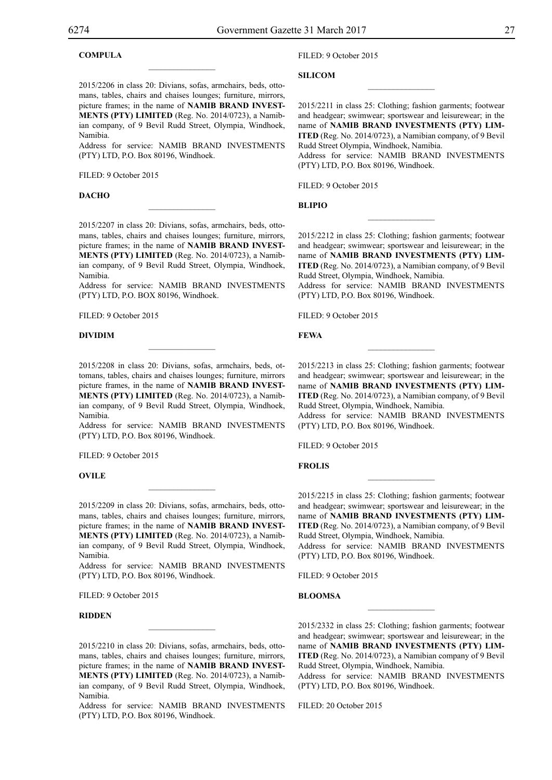## **COMPULA**

2015/2206 in class 20: Divians, sofas, armchairs, beds, ottomans, tables, chairs and chaises lounges; furniture, mirrors, picture frames; in the name of **NAMIB BRAND INVEST-MENTS (PTY) LIMITED** (Reg. No. 2014/0723), a Namibian company, of 9 Bevil Rudd Street, Olympia, Windhoek, Namibia.

 $\overline{\phantom{a}}$  , where  $\overline{\phantom{a}}$ 

Address for service: NAMIB BRAND INVESTMENTS (PTY) LTD, P.O. Box 80196, Windhoek.

FILED: 9 October 2015

## **DACHO**

2015/2207 in class 20: Divians, sofas, armchairs, beds, ottomans, tables, chairs and chaises lounges; furniture, mirrors, picture frames; in the name of **NAMIB BRAND INVEST-MENTS (PTY) LIMITED** (Reg. No. 2014/0723), a Namibian company, of 9 Bevil Rudd Street, Olympia, Windhoek, Namibia.

 $\mathcal{L}=\mathcal{L}^{\text{max}}$ 

Address for service: NAMIB BRAND INVESTMENTS (PTY) LTD, P.O. BOX 80196, Windhoek.

Filed: 9 October 2015

#### **DIVIDIM**

2015/2208 in class 20: Divians, sofas, armchairs, beds, ottomans, tables, chairs and chaises lounges; furniture, mirrors picture frames, in the name of **NAMIB BRAND INVEST-MENTS (PTY) LIMITED** (Reg. No. 2014/0723), a Namibian company, of 9 Bevil Rudd Street, Olympia, Windhoek, Namibia.

Address for service: NAMIB BRAND INVESTMENTS (PTY) LTD, P.O. Box 80196, Windhoek.

FILED: 9 October 2015

## **OVILE**

2015/2209 in class 20: Divians, sofas, armchairs, beds, ottomans, tables, chairs and chaises lounges; furniture, mirrors, picture frames; in the name of **NAMIB BRAND INVEST-MENTS (PTY) LIMITED** (Reg. No. 2014/0723), a Namibian company, of 9 Bevil Rudd Street, Olympia, Windhoek, Namibia.

 $\overline{\phantom{a}}$  , where  $\overline{\phantom{a}}$ 

Address for service: NAMIB BRAND INVESTMENTS (PTY) LTD, P.O. Box 80196, Windhoek.

FILED: 9 October 2015

## **RIDDEN**

2015/2210 in class 20: Divians, sofas, armchairs, beds, ottomans, tables, chairs and chaises lounges; furniture, mirrors, picture frames; in the name of **NAMIB BRAND INVEST-MENTS (PTY) LIMITED** (Reg. No. 2014/0723), a Namibian company, of 9 Bevil Rudd Street, Olympia, Windhoek, Namibia.

 $\mathcal{L}=\mathcal{L}^{\text{max}}$ 

Address for service: NAMIB BRAND INVESTMENTS (PTY) LTD, P.O. Box 80196, Windhoek.

## Filed: 9 October 2015

**SILICOM**

2015/2211 in class 25: Clothing; fashion garments; footwear and headgear; swimwear; sportswear and leisurewear; in the name of **NAMIB BRAND INVESTMENTS (PTY) LIM-ITED** (Reg. No. 2014/0723), a Namibian company, of 9 Bevil Rudd Street Olympia, Windhoek, Namibia. Address for service: NAMIB BRAND INVESTMENTS (PTY) LTD, P.O. Box 80196, Windhoek.

 $\overline{\phantom{a}}$  , we can also the set of  $\overline{\phantom{a}}$ 

FILED: 9 October 2015

**BLIPIO**

2015/2212 in class 25: Clothing; fashion garments; footwear and headgear; swimwear; sportswear and leisurewear; in the name of **NAMIB BRAND INVESTMENTS (PTY) LIM-ITED** (Reg. No. 2014/0723), a Namibian company, of 9 Bevil Rudd Street, Olympia, Windhoek, Namibia.

 $\frac{1}{2}$ 

Address for service: NAMIB BRAND INVESTMENTS (PTY) LTD, P.O. Box 80196, Windhoek.

FILED: 9 October 2015

**FEWA**

2015/2213 in class 25: Clothing; fashion garments; footwear and headgear; swimwear; sportswear and leisurewear; in the name of **NAMIB BRAND INVESTMENTS (PTY) LIM-ITED** (Reg. No. 2014/0723), a Namibian company, of 9 Bevil Rudd Street, Olympia, Windhoek, Namibia.

 $\overline{\phantom{a}}$  , we can also the set of  $\overline{\phantom{a}}$ 

Address for service: NAMIB BRAND INVESTMENTS (PTY) LTD, P.O. Box 80196, Windhoek.

FILED: 9 October 2015

**FROLIS**

2015/2215 in class 25: Clothing; fashion garments; footwear and headgear; swimwear; sportswear and leisurewear; in the name of **NAMIB BRAND INVESTMENTS (PTY) LIM-ITED** (Reg. No. 2014/0723), a Namibian company, of 9 Bevil Rudd Street, Olympia, Windhoek, Namibia.

 $\frac{1}{2}$ 

Address for service: NAMIB BRAND INVESTMENTS (PTY) LTD, P.O. Box 80196, Windhoek.

FILED: 9 October 2015

## **BLOOMSA**

2015/2332 in class 25: Clothing; fashion garments; footwear and headgear; swimwear; sportswear and leisurewear; in the name of **NAMIB BRAND INVESTMENTS (PTY) LIM-ITED** (Reg. No. 2014/0723), a Namibian company of 9 Bevil Rudd Street, Olympia, Windhoek, Namibia.

 $\frac{1}{2}$ 

Address for service: NAMIB BRAND INVESTMENTS (PTY) LTD, P.O. Box 80196, Windhoek.

Filed: 20 October 2015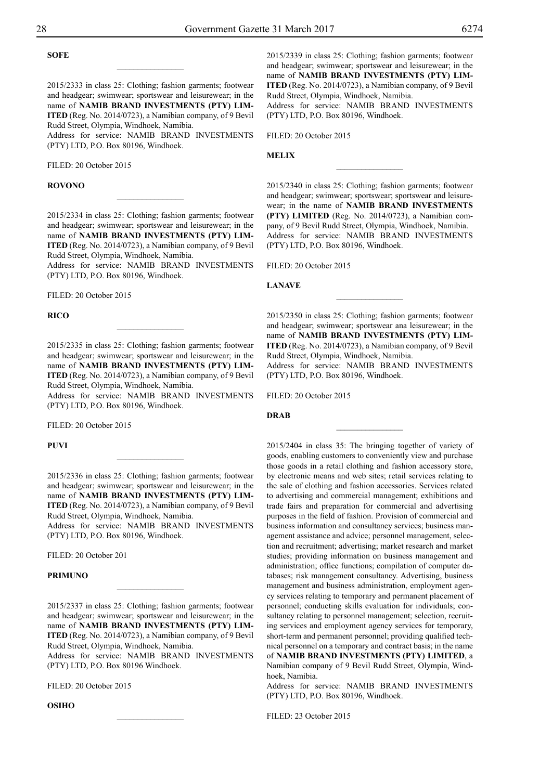## **SOFE**

2015/2333 in class 25: Clothing; fashion garments; footwear and headgear; swimwear; sportswear and leisurewear; in the name of **NAMIB BRAND INVESTMENTS (PTY) LIM-ITED** (Reg. No. 2014/0723), a Namibian company, of 9 Bevil Rudd Street, Olympia, Windhoek, Namibia.

 $\overline{\phantom{a}}$  , where  $\overline{\phantom{a}}$ 

Address for service: NAMIB BRAND INVESTMENTS (PTY) LTD, P.O. Box 80196, Windhoek.

FILED: 20 October 2015

## **ROVONO**

2015/2334 in class 25: Clothing; fashion garments; footwear and headgear; swimwear; sportswear and leisurewear; in the name of **NAMIB BRAND INVESTMENTS (PTY) LIM-ITED** (Reg. No. 2014/0723), a Namibian company, of 9 Bevil Rudd Street, Olympia, Windhoek, Namibia.

 $\frac{1}{2}$ 

Address for service: NAMIB BRAND INVESTMENTS (PTY) LTD, P.O. Box 80196, Windhoek.

FILED: 20 October 2015

**RICO**

2015/2335 in class 25: Clothing; fashion garments; footwear and headgear; swimwear; sportswear and leisurewear; in the name of **NAMIB BRAND INVESTMENTS (PTY) LIM-ITED** (Reg. No. 2014/0723), a Namibian company, of 9 Bevil Rudd Street, Olympia, Windhoek, Namibia.

 $\overline{\phantom{a}}$  , where  $\overline{\phantom{a}}$ 

Address for service: NAMIB BRAND INVESTMENTS  $(PTY)$  LTD, P.O. Box 80196, Windhoek.

FILED: 20 October 2015

**PUVI**

2015/2336 in class 25: Clothing; fashion garments; footwear and headgear; swimwear; sportswear and leisurewear; in the name of **NAMIB BRAND INVESTMENTS (PTY) LIM-ITED** (Reg. No. 2014/0723), a Namibian company, of 9 Bevil Rudd Street, Olympia, Windhoek, Namibia.

 $\frac{1}{2}$ 

Address for service: NAMIB BRAND INVESTMENTS (PTY) LTD, P.O. Box 80196, Windhoek.

FILED: 20 October 201

#### **PRIMUNO**

2015/2337 in class 25: Clothing; fashion garments; footwear and headgear; swimwear; sportswear and leisurewear; in the name of **NAMIB BRAND INVESTMENTS (PTY) LIM-ITED** (Reg. No. 2014/0723), a Namibian company, of 9 Bevil Rudd Street, Olympia, Windhoek, Namibia.

 $\frac{1}{2}$ 

Address for service: NAMIB BRAND INVESTMENTS (PTY) LTD, P.O. Box 80196 Windhoek.

FILED: 20 October 2015

**OSIHO**

2015/2339 in class 25: Clothing; fashion garments; footwear and headgear; swimwear; sportswear and leisurewear; in the name of **NAMIB BRAND INVESTMENTS (PTY) LIM-ITED** (Reg. No. 2014/0723), a Namibian company, of 9 Bevil Rudd Street, Olympia, Windhoek, Namibia.

Address for service: NAMIB BRAND INVESTMENTS (PTY) LTD, P.O. Box 80196, Windhoek.

FILED: 20 October 2015

**MELIX**

2015/2340 in class 25: Clothing; fashion garments; footwear and headgear; swimwear; sportswear; sportswear and leisurewear; in the name of **NAMIB BRAND INVESTMENTS (PTY) LIMITED** (Reg. No. 2014/0723), a Namibian company, of 9 Bevil Rudd Street, Olympia, Windhoek, Namibia. Address for service: NAMIB BRAND INVESTMENTS (PTY) LTD, P.O. Box 80196, Windhoek.

 $\frac{1}{2}$ 

Filed: 20 October 2015

**lanave**

2015/2350 in class 25: Clothing; fashion garments; footwear and headgear; swimwear; sportswear ana leisurewear; in the name of **NAMIB BRAND INVESTMENTS (PTY) LIM-ITED** (Reg. No. 2014/0723), a Namibian company, of 9 Bevil Rudd Street, Olympia, Windhoek, Namibia.

 $\overline{\phantom{a}}$  , where  $\overline{\phantom{a}}$ 

Address for service: NAMIB BRAND INVESTMENTS (PTY) LTD, P.O. Box 80196, Windhoek.

 $\frac{1}{2}$ 

Filed: 20 October 2015

**DRAB**

2015/2404 in class 35: The bringing together of variety of goods, enabling customers to conveniently view and purchase those goods in a retail clothing and fashion accessory store, by electronic means and web sites; retail services relating to the sale of clothing and fashion accessories. Services related to advertising and commercial management; exhibitions and trade fairs and preparation for commercial and advertising purposes in the field of fashion. Provision of commercial and business information and consultancy services; business management assistance and advice; personnel management, selection and recruitment; advertising; market research and market studies; providing information on business management and administration; office functions; compilation of computer databases; risk management consultancy. Advertising, business management and business administration, employment agency services relating to temporary and permanent placement of personnel; conducting skills evaluation for individuals; consultancy relating to personnel management; selection, recruiting services and employment agency services for temporary, short-term and permanent personnel; providing qualified technical personnel on a temporary and contract basis; in the name of **NAMIB BRAND INVESTMENTS (PTY) LIMITED**, a Namibian company of 9 Bevil Rudd Street, Olympia, Windhoek, Namibia.

Address for service: NAMIB BRAND INVESTMENTS (PTY) LTD, P.O. Box 80196, Windhoek.

Filed: 23 October 2015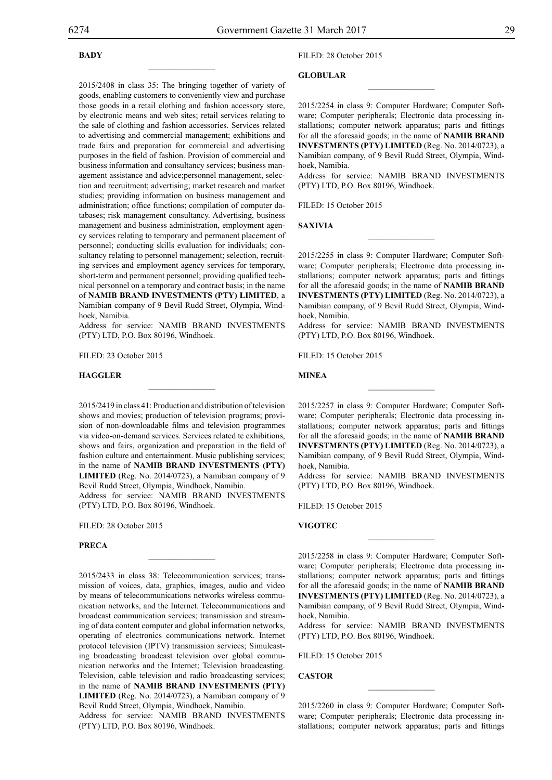## **BADY**

2015/2408 in class 35: The bringing together of variety of goods, enabling customers to conveniently view and purchase those goods in a retail clothing and fashion accessory store, by electronic means and web sites; retail services relating to the sale of clothing and fashion accessories. Services related to advertising and commercial management; exhibitions and trade fairs and preparation for commercial and advertising purposes in the field of fashion. Provision of commercial and business information and consultancy services; business management assistance and advice;personnel management, selection and recruitment; advertising; market research and market studies; providing information on business management and administration; office functions; compilation of computer databases; risk management consultancy. Advertising, business management and business administration, employment agency services relating to temporary and permanent placement of personnel; conducting skills evaluation for individuals; consultancy relating to personnel management; selection, recruiting services and employment agency services for temporary, short-term and permanent personnel; providing qualified technical personnel on a temporary and contract basis; in the name of **NAMIB BRAND INVESTMENTS (PTY) LIMITED**, a Namibian company of 9 Bevil Rudd Street, Olympia, Windhoek, Namibia.

 $\overline{\phantom{a}}$  , where  $\overline{\phantom{a}}$ 

Address for service: NAMIB BRAND INVESTMENTS (PTY) LTD, P.O. Box 80196, Windhoek.

 $\overline{\phantom{a}}$  , where  $\overline{\phantom{a}}$ 

FILED: 23 October 2015

## **haggler**

2015/2419 in class 41: Production and distribution of television shows and movies; production of television programs; provision of non-downloadable films and television programmes via video-on-demand services. Services related tc exhibitions, shows and fairs, organization and preparation in the field of fashion culture and entertainment. Music publishing services; in the name of **NAMIB BRAND INVESTMENTS (PTY) LIMITED** (Reg. No. 2014/0723), a Namibian company of 9 Bevil Rudd Street, Olympia, Windhoek, Namibia.

Address for service: NAMIB BRAND INVESTMENTS (PTY) LTD, P.O. Box 80196, Windhoek.

 $\mathcal{L}=\mathcal{L}^{\text{max}}$ 

Filed: 28 October 2015

## **PRECA**

2015/2433 in class 38: Telecommunication services; transmission of voices, data, graphics, images, audio and video by means of telecommunications networks wireless communication networks, and the Internet. Telecommunications and broadcast communication services; transmission and streaming of data content computer and global information networks, operating of electronics communications network. Internet protocol television (IPTV) transmission services; Simulcasting broadcasting broadcast television over global communication networks and the Internet; Television broadcasting. Television, cable television and radio broadcasting services; in the name of **NAMIB BRAND INVESTMENTS (PTY) LIMITED** (Reg. No. 2014/0723), a Namibian company of 9 Bevil Rudd Street, Olympia, Windhoek, Namibia.

Address for service: NAMIB BRAND INVESTMENTS (PTY) LTD, P.O. Box 80196, Windhoek.

## Filed: 28 October 2015

## **GLOBULAR**

2015/2254 in class 9: Computer Hardware; Computer Software; Computer peripherals; Electronic data processing installations; computer network apparatus; parts and fittings for all the aforesaid goods; in the name of **NAMIB BRAND INVESTMENTS (PTY) LIMITED** (Reg. No. 2014/0723), a Namibian company, of 9 Bevil Rudd Street, Olympia, Windhoek, Namibia.

 $\overline{\phantom{a}}$  , we can also the set of  $\overline{\phantom{a}}$ 

Address for service: NAMIB BRAND INVESTMENTS (PTY) LTD, P.O. Box 80196, Windhoek.

FILED: 15 October 2015

**Saxivia**

2015/2255 in class 9: Computer Hardware; Computer Software; Computer peripherals; Electronic data processing installations; computer network apparatus; parts and fittings for all the aforesaid goods; in the name of **NAMIB BRAND INVESTMENTS (PTY) LIMITED** (Reg. No. 2014/0723), a Namibian company, of 9 Bevil Rudd Street, Olympia, Windhoek, Namibia.

 $\frac{1}{2}$ 

Address for service: NAMIB BRAND INVESTMENTS (PTY) LTD, P.O. Box 80196, Windhoek.

FILED: 15 October 2015

#### **MINEA**

2015/2257 in class 9: Computer Hardware; Computer Software; Computer peripherals; Electronic data processing installations; computer network apparatus; parts and fittings for all the aforesaid goods; in the name of **NAMIB BRAND INVESTMENTS (PTY) LIMITED** (Reg. No. 2014/0723), a Namibian company, of 9 Bevil Rudd Street, Olympia, Windhoek, Namibia.

 $\frac{1}{2}$ 

Address for service: NAMIB BRAND INVESTMENTS (PTY) LTD, P.O. Box 80196, Windhoek.

FILED: 15 October 2015

**vigotec**

2015/2258 in class 9: Computer Hardware; Computer Software; Computer peripherals; Electronic data processing installations; computer network apparatus; parts and fittings for all the aforesaid goods; in the name of **NAMIB BRAND INVESTMENTS (PTY) LIMITED** (Reg. No. 2014/0723), a Namibian company, of 9 Bevil Rudd Street, Olympia, Windhoek, Namibia.

 $\frac{1}{2}$ 

Address for service: NAMIB BRAND INVESTMENTS (PTY) LTD, P.O. Box 80196, Windhoek.

Filed: 15 October 2015

**Castor**

2015/2260 in class 9: Computer Hardware; Computer Software; Computer peripherals; Electronic data processing installations; computer network apparatus; parts and fittings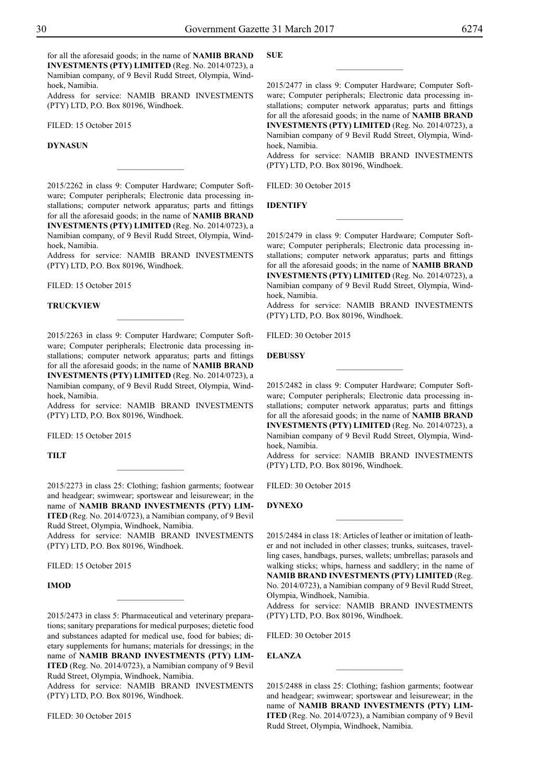for all the aforesaid goods; in the name of **NAMIB BRAND INVESTMENTS (PTY) LIMITED** (Reg. No. 2014/0723), a Namibian company, of 9 Bevil Rudd Street, Olympia, Windhoek, Namibia.

Address for service: NAMIB BRAND INVESTMENTS (PTY) LTD, P.O. Box 80196, Windhoek.

FILED: 15 October 2015

## **Dynasun**

2015/2262 in class 9: Computer Hardware; Computer Software; Computer peripherals; Electronic data processing installations; computer network apparatus; parts and fittings for all the aforesaid goods; in the name of **NAMIB BRAND INVESTMENTS (PTY) LIMITED** (Reg. No. 2014/0723), a Namibian company, of 9 Bevil Rudd Street, Olympia, Windhoek, Namibia.

 $\frac{1}{2}$ 

Address for service: NAMIB BRAND INVESTMENTS  $(PTY)$  LTD, P.O. Box 80196, Windhoek.

Filed: 15 October 2015

#### **Truckview**

2015/2263 in class 9: Computer Hardware; Computer Software; Computer peripherals; Electronic data processing installations; computer network apparatus; parts and fittings for all the aforesaid goods; in the name of **NAMIB BRAND INVESTMENTS (PTY) LIMITED** (Reg. No. 2014/0723), a Namibian company, of 9 Bevil Rudd Street, Olympia, Windhoek, Namibia.

Address for service: NAMIB BRAND INVESTMENTS (PTY) LTD, P.O. Box 80196, Windhoek.

Filed: 15 October 2015

**Tilt**

2015/2273 in class 25: Clothing; fashion garments; footwear and headgear; swimwear; sportswear and leisurewear; in the name of **NAMIB BRAND INVESTMENTS (PTY) LIM-ITED** (Reg. No. 2014/0723), a Namibian company, of 9 Bevil Rudd Street, Olympia, Windhoek, Namibia.

Address for service: NAMIB BRAND INVESTMENTS (PTY) LTD, P.O. Box 80196, Windhoek.

FILED: 15 October 2015

## **IMOD**

2015/2473 in class 5: Pharmaceutical and veterinary preparations; sanitary preparations for medical purposes; dietetic food and substances adapted for medical use, food for babies; dietary supplements for humans; materials for dressings; in the name of **NAMIB BRAND INVESTMENTS (PTY) LIM-ITED** (Reg. No. 2014/0723), a Namibian company of 9 Bevil Rudd Street, Olympia, Windhoek, Namibia.

 $\frac{1}{2}$ 

Address for service: NAMIB BRAND INVESTMENTS (PTY) LTD, P.O. Box 80196, Windhoek.

Filed: 30 October 2015

## **SUE**

2015/2477 in class 9: Computer Hardware; Computer Software; Computer peripherals; Electronic data processing installations; computer network apparatus; parts and fittings for all the aforesaid goods; in the name of **NAMIB BRAND INVESTMENTS (PTY) LIMITED** (Reg. No. 2014/0723), a Namibian company of 9 Bevil Rudd Street, Olympia, Windhoek, Namibia.

 $\overline{\phantom{a}}$  , where  $\overline{\phantom{a}}$ 

Address for service: NAMIB BRAND INVESTMENTS (PTY) LTD, P.O. Box 80196, Windhoek.

FILED: 30 October 2015

#### **IDENTIFY**

2015/2479 in class 9: Computer Hardware; Computer Software; Computer peripherals; Electronic data processing installations; computer network apparatus; parts and fittings for all the aforesaid goods; in the name of **NAMIB BRAND INVESTMENTS (PTY) LIMITED** (Reg. No. 2014/0723), a Namibian company of 9 Bevil Rudd Street, Olympia, Windhoek, Namibia.

 $\frac{1}{2}$ 

Address for service: NAMIB BRAND INVESTMENTS (PTY) LTD, P.O. Box 80196, Windhoek.

FILED: 30 October 2015

**DEBUSSY**

2015/2482 in class 9: Computer Hardware; Computer Software; Computer peripherals; Electronic data processing installations; computer network apparatus; parts and fittings for all the aforesaid goods; in the name of **NAMIB BRAND INVESTMENTS (PTY) LIMITED** (Reg. No. 2014/0723), a Namibian company of 9 Bevil Rudd Street, Olympia, Windhoek, Namibia.

 $\frac{1}{2}$ 

Address for service: NAMIB BRAND INVESTMENTS  $(PTY)$  LTD, P.O. Box 80196, Windhoek.

FILED: 30 October 2015

## **Dynexo**

2015/2484 in class 18: Articles of leather or imitation of leather and not included in other classes; trunks, suitcases, travelling cases, handbags, purses, wallets; umbrellas; parasols and walking sticks; whips, harness and saddlery; in the name of **NAMIB BRAND INVESTMENTS (PTY) LIMITED** (Reg. No. 2014/0723), a Namibian company of 9 Bevil Rudd Street, Olympia, Windhoek, Namibia.

 $\frac{1}{2}$ 

Address for service: NAMIB BRAND INVESTMENTS (PTY) LTD, P.O. Box 80196, Windhoek.

 $FII$   $FD: 30$  October 2015

#### **Elanza**

2015/2488 in class 25: Clothing; fashion garments; footwear and headgear; swimwear; sportswear and leisurewear; in the name of **NAMIB BRAND INVESTMENTS (PTY) LIM-ITED** (Reg. No. 2014/0723), a Namibian company of 9 Bevil Rudd Street, Olympia, Windhoek, Namibia.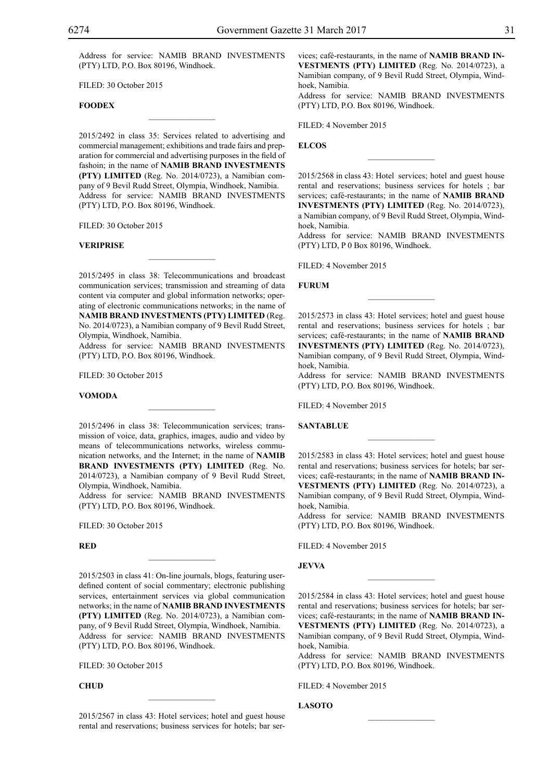Address for service: NAMIB BRAND INVESTMENTS (PTY) LTD, P.O. Box 80196, Windhoek.

FILED: 30 October 2015

## **FOODEX**

2015/2492 in class 35: Services related to advertising and commercial management; exhibitions and trade fairs and preparation for commercial and advertising purposes in the field of fashoin; in the name of **NAMIB BRAND INVESTMENTS (PTY) LIMITED** (Reg. No. 2014/0723), a Namibian company of 9 Bevil Rudd Street, Olympia, Windhoek, Namibia. Address for service: NAMIB BRAND INVESTMENTS (PTY) LTD, P.O. Box 80196, Windhoek.

 $\mathcal{L}=\mathcal{L}^{\text{max}}$ 

FILED: 30 October 2015

#### **Veriprise**

2015/2495 in class 38: Telecommunications and broadcast communication services; transmission and streaming of data content via computer and global information networks; operating of electronic communications networks; in the name of **NAMIB BRAND INVESTMENTS (PTY) LIMITED** (Reg. No. 2014/0723), a Namibian company of 9 Bevil Rudd Street, Olympia, Windhoek, Namibia.

 $\mathcal{L}=\mathcal{L}^{\text{max}}$ 

Address for service: NAMIB BRAND INVESTMENTS (PTY) LTD, P.O. Box 80196, Windhoek.

FILED: 30 October 2015

## **Vomoda**

2015/2496 in class 38: Telecommunication services; transmission of voice, data, graphics, images, audio and video by means of telecommunications networks, wireless communication networks, and the Internet; in the name of **NAMIB BRAND INVESTMENTS (PTY) LIMITED** (Reg. No. 2014/0723), a Namibian company of 9 Bevil Rudd Street, Olympia, Windhoek, Namibia.

 $\overline{\phantom{a}}$  , where  $\overline{\phantom{a}}$ 

Address for service: NAMIB BRAND INVESTMENTS (PTY) LTD, P.O. Box 80196, Windhoek.

 $\mathcal{L}=\mathcal{L}^{\text{max}}$ 

Filed: 30 October 2015

**Red**

2015/2503 in class 41: On-line journals, blogs, featuring userdefined content of social commentary; electronic publishing services, entertainment services via global communication networks; in the name of **NAMIB BRAND INVESTMENTS (PTY) LIMITED** (Reg. No. 2014/0723), a Namibian company, of 9 Bevil Rudd Street, Olympia, Windhoek, Namibia. Address for service: NAMIB BRAND INVESTMENTS (PTY) LTD, P.O. Box 80196, Windhoek.

Filed: 30 October 2015

## **CHUD**

2015/2567 in class 43: Hotel services; hotel and guest house rental and reservations; business services for hotels; bar ser-

 $\mathcal{L}=\mathcal{L}^{\text{max}}$ 

vices; café-restaurants, in the name of **NAMIB BRAND IN-VESTMENTS (PTY) LIMITED** (Reg. No. 2014/0723), a Namibian company, of 9 Bevil Rudd Street, Olympia, Windhoek, Namibia.

Address for service: NAMIB BRAND INVESTMENTS (PTY) LTD, P.O. Box 80196, Windhoek.

FILED: 4 November 2015

## **ELCOS**

2015/2568 in class 43: Hotel services; hotel and guest house rental and reservations; business services for hotels ; bar services; café-restaurants; in the name of **NAMIB BRAND INVESTMENTS (PTY) LIMITED** (Reg. No. 2014/0723), a Namibian company, of 9 Bevil Rudd Street, Olympia, Windhoek, Namibia.

 $\frac{1}{2}$ 

Address for service: NAMIB BRAND INVESTMENTS (PTY) LTD, P 0 Box 80196, Windhoek.

Filed: 4 November 2015

**FURUM**

2015/2573 in class 43: Hotel services; hotel and guest house rental and reservations; business services for hotels ; bar services; café-restaurants; in the name of **NAMIB BRAND INVESTMENTS (PTY) LIMITED** (Reg. No. 2014/0723), Namibian company, of 9 Bevil Rudd Street, Olympia, Windhoek, Namibia.

 $\overline{\phantom{a}}$  , we can also the set of  $\overline{\phantom{a}}$ 

Address for service: NAMIB BRAND INVESTMENTS  $(PTY)$  LTD, P.O. Box 80196, Windhoek.

Filed: 4 November 2015

#### **SANTABLUE**

2015/2583 in class 43: Hotel services; hotel and guest house rental and reservations; business services for hotels; bar services; café-restaurants; in the name of **NAMIB BRAND IN-VESTMENTS (PTY) LIMITED** (Reg. No. 2014/0723), a Namibian company, of 9 Bevil Rudd Street, Olympia, Windhoek, Namibia.

 $\frac{1}{2}$ 

Address for service: NAMIB BRAND INVESTMENTS (PTY) LTD, P.O. Box 80196, Windhoek.

Filed: 4 November 2015

**Jevva**

2015/2584 in class 43: Hotel services; hotel and guest house rental and reservations; business services for hotels; bar services; café-restaurants; in the name of **NAMIB BRAND IN-VESTMENTS (PTY) LIMITED** (Reg. No. 2014/0723), a Namibian company, of 9 Bevil Rudd Street, Olympia, Windhoek, Namibia.

 $\frac{1}{2}$ 

Address for service: NAMIB BRAND INVESTMENTS (PTY) LTD, P.O. Box 80196, Windhoek.

 $\frac{1}{2}$ 

Filed: 4 November 2015

**LASOTO**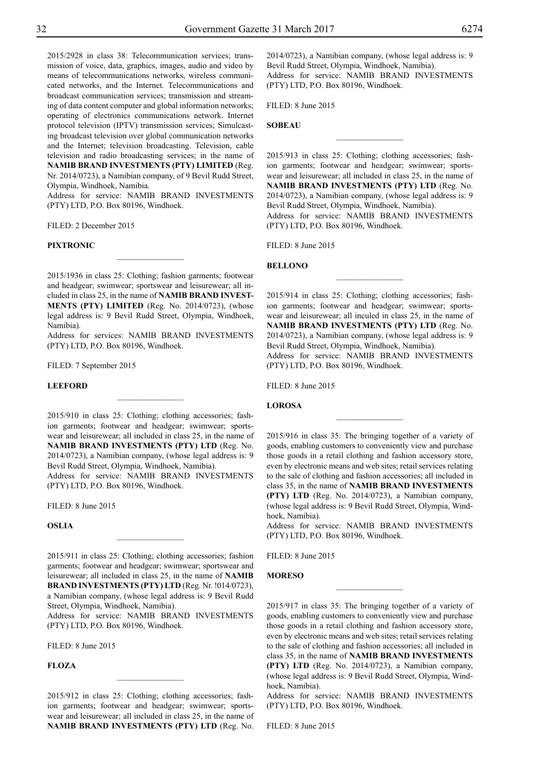2015/2928 in class 38: Telecommunication services; transmission of voice, data, graphics, images, audio and video by means of telecommunications networks, wireless communicated networks, and the Internet. Telecommunications and broadcast communication services; transmission and streaming of data content computer and global information networks; operating of electronics communications network. Internet protocol television (IPTV) transmission services; Simulcasting broadcast television over global communication networks and the Internet; television broadcasting. Television, cable television and radio broadcasting services; in the name of **NAMIB BRAND INVESTMENTS (PTY) LIMITED** (Reg. Nr. 2014/0723), a Namibian company, of 9 Bevil Rudd Street, Olympia, Windhoek, Namibia.

Address for service: NAMIB BRAND INVESTMENTS (PTY) LTD, P.O. Box 80196, Windhoek.

FILED: 2 December 2015

#### **Pixtronic**

2015/1936 in class 25: Clothing; fashion garments; footwear and headgear; swimwear; sportswear and leisurewear; all included in class 25, in the name of **NAMIB BRAND INVEST-MENTS (PTY) LIMITED** (Reg. No. 2014/0723), (whose legal address is: 9 Bevil Rudd Street, Olympia, Windhoek, Namibia).

 $\frac{1}{2}$ 

Address for services: NAMIB BRAND INVESTMENTS (PTY) LTD, P.O. Box 80196, Windhoek.

FILED: 7 September 2015

**LEEFORD** 

2015/910 in class 25: Clothing; clothing accessories; fashion garments; footwear and headgear; swimwear; sportswear and leisurewear; all included in class 25, in the name of **NAMIB BRAND INVESTMENTS (PTY) LTD** (Reg. No. 2014/0723), a Namibian company, (whose legal address is: 9 Bevil Rudd Street, Olympia, Windhoek, Namibia).

 $\frac{1}{2}$ 

Address for service: NAMIB BRAND INVESTMENTS (PTY) LTD, P.O. Box 80196, Windhoek.

Filed: 8 June 2015

**Oslia**

2015/911 in class 25: Clothing; clothing accessories; fashion garments; footwear and headgear; swimwear; sportswear and leisurewear; all included in class 25, in the name of **NAMIB BRAND INVESTMENTS (PTY) LTD** (Reg. Nr. !014/0723), a Namibian company, (whose legal address is: 9 Bevil Rudd

 $\frac{1}{2}$ 

Street, Olympia, Windhoek, Namibia). Address for service: NAMIB BRAND INVESTMENTS (PTY) LTD, P.O. Box 80196, Windhoek.

Filed: 8 June 2015

**Floza**

2015/912 in class 25: Clothing; clothing accessories; fashion garments; footwear and headgear; swimwear; sportswear and leisurewear; all included in class 25, in the name of **NAMIB BRAND INVESTMENTS (PTY) LTD** (Reg. No.

 $\frac{1}{2}$ 

2014/0723), a Namibian company, (whose legal address is: 9 Bevil Rudd Street, Olympia, Windhoek, Namibia). Address for service: NAMIB BRAND INVESTMENTS (PTY) LTD, P.O. Box 80196, Windhoek.

FILED: 8 June 2015

**Sobeau**

2015/913 in class 25: Clothing; clothing accessories; fashion garments; footwear and headgear; swimwear; sportswear and leisurewear; all included in class 25, in the name of **NAMIB BRAND INVESTMENTS (PTY) LTD** (Reg. No. 2014/0723), a Namibian company, (whose legal address is: 9 Bevil Rudd Street, Olympia, Windhoek, Namibia). Address for service: NAMIB BRAND INVESTMENTS (PTY) LTD, P.O. Box 80196, Windhoek.

 $\overline{\phantom{a}}$  , where  $\overline{\phantom{a}}$ 

Filed: 8 June 2015

#### **Bellono**

2015/914 in class 25: Clothing; clothing accessories; fashion garments; footwear and headgear; swimwear; sportswear and leisurewear; all inculed in class 25, in the name of **NAMIB BRAND INVESTMENTS (PTY) LTD** (Reg. No. 2014/0723), a Namibian company, (whose legal address is: 9 Bevil Rudd Street, Olympia, Windhoek, Namibia). Address for service: NAMIB BRAND INVESTMENTS (PTY) LTD, P.O. Box 80196, Windhoek.

 $\frac{1}{2}$ 

Filed: 8 June 2015

## **Lorosa**

2015/916 in class 35: The bringing together of a variety of goods, enabling customers to conveniently view and purchase those goods in a retail clothing and fashion accessory store, even by electronic means and web sites; retail services relating to the sale of clothing and fashion accessories; all included in class 35, in the name of **NAMIB BRAND INVESTMENTS (PTY) LTD** (Reg. No. 2014/0723), a Namibian company, (whose legal address is: 9 Bevil Rudd Street, Olympia, Windhoek, Namibia).

Address for service: NAMIB BRAND INVESTMENTS (PTY) LTD, P.O. Box 80196, Windhoek.

 $\frac{1}{2}$ 

FILED: 8 June 2015

## **Moreso**

2015/917 in class 35: The bringing together of a variety of goods, enabling customers to conveniently view and purchase those goods in a retail clothing and fashion accessory store, even by electronic means and web sites; retail services relating to the sale of clothing and fashion accessories; all included in class 35, in the name of **NAMIB BRAND INVESTMENTS (PTY) LTD** (Reg. No. 2014/0723), a Namibian company, (whose legal address is: 9 Bevil Rudd Street, Olympia, Windhoek, Namibia).

Address for service: NAMIB BRAND INVESTMENTS (PTY) LTD, P.O. Box 80196, Windhoek.

FILED: 8 June 2015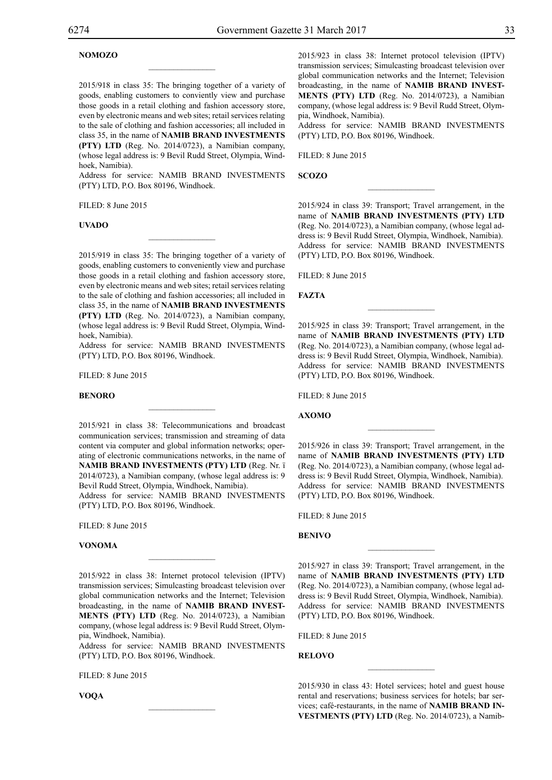## **Nomozo**

2015/918 in class 35: The bringing together of a variety of goods, enabling customers to conviently view and purchase those goods in a retail clothing and fashion accessory store, even by electronic means and web sites; retail services relating to the sale of clothing and fashion accessories; all included in class 35, in the name of **NAMIB BRAND INVESTMENTS (PTY) LTD** (Reg. No. 2014/0723), a Namibian company, (whose legal address is: 9 Bevil Rudd Street, Olympia, Windhoek, Namibia).

 $\overline{\phantom{a}}$  , where  $\overline{\phantom{a}}$ 

Address for service: NAMIB BRAND INVESTMENTS (PTY) LTD, P.O. Box 80196, Windhoek.

 $\mathcal{L}=\mathcal{L}^{\text{max}}$ 

Filed: 8 June 2015

#### **Uvado**

2015/919 in class 35: The bringing together of a variety of goods, enabling customers to conveniently view and purchase those goods in a retail clothing and fashion accessory store, even by electronic means and web sites; retail services relating to the sale of clothing and fashion accessories; all included in class 35, in the name of **NAMIB BRAND INVESTMENTS (PTY) LTD** (Reg. No. 2014/0723), a Namibian company, (whose legal address is: 9 Bevil Rudd Street, Olympia, Windhoek, Namibia).

Address for service: NAMIB BRAND INVESTMENTS (PTY) LTD, P.O. Box 80196, Windhoek.

Filed: 8 June 2015

#### **Benoro**

2015/921 in class 38: Telecommunications and broadcast communication services; transmission and streaming of data content via computer and global information networks; operating of electronic communications networks, in the name of **NAMIB BRAND INVESTMENTS (PTY) LTD** (Reg. Nr. ï 2014/0723), a Namibian company, (whose legal address is: 9 Bevil Rudd Street, Olympia, Windhoek, Namibia).

 $\mathcal{L}=\mathcal{L}^{\text{max}}$ 

Address for service: NAMIB BRAND INVESTMENTS (PTY) LTD, P.O. Box 80196, Windhoek.

Filed: 8 June 2015

#### **Vonoma**

2015/922 in class 38: Internet protocol television (IPTV) transmission services; Simulcasting broadcast television over global communication networks and the Internet; Television broadcasting, in the name of **NAMIB BRAND INVEST-MENTS (PTY) LTD** (Reg. No. 2014/0723), a Namibian company, (whose legal address is: 9 Bevil Rudd Street, Olympia, Windhoek, Namibia).

 $\mathcal{L}=\mathcal{L}^{\text{max}}$ 

Address for service: NAMIB BRAND INVESTMENTS (PTY) LTD, P.O. Box 80196, Windhoek.

 $\mathcal{L}=\mathcal{L}^{\text{max}}$ 

FILED: 8 June 2015

**Voqa**

2015/923 in class 38: Internet protocol television (IPTV) transmission services; Simulcasting broadcast television over global communication networks and the Internet; Television broadcasting, in the name of **NAMIB BRAND INVEST-MENTS (PTY) LTD** (Reg. No. 2014/0723), a Namibian company, (whose legal address is: 9 Bevil Rudd Street, Olympia, Windhoek, Namibia).

Address for service: NAMIB BRAND INVESTMENTS (PTY) LTD, P.O. Box 80196, Windhoek.

Filed: 8 June 2015

**Scozo**

2015/924 in class 39: Transport; Travel arrangement, in the name of **NAMIB BRAND INVESTMENTS (PTY) LTD** (Reg. No. 2014/0723), a Namibian company, (whose legal address is: 9 Bevil Rudd Street, Olympia, Windhoek, Namibia). Address for service: NAMIB BRAND INVESTMENTS (PTY) LTD, P.O. Box 80196, Windhoek.

 $\overline{\phantom{a}}$  , we can also the set of  $\overline{\phantom{a}}$ 

Filed: 8 June 2015

#### **Fazta**

2015/925 in class 39: Transport; Travel arrangement, in the name of **NAMIB BRAND INVESTMENTS (PTY) LTD** (Reg. No. 2014/0723), a Namibian company, (whose legal address is: 9 Bevil Rudd Street, Olympia, Windhoek, Namibia). Address for service: NAMIB BRAND INVESTMENTS (PTY) LTD, P.O. Box 80196, Windhoek.

 $\frac{1}{2}$ 

Filed: 8 June 2015

#### **Axomo**

2015/926 in class 39: Transport; Travel arrangement, in the name of **NAMIB BRAND INVESTMENTS (PTY) LTD** (Reg. No. 2014/0723), a Namibian company, (whose legal address is: 9 Bevil Rudd Street, Olympia, Windhoek, Namibia). Address for service: NAMIB BRAND INVESTMENTS (PTY) LTD, P.O. Box 80196, Windhoek.

 $\frac{1}{2}$ 

 $FILED: 8 June 2015$ 

#### **Benivo**

2015/927 in class 39: Transport; Travel arrangement, in the name of **NAMIB BRAND INVESTMENTS (PTY) LTD** (Reg. No. 2014/0723), a Namibian company, (whose legal address is: 9 Bevil Rudd Street, Olympia, Windhoek, Namibia). Address for service: NAMIB BRAND INVESTMENTS (PTY) LTD, P.O. Box 80196, Windhoek.

 $\frac{1}{2}$ 

Filed: 8 June 2015

**Relovo**

2015/930 in class 43: Hotel services; hotel and guest house rental and reservations; business services for hotels; bar services; café-restaurants, in the name of **NAMIB BRAND IN-VESTMENTS (PTY) LTD** (Reg. No. 2014/0723), a Namib-

 $\overline{\phantom{a}}$  , we can also the set of  $\overline{\phantom{a}}$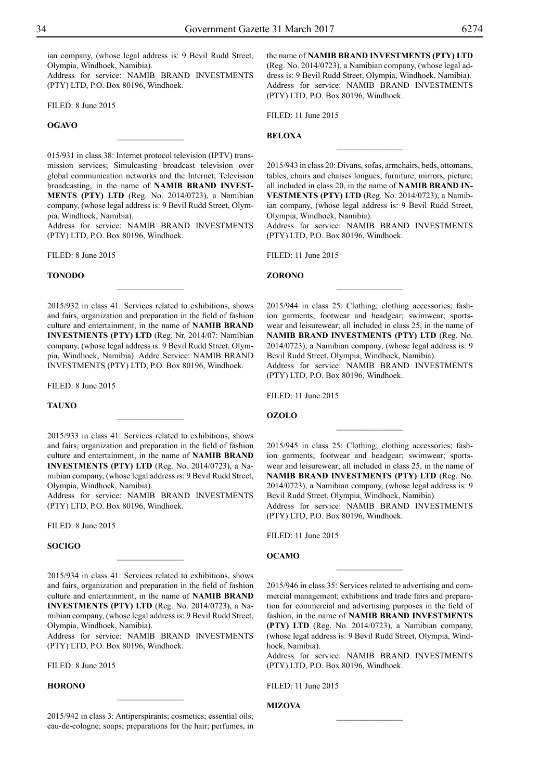ian company, (whose legal address is: 9 Bevil Rudd Street, Olympia, Windhoek, Namibia).

Address for service: NAMIB BRAND INVESTMENTS (PTY) LTD, P.O. Box 80196, Windhoek.

Filed: 8 June 2015

## **Ogavo**

015/931 in class 38: Internet protocol television (IPTV) transmission services; Simulcasting broadcast television over global communication networks and the Internet; Television broadcasting, in the name of **NAMIB BRAND INVEST-MENTS (PTY) LTD** (Reg. No. 2014/0723), a Namibian company, (whose legal address is: 9 Bevil Rudd Street, Olympia, Windhoek, Namibia).

 $\overline{\phantom{a}}$  , where  $\overline{\phantom{a}}$ 

Address for service: NAMIB BRAND INVESTMENTS (PTY) LTD, P.O. Box 80196, Windhoek.

Filed: 8 June 2015

#### **Tonodo**

2015/932 in class 41: Services related to exhibitions, shows and fairs, organization and preparation in the field of fashion culture and entertainment, in the name of **NAMIB BRAND INVESTMENTS (PTY) LTD** (Reg. Nr. 2014/07: Namibian company, (whose legal address is: 9 Bevil Rudd Street, Olympia, Windhoek, Namibia). Addre Service: NAMIB BRAND INVESTMENTS (PTY) LTD, P.O. Box 80196, Windhoek.

 $\frac{1}{2}$ 

Filed: 8 June 2015

#### **Tauxo**

2015/933 in class 41: Services related to exhibitions, shows and fairs, organization and preparation in the field of fashion culture and entertainment, in the name of **NAMIB BRAND INVESTMENTS (PTY) LTD** (Reg. No. 2014/0723), a Namibian company, (whose legal address is: 9 Bevil Rudd Street, Olympia, Windhoek, Namibia).

Address for service: NAMIB BRAND INVESTMENTS (PTY) LTD, P.O. Box 80196, Windhoek.

Filed: 8 June 2015

## **Socigo**

2015/934 in class 41: Services related to exhibitions, shows and fairs, organization and preparation in the field of fashion culture and entertainment, in the name of **NAMIB BRAND INVESTMENTS (PTY) LTD** (Reg. No. 2014/0723), a Namibian company, (whose legal address is: 9 Bevil Rudd Street, Olympia, Windhoek, Namibia).

 $\frac{1}{2}$ 

Address for service: NAMIB BRAND INVESTMENTS (PTY) LTD, P.O. Box 80196, Windhoek.

Filed: 8 June 2015

## **Horono**

2015/942 in class 3: Antiperspirants; cosmetics; essential oils; eau-de-cologne; soaps; preparations for the hair; perfumes, in

 $\frac{1}{2}$ 

the name of **NAMIB BRAND INVESTMENTS (PTY) LTD** (Reg. No. 2014/0723), a Namibian company, (whose legal address is: 9 Bevil Rudd Street, Olympia, Windhoek, Namibia). Address for service: NAMIB BRAND INVESTMENTS (PTY) LTD, P.O. Box 80196, Windhoek.

Filed: 11 June 2015

#### **Beloxa**

2015/943 in class 20: Divans, sofas, armchairs, beds, ottomans, tables, chairs and chaises longues; furniture, mirrors, picture; all included in class 20, in the name of **NAMIB BRAND IN-VESTMENTS (PTY) LTD** (Reg. No. 2014/0723), a Namibian company, (whose legal address is: 9 Bevil Rudd Street, Olympia, Windhoek, Namibia).

 $\overline{\phantom{a}}$  , where  $\overline{\phantom{a}}$ 

Address for service: NAMIB BRAND INVESTMENTS (PTY) LTD, P.O. Box 80196, Windhoek.

Filed: 11 June 2015

## **Zorono**

2015/944 in class 25: Clothing; clothing accessories; fashion garments; footwear and headgear; swimwear; sportswear and leisurewear; all included in class 25, in the name of **NAMIB BRAND INVESTMENTS (PTY) LTD** (Reg. No. 2014/0723), a Namibian company, (whose legal address is: 9 Bevil Rudd Street, Olympia, Windhoek, Namibia).

 $\frac{1}{2}$ 

Address for service: NAMIB BRAND INVESTMENTS (PTY) LTD, P.O. Box 80196, Windhoek.

Filed: 11 June 2015

#### **Ozolo**

2015/945 in class 25: Clothing; clothing accessories; fashion garments; footwear and headgear; swimwear; sportswear and leisurewear; all included in class 25, in the name of **NAMIB BRAND INVESTMENTS (PTY) LTD** (Reg. No. 2014/0723), a Namibian company, (whose legal address is: 9 Bevil Rudd Street, Olympia, Windhoek, Namibia).

 $\frac{1}{2}$ 

Address for service: NAMIB BRAND INVESTMENTS (PTY) LTD, P.O. Box 80196, Windhoek.

Filed: 11 June 2015

## **Ocamo**

2015/946 in class 35: Services related to advertising and commercial management; exhibitions and trade fairs and preparation for commercial and advertising purposes in the field of fashion, in the name of **NAMIB BRAND INVESTMENTS (PTY) LTD** (Reg. No. 2014/0723), a Namibian company, (whose legal address is: 9 Bevil Rudd Street, Olympia, Windhoek, Namibia).

 $\overline{\phantom{a}}$  , where  $\overline{\phantom{a}}$ 

Address for service: NAMIB BRAND INVESTMENTS (PTY) LTD, P.O. Box 80196, Windhoek.

 $\frac{1}{2}$ 

Filed: 11 June 2015

## **Mizova**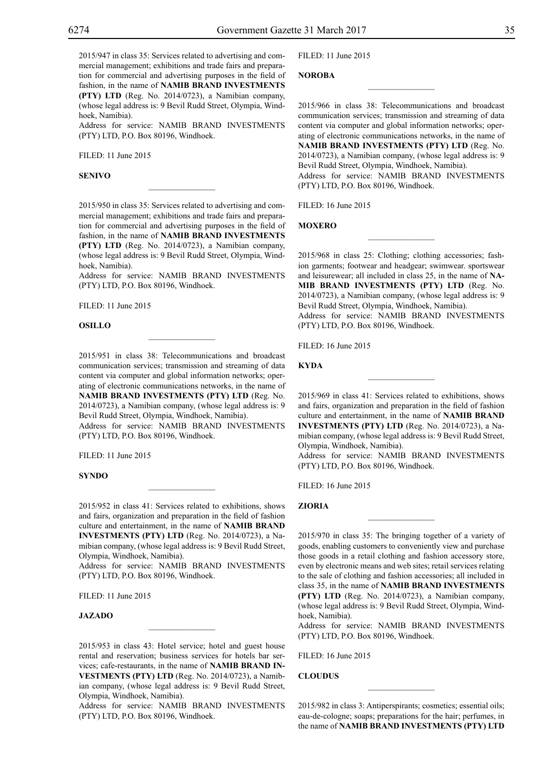2015/947 in class 35: Services related to advertising and commercial management; exhibitions and trade fairs and preparation for commercial and advertising purposes in the field of fashion, in the name of **NAMIB BRAND INVESTMENTS (PTY) LTD** (Reg. No. 2014/0723), a Namibian company, (whose legal address is: 9 Bevil Rudd Street, Olympia, Windhoek, Namibia).

Address for service: NAMIB BRAND INVESTMENTS  $(PTY)$  LTD, P.O. Box 80196, Windhoek.

Filed: 11 June 2015

#### **Senivo**

2015/950 in class 35: Services related to advertising and commercial management; exhibitions and trade fairs and preparation for commercial and advertising purposes in the field of fashion, in the name of **NAMIB BRAND INVESTMENTS (PTY) LTD** (Reg. No. 2014/0723), a Namibian company, (whose legal address is: 9 Bevil Rudd Street, Olympia, Windhoek, Namibia).

 $\overline{\phantom{a}}$  , where  $\overline{\phantom{a}}$ 

Address for service: NAMIB BRAND INVESTMENTS (PTY) LTD, P.O. Box 80196, Windhoek.

Filed: 11 June 2015

#### **Osillo**

2015/951 in class 38: Telecommunications and broadcast communication services; transmission and streaming of data content via computer and global information networks; operating of electronic communications networks, in the name of **NAMIB BRAND INVESTMENTS (PTY) LTD** (Reg. No. 2014/0723), a Namibian company, (whose legal address is: 9

 $\mathcal{L}=\mathcal{L}^{\text{max}}$ 

Bevil Rudd Street, Olympia, Windhoek, Namibia). Address for service: NAMIB BRAND INVESTMENTS (PTY) LTD, P.O. Box 80196, Windhoek.

Filed: 11 June 2015

## **Syndo**

2015/952 in class 41: Services related to exhibitions, shows and fairs, organization and preparation in the field of fashion culture and entertainment, in the name of **NAMIB BRAND INVESTMENTS (PTY) LTD** (Reg. No. 2014/0723), a Namibian company, (whose legal address is: 9 Bevil Rudd Street, Olympia, Windhoek, Namibia).

 $\mathcal{L}=\mathcal{L}^{\text{max}}$ 

Address for service: NAMIB BRAND INVESTMENTS (PTY) LTD, P.O. Box 80196, Windhoek.

Filed: 11 June 2015

## **JAZADO**

2015/953 in class 43: Hotel service; hotel and guest house rental and reservation; business services for hotels bar services; cafe-restaurants, in the name of **NAMIB BRAND IN-VESTMENTS (PTY) LTD** (Reg. No. 2014/0723), a Namibian company, (whose legal address is: 9 Bevil Rudd Street, Olympia, Windhoek, Namibia).

 $\mathcal{L}=\mathcal{L}^{\text{max}}$ 

Address for service: NAMIB BRAND INVESTMENTS (PTY) LTD, P.O. Box 80196, Windhoek.

Filed: 11 June 2015

**Noroba**

2015/966 in class 38: Telecommunications and broadcast communication services; transmission and streaming of data content via computer and global information networks; operating of electronic communications networks, in the name of **NAMIB BRAND INVESTMENTS (PTY) LTD** (Reg. No. 2014/0723), a Namibian company, (whose legal address is: 9 Bevil Rudd Street, Olympia, Windhoek, Namibia). Address for service: NAMIB BRAND INVESTMENTS (PTY) LTD, P.O. Box 80196, Windhoek.

 $\overline{\phantom{a}}$  , we can also the set of  $\overline{\phantom{a}}$ 

Filed: 16 June 2015

**Moxero**

2015/968 in class 25: Clothing; clothing accessories; fashion garments; footwear and headgear; swimwear. sportswear and leisurewear; all included in class 25, in the name of **NA-MIB BRAND INVESTMENTS (PTY) LTD** (Reg. No. 2014/0723), a Namibian company, (whose legal address is: 9 Bevil Rudd Street, Olympia, Windhoek, Namibia). Address for service: NAMIB BRAND INVESTMENTS (PTY) LTD, P.O. Box 80196, Windhoek.

 $\frac{1}{2}$ 

Filed: 16 June 2015

**Kyda**

2015/969 in class 41: Services related to exhibitions, shows and fairs, organization and preparation in the field of fashion culture and entertainment, in the name of **NAMIB BRAND INVESTMENTS (PTY) LTD** (Reg. No. 2014/0723), a Namibian company, (whose legal address is: 9 Bevil Rudd Street, Olympia, Windhoek, Namibia).

 $\frac{1}{2}$ 

Address for service: NAMIB BRAND INVESTMENTS (PTY) LTD, P.O. Box 80196, Windhoek.

Filed: 16 June 2015

**Zioria**

2015/970 in class 35: The bringing together of a variety of goods, enabling customers to conveniently view and purchase those goods in a retail clothing and fashion accessory store, even by electronic means and web sites; retail services relating to the sale of clothing and fashion accessories; all included in class 35, in the name of **NAMIB BRAND INVESTMENTS (PTY) LTD** (Reg. No. 2014/0723), a Namibian company, (whose legal address is: 9 Bevil Rudd Street, Olympia, Windhoek, Namibia).

Address for service: NAMIB BRAND INVESTMENTS (PTY) LTD, P.O. Box 80196, Windhoek.

Filed: 16 June 2015

**CloudUs**

2015/982 in class 3: Antiperspirants; cosmetics; essential oils; eau-de-cologne; soaps; preparations for the hair; perfumes, in the name of **NAMIB BRAND INVESTMENTS (PTY) LTD**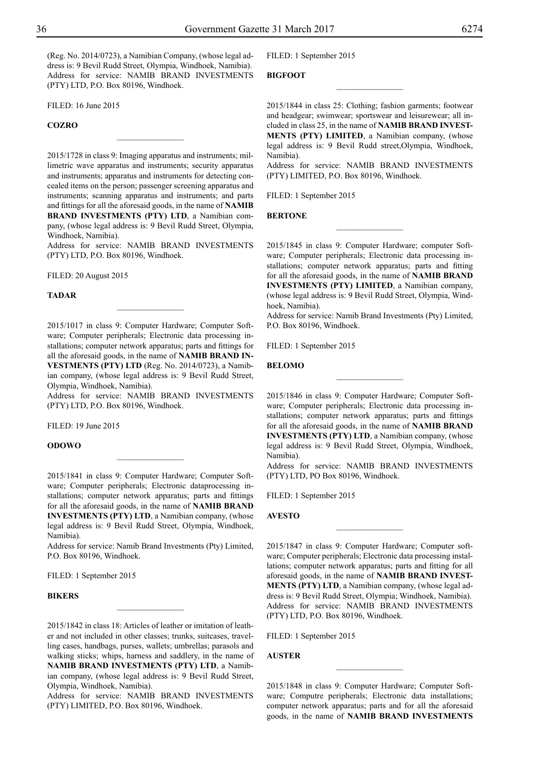(Reg. No. 2014/0723), a Namibian Company, (whose legal address is: 9 Bevil Rudd Street, Olympia, Windhoek, Namibia). Address for service: NAMIB BRAND INVESTMENTS (PTY) LTD, P.O. Box 80196, Windhoek.

FILED: 16 June 2015

## **Cozro**

2015/1728 in class 9: Imaging apparatus and instruments; millimetric wave apparatus and instruments; security apparatus and instruments; apparatus and instruments for detecting concealed items on the person; passenger screening apparatus and instruments; scanning apparatus and instruments; and parts and fittings for all the aforesaid goods, in the name of **NAMIB BRAND INVESTMENTS (PTY) LTD**, a Namibian company, (whose legal address is: 9 Bevil Rudd Street, Olympia, Windhoek, Namibia).

 $\overline{\phantom{a}}$  , where  $\overline{\phantom{a}}$ 

Address for service: NAMIB BRAND INVESTMENTS (PTY) LTD, P.O. Box 80196, Windhoek.

Filed: 20 August 2015

#### **Tadar**

2015/1017 in class 9: Computer Hardware; Computer Software; Computer peripherals; Electronic data processing installations; computer network apparatus; parts and fittings for all the aforesaid goods, in the name of **NAMIB BRAND IN-VESTMENTS (PTY) LTD** (Reg. No. 2014/0723), a Namibian company, (whose legal address is: 9 Bevil Rudd Street, Olympia, Windhoek, Namibia).

 $\frac{1}{2}$ 

Address for service: NAMIB BRAND INVESTMENTS  $(PTY)$  LTD, P.O. Box 80196, Windhoek.

Filed: 19 June 2015

## **Odowo**

2015/1841 in class 9: Computer Hardware; Computer Software; Computer peripherals; Electronic dataprocessing installations; computer network apparatus; parts and fittings for all the aforesaid goods, in the name of **NAMIB BRAND INVESTMENTS (PTY) LTD**, a Namibian company, (whose legal address is: 9 Bevil Rudd Street, Olympia, Windhoek, Namibia).

 $\overline{\phantom{a}}$  , where  $\overline{\phantom{a}}$ 

Address for service: Namib Brand Investments (Pty) Limited, P.O. Box 80196, Windhoek.

FILED: 1 September 2015

## **Bikers**

2015/1842 in class 18: Articles of leather or imitation of leather and not included in other classes; trunks, suitcases, travelling cases, handbags, purses, wallets; umbrellas; parasols and walking sticks; whips, harness and saddlery, in the name of **NAMIB BRAND INVESTMENTS (PTY) LTD**, a Namibian company, (whose legal address is: 9 Bevil Rudd Street, Olympia, Windhoek, Namibia).

 $\frac{1}{2}$ 

Address for service: NAMIB BRAND INVESTMENTS (PTY) LIMITED, P.O. Box 80196, Windhoek.

FILED: 1 September 2015

## **Bigfoot**

2015/1844 in class 25: Clothing; fashion garments; footwear and headgear; swimwear; sportswear and leisurewear; all included in class 25, in the name of **NAMIB BRAND INVEST-MENTS (PTY) LIMITED**, a Namibian company, (whose legal address is: 9 Bevil Rudd street,Olympia, Windhoek, Namibia).

 $\overline{\phantom{a}}$  , where  $\overline{\phantom{a}}$ 

Address for service: NAMIB BRAND INVESTMENTS (Pty) Limited, P.O. Box 80196, Windhoek.

FILED: 1 September 2015

#### **Bertone**

2015/1845 in class 9: Computer Hardware; computer Software; Computer peripherals; Electronic data processing installations; computer network apparatus; parts and fitting for all the aforesaid goods, in the name of **NAMIB BRAND INVESTMENTS (PTY) LIMITED**, a Namibian company, (whose legal address is: 9 Bevil Rudd Street, Olympia, Windhoek, Namibia).

 $\frac{1}{2}$ 

Address for service: Namib Brand Investments (Pty) Limited, P.O. Box 80196, Windhoek.

FILED: 1 September 2015

#### **Belomo**

2015/1846 in class 9: Computer Hardware; Computer Software; Computer peripherals; Electronic data processing installations; computer network apparatus; parts and fittings for all the aforesaid goods, in the name of **NAMIB BRAND INVESTMENTS (PTY) LTD**, a Namibian company, (whose legal address is: 9 Bevil Rudd Street, Olympia, Windhoek, Namibia).

 $\frac{1}{2}$ 

Address for service: NAMIB BRAND INVESTMENTS (PTY) LTD, PO Box 80196, Windhoek.

FILED: 1 September 2015

**Avesto**

2015/1847 in class 9: Computer Hardware; Computer software; Computer peripherals; Electronic data processing installations; computer network apparatus; parts and fitting for all aforesaid goods, in the name of **NAMIB BRAND INVEST-MENTS (PTY) LTD**, a Namibian company, (whose legal address is: 9 Bevil Rudd Street, Olympia; Windhoek, Namibia). Address for service: NAMIB BRAND INVESTMENTS (PTY) LTD, P.O. Box 80196, Windhoek.

 $\frac{1}{2}$ 

FILED: 1 September 2015

## **Auster**

2015/1848 in class 9: Computer Hardware; Computer Software; Computre peripherals; Electronic data installations; computer network apparatus; parts and for all the aforesaid goods, in the name of **NAMIB BRAND INVESTMENTS** 

 $\overline{\phantom{a}}$  , where  $\overline{\phantom{a}}$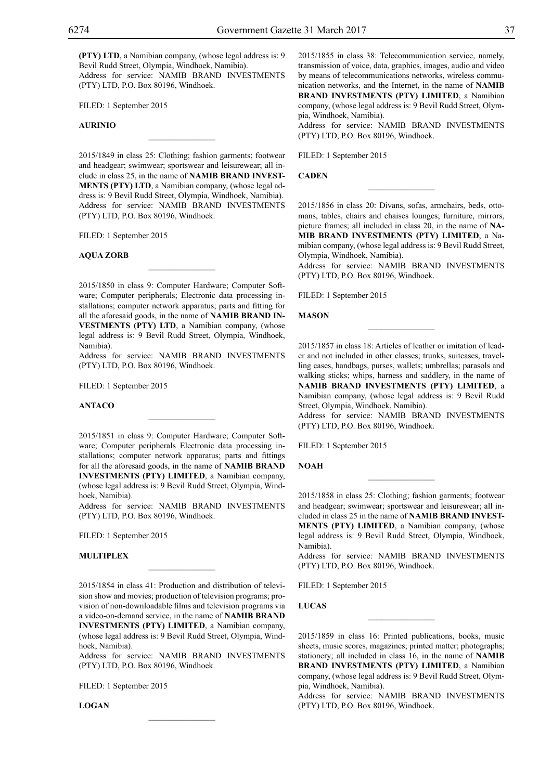**(PTY) LTD**, a Namibian company, (whose legal address is: 9 Bevil Rudd Street, Olympia, Windhoek, Namibia). Address for service: NAMIB BRAND INVESTMENTS (PTY) LTD, P.O. Box 80196, Windhoek.

FILED: 1 September 2015

## **Aurinio**

2015/1849 in class 25: Clothing; fashion garments; footwear and headgear; swimwear; sportswear and leisurewear; all include in class 25, in the name of **NAMIB BRAND INVEST-MENTS (PTY) LTD**, a Namibian company, (whose legal address is: 9 Bevil Rudd Street, Olympia, Windhoek, Namibia). Address for service: NAMIB BRAND INVESTMENTS (PTY) LTD, P.O. Box 80196, Windhoek.

 $\overline{\phantom{a}}$  , where  $\overline{\phantom{a}}$ 

FILED: 1 September 2015

#### **Aqua Zorb**

2015/1850 in class 9: Computer Hardware; Computer Software; Computer peripherals; Electronic data processing installations; computer network apparatus; parts and fitting for all the aforesaid goods, in the name of **NAMIB BRAND IN-VESTMENTS (PTY) LTD**, a Namibian company, (whose legal address is: 9 Bevil Rudd Street, Olympia, Windhoek, Namibia).

 $\mathcal{L}=\mathcal{L}^{\mathcal{L}}$ 

Address for service: NAMIB BRAND INVESTMENTS (PTY) LTD, P.O. Box 80196, Windhoek.

FILED: 1 September 2015

#### **Antaco**

2015/1851 in class 9: Computer Hardware; Computer Software; Computer peripherals Electronic data processing installations; computer network apparatus; parts and fittings for all the aforesaid goods, in the name of **NAMIB BRAND INVESTMENTS (PTY) LIMITED**, a Namibian company, (whose legal address is: 9 Bevil Rudd Street, Olympia, Windhoek, Namibia).

Address for service: NAMIB BRAND INVESTMENTS (PTY) LTD, P.O. Box 80196, Windhoek.

Filed: 1 September 2015

#### **Multiplex**

2015/1854 in class 41: Production and distribution of television show and movies; production of television programs; provision of non-downloadable films and television programs via a video-on-demand service, in the name of **NAMIB BRAND INVESTMENTS (PTY) LIMITED**, a Namibian company, (whose legal address is: 9 Bevil Rudd Street, Olympia, Windhoek, Namibia).

 $\overline{\phantom{a}}$  , where  $\overline{\phantom{a}}$ 

Address for service: NAMIB BRAND INVESTMENTS (PTY) LTD, P.O. Box 80196, Windhoek.

 $\mathcal{L}=\mathcal{L}^{\mathcal{L}}$ 

FILED: 1 September 2015

**Logan**

2015/1855 in class 38: Telecommunication service, namely, transmission of voice, data, graphics, images, audio and video by means of telecommunications networks, wireless communication networks, and the Internet, in the name of **NAMIB BRAND INVESTMENTS (PTY) LIMITED**, a Namibian company, (whose legal address is: 9 Bevil Rudd Street, Olympia, Windhoek, Namibia).

Address for service: NAMIB BRAND INVESTMENTS (PTY) LTD, P.O. Box 80196, Windhoek.

Filed: 1 September 2015

**Caden**

2015/1856 in class 20: Divans, sofas, armchairs, beds, ottomans, tables, chairs and chaises lounges; furniture, mirrors, picture frames; all included in class 20, in the name of **NA-MIB BRAND INVESTMENTS (PTY) LIMITED**, a Namibian company, (whose legal address is: 9 Bevil Rudd Street, Olympia, Windhoek, Namibia).

 $\overline{\phantom{a}}$  , we can also the set of  $\overline{\phantom{a}}$ 

Address for service: NAMIB BRAND INVESTMENTS (PTY) LTD, P.O. Box 80196, Windhoek.

FILED: 1 September 2015

**Mason**

2015/1857 in class 18: Articles of leather or imitation of leader and not included in other classes; trunks, suitcases, travelling cases, handbags, purses, wallets; umbrellas; parasols and walking sticks; whips, harness and saddlery, in the name of **NAMIB BRAND INVESTMENTS (PTY) LIMITED**, a Namibian company, (whose legal address is: 9 Bevil Rudd Street, Olympia, Windhoek, Namibia).

 $\frac{1}{2}$ 

Address for service: NAMIB BRAND INVESTMENTS (PTY) LTD, P.O. Box 80196, Windhoek.

FILED: 1 September 2015

**Noah**

2015/1858 in class 25: Clothing; fashion garments; footwear and headgear; swimwear; sportswear and leisurewear; all included in class 25 in the name of **NAMIB BRAND INVEST-MENTS (PTY) LIMITED**, a Namibian company, (whose legal address is: 9 Bevil Rudd Street, Olympia, Windhoek, Namibia).

 $\frac{1}{2}$ 

Address for service: NAMIB BRAND INVESTMENTS (PTY) LTD, P.O. Box 80196, Windhoek.

Filed: 1 September 2015

**Lucas**

2015/1859 in class 16: Printed publications, books, music sheets, music scores, magazines; printed matter; photographs; stationery; all included in class 16, in the name of **NAMIB BRAND INVESTMENTS (PTY) LIMITED**, a Namibian company, (whose legal address is: 9 Bevil Rudd Street, Olympia, Windhoek, Namibia).

 $\overline{\phantom{a}}$  , we can also the set of  $\overline{\phantom{a}}$ 

Address for service: NAMIB BRAND INVESTMENTS (PTY) LTD, P.O. Box 80196, Windhoek.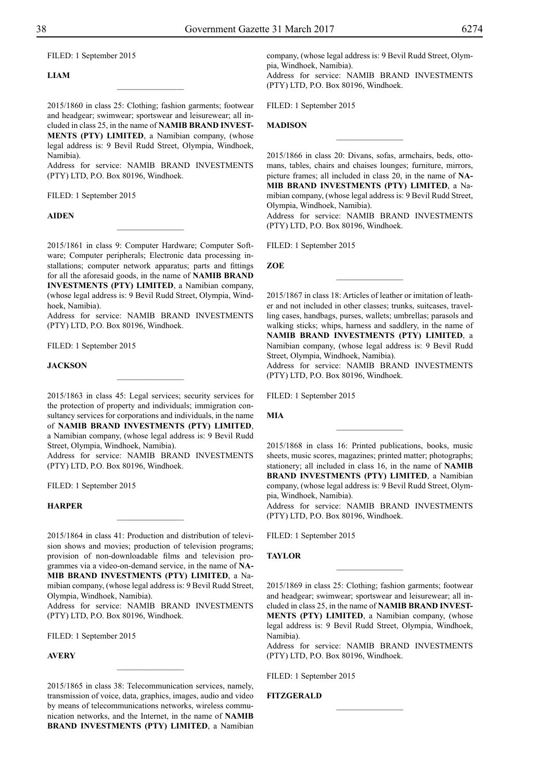FILED: 1 September 2015

## **Liam**

2015/1860 in class 25: Clothing; fashion garments; footwear and headgear; swimwear; sportswear and leisurewear; all included in class 25, in the name of **NAMIB BRAND INVEST-MENTS (PTY) LIMITED**, a Namibian company, (whose legal address is: 9 Bevil Rudd Street, Olympia, Windhoek, Namibia).

 $\overline{\phantom{a}}$  , where  $\overline{\phantom{a}}$ 

Address for service: NAMIB BRAND INVESTMENTS (PTY) LTD, P.O. Box 80196, Windhoek.

FILED: 1 September 2015

#### **Aiden**

2015/1861 in class 9: Computer Hardware; Computer Software; Computer peripherals; Electronic data processing installations; computer network apparatus; parts and fittings for all the aforesaid goods, in the name of **NAMIB BRAND INVESTMENTS (PTY) LIMITED**, a Namibian company, (whose legal address is: 9 Bevil Rudd Street, Olympia, Windhoek, Namibia).

 $\frac{1}{2}$ 

Address for service: NAMIB BRAND INVESTMENTS (PTY) LTD, P.O. Box 80196, Windhoek.

FILED: 1 September 2015

#### **Jackson**

2015/1863 in class 45: Legal services; security services for the protection of property and individuals; immigration consultancy services for corporations and individuals, in the name of **NAMIB BRAND INVESTMENTS (PTY) LIMITED**, a Namibian company, (whose legal address is: 9 Bevil Rudd Street, Olympia, Windhoek, Namibia).

 $\frac{1}{2}$ 

Address for service: NAMIB BRAND INVESTMENTS (PTY) LTD, P.O. Box 80196, Windhoek.

FILED: 1 September 2015

## **Harper**

2015/1864 in class 41: Production and distribution of television shows and movies; production of television programs; provision of non-downloadable films and television programmes via a video-on-demand service, in the name of **NA-MIB BRAND INVESTMENTS (PTY) LIMITED**, a Namibian company, (whose legal address is: 9 Bevil Rudd Street,

Olympia, Windhoek, Namibia). Address for service: NAMIB BRAND INVESTMENTS (PTY) LTD, P.O. Box 80196, Windhoek.

FILED: 1 September 2015

#### **Avery**

2015/1865 in class 38: Telecommunication services, namely, transmission of voice, data, graphics, images, audio and video by means of telecommunications networks, wireless communication networks, and the Internet, in the name of **NAMIB BRAND INVESTMENTS (PTY) LIMITED**, a Namibian

 $\overline{\phantom{a}}$  , where  $\overline{\phantom{a}}$ 

company, (whose legal address is: 9 Bevil Rudd Street, Olympia, Windhoek, Namibia).

Address for service: NAMIB BRAND INVESTMENTS (PTY) LTD, P.O. Box 80196, Windhoek.

FILED: 1 September 2015

## **Madison**

2015/1866 in class 20: Divans, sofas, armchairs, beds, ottomans, tables, chairs and chaises lounges; furniture, mirrors, picture frames; all included in class 20, in the name of **NA-MIB BRAND INVESTMENTS (PTY) LIMITED**, a Namibian company, (whose legal address is: 9 Bevil Rudd Street, Olympia, Windhoek, Namibia).

 $\overline{\phantom{a}}$  , where  $\overline{\phantom{a}}$ 

Address for service: NAMIB BRAND INVESTMENTS (PTY) LTD, P.O. Box 80196, Windhoek.

FILED: 1 September 2015

**Zoe**

2015/1867 in class 18: Articles of leather or imitation of leather and not included in other classes; trunks, suitcases, travelling cases, handbags, purses, wallets; umbrellas; parasols and walking sticks; whips, harness and saddlery, in the name of **NAMIB BRAND INVESTMENTS (PTY) LIMITED**, a Namibian company, (whose legal address is: 9 Bevil Rudd Street, Olympia, Windhoek, Namibia).

 $\frac{1}{2}$ 

Address for service: NAMIB BRAND INVESTMENTS (PTY) LTD, P.O. Box 80196, Windhoek.

FILED: 1 September 2015

**Mia**

2015/1868 in class 16: Printed publications, books, music sheets, music scores, magazines; printed matter; photographs; stationery; all included in class 16, in the name of **NAMIB BRAND INVESTMENTS (PTY) LIMITED**, a Namibian company, (whose legal address is: 9 Bevil Rudd Street, Olympia, Windhoek, Namibia).

 $\frac{1}{2}$ 

Address for service: NAMIB BRAND INVESTMENTS (PTY) LTD, P.O. Box 80196, Windhoek.

FILED: 1 September 2015

## **Taylor**

2015/1869 in class 25: Clothing; fashion garments; footwear and headgear; swimwear; sportswear and leisurewear; all included in class 25, in the name of **NAMIB BRAND INVEST-MENTS (PTY) LIMITED**, a Namibian company, (whose legal address is: 9 Bevil Rudd Street, Olympia, Windhoek, Namibia).

 $\overline{\phantom{a}}$  , where  $\overline{\phantom{a}}$ 

Address for service: NAMIB BRAND INVESTMENTS  $(PTY)$  LTD, P.O. Box 80196, Windhoek.

FILED: 1 September 2015

#### **FITZGERALD**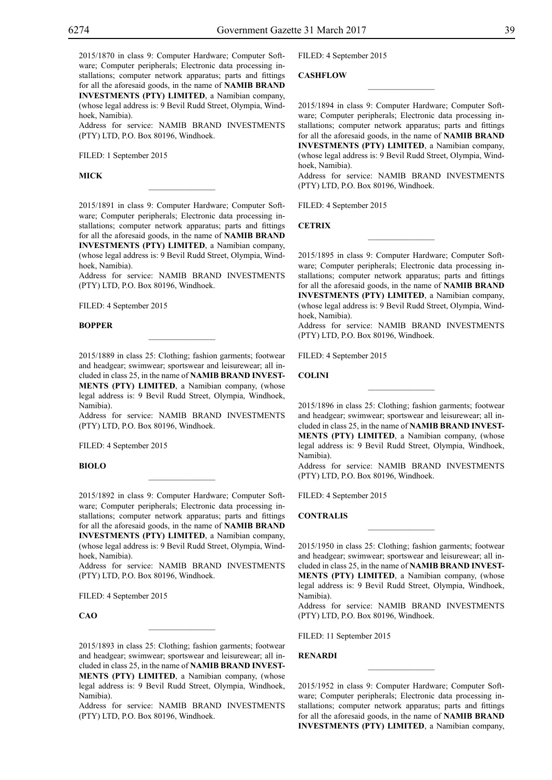2015/1870 in class 9: Computer Hardware; Computer Software; Computer peripherals; Electronic data processing installations; computer network apparatus; parts and fittings for all the aforesaid goods, in the name of **NAMIB BRAND INVESTMENTS (PTY) LIMITED**, a Namibian company, (whose legal address is: 9 Bevil Rudd Street, Olympia, Windhoek, Namibia).

Address for service: NAMIB BRAND INVESTMENTS (PTY) LTD, P.O. Box 80196, Windhoek.

FILED: 1 September 2015

**Mick**

2015/1891 in class 9: Computer Hardware; Computer Software; Computer peripherals; Electronic data processing installations; computer network apparatus; parts and fittings for all the aforesaid goods, in the name of **NAMIB BRAND INVESTMENTS (PTY) LIMITED**, a Namibian company, (whose legal address is: 9 Bevil Rudd Street, Olympia, Windhoek, Namibia).

 $\overline{\phantom{a}}$  , where  $\overline{\phantom{a}}$ 

Address for service: NAMIB BRAND INVESTMENTS (PTY) LTD, P.O. Box 80196, Windhoek.

FILED: 4 September 2015

#### **Bopper**

2015/1889 in class 25: Clothing; fashion garments; footwear and headgear; swimwear; sportswear and leisurewear; all included in class 25, in the name of **NAMIB BRAND INVEST-MENTS (PTY) LIMITED**, a Namibian company, (whose legal address is: 9 Bevil Rudd Street, Olympia, Windhoek, Namibia).

 $\mathcal{L}=\mathcal{L}^{\mathcal{L}}$ 

Address for service: NAMIB BRAND INVESTMENTS (PTY) LTD, P.O. Box 80196, Windhoek.

FILED: 4 September 2015

## **Biolo**

2015/1892 in class 9: Computer Hardware; Computer Software; Computer peripherals; Electronic data processing installations; computer network apparatus; parts and fittings for all the aforesaid goods, in the name of **NAMIB BRAND INVESTMENTS (PTY) LIMITED**, a Namibian company, (whose legal address is: 9 Bevil Rudd Street, Olympia, Windhoek, Namibia).

 $\mathcal{L}=\mathcal{L}^{\mathcal{L}}$ 

Address for service: NAMIB BRAND INVESTMENTS (PTY) LTD, P.O. Box 80196, Windhoek.

FILED: 4 September 2015

**CAO**

2015/1893 in class 25: Clothing; fashion garments; footwear and headgear; swimwear; sportswear and leisurewear; all included in class 25, in the name of **NAMIB BRAND INVEST-MENTS (PTY) LIMITED**, a Namibian company, (whose legal address is: 9 Bevil Rudd Street, Olympia, Windhoek, Namibia).

 $\mathcal{L}=\mathcal{L}^{\mathcal{L}}$ 

Address for service: NAMIB BRAND INVESTMENTS (PTY) LTD, P.O. Box 80196, Windhoek.

Filed: 4 September 2015

**Cashflow**

2015/1894 in class 9: Computer Hardware; Computer Software; Computer peripherals; Electronic data processing installations; computer network apparatus; parts and fittings for all the aforesaid goods, in the name of **NAMIB BRAND INVESTMENTS (PTY) LIMITED**, a Namibian company, (whose legal address is: 9 Bevil Rudd Street, Olympia, Windhoek, Namibia).

 $\overline{\phantom{a}}$  , we can also the set of  $\overline{\phantom{a}}$ 

Address for service: NAMIB BRAND INVESTMENTS (PTY) LTD, P.O. Box 80196, Windhoek.

FILED: 4 September 2015

**Cetrix**

2015/1895 in class 9: Computer Hardware; Computer Software; Computer peripherals; Electronic data processing installations; computer network apparatus; parts and fittings for all the aforesaid goods, in the name of **NAMIB BRAND INVESTMENTS (PTY) LIMITED**, a Namibian company, (whose legal address is: 9 Bevil Rudd Street, Olympia, Windhoek, Namibia).

 $\frac{1}{2}$ 

Address for service: NAMIB BRAND INVESTMENTS (PTY) LTD, P.O. Box 80196, Windhoek.

FILED: 4 September 2015

**Colini**

2015/1896 in class 25: Clothing; fashion garments; footwear and headgear; swimwear; sportswear and leisurewear; all included in class 25, in the name of **NAMIB BRAND INVEST-MENTS (PTY) LIMITED**, a Namibian company, (whose legal address is: 9 Bevil Rudd Street, Olympia, Windhoek, Namibia).

 $\frac{1}{2}$ 

Address for service: NAMIB BRAND INVESTMENTS (PTY) LTD, P.O. Box 80196, Windhoek.

FILED: 4 September 2015

**Contralis**

2015/1950 in class 25: Clothing; fashion garments; footwear and headgear; swimwear; sportswear and leisurewear; all included in class 25, in the name of **NAMIB BRAND INVEST-MENTS (PTY) LIMITED**, a Namibian company, (whose legal address is: 9 Bevil Rudd Street, Olympia, Windhoek, Namibia).

 $\frac{1}{2}$ 

Address for service: NAMIB BRAND INVESTMENTS (PTY) LTD, P.O. Box 80196, Windhoek.

Filed: 11 September 2015

#### **Renardi**

2015/1952 in class 9: Computer Hardware; Computer Software; Computer peripherals; Electronic data processing installations; computer network apparatus; parts and fittings for all the aforesaid goods, in the name of **NAMIB BRAND INVESTMENTS (PTY) LIMITED**, a Namibian company,

 $\overline{\phantom{a}}$  , we can also the set of  $\overline{\phantom{a}}$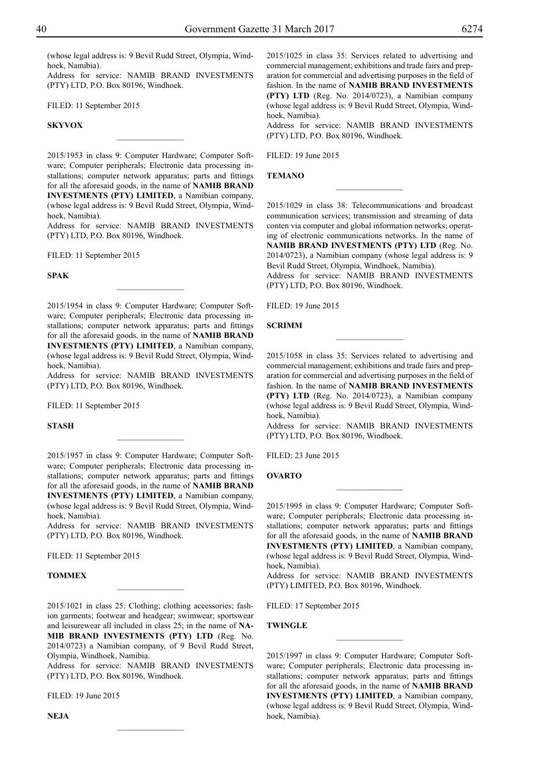(whose legal address is: 9 Bevil Rudd Street, Olympia, Windhoek, Namibia).

Address for service: NAMIB BRAND INVESTMENTS (PTY) LTD, P.O. Box 80196, Windhoek.

FILED: 11 September 2015

## **Skyvox**

2015/1953 in class 9: Computer Hardware; Computer Software; Computer peripherals; Electronic data processing installations; computer network apparatus; parts and fittings for all the aforesaid goods, in the name of **NAMIB BRAND INVESTMENTS (PTY) LIMITED**, a Namibian company, (whose legal address is: 9 Bevil Rudd Street, Olympia, Windhoek, Namibia).

 $\overline{\phantom{a}}$  , where  $\overline{\phantom{a}}$ 

Address for service: NAMIB BRAND INVESTMENTS (PTY) LTD, P.O. Box 80196, Windhoek.

FILED: 11 September 2015

**Spak**

2015/1954 in class 9: Computer Hardware; Computer Software; Computer peripherals; Electronic data processing installations; computer network apparatus; parts and fittings for all the aforesaid goods, in the name of **NAMIB BRAND INVESTMENTS (PTY) LIMITED**, a Namibian company, (whose legal address is: 9 Bevil Rudd Street, Olympia, Windhoek, Namibia).

 $\frac{1}{2}$ 

Address for service: NAMIB BRAND INVESTMENTS (PTY) LTD, P.O. Box 80196, Windhoek.

FILED: 11 September 2015

#### **Stash**

2015/1957 in class 9: Computer Hardware; Computer Software; Computer peripherals; Electronic data processing installations; computer network apparatus; parts and fittings for all the aforesaid goods, in the name of **NAMIB BRAND INVESTMENTS (PTY) LIMITED**, a Namibian company, (whose legal address is: 9 Bevil Rudd Street, Olympia, Windhoek, Namibia).

 $\frac{1}{2}$ 

Address for service: NAMIB BRAND INVESTMENTS  $(PTY)$  LTD, P.O. Box 80196, Windhoek.

Filed: 11 September 2015

#### **TOMMEX**

2015/1021 in class 25: Clothing; clothing accessories; fashion garments; footwear and headgear; swimwear; sportswear and leisurewear all included in class 25; in the name of **NA-MIB BRAND INVESTMENTS (PTY) LTD** (Reg. No. 2014/0723) a Namibian company, of 9 Bevil Rudd Street, Olympia, Windhoek, Namibia.

 $\frac{1}{2}$ 

Address for service: NAMIB BRAND INVESTMENTS  $(PTY)$  LTD, P.O. Box 80196, Windhoek.

 $\frac{1}{2}$ 

Filed: 19 June 2015

**Neja**

2015/1025 in class 35: Services related to advertising and commercial management; exhibitions and trade fairs and preparation for commercial and advertising purposes in the field of fashion. In the name of **NAMIB BRAND INVESTMENTS (PTY) LTD** (Reg. No. 2014/0723), a Namibian company (whose legal address is: 9 Bevil Rudd Street, Olympia, Windhoek, Namibia).

Address for service: NAMIB BRAND INVESTMENTS  $(PTY)$  LTD, P.O. Box 80196, Windhoek.

Filed: 19 June 2015

**Temano**

2015/1029 in class 38: Telecommunications and broadcast communication services; transmission and streaming of data conten via computer and global information networks; operating of electronic communications networks. In the name of **NAMIB BRAND INVESTMENTS (PTY) LTD** (Reg. No. 2014/0723), a Namibian company (whose legal address is: 9 Bevil Rudd Street, Olympia, Windhoek, Namibia).

 $\overline{\phantom{a}}$  , where  $\overline{\phantom{a}}$ 

Address for service: NAMIB BRAND INVESTMENTS (PTY) LTD, P.O. Box 80196, Windhoek.

Filed: 19 June 2015

#### **Scrimm**

2015/1058 in class 35: Services related to advertising and commercial management; exhibitions and trade fairs and preparation for commercial and advertising purposes in the field of fashion. In the name of **NAMIB BRAND INVESTMENTS (PTY) LTD** (Reg. No. 2014/0723), a Namibian company (whose legal address is: 9 Bevil Rudd Street, Olympia, Windhoek, Namibia).

 $\frac{1}{2}$ 

Address for service: NAMIB BRAND INVESTMENTS (PTY) LTD, P.O. Box 80196, Windhoek.

Filed: 23 June 2015

## **Ovarto**

2015/1995 in class 9: Computer Hardware; Computer Software; Computer peripherals; Electronic data processing installations; computer network apparatus; parts and fittings for all the aforesaid goods, in the name of **NAMIB BRAND INVESTMENTS (PTY) LIMITED**, a Namibian company, (whose legal address is: 9 Bevil Rudd Street, Olympia, Windhoek, Namibia).

 $\frac{1}{2}$ 

Address for service: NAMIB BRAND INVESTMENTS (Pty) Limited, P.O. Box 80196, Windhoek.

Filed: 17 September 2015

#### **Twingle**

2015/1997 in class 9: Computer Hardware; Computer Software; Computer peripherals; Electronic data processing installations; computer network apparatus; parts and fittings for all the aforesaid goods, in the name of **NAMIB BRAND INVESTMENTS (PTY) LIMITED**, a Namibian company, (whose legal address is: 9 Bevil Rudd Street, Olympia, Windhoek, Namibia).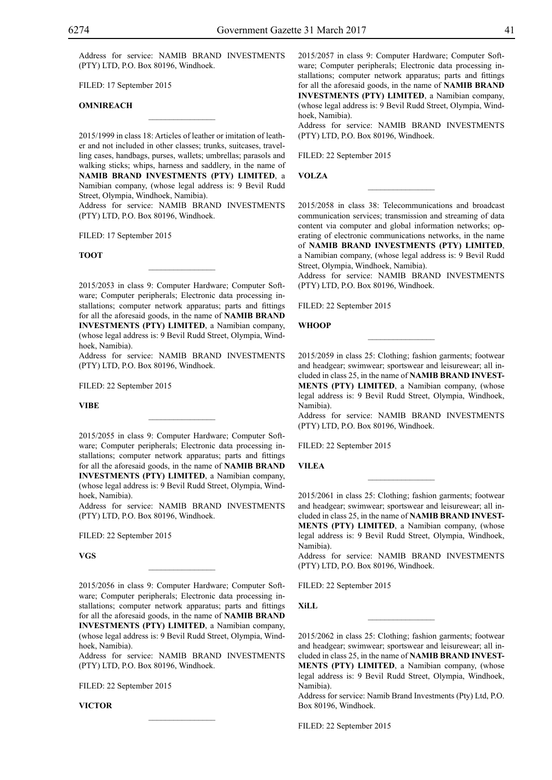Address for service: NAMIB BRAND INVESTMENTS (PTY) LTD, P.O. Box 80196, Windhoek.

Filed: 17 September 2015

#### **OMNIREACH**

2015/1999 in class 18: Articles of leather or imitation of leather and not included in other classes; trunks, suitcases, travelling cases, handbags, purses, wallets; umbrellas; parasols and walking sticks; whips, harness and saddlery, in the name of **NAMIB BRAND INVESTMENTS (PTY) LIMITED**, a Namibian company, (whose legal address is: 9 Bevil Rudd Street, Olympia, Windhoek, Namibia).

 $\mathcal{L}=\mathcal{L}^{\text{max}}$ 

Address for service: NAMIB BRAND INVESTMENTS (PTY) LTD, P.O. Box 80196, Windhoek.

Filed: 17 September 2015

#### **Toot**

2015/2053 in class 9: Computer Hardware; Computer Software; Computer peripherals; Electronic data processing installations; computer network apparatus; parts and fittings for all the aforesaid goods, in the name of **NAMIB BRAND INVESTMENTS (PTY) LIMITED**, a Namibian company, (whose legal address is: 9 Bevil Rudd Street, Olympia, Windhoek, Namibia).

 $\mathcal{L}=\mathcal{L}^{\text{max}}$ 

Address for service: NAMIB BRAND INVESTMENTS (PTY) LTD, P.O. Box 80196, Windhoek.

FILED: 22 September 2015

**Vibe**

2015/2055 in class 9: Computer Hardware; Computer Software; Computer peripherals; Electronic data processing installations; computer network apparatus; parts and fittings for all the aforesaid goods, in the name of **NAMIB BRAND INVESTMENTS (PTY) LIMITED**, a Namibian company, (whose legal address is: 9 Bevil Rudd Street, Olympia, Windhoek, Namibia).

Address for service: NAMIB BRAND INVESTMENTS (PTY) LTD, P.O. Box 80196, Windhoek.

Filed: 22 September 2015

#### **VGS**

2015/2056 in class 9: Computer Hardware; Computer Software; Computer peripherals; Electronic data processing installations; computer network apparatus; parts and fittings for all the aforesaid goods, in the name of **NAMIB BRAND INVESTMENTS (PTY) LIMITED**, a Namibian company, (whose legal address is: 9 Bevil Rudd Street, Olympia, Windhoek, Namibia).

 $\overline{\phantom{a}}$  , where  $\overline{\phantom{a}}$ 

Address for service: NAMIB BRAND INVESTMENTS (PTY) LTD, P.O. Box 80196, Windhoek.

 $\mathcal{L}=\mathcal{L}^{\text{max}}$ 

FILED: 22 September 2015

**Victor**

2015/2057 in class 9: Computer Hardware; Computer Software; Computer peripherals; Electronic data processing installations; computer network apparatus; parts and fittings for all the aforesaid goods, in the name of **NAMIB BRAND INVESTMENTS (PTY) LIMITED**, a Namibian company, (whose legal address is: 9 Bevil Rudd Street, Olympia, Windhoek, Namibia).

Address for service: NAMIB BRAND INVESTMENTS (PTY) LTD, P.O. Box 80196, Windhoek.

Filed: 22 September 2015

**Volza**

2015/2058 in class 38: Telecommunications and broadcast communication services; transmission and streaming of data content via computer and global information networks; operating of electronic communications networks, in the name of **NAMIB BRAND INVESTMENTS (PTY) LIMITED**, a Namibian company, (whose legal address is: 9 Bevil Rudd Street, Olympia, Windhoek, Namibia).

 $\overline{\phantom{a}}$  , we can also the set of  $\overline{\phantom{a}}$ 

Address for service: NAMIB BRAND INVESTMENTS (PTY) LTD, P.O. Box 80196, Windhoek.

FILED: 22 September 2015

#### **Whoop**

2015/2059 in class 25: Clothing; fashion garments; footwear and headgear; swimwear; sportswear and leisurewear; all included in class 25, in the name of **NAMIB BRAND INVEST-MENTS (PTY) LIMITED**, a Namibian company, (whose legal address is: 9 Bevil Rudd Street, Olympia, Windhoek, Namibia).

 $\frac{1}{2}$ 

Address for service: NAMIB BRAND INVESTMENTS (PTY) LTD, P.O. Box 80196, Windhoek.

FILED: 22 September 2015

**Vilea**

2015/2061 in class 25: Clothing; fashion garments; footwear and headgear; swimwear; sportswear and leisurewear; all included in class 25, in the name of **NAMIB BRAND INVEST-MENTS (PTY) LIMITED**, a Namibian company, (whose legal address is: 9 Bevil Rudd Street, Olympia, Windhoek, Namibia).

 $\frac{1}{2}$ 

Address for service: NAMIB BRAND INVESTMENTS (PTY) LTD, P.O. Box 80196, Windhoek.

Filed: 22 September 2015

**Xill**

2015/2062 in class 25: Clothing; fashion garments; footwear and headgear; swimwear; sportswear and leisurewear; all included in class 25, in the name of **NAMIB BRAND INVEST-MENTS (PTY) LIMITED**, a Namibian company, (whose legal address is: 9 Bevil Rudd Street, Olympia, Windhoek, Namibia).

 $\overline{\phantom{a}}$  , we can also the set of  $\overline{\phantom{a}}$ 

Address for service: Namib Brand Investments (Pty) Ltd, P.O. Box 80196, Windhoek.

FILED: 22 September 2015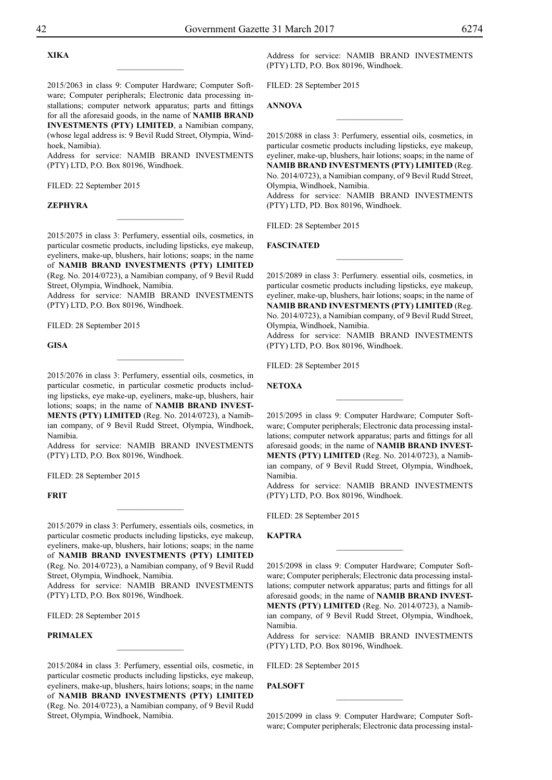## **Xika**

2015/2063 in class 9: Computer Hardware; Computer Software; Computer peripherals; Electronic data processing installations; computer network apparatus; parts and fittings for all the aforesaid goods, in the name of **NAMIB BRAND INVESTMENTS (PTY) LIMITED**, a Namibian company, (whose legal address is: 9 Bevil Rudd Street, Olympia, Windhoek, Namibia).

 $\overline{\phantom{a}}$  , where  $\overline{\phantom{a}}$ 

Address for service: NAMIB BRAND INVESTMENTS (PTY) LTD, P.O. Box 80196, Windhoek.

FILED: 22 September 2015

#### **Zephyra**

2015/2075 in class 3: Perfumery, essential oils, cosmetics, in particular cosmetic products, including lipsticks, eye makeup, eyeliners, make-up, blushers, hair lotions; soaps; in the name of **NAMIB BRAND INVESTMENTS (PTY) LIMITED** (Reg. No. 2014/0723), a Namibian company, of 9 Bevil Rudd Street, Olympia, Windhoek, Namibia.

 $\frac{1}{2}$ 

Address for service: NAMIB BRAND INVESTMENTS (PTY) LTD, P.O. Box 80196, Windhoek.

FILED: 28 September 2015

**GISA**

2015/2076 in class 3: Perfumery, essential oils, cosmetics, in particular cosmetic, in particular cosmetic products including lipsticks, eye make-up, eyeliners, make-up, blushers, hair lotions; soaps; in the name of **NAMIB BRAND INVEST-MENTS (PTY) LIMITED** (Reg. No. 2014/0723), a Namibian company, of 9 Bevil Rudd Street, Olympia, Windhoek, Namibia.

 $\frac{1}{2}$ 

Address for service: NAMIB BRAND INVESTMENTS (PTY) LTD, P.O. Box 80196, Windhoek.

FILED: 28 September 2015

#### **FRIT**

2015/2079 in class 3: Perfumery, essentials oils, cosmetics, in particular cosmetic products including lipsticks, eye makeup, eyeliners, make-up, blushers, hair lotions; soaps; in the name of **NAMIB BRAND INVESTMENTS (PTY) LIMITED** (Reg. No. 2014/0723), a Namibian company, of 9 Bevil Rudd Street, Olympia, Windhoek, Namibia.

 $\frac{1}{2}$ 

Address for service: NAMIB BRAND INVESTMENTS (PTY) LTD, P.O. Box 80196, Windhoek.

FILED: 28 September 2015

#### **PRIMALEX**

2015/2084 in class 3: Perfumery, essential oils, cosmetic, in particular cosmetic products including lipsticks, eye makeup, eyeliners, make-up, blushers, hairs lotions; soaps; in the name of **NAMIB BRAND INVESTMENTS (PTY) LIMITED** (Reg. No. 2014/0723), a Namibian company, of 9 Bevil Rudd Street, Olympia, Windhoek, Namibia.

 $\overline{\phantom{a}}$  , where  $\overline{\phantom{a}}$ 

Address for service: NAMIB BRAND INVESTMENTS (PTY) LTD, P.O. Box 80196, Windhoek.

Filed: 28 September 2015

## **ANNOVA**

2015/2088 in class 3: Perfumery, essential oils, cosmetics, in particular cosmetic products including lipsticks, eye makeup, eyeliner, make-up, blushers, hair lotions; soaps; in the name of **NAMIB BRAND INVESTMENTS (PTY) LIMITED** (Reg. No. 2014/0723), a Namibian company, of 9 Bevil Rudd Street, Olympia, Windhoek, Namibia.

 $\frac{1}{2}$ 

Address for service: NAMIB BRAND INVESTMENTS (PTY) LTD, PD. Box 80196, Windhoek.

FILED: 28 September 2015

## **FASCINATED**

2015/2089 in class 3: Perfumery. essential oils, cosmetics, in particular cosmetic products including lipsticks, eye makeup, eyeliner, make-up, blushers, hair lotions; soaps; in the name of **NAMIB BRAND INVESTMENTS (PTY) LIMITED** (Reg. No. 2014/0723), a Namibian company, of 9 Bevil Rudd Street, Olympia, Windhoek, Namibia.

 $\frac{1}{2}$ 

Address for service: NAMIB BRAND INVESTMENTS (PTY) LTD, P.O. Box 80196, Windhoek.

FILED: 28 September 2015

**Netoxa**

2015/2095 in class 9: Computer Hardware; Computer Software; Computer peripherals; Electronic data processing installations; computer network apparatus; parts and fittings for all aforesaid goods; in the name of **NAMIB BRAND INVEST-MENTS (PTY) LIMITED** (Reg. No. 2014/0723), a Namibian company, of 9 Bevil Rudd Street, Olympia, Windhoek, Namibia.

 $\frac{1}{2}$ 

Address for service: NAMIB BRAND INVESTMENTS (PTY) LTD, P.O. Box 80196, Windhoek.

FILED: 28 September 2015

**KAPTRA**

2015/2098 in class 9: Computer Hardware; Computer Software; Computer peripherals; Electronic data processing installations; computer network apparatus; parts and fittings for all aforesaid goods; in the name of **NAMIB BRAND INVEST-MENTS (PTY) LIMITED** (Reg. No. 2014/0723), a Namibian company, of 9 Bevil Rudd Street, Olympia, Windhoek, Namibia.

 $\frac{1}{2}$ 

Address for service: NAMIB BRAND INVESTMENTS (PTY) LTD, P.O. Box 80196, Windhoek.

FILED: 28 September 2015

## **PALSOFT**

2015/2099 in class 9: Computer Hardware; Computer Software; Computer peripherals; Electronic data processing instal-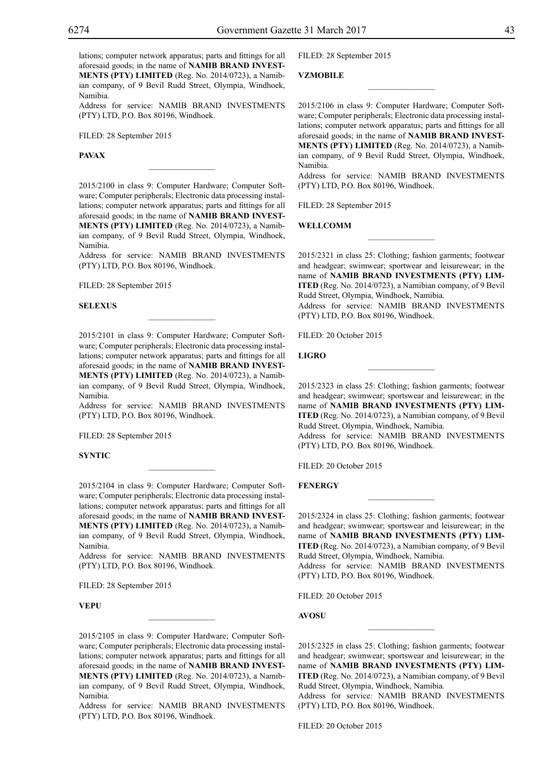lations; computer network apparatus; parts and fittings for all aforesaid goods; in the name of **NAMIB BRAND INVEST-MENTS (PTY) LIMITED** (Reg. No. 2014/0723), a Namibian company, of 9 Bevil Rudd Street, Olympia, Windhoek, Namibia.

Address for service: NAMIB BRAND INVESTMENTS (PTY) LTD, P.O. Box 80196, Windhoek.

Filed: 28 September 2015

**PAVAX**

2015/2100 in class 9: Computer Hardware; Computer Software; Computer peripherals; Electronic data processing installations; computer network apparatus; parts and fittings for all aforesaid goods; in the name of **NAMIB BRAND INVEST-MENTS (PTY) LIMITED** (Reg. No. 2014/0723), a Namibian company, of 9 Bevil Rudd Street, Olympia, Windhoek, Namibia.

 $\mathcal{L}=\mathcal{L}^{\text{max}}$ 

Address for service: NAMIB BRAND INVESTMENTS  $(PTY)$  LTD, P.O. Box 80196, Windhoek.

Filed: 28 September 2015

#### **SELEXUS selexus**

2015/2101 in class 9: Computer Hardware; Computer Software; Computer peripherals; Electronic data processing installations; computer network apparatus; parts and fittings for all aforesaid goods; in the name of **NAMIB BRAND INVEST-MENTS (PTY) LIMITED** (Reg. No. 2014/0723), a Namibian company, of 9 Bevil Rudd Street, Olympia, Windhoek, Namibia.

Address for service: NAMIB BRAND INVESTMENTS (PTY) LTD, P.O. Box 80196, Windhoek.

FILED: 28 September 2015

**SYNTIC**

2015/2104 in class 9: Computer Hardware; Computer Software; Computer peripherals; Electronic data processing installations; computer network apparatus; parts and fittings for all aforesaid goods; in the name of **NAMIB BRAND INVEST-MENTS (PTY) LIMITED** (Reg. No. 2014/0723), a Namibian company, of 9 Bevil Rudd Street, Olympia, Windhoek, Namibia.

Address for service: NAMIB BRAND INVESTMENTS (PTY) LTD, P.O. Box 80196, Windhoek.

Filed: 28 September 2015

**VEPU**

2015/2105 in class 9: Computer Hardware; Computer Software; Computer peripherals; Electronic data processing installations; computer network apparatus; parts and fittings for all aforesaid goods; in the name of **NAMIB BRAND INVEST-MENTS (PTY) LIMITED** (Reg. No. 2014/0723), a Namibian company, of 9 Bevil Rudd Street, Olympia, Windhoek, Namibia.

 $\overline{\phantom{a}}$  , where  $\overline{\phantom{a}}$ 

Address for service: NAMIB BRAND INVESTMENTS (PTY) LTD, P.O. Box 80196, Windhoek.

Filed: 28 September 2015

**VZMOBILE**

2015/2106 in class 9: Computer Hardware; Computer Software; Computer peripherals; Electronic data processing installations; computer network apparatus; parts and fittings for all aforesaid goods; in the name of **NAMIB BRAND INVEST-MENTS (PTY) LIMITED** (Reg. No. 2014/0723), a Namibian company, of 9 Bevil Rudd Street, Olympia, Windhoek, Namibia.

 $\overline{\phantom{a}}$  , where  $\overline{\phantom{a}}$ 

Address for service: NAMIB BRAND INVESTMENTS (PTY) LTD, P.O. Box 80196, Windhoek.

FILED: 28 September 2015

**WELLCOMM**

2015/2321 in class 25: Clothing; fashion garments; footwear and headgear; swimwear; sportwear and leisurewear; in the name of **NAMIB BRAND INVESTMENTS (PTY) LIM-ITED** (Reg. No. 2014/0723), a Namibian company, of 9 Bevil Rudd Street, Olympia, Windhoek, Namibia.

 $\frac{1}{2}$ 

Address for service: NAMIB BRAND INVESTMENTS (PTY) LTD, P.O. Box 80196, Windhoek.

Filed: 20 October 2015

**LIGRO**

2015/2323 in class 25: Clothing; fashion garments; footwear and headgear; swimwear; sportswear and leisurewear; in the name of **NAMIB BRAND INVESTMENTS (PTY) LIM-ITED** (Reg. No. 2014/0723), a Namibian company, of 9 Bevil Rudd Street, Olympia, Windhoek, Namibia. Address for service: NAMIB BRAND INVESTMENTS (PTY) LTD, P.O. Box 80196, Windhoek.

FILED: 20 October 2015

**FENERGY**

2015/2324 in class 25: Clothing; fashion garments; footwear and headgear; swimwear; sportswear and leisurewear; in the name of **NAMIB BRAND INVESTMENTS (PTY) LIM-ITED** (Reg. No. 2014/0723), a Namibian company, of 9 Bevil Rudd Street, Olympia, Windhoek, Namibia. Address for service: NAMIB BRAND INVESTMENTS (PTY) LTD, P.O. Box 80196, Windhoek.

 $\frac{1}{2}$ 

Filed: 20 October 2015

**AVOSU**

2015/2325 in class 25: Clothing; fashion garments; footwear and headgear; swimwear; sportswear and leisurewear; in the name of **NAMIB BRAND INVESTMENTS (PTY) LIM-ITED** (Reg. No. 2014/0723), a Namibian company, of 9 Bevil Rudd Street, Olympia, Windhoek, Namibia.

 $\frac{1}{2}$ 

Address for service: NAMIB BRAND INVESTMENTS (PTY) LTD, P.O. Box 80196, Windhoek.

FILED: 20 October 2015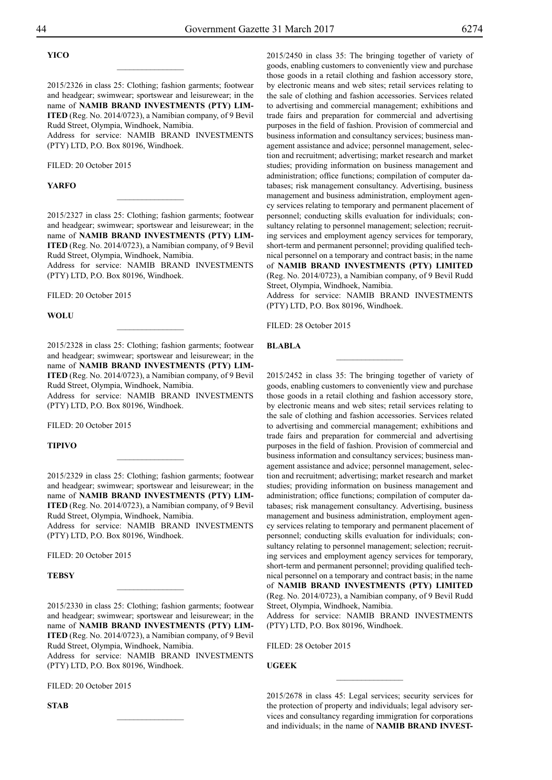## **YICO**

2015/2326 in class 25: Clothing; fashion garments; footwear and headgear; swimwear; sportswear and leisurewear; in the name of **NAMIB BRAND INVESTMENTS (PTY) LIM-ITED** (Reg. No. 2014/0723), a Namibian company, of 9 Bevil Rudd Street, Olympia, Windhoek, Namibia. Address for service: NAMIB BRAND INVESTMENTS

 $\overline{\phantom{a}}$  , where  $\overline{\phantom{a}}$ 

(PTY) LTD, P.O. Box 80196, Windhoek.

FILED: 20 October 2015

#### **YARFO**

2015/2327 in class 25: Clothing; fashion garments; footwear and headgear; swimwear; sportswear and leisurewear; in the name of **NAMIB BRAND INVESTMENTS (PTY) LIM-ITED** (Reg. No. 2014/0723), a Namibian company, of 9 Bevil Rudd Street, Olympia, Windhoek, Namibia.

 $\frac{1}{2}$ 

Address for service: NAMIB BRAND INVESTMENTS (PTY) LTD, P.O. Box 80196, Windhoek.

FILED: 20 October 2015

#### **WOLU**

2015/2328 in class 25: Clothing; fashion garments; footwear and headgear; swimwear; sportswear and leisurewear; in the name of **NAMIB BRAND INVESTMENTS (PTY) LIM-ITED** (Reg. No. 2014/0723), a Namibian company, of 9 Bevil Rudd Street, Olympia, Windhoek, Namibia.

 $\overline{\phantom{a}}$  , where  $\overline{\phantom{a}}$ 

Address for service: NAMIB BRAND INVESTMENTS (PTY) LTD, P.O. Box 80196, Windhoek.

FILED: 20 October 2015

#### **TIPIVO**

2015/2329 in class 25: Clothing; fashion garments; footwear and headgear; swimwear; sportswear and leisurewear; in the name of **NAMIB BRAND INVESTMENTS (PTY) LIM-ITED** (Reg. No. 2014/0723), a Namibian company, of 9 Bevil Rudd Street, Olympia, Windhoek, Namibia.

 $\frac{1}{2}$ 

Address for service: NAMIB BRAND INVESTMENTS (PTY) LTD, P.O. Box 80196, Windhoek.

FILED: 20 October 2015

**TEBSY**

2015/2330 in class 25: Clothing; fashion garments; footwear and headgear; swimwear; sportswear and leisurewear; in the name of **NAMIB BRAND INVESTMENTS (PTY) LIM-ITED** (Reg. No. 2014/0723), a Namibian company, of 9 Bevil Rudd Street, Olympia, Windhoek, Namibia. Address for service: NAMIB BRAND INVESTMENTS

 $\frac{1}{2}$ 

(PTY) LTD, P.O. Box 80196, Windhoek.

Filed: 20 October 2015

**STAB**

2015/2450 in class 35: The bringing together of variety of goods, enabling customers to conveniently view and purchase those goods in a retail clothing and fashion accessory store, by electronic means and web sites; retail services relating to the sale of clothing and fashion accessories. Services related to advertising and commercial management; exhibitions and trade fairs and preparation for commercial and advertising purposes in the field of fashion. Provision of commercial and business information and consultancy services; business management assistance and advice; personnel management, selection and recruitment; advertising; market research and market studies; providing information on business management and administration; office functions; compilation of computer databases; risk management consultancy. Advertising, business management and business administration, employment agency services relating to temporary and permanent placement of personnel; conducting skills evaluation for individuals; consultancy relating to personnel management; selection; recruiting services and employment agency services for temporary, short-term and permanent personnel; providing qualified technical personnel on a temporary and contract basis; in the name of **NAMIB BRAND INVESTMENTS (PTY) LIMITED** (Reg. No. 2014/0723), a Namibian company, of 9 Bevil Rudd Street, Olympia, Windhoek, Namibia.

Address for service: NAMIB BRAND INVESTMENTS (PTY) LTD, P.O. Box 80196, Windhoek.

 $\overline{\phantom{a}}$  , where  $\overline{\phantom{a}}$ 

FILED: 28 October 2015

**BLABLA**

2015/2452 in class 35: The bringing together of variety of goods, enabling customers to conveniently view and purchase those goods in a retail clothing and fashion accessory store, by electronic means and web sites; retail services relating to the sale of clothing and fashion accessories. Services related to advertising and commercial management; exhibitions and trade fairs and preparation for commercial and advertising purposes in the field of fashion. Provision of commercial and business information and consultancy services; business management assistance and advice; personnel management, selection and recruitment; advertising; market research and market studies; providing information on business management and administration; office functions; compilation of computer databases; risk management consultancy. Advertising, business management and business administration, employment agency services relating to temporary and permanent placement of personnel; conducting skills evaluation for individuals; consultancy relating to personnel management; selection; recruiting services and employment agency services for temporary, short-term and permanent personnel; providing qualified technical personnel on a temporary and contract basis; in the name of **NAMIB BRAND INVESTMENTS (PTY) LIMITED** (Reg. No. 2014/0723), a Namibian company, of 9 Bevil Rudd Street, Olympia, Windhoek, Namibia.

Address for service: NAMIB BRAND INVESTMENTS (PTY) LTD, P.O. Box 80196, Windhoek.

Filed: 28 October 2015

**UGEEK**

2015/2678 in class 45: Legal services; security services for the protection of property and individuals; legal advisory services and consultancy regarding immigration for corporations and individuals; in the name of **NAMIB BRAND INVEST-**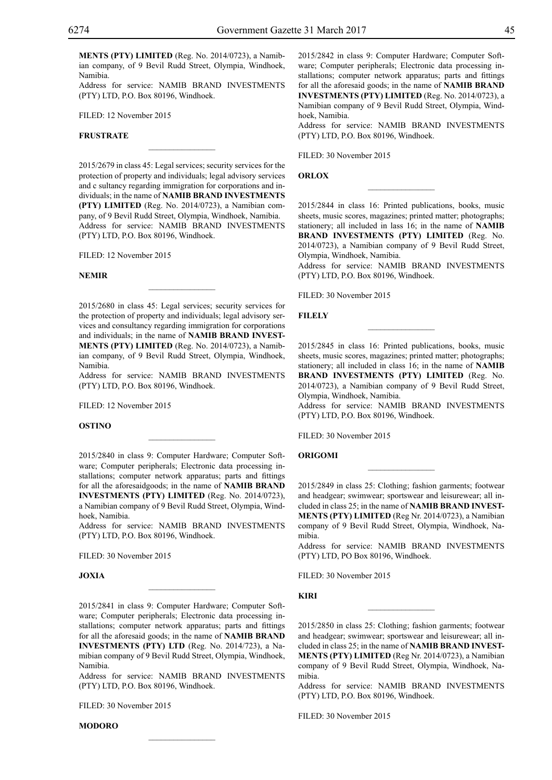**MENTS (PTY) LIMITED** (Reg. No. 2014/0723), a Namibian company, of 9 Bevil Rudd Street, Olympia, Windhoek, Namibia.

Address for service: NAMIB BRAND INVESTMENTS (PTY) LTD, P.O. Box 80196, Windhoek.

Filed: 12 November 2015

## **FRUSTRATE**

2015/2679 in class 45: Legal services; security services for the protection of property and individuals; legal advisory services and c sultancy regarding immigration for corporations and individuals; in the name of **NAMIB BRAND INVESTMENTS (PTY) LIMITED** (Reg. No. 2014/0723), a Namibian company, of 9 Bevil Rudd Street, Olympia, Windhoek, Namibia. Address for service: NAMIB BRAND INVESTMENTS (PTY) LTD, P.O. Box 80196, Windhoek.

 $\overline{\phantom{a}}$  , where  $\overline{\phantom{a}}$ 

Filed: 12 November 2015

#### **NEMIR**

2015/2680 in class 45: Legal services; security services for the protection of property and individuals; legal advisory services and consultancy regarding immigration for corporations and individuals; in the name of **NAMIB BRAND INVEST-MENTS (PTY) LIMITED** (Reg. No. 2014/0723), a Namibian company, of 9 Bevil Rudd Street, Olympia, Windhoek, Namibia.

 $\mathcal{L}=\mathcal{L}^{\mathcal{L}}$ 

Address for service: NAMIB BRAND INVESTMENTS  $(PTY)$  LTD, P.O. Box 80196, Windhoek.

Filed: 12 November 2015

#### **OSTINO**

2015/2840 in class 9: Computer Hardware; Computer Software; Computer peripherals; Electronic data processing installations; computer network apparatus; parts and fittings for all the aforesaidgoods; in the name of **NAMIB BRAND INVESTMENTS (PTY) LIMITED** (Reg. No. 2014/0723), a Namibian company of 9 Bevil Rudd Street, Olympia, Windhoek, Namibia.

 $\mathcal{L}=\mathcal{L}^{\mathcal{L}}$ 

Address for service: NAMIB BRAND INVESTMENTS (PTY) LTD, P.O. Box 80196, Windhoek.

Filed: 30 November 2015

## **joxia**

2015/2841 in class 9: Computer Hardware; Computer Software; Computer peripherals; Electronic data processing installations; computer network apparatus; parts and fittings for all the aforesaid goods; in the name of **NAMIB BRAND INVESTMENTS (PTY) LTD** (Reg. No. 2014/723), a Namibian company of 9 Bevil Rudd Street, Olympia, Windhoek, Namibia.

 $\mathcal{L}=\mathcal{L}^{\mathcal{L}}$ 

Address for service: NAMIB BRAND INVESTMENTS (PTY) LTD, P.O. Box 80196, Windhoek.

Filed: 30 November 2015

**Modoro**

2015/2842 in class 9: Computer Hardware; Computer Software; Computer peripherals; Electronic data processing installations; computer network apparatus; parts and fittings for all the aforesaid goods; in the name of **NAMIB BRAND INVESTMENTS (PTY) LIMITED** (Reg. No. 2014/0723), a Namibian company of 9 Bevil Rudd Street, Olympia, Windhoek, Namibia.

Address for service: NAMIB BRAND INVESTMENTS (PTY) LTD, P.O. Box 80196, Windhoek.

FILED: 30 November 2015

**ORLOX** 

**orlox**

2015/2844 in class 16: Printed publications, books, music sheets, music scores, magazines; printed matter; photographs; stationery; all included in lass 16; in the name of **NAMIB BRAND INVESTMENTS (PTY) LIMITED** (Reg. No. 2014/0723), a Namibian company of 9 Bevil Rudd Street, Olympia, Windhoek, Namibia.

 $\overline{\phantom{a}}$  , where  $\overline{\phantom{a}}$ 

Address for service: NAMIB BRAND INVESTMENTS (PTY) LTD, P.O. Box 80196, Windhoek.

FILED: 30 November 2015

#### **FILELY**

2015/2845 in class 16: Printed publications, books, music sheets, music scores, magazines; printed matter; photographs; stationery; all included in class 16; in the name of **NAMIB BRAND INVESTMENTS (PTY) LIMITED** (Reg. No. 2014/0723), a Namibian company of 9 Bevil Rudd Street, Olympia, Windhoek, Namibia.

 $\frac{1}{2}$ 

Address for service: NAMIB BRAND INVESTMENTS (PTY) LTD, P.O. Box 80196, Windhoek.

Filed: 30 November 2015

## **origomi**

2015/2849 in class 25: Clothing; fashion garments; footwear and headgear; swimwear; sportswear and leisurewear; all included in class 25; in the name of **NAMIB BRAND INVEST-MENTS (PTY) LIMITED** (Reg Nr. 2014/0723), a Namibian company of 9 Bevil Rudd Street, Olympia, Windhoek, Namibia.

Address for service: NAMIB BRAND INVESTMENTS (PTY) LTD, PO Box 80196, Windhoek.

Filed: 30 November 2015

## **kiri**

2015/2850 in class 25: Clothing; fashion garments; footwear and headgear; swimwear; sportswear and leisurewear; all included in class 25; in the name of **NAMIB BRAND INVEST-MENTS (PTY) LIMITED** (Reg Nr. 2014/0723), a Namibian company of 9 Bevil Rudd Street, Olympia, Windhoek, Namibia.

 $\frac{1}{2}$ 

Address for service: NAMIB BRAND INVESTMENTS (PTY) LTD, P.O. Box 80196, Windhoek.

Filed: 30 November 2015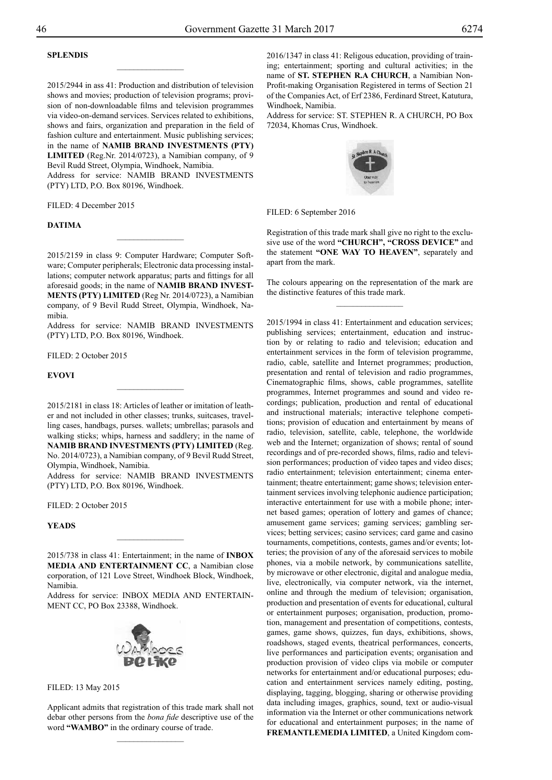## **splendis**

2015/2944 in ass 41: Production and distribution of television shows and movies; production of television programs; provision of non-downloadable films and television programmes via video-on-demand services. Services related to exhibitions, shows and fairs, organization and preparation in the field of fashion culture and entertainment. Music publishing services; in the name of **NAMIB BRAND INVESTMENTS (PTY) LIMITED** (Reg.Nr. 2014/0723), a Namibian company, of 9 Bevil Rudd Street, Olympia, Windhoek, Namibia. Address for service: NAMIB BRAND INVESTMENTS (PTY) LTD, P.O. Box 80196, Windhoek.

 $\overline{\phantom{a}}$  , where  $\overline{\phantom{a}}$ 

FILED: 4 December 2015

#### **Datima**

2015/2159 in class 9: Computer Hardware; Computer Software; Computer peripherals; Electronic data processing installations; computer network apparatus; parts and fittings for all aforesaid goods; in the name of **NAMIB BRAND INVEST-MENTS (PTY) LIMITED** (Reg Nr. 2014/0723), a Namibian company, of 9 Bevil Rudd Street, Olympia, Windhoek, Namibia.

 $\frac{1}{2}$ 

Address for service: NAMIB BRAND INVESTMENTS (PTY) LTD, P.O. Box 80196, Windhoek.

FILED: 2 October 2015

**EVOVI**

2015/2181 in class 18: Articles of leather or imitation of leather and not included in other classes; trunks, suitcases, travelling cases, handbags, purses. wallets; umbrellas; parasols and walking sticks; whips, harness and saddlery; in the name of **NAMIB BRAND INVESTMENTS (PTY) LIMITED** (Reg. No. 2014/0723), a Namibian company, of 9 Bevil Rudd Street, Olympia, Windhoek, Namibia.

 $\overline{\phantom{a}}$  , where  $\overline{\phantom{a}}$ 

Address for service: NAMIB BRAND INVESTMENTS (PTY) LTD, P.O. Box 80196, Windhoek.

FILED: 2 October 2015

**YEADS**

2015/738 in class 41: Entertainment; in the name of **INBOX MEDIA AND ENTERTAINMENT CC**, a Namibian close corporation, of 121 Love Street, Windhoek Block, Windhoek, Namibia.

 $\overline{\phantom{a}}$  , where  $\overline{\phantom{a}}$ 

Address for service: INBOX MEDIA AND ENTERTAINment CC, PO Box 23388, Windhoek.



Filed: 13 May 2015

Applicant admits that registration of this trade mark shall not debar other persons from the *bona fide* descriptive use of the word **"WAMBO"** in the ordinary course of trade.

2016/1347 in class 41: Religous education, providing of training; entertainment; sporting and cultural activities; in the name of **ST. STEPHEN R.A CHURCH**, a Namibian Non-Profit-making Organisation Registered in terms of Section 21 of the Companies Act, of Erf 2386, Ferdinard Street, Katutura, Windhoek, Namibia.

Address for service: ST. STEPHEN R. A CHURCH, PO Box 72034, Khomas Crus, Windhoek.



FILED: 6 September 2016

Registration of this trade mark shall give no right to the exclusive use of the word **"Church", "Cross device"** and the statement **"One way to heaven"**, separately and apart from the mark.

The colours appearing on the representation of the mark are the distinctive features of this trade mark.  $\frac{1}{2}$ 

2015/1994 in class 41: Entertainment and education services; publishing services; entertainment, education and instruction by or relating to radio and television; education and entertainment services in the form of television programme, radio, cable, satellite and Internet programmes; production, presentation and rental of television and radio programmes, Cinematographic films, shows, cable programmes, satellite programmes, Internet programmes and sound and video recordings; publication, production and rental of educational and instructional materials; interactive telephone competitions; provision of education and entertainment by means of radio, television, satellite, cable, telephone, the worldwide web and the Internet; organization of shows; rental of sound recordings and of pre-recorded shows, films, radio and television performances; production of video tapes and video discs; radio entertainment; television entertainment; cinema entertainment; theatre entertainment; game shows; television entertainment services involving telephonic audience participation; interactive entertainment for use with a mobile phone; internet based games; operation of lottery and games of chance; amusement game services; gaming services; gambling services; betting services; casino services; card game and casino tournaments, competitions, contests, games and/or events; lotteries; the provision of any of the aforesaid services to mobile phones, via a mobile network, by communications satellite, by microwave or other electronic, digital and analogue media, live, electronically, via computer network, via the internet, online and through the medium of television; organisation, production and presentation of events for educational, cultural or entertainment purposes; organisation, production, promotion, management and presentation of competitions, contests, games, game shows, quizzes, fun days, exhibitions, shows, roadshows, staged events, theatrical performances, concerts, live performances and participation events; organisation and production provision of video clips via mobile or computer networks for entertainment and/or educational purposes; education and entertainment services namely editing, posting, displaying, tagging, blogging, sharing or otherwise providing data including images, graphics, sound, text or audio-visual information via the Internet or other communications network for educational and entertainment purposes; in the name of **FREMANTLEMEDIA LIMITED**, a United Kingdom com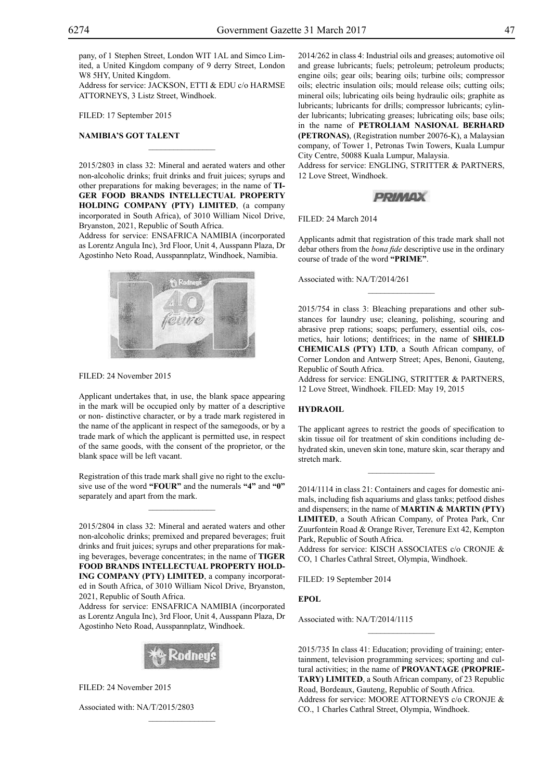pany, of 1 Stephen Street, London WIT 1AL and Simco Limited, a United Kingdom company of 9 derry Street, London W8 5HY, United Kingdom.

Address for service: JACKSON, ETTI & EDU c/o HARMSE ATTORNEYS, 3 Listz Street, Windhoek.

Filed: 17 September 2015

## **NAMIBIA'S GOT TALENT**

2015/2803 in class 32: Mineral and aerated waters and other non-alcoholic drinks; fruit drinks and fruit juices; syrups and other preparations for making beverages; in the name of **TI-GER FOOD BRANDS INTELLECTUAL PROPERTY HOLDING COMPANY (PTY) LIMITED**, (a company incorporated in South Africa), of 3010 William Nicol Drive, Bryanston, 2021, Republic of South Africa.

 $\overline{\phantom{a}}$  , where  $\overline{\phantom{a}}$ 

Address for service: ENSafrica Namibia (incorporated as Lorentz Angula Inc), 3rd Floor, Unit 4, Ausspann Plaza, Dr Agostinho Neto Road, Ausspannplatz, Windhoek, Namibia.



FILED: 24 November 2015

Applicant undertakes that, in use, the blank space appearing in the mark will be occupied only by matter of a descriptive or non- distinctive character, or by a trade mark registered in the name of the applicant in respect of the samegoods, or by a trade mark of which the applicant is permitted use, in respect of the same goods, with the consent of the proprietor, or the blank space will be left vacant.

Registration of this trade mark shall give no right to the exclusive use of the word **"FOUR"** and the numerals **"4"** and **"0"**  separately and apart from the mark.

 $\mathcal{L}=\mathcal{L}^{\mathcal{L}}$ 

2015/2804 in class 32: Mineral and aerated waters and other non-alcoholic drinks; premixed and prepared beverages; fruit drinks and fruit juices; syrups and other preparations for making beverages, beverage concentrates; in the name of **TIGER FOOD BRANDS INTELLECTUAL PROPERTY HOLD-ING COMPANY (PTY) LIMITED**, a company incorporated in South Africa, of 3010 William Nicol Drive, Bryanston, 2021, Republic of South Africa.

Address for service: ENSafrica Namibia (incorporated as Lorentz Angula Inc), 3rd Floor, Unit 4, Ausspann Plaza, Dr Agostinho Neto Road, Ausspannplatz, Windhoek.



 $\mathcal{L}=\mathcal{L}^{\mathcal{L}}$ 

Filed: 24 November 2015

Associated with: NA/T/2015/2803

2014/262 in class 4: Industrial oils and greases; automotive oil and grease lubricants; fuels; petroleum; petroleum products; engine oils; gear oils; bearing oils; turbine oils; compressor oils; electric insulation oils; mould release oils; cutting oils; mineral oils; lubricating oils being hydraulic oils; graphite as lubricants; lubricants for drills; compressor lubricants; cylinder lubricants; lubricating greases; lubricating oils; base oils; in the name of **PETROLIAM NASIONAL BERHARD (PETRONAS)**, (Registration number 20076-K), a Malaysian company, of Tower 1, Petronas Twin Towers, Kuala Lumpur City Centre, 50088 Kuala Lumpur, Malaysia. Address for service: ENGLING, STRITTER & PARTNERS,

12 Love Street, Windhoek.

## **PRIMAX**

Filed: 24 March 2014

Applicants admit that registration of this trade mark shall not debar others from the *bona fide* descriptive use in the ordinary course of trade of the word **"PRIME"**.

 $\frac{1}{2}$ 

Associated with: NA/T/2014/261

2015/754 in class 3: Bleaching preparations and other substances for laundry use; cleaning, polishing, scouring and abrasive prep rations; soaps; perfumery, essential oils, cosmetics, hair lotions; dentifrices; in the name of **SHIELD CHEMICALS (PTY) LTD**, a South African company, of Corner London and Antwerp Street; Apes, Benoni, Gauteng, Republic of South Africa.

Address for service: ENGLING, STRITTER & PARTNERS, 12 Love Street, Windhoek. Filed: May 19, 2015

## **HYDRAOIL**

The applicant agrees to restrict the goods of specification to skin tissue oil for treatment of skin conditions including dehydrated skin, uneven skin tone, mature skin, scar therapy and stretch mark.

2014/1114 in class 21: Containers and cages for domestic animals, including fish aquariums and glass tanks; petfood dishes and dispensers; in the name of **MARTIN & MARTIN (PTY) LIMITED**, a South African Company, of Protea Park, Cnr Zuurfontein Road & Orange River, Terenure Ext 42, Kempton Park, Republic of South Africa.

Address for service: KISCH ASSOCIATES c/o CRONJE & Co, 1 Charles Cathral Street, Olympia, Windhoek.

FILED: 19 September 2014

**EPOL**

Associated with: NA/T/2014/1115

2015/735 In class 41: Education; providing of training; entertainment, television programming services; sporting and cultural activities; in the name of **PROVANTAGE (PROPRIE-TARY) LIMITED**, a South African company, of 23 Republic Road, Bordeaux, Gauteng, Republic of South Africa. Address for service: MOORE ATTORNEYS c/o CRONJE & Co., 1 Charles Cathral Street, Olympia, Windhoek.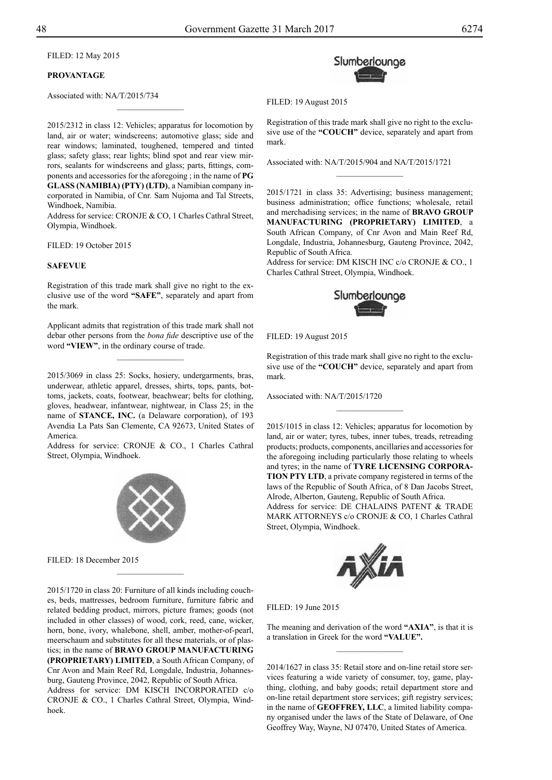Filed: 12 May 2015

## **PROVANTAGE**

Associated with: NA/T/2015/734

2015/2312 in class 12: Vehicles; apparatus for locomotion by land, air or water; windscreens; automotive glass; side and rear windows; laminated, toughened, tempered and tinted glass; safety glass; rear lights; blind spot and rear view mirrors, sealants for windscreens and glass; parts, fittings, components and accessories for the aforegoing ; in the name of **PG GLASS (NAMIBIA) (PTY) (LTD)**, a Namibian company incorporated in Namibia, of Cnr. Sam Nujoma and Tal Streets, Windhoek, Namibia.

 $\frac{1}{2}$ 

Address for service: CRONJE & CO, 1 Charles Cathral Street, Olympia, Windhoek.

FILED: 19 October 2015

#### **SAFEVUE**

Registration of this trade mark shall give no right to the exclusive use of the word **"SAFE"**, separately and apart from the mark.

Applicant admits that registration of this trade mark shall not debar other persons from the *bona fide* descriptive use of the word **"VIEW"**, in the ordinary course of trade.

 $\overline{\phantom{a}}$  , where  $\overline{\phantom{a}}$ 

2015/3069 in class 25: Socks, hosiery, undergarments, bras, underwear, athletic apparel, dresses, shirts, tops, pants, bottoms, jackets, coats, footwear, beachwear; belts for clothing, gloves, headwear, infantwear, nightwear, in Class 25; in the name of **Stance, Inc.** (a Delaware corporation), of 193 Avendia La Pats San Clemente, CA 92673, United States of America.

Address for service: CRONJE & CO., 1 Charles Cathral Street, Olympia, Windhoek.



 $\frac{1}{2}$ 

Filed: 18 December 2015

2015/1720 in class 20: Furniture of all kinds including couches, beds, mattresses, bedroom furniture, furniture fabric and related bedding product, mirrors, picture frames; goods (not included in other classes) of wood, cork, reed, cane, wicker, horn, bone, ivory, whalebone, shell, amber, mother-of-pearl, meerschaum and substitutes for all these materials, or of plastics; in the name of **BRAVO GROUP MANUFACTURING (PROPRIETARY) LIMITED**, a South African Company, of Cnr Avon and Main Reef Rd, Longdale, Industria, Johannesburg, Gauteng Province, 2042, Republic of South Africa. Address for service: DM KISCH INCORPORATED c/o CRONJE & CO., 1 Charles Cathral Street, Olympia, Windhoek.



Filed: 19 August 2015

Registration of this trade mark shall give no right to the exclusive use of the **"COUCH"** device, separately and apart from mark.

 $\frac{1}{2}$ 

Associated with: NA/T/2015/904 and NA/T/2015/1721

2015/1721 in class 35: Advertising; business management; business administration; office functions; wholesale, retail and merchadising services; in the name of **BRAVO GROUP MANUFACTURING (PROPRIETARY) LIMITED**, a South African Company, of Cnr Avon and Main Reef Rd, Longdale, Industria, Johannesburg, Gauteng Province, 2042, Republic of South Africa.

Address for service: DM KISCH INC c/o CRONJE & CO., 1 Charles Cathral Street, Olympia, Windhoek.



Filed: 19 August 2015

Registration of this trade mark shall give no right to the exclusive use of the **"COUCH"** device, separately and apart from mark.

 $\frac{1}{2}$ 

Associated with: NA/T/2015/1720

2015/1015 in class 12: Vehicles; apparatus for locomotion by land, air or water; tyres, tubes, inner tubes, treads, retreading products; products, components, ancillaries and accessories for the aforegoing including particularly those relating to wheels and tyres; in the name of **TYRE LICENSING CORPORA-TION PTY LTD**, a private company registered in terms of the laws of the Republic of South Africa, of 8 Dan Jacobs Street, Alrode, Alberton, Gauteng, Republic of South Africa. Address for service: DE CHALAINS PATENT & TRADE

MARK ATTORNEYS c/o CRONJE & CO, 1 Charles Cathral Street, Olympia, Windhoek.



Filed: 19 June 2015

The meaning and derivation of the word **"AXIA"**, is that it is a translation in Greek for the word **"VALUE".**  $\frac{1}{2}$ 

2014/1627 in class 35: Retail store and on-line retail store services featuring a wide variety of consumer, toy, game, plaything, clothing, and baby goods; retail department store and on-line retail department store services; gift registry services; in the name of **GEOFFREY, LLC**, a limited liability company organised under the laws of the State of Delaware, of One Geoffrey Way, Wayne, NJ 07470, United States of America.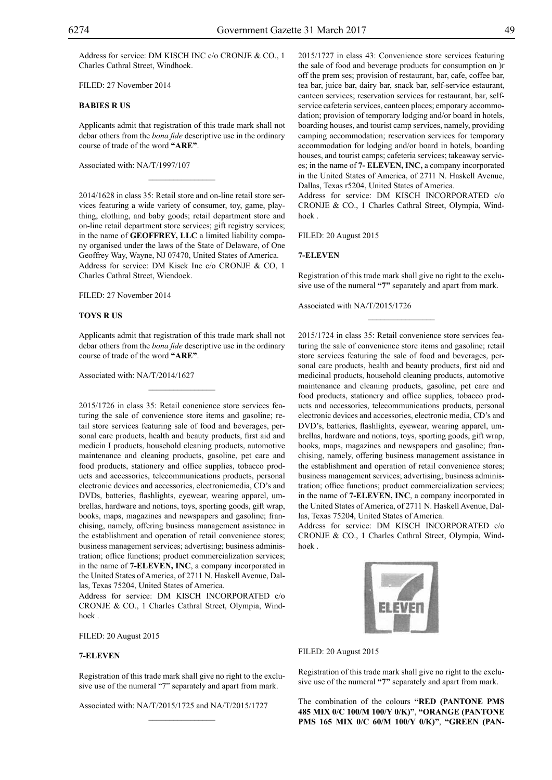Filed: 27 November 2014

## **BABIES R US**

Applicants admit that registration of this trade mark shall not debar others from the *bona fide* descriptive use in the ordinary course of trade of the word **"ARE"**.

 $\mathcal{L}=\mathcal{L}^{\mathcal{L}}$ 

Associated with: NA/T/1997/107

2014/1628 in class 35: Retail store and on-line retail store services featuring a wide variety of consumer, toy, game, plaything, clothing, and baby goods; retail department store and on-line retail department store services; gift registry services; in the name of **GEOFFREY, LLC** a limited liability company organised under the laws of the State of Delaware, of One Geoffrey Way, Wayne, NJ 07470, United States of America. Address for service: DM Kisck Inc c/o CRONJE & CO, 1 Charles Cathral Street, Wiendoek.

Filed: 27 November 2014

#### **TOYS R US**

Applicants admit that registration of this trade mark shall not debar others from the *bona fide* descriptive use in the ordinary course of trade of the word **"ARE"**.

 $\mathcal{L}=\mathcal{L}^{\mathcal{L}}$ 

Associated with: NA/T/2014/1627

2015/1726 in class 35: Retail conenience store services featuring the sale of convenience store items and gasoline; retail store services featuring sale of food and beverages, personal care products, health and beauty products, first aid and medicin I products, household cleaning products, automotive maintenance and cleaning products, gasoline, pet care and food products, stationery and office supplies, tobacco products and accessories, telecommunications products, personal electronic devices and accessories, electronicmedia, CD's and DVDs, batteries, flashlights, eyewear, wearing apparel, umbrellas, hardware and notions, toys, sporting goods, gift wrap, books, maps, magazines and newspapers and gasoline; franchising, namely, offering business management assistance in the establishment and operation of retail convenience stores; business management services; advertising; business administration; office functions; product commercialization services; in the name of **7-ELEVEN, INC**, a company incorporated in the United States of America, of 2711 N. Haskell Avenue, Dallas, Texas 75204, United States of America.

Address for service: DM KISCH INCORPORATED c/o CRONJE & CO., 1 Charles Cathral Street, Olympia, Windhoek .

FILED: 20 August 2015

## **7-ELEVEN**

Registration of this trade mark shall give no right to the exclusive use of the numeral "7" separately and apart from mark.

 $\mathcal{L}=\mathcal{L}^{\mathcal{L}}$ 

Associated with: NA/T/2015/1725 and NA/T/2015/1727

2015/1727 in class 43: Convenience store services featuring the sale of food and beverage products for consumption on )r off the prem ses; provision of restaurant, bar, cafe, coffee bar, tea bar, juice bar, dairy bar, snack bar, self-service estaurant, canteen services; reservation services for restaurant, bar, selfservice cafeteria services, canteen places; emporary accommodation; provision of temporary lodging and/or board in hotels, boarding houses, and tourist camp services, namely, providing camping accommodation; reservation services for temporary accommodation for lodging and/or board in hotels, boarding houses, and tourist camps; cafeteria services; takeaway services; in the name of **7- ELEVEN, INC,** a company incorporated in the United States of America, of 2711 N. Haskell Avenue, Dallas, Texas r5204, United States of America.

Address for service: DM KISCH INCORPORATED c/o CRONJE & CO., 1 Charles Cathral Street, Olympia, Windhoek .

Filed: 20 August 2015

## **7-ELEVEN**

Registration of this trade mark shall give no right to the exclusive use of the numeral **"7"** separately and apart from mark.

Associated with NA/T/2015/1726

2015/1724 in class 35: Retail convenience store services featuring the sale of convenience store items and gasoline; retail store services featuring the sale of food and beverages, personal care products, health and beauty products, first aid and medicinal products, household cleaning products, automotive maintenance and cleaning products, gasoline, pet care and food products, stationery and office supplies, tobacco products and accessories, telecommunications products, personal electronic devices and accessories, electronic media, CD's and DVD's, batteries, flashlights, eyewear, wearing apparel, umbrellas, hardware and notions, toys, sporting goods, gift wrap, books, maps, magazines and newspapers and gasoline; franchising, namely, offering business management assistance in the establishment and operation of retail convenience stores; business management services; advertising; business administration; office functions; product commercialization services; in the name of **7-ELEVEN, INC**, a company incorporated in the United States of America, of 2711 N. Haskell Avenue, Dallas, Texas 75204, United States of America.

Address for service: DM KISCH INCORPORATED c/o CRONJE & CO., 1 Charles Cathral Street, Olympia, Windhoek .



Filed: 20 August 2015

Registration of this trade mark shall give no right to the exclusive use of the numeral **"7"** separately and apart from mark.

The combination of the colours "RED (PANTONE PMS **485 mix 0/c 100/m 100/y 0/k)"**, **"orange (pantone PMS 165 mix 0/c 60/m 100/y 0/k)"**, **"green (pan-**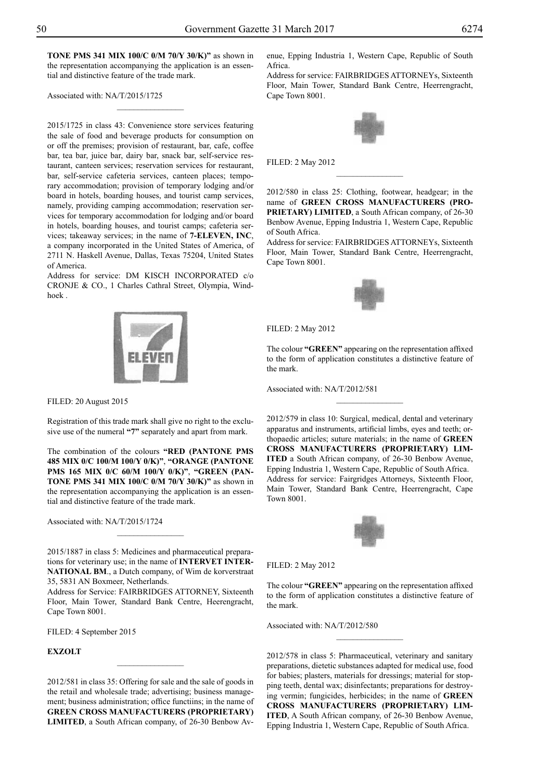**tone PMS 341 mix 100/c 0/m 70/y 30/k)"** as shown in the representation accompanying the application is an essential and distinctive feature of the trade mark.

 $\frac{1}{2}$ 

Associated with: NA/T/2015/1725

2015/1725 in class 43: Convenience store services featuring the sale of food and beverage products for consumption on or off the premises; provision of restaurant, bar, cafe, coffee bar, tea bar, juice bar, dairy bar, snack bar, self-service restaurant, canteen services; reservation services for restaurant, bar, self-service cafeteria services, canteen places; temporary accommodation; provision of temporary lodging and/or board in hotels, boarding houses, and tourist camp services, namely, providing camping accommodation; reservation services for temporary accommodation for lodging and/or board in hotels, boarding houses, and tourist camps; cafeteria services; takeaway services; in the name of **7-ELEVEN, INC**, a company incorporated in the United States of America, of 2711 N. Haskell Avenue, Dallas, Texas 75204, United States of America.

Address for service: DM KISCH INCORPORATED c/o CRONJE & CO., 1 Charles Cathral Street, Olympia, Windhoek .



Registration of this trade mark shall give no right to the exclusive use of the numeral **"7"** separately and apart from mark.

The combination of the colours "RED (PANTONE PMS **485 mix 0/c 100/m 100/y 0/k)"**, **"orange (pantone PMS 165 mix 0/c 60/m 100/y 0/k)"**, **"green (pantone PMS 341 mix 100/c 0/m 70/y 30/k)"** as shown in the representation accompanying the application is an essential and distinctive feature of the trade mark.

Associated with: NA/T/2015/1724

2015/1887 in class 5: Medicines and pharmaceutical preparations for veterinary use; in the name of **INTERVET INTER-NATIONAL BM**., a Dutch company, of Wim de korverstraat 35, 5831 AN Boxmeer, Netherlands.

 $\frac{1}{2}$ 

Address for Service: FAIRBRIDGES ATTORNEY, Sixteenth Floor, Main Tower, Standard Bank Centre, Heerengracht, Cape Town 8001.

FILED: 4 September 2015

## **EXZOLT**

2012/581 in class 35: Offering for sale and the sale of goods in the retail and wholesale trade; advertising; business management; business administration; office functiins; in the name of **GREEN CROSS MANUFACTURERS (PROPRIETARY) LIMITED**, a South African company, of 26-30 Benbow Avenue, Epping Industria 1, Western Cape, Republic of South Africa.

Address for service: FAIRBRIDGES ATTORNEYs, Sixteenth Floor, Main Tower, Standard Bank Centre, Heerrengracht, Cape Town 8001.



Filed: 2 May 2012

2012/580 in class 25: Clothing, footwear, headgear; in the name of **GREEN CROSS MANUFACTURERS (PRO-PRIETARY) LIMITED**, a South African company, of 26-30 Benbow Avenue, Epping Industria 1, Western Cape, Republic of South Africa.

 $\frac{1}{2}$ 

Address for service: FAIRBRIDGES ATTORNEYs, Sixteenth Floor, Main Tower, Standard Bank Centre, Heerrengracht, Cape Town 8001.



Filed: 2 May 2012

The colour **"GREEN"** appearing on the representation affixed to the form of application constitutes a distinctive feature of the mark.

 $\overline{\phantom{a}}$  , where  $\overline{\phantom{a}}$ 

Associated with: NA/T/2012/581

2012/579 in class 10: Surgical, medical, dental and veterinary apparatus and instruments, artificial limbs, eyes and teeth; orthopaedic articles; suture materials; in the name of **GREEN CROSS MANUFACTURERS (PROPRIETARY) LIM-ITED** a South African company, of 26-30 Benbow Avenue, Epping Industria 1, Western Cape, Republic of South Africa. Address for service: Fairgridges Attorneys, Sixteenth Floor, Main Tower, Standard Bank Centre, Heerrengracht, Cape Town 8001.



Filed: 2 May 2012

The colour **"GREEN"** appearing on the representation affixed to the form of application constitutes a distinctive feature of the mark.

 $\frac{1}{2}$ 

Associated with: NA/T/2012/580

2012/578 in class 5: Pharmaceutical, veterinary and sanitary preparations, dietetic substances adapted for medical use, food for babies; plasters, materials for dressings; material for stopping teeth, dental wax; disinfectants; preparations for destroying vermin; fungicides, herbicides; in the name of **GREEN CROSS MANUFACTURERS (PROPRIETARY) LIM-ITED**, A South African company, of 26-30 Benbow Avenue, Epping Industria 1, Western Cape, Republic of South Africa.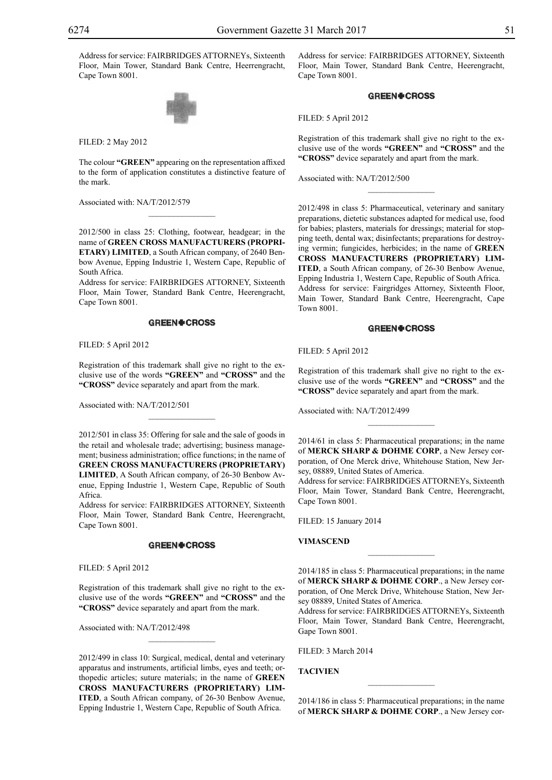Address for service: FAIRBRIDGES ATTORNEYs, Sixteenth Floor, Main Tower, Standard Bank Centre, Heerrengracht, Cape Town 8001.



Filed: 2 May 2012

The colour **"GREEN"** appearing on the representation affixed to the form of application constitutes a distinctive feature of the mark.

 $\mathcal{L}=\mathcal{L}^{\mathcal{L}}$ 

Associated with: NA/T/2012/579

2012/500 in class 25: Clothing, footwear, headgear; in the name of **GREEN CROSS MANUFACTURERS (PROPRI-ETARY) LIMITED**, a South African company, of 2640 Benbow Avenue, Epping Industrie 1, Western Cape, Republic of South Africa.

Address for service: FAIRBRIDGES ATTORNEY, Sixteenth Floor, Main Tower, Standard Bank Centre, Heerengracht, Cape Town 8001.

## **GREEN#CROSS**

Filed: 5 April 2012

Registration of this trademark shall give no right to the exclusive use of the words **"GREEN"** and **"CROSS"** and the **"CROSS"** device separately and apart from the mark.

 $\mathcal{L}=\mathcal{L}^{\mathcal{L}}$ 

Associated with: NA/T/2012/501

2012/501 in class 35: Offering for sale and the sale of goods in the retail and wholesale trade; advertising; business management; business administration; office functions; in the name of **GREEN CROSS MANUFACTURERS (PROPRIETARY) LIMITED**, A South African company, of 26-30 Benbow Avenue, Epping Industrie 1, Western Cape, Republic of South Africa.

Address for service: FAIRBRIDGES ATTORNEY, Sixteenth Floor, Main Tower, Standard Bank Centre, Heerengracht, Cape Town 8001.

## **GREEN+CROSS**

Filed: 5 April 2012

Registration of this trademark shall give no right to the exclusive use of the words **"GREEN"** and **"CROSS"** and the **"CROSS"** device separately and apart from the mark.

 $\overline{\phantom{a}}$  , where  $\overline{\phantom{a}}$ 

Associated with: NA/T/2012/498

2012/499 in class 10: Surgical, medical, dental and veterinary apparatus and instruments, artificial limbs, eyes and teeth; orthopedic articles; suture materials; in the name of **GREEN CROSS MANUFACTURERS (PROPRIETARY) LIM-ITED**, a South African company, of 26-30 Benbow Avenue, Epping Industrie 1, Western Cape, Republic of South Africa.

Address for service: FAIRBRIDGES ATTORNEY, Sixteenth Floor, Main Tower, Standard Bank Centre, Heerengracht, Cape Town 8001.

## **GREEN#CROSS**

Filed: 5 April 2012

Registration of this trademark shall give no right to the exclusive use of the words **"GREEN"** and **"CROSS"** and the **"CROSS"** device separately and apart from the mark.

 $\frac{1}{2}$ 

Associated with: NA/T/2012/500

2012/498 in class 5: Pharmaceutical, veterinary and sanitary preparations, dietetic substances adapted for medical use, food for babies; plasters, materials for dressings; material for stopping teeth, dental wax; disinfectants; preparations for destroying vermin; fungicides, herbicides; in the name of **GREEN CROSS MANUFACTURERS (PROPRIETARY) LIM-ITED**, a South African company, of 26-30 Benbow Avenue, Epping Industria 1, Western Cape, Republic of South Africa. Address for service: Fairgridges Attorney, Sixteenth Floor, Main Tower, Standard Bank Centre, Heerengracht, Cape Town 8001.

## **GREEN+CROSS**

Filed: 5 April 2012

Registration of this trademark shall give no right to the exclusive use of the words **"GREEN"** and **"CROSS"** and the **"CROSS"** device separately and apart from the mark.

Associated with: NA/T/2012/499

2014/61 in class 5: Pharmaceutical preparations; in the name of **MERCK SHARP & DOHME CORP**, a New Jersey corporation, of One Merck drive, Whitehouse Station, New Jersey, 08889, United States of America.

 $\frac{1}{2}$ 

Address for service: FAIRBRIDGES ATTORNEYs, Sixteenth Floor, Main Tower, Standard Bank Centre, Heerengracht, Cape Town 8001.

Filed: 15 January 2014

**VIMASCEND**

2014/185 in class 5: Pharmaceutical preparations; in the name of **MERCK SHARP & DOHME CORP**., a New Jersey corporation, of One Merck Drive, Whitehouse Station, New Jersey 08889, United States of America.

Address for service: FAIRBRIDGES ATTORNEYs, Sixteenth Floor, Main Tower, Standard Bank Centre, Heerengracht, Gape Town 8001.

FILED: 3 March 2014

**TACIVIEN**

2014/186 in class 5: Pharmaceutical preparations; in the name of **MERCK SHARP & DOHME CORP**., a New Jersey cor-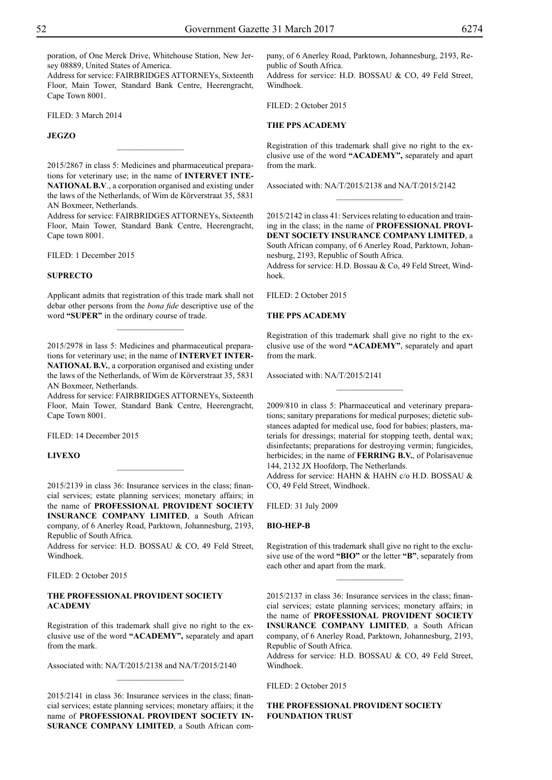poration, of One Merck Drive, Whitehouse Station, New Jersey 08889, United States of America.

Address for service: FAIRBRIDGES ATTORNEYs, Sixteenth Floor, Main Tower, Standard Bank Centre, Heerengracht, Cape Town 8001.

FILED: 3 March 2014

## **JEGZO**

2015/2867 in class 5: Medicines and pharmaceutical preparations for veterinary use; in the name of **INTERVET INTE-NATIONAL B.V**., a corporation organised and existing under the laws of the Netherlands, of Wim de Körverstraat 35, 5831 AN Boxmeer, Netherlands.

 $\overline{\phantom{a}}$  , where  $\overline{\phantom{a}}$ 

Address for service: FAIRBRIDGES ATTORNEYs, Sixteenth Floor, Main Tower, Standard Bank Centre, Heerengracht, Cape town 8001.

Filed: 1 December 2015

## **SUPRECTO**

Applicant admits that registration of this trade mark shall not debar other persons from the *bona fide* descriptive use of the word **"SUPER"** in the ordinary course of trade.

 $\frac{1}{2}$ 

2015/2978 in lass 5: Medicines and pharmaceutical preparations for veterinary use; in the name of **INTERVET INTER-NATIONAL B.V.**, a corporation organised and existing under the laws of the Netherlands, of Wim de Körverstraat 35, 5831 AN Boxmeer, Netherlands.

Address for service: FAIRBRIDGES ATTORNEYs, Sixteenth Floor, Main Tower, Standard Bank Centre, Heerengracht, Cape Town 8001.

Filed: 14 December 2015

## **LIVEXO**

2015/2139 in class 36: Insurance services in the class; financial services; estate planning services; monetary affairs; in the name of **PROFESSIONAL PROVIDENT SOCIETY INSURANCE COMPANY LIMITED**, a South African company, of 6 Anerley Road, Parktown, Johannesburg, 2193, Republic of South Africa.

Address for service: H.D. BOSSAU & CO, 49 Feld Street, Windhoek.

Filed: 2 October 2015

## **THE PROFESSIONAL PROVIDENT SOCIETY ACADEMY**

Registration of this trademark shall give no right to the exclusive use of the word **"ACADEMY",** separately and apart from the mark.

Associated with: NA/T/2015/2138 and NA/T/2015/2140

2015/2141 in class 36: Insurance services in the class; financial services; estate planning services; monetary affairs; it the name of **PROFESSIONAL PROVIDENT SOCIETY IN-SURANCE COMPANY LIMITED**, a South African com-

 $\frac{1}{2}$ 

pany, of 6 Anerley Road, Parktown, Johannesburg, 2193, Republic of South Africa. Address for service: H.D. BOSSAU & CO, 49 Feld Street, Windhoek.

Filed: 2 October 2015

## **THE PPS ACADEMY**

Registration of this trademark shall give no right to the exclusive use of the word **"ACADEMY",** separately and apart from the mark.

 $\overline{\phantom{a}}$  , where  $\overline{\phantom{a}}$ 

Associated with: NA/T/2015/2138 and NA/T/2015/2142

2015/2142 in class 41: Services relating to education and training in the class; in the name of **PROFESSIONAL PROVI-DENT SOCIETY INSURANCE COMPANY LIMITED**, a South African company, of 6 Anerley Road, Parktown, Johannesburg, 2193, Republic of South Africa.

Address for service: H.D. Bossau & Co, 49 Feld Street, Windhoek.

FILED: 2 October 2015

## **THE PPS ACADEMY**

Registration of this trademark shall give no right to the exclusive use of the word **"ACADEMY"**, separately and apart from the mark.

 $\frac{1}{2}$ 

Associated with: NA/T/2015/2141

2009/810 in class 5: Pharmaceutical and veterinary preparations; sanitary preparations for medical purposes; dietetic substances adapted for medical use, food for babies; plasters, materials for dressings; material for stopping teeth, dental wax; disinfectants; preparations for destroying vermin; fungicides, herbicides; in the name of **FERRING B.V.**, of Polarisavenue 144, 2132 JX Hoofdorp, The Netherlands.

Address for service: HAHN & HAHN c/o H.D. BOSSAU & Co, 49 Feld Street, Windhoek.

Filed: 31 July 2009

## **BIO-HEP-B**

Registration of this trademark shall give no right to the exclusive use of the word **"BIO"** or the letter **"B"**, separately from each other and apart from the mark.

 $\frac{1}{2}$ 

2015/2137 in class 36: Insurance services in the class; financial services; estate planning services; monetary affairs; in the name of **PROFESSIONAL PROVIDENT SOCIETY INSURANCE COMPANY LIMITED**, a South African company, of 6 Anerley Road, Parktown, Johannesburg, 2193, Republic of South Africa.

Address for service: H.D. BOSSAU & CO, 49 Feld Street, Windhoek.

FILED: 2 October 2015

## **THE PROFESSIONAL PROVIDENT SOCIETY FOUNDATION TRUST**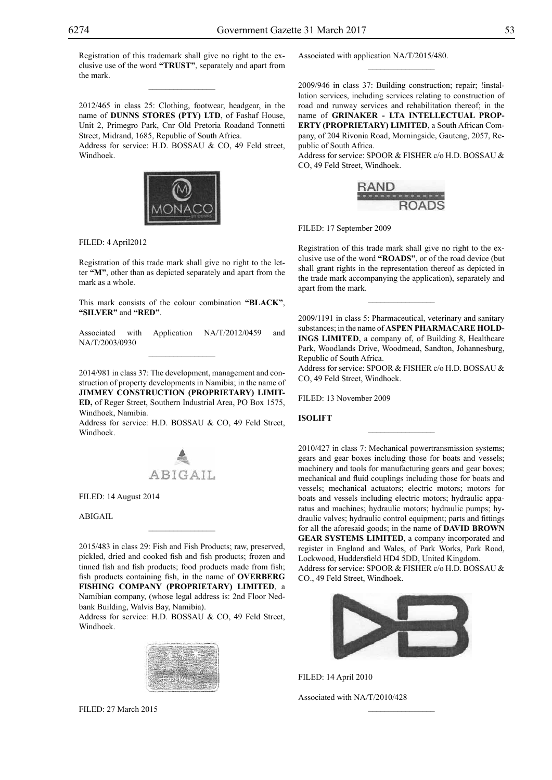Registration of this trademark shall give no right to the exclusive use of the word **"TRUST"**, separately and apart from the mark.

 $\overline{\phantom{a}}$  , where  $\overline{\phantom{a}}$ 

2012/465 in class 25: Clothing, footwear, headgear, in the name of **DUNNS STORES (PTY) LTD**, of Fashaf House, Unit 2, Primegro Park, Cnr Old Pretoria Roadand Tonnetti Street, Midrand, 1685, Republic of South Africa.

Address for service: H.D. BOSSAU & CO, 49 Feld street, Windhoek.



Filed: 4 April2012

Registration of this trade mark shall give no right to the letter **"M"**, other than as depicted separately and apart from the mark as a whole.

This mark consists of the colour combination **"black"**, **"silver"** and **"red"**.

Associated with Application NA/T/2012/0459 and NA/T/2003/0930  $\mathcal{L}=\mathcal{L}^{\mathcal{L}}$ 

2014/981 in class 37: The development, management and construction of property developments in Namibia; in the name of **JIMMEY CONSTRUCTION (PROPRIETARY) LIMIT-ED,** of Reger Street, Southern Industrial Area, PO Box 1575, Windhoek, Namibia.

Address for service: H.D. BOSSAU & CO, 49 Feld Street, Windhoek.



Filed: 14 August 2014

ABIGAIL

2015/483 in class 29: Fish and Fish Products; raw, preserved, pickled, dried and cooked fish and fish products; frozen and tinned fish and fish products; food products made from fish; fish products containing fish, in the name of **OVERBERG FISHING COMPANY (PROPRIETARY) LIMITED**, a Namibian company, (whose legal address is: 2nd Floor Nedbank Building, Walvis Bay, Namibia).

 $\mathcal{L}=\mathcal{L}^{\mathcal{L}}$ 

Address for service: H.D. BOSSAU & CO, 49 Feld Street, Windhoek.



Filed: 27 March 2015

Associated with application NA/T/2015/480.

2009/946 in class 37: Building construction; repair; !installation services, including services relating to construction of road and runway services and rehabilitation thereof; in the name of **GRINAKER - LTA INTELLECTUAL PROP-ERTY (PROPRIETARY) LIMITED**, a South African Company, of 204 Rivonia Road, Morningside, Gauteng, 2057, Republic of South Africa.

 $\frac{1}{2}$ 

Address for service: SPOOR & FISHER c/o H.D. BOSSAU & Co, 49 Feld Street, Windhoek.



Filed: 17 September 2009

Registration of this trade mark shall give no right to the exclusive use of the word **"ROADS"**, or of the road device (but shall grant rights in the representation thereof as depicted in the trade mark accompanying the application), separately and apart from the mark.

2009/1191 in class 5: Pharmaceutical, veterinary and sanitary substances; in the name of **ASPEN PHARMACARE HOLD-INGS LIMITED**, a company of, of Building 8, Healthcare Park, Woodlands Drive, Woodmead, Sandton, Johannesburg, Republic of South Africa.

Address for service: SPOOR & FISHER c/o H.D. BOSSAU & Co, 49 Feld Street, Windhoek.

 $\frac{1}{2}$ 

Filed: 13 November 2009

#### **ISOLIFT**

2010/427 in class 7: Mechanical powertransmission systems; gears and gear boxes including those for boats and vessels; machinery and tools for manufacturing gears and gear boxes; mechanical and fluid couplings including those for boats and vessels; mechanical actuators; electric motors; motors for boats and vessels including electric motors; hydraulic apparatus and machines; hydraulic motors; hydraulic pumps; hydraulic valves; hydraulic control equipment; parts and fittings for all the aforesaid goods; in the name of **DAVID BROWN GEAR SYSTEMS LIMITED**, a company incorporated and register in England and Wales, of Park Works, Park Road, Lockwood, Huddersfield HD4 5DD, United Kingdom. Address for service: SPOOR & FISHER c/o H.D. BOSSAU & Co., 49 Feld Street, Windhoek.



Filed: 14 April 2010 Associated with NA/T/2010/428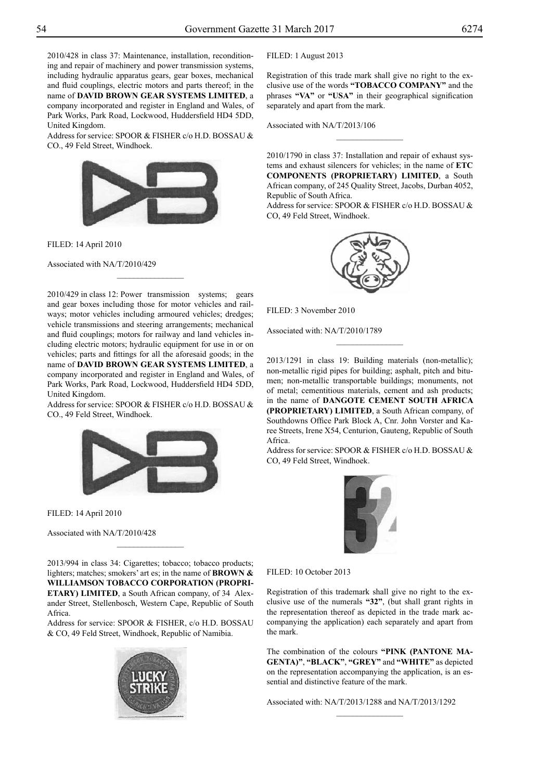2010/428 in class 37: Maintenance, installation, reconditioning and repair of machinery and power transmission systems, including hydraulic apparatus gears, gear boxes, mechanical and fluid couplings, electric motors and parts thereof; in the name of **DAVID BROWN GEAR SYSTEMS LIMITED**, a company incorporated and register in England and Wales, of Park Works, Park Road, Lockwood, Huddersfield HD4 5DD, United Kingdom.

Address for service: SPOOR & FISHER c/o H.D. BOSSAU & Co., 49 Feld Street, Windhoek.



Filed: 14 April 2010

Associated with NA/T/2010/429

2010/429 in class 12: Power transmission systems; gears and gear boxes including those for motor vehicles and railways; motor vehicles including armoured vehicles; dredges; vehicle transmissions and steering arrangements; mechanical and fluid couplings; motors for railway and land vehicles including electric motors; hydraulic equipment for use in or on vehicles; parts and fittings for all the aforesaid goods; in the name of **DAVID BROWN GEAR SYSTEMS LIMITED**, a company incorporated and register in England and Wales, of Park Works, Park Road, Lockwood, Huddersfield HD4 5DD, United Kingdom.

 $\frac{1}{2}$ 

Address for service: SPOOR & FISHER c/o H.D. BOSSAU & Co., 49 Feld Street, Windhoek.



Filed: 14 April 2010

Associated with NA/T/2010/428

2013/994 in class 34: Cigarettes; tobacco; tobacco products; lighters; matches; smokers' art es; in the name of **BROWN & WILLIAMSON TOBACCO CORPORATION (PROPRI-ETARY) LIMITED**, a South African company, of 34 Alexander Street, Stellenbosch, Western Cape, Republic of South Africa.

 $\frac{1}{2}$ 

Address for service: SPOOR & FISHER, c/o H.D. BOSSAU & CO, 49 Feld Street, Windhoek, Republic of Namibia.



FILED: 1 August 2013

Registration of this trade mark shall give no right to the exclusive use of the words **"TOBACCO COMPANY"** and the phrases **"VA"** or **"USA"** in their geographical signification separately and apart from the mark.

Associated with NA/T/2013/106

2010/1790 in class 37: Installation and repair of exhaust systems and exhaust silencers for vehicles; in the name of **ETC COMPONENTS (PROPRIETARY) LIMITED**, a South African company, of 245 Quality Street, Jacobs, Durban 4052, Republic of South Africa.

 $\overline{\phantom{a}}$  , where  $\overline{\phantom{a}}$ 

Address for service: SPOOR & FISHER c/o H.D. BOSSAU & CO, 49 Feld Street, Windhoek.



Filed: 3 November 2010

Associated with: NA/T/2010/1789

2013/1291 in class 19: Building materials (non-metallic); non-metallic rigid pipes for building; asphalt, pitch and bitumen; non-metallic transportable buildings; monuments, not of metal; cementitious materials, cement and ash products; in the name of **DANGOTE CEMENT SOUTH AFRICA (PROPRIETARY) LIMITED**, a South African company, of Southdowns Office Park Block A, Cnr. John Vorster and Karee Streets, Irene X54, Centurion, Gauteng, Republic of South Africa.

 $\frac{1}{2}$ 

Address for service: SPOOR & FISHER c/o H.D. BOSSAU & Co, 49 Feld Street, Windhoek.



FILED: 10 October 2013

Registration of this trademark shall give no right to the exclusive use of the numerals **"32"**, (but shall grant rights in the representation thereof as depicted in the trade mark accompanying the application) each separately and apart from the mark.

The combination of the colours "PINK (PANTONE MA**genta)"**, **"BLACK"**, **"GREY"** and **"WHITE"** as depicted on the representation accompanying the application, is an essential and distinctive feature of the mark.

 $\frac{1}{2}$ 

Associated with: NA/T/2013/1288 and NA/T/2013/1292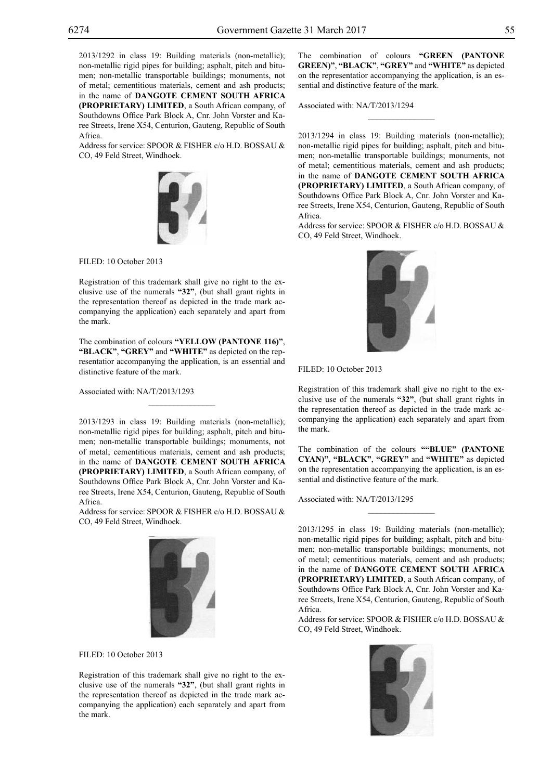2013/1292 in class 19: Building materials (non-metallic); non-metallic rigid pipes for building; asphalt, pitch and bitumen; non-metallic transportable buildings; monuments, not of metal; cementitious materials, cement and ash products; in the name of **DANGOTE CEMENT SOUTH AFRICA (PROPRIETARY) LIMITED**, a South African company, of Southdowns Office Park Block A, Cnr. John Vorster and Karee Streets, Irene X54, Centurion, Gauteng, Republic of South Africa.

Address for service: SPOOR & FISHER c/o H.D. BOSSAU & CO, 49 Feld Street, Windhoek.



FILED: 10 October 2013

Registration of this trademark shall give no right to the exclusive use of the numerals **"32"**, (but shall grant rights in the representation thereof as depicted in the trade mark accompanying the application) each separately and apart from the mark.

The combination of colours "YELLOW (PANTONE 116)", **"BLACK"**, **"GREY"** and **"WHITE"** as depicted on the representatior accompanying the application, is an essential and distinctive feature of the mark.

 $\mathcal{L}=\mathcal{L}^{\mathcal{L}}$ 

Associated with: NA/T/2013/1293

2013/1293 in class 19: Building materials (non-metallic); non-metallic rigid pipes for building; asphalt, pitch and bitumen; non-metallic transportable buildings; monuments, not of metal; cementitious materials, cement and ash products; in the name of **DANGOTE CEMENT SOUTH AFRICA (PROPRIETARY) LIMITED**, a South African company, of Southdowns Office Park Block A, Cnr. John Vorster and Karee Streets, Irene X54, Centurion, Gauteng, Republic of South Africa.

Address for service: SPOOR & FISHER c/o H.D. BOSSAU & Co, 49 Feld Street, Windhoek.



FILED: 10 October 2013

Registration of this trademark shall give no right to the exclusive use of the numerals **"32"**, (but shall grant rights in the representation thereof as depicted in the trade mark accompanying the application) each separately and apart from the mark.

The combination of colours "GREEN (PANTONE **Green)"**, **"BLACK"**, **"GREY"** and **"WHITE"** as depicted on the representatior accompanying the application, is an essential and distinctive feature of the mark.

 $\frac{1}{2}$ 

Associated with: NA/T/2013/1294

2013/1294 in class 19: Building materials (non-metallic); non-metallic rigid pipes for building; asphalt, pitch and bitumen; non-metallic transportable buildings; monuments, not of metal; cementitious materials, cement and ash products; in the name of **DANGOTE CEMENT SOUTH AFRICA (PROPRIETARY) LIMITED**, a South African company, of Southdowns Office Park Block A, Cnr. John Vorster and Karee Streets, Irene X54, Centurion, Gauteng, Republic of South Africa.

Address for service: SPOOR & FISHER c/o H.D. BOSSAU & Co, 49 Feld Street, Windhoek.



FILED: 10 October 2013

Registration of this trademark shall give no right to the exclusive use of the numerals **"32"**, (but shall grant rights in the representation thereof as depicted in the trade mark accompanying the application) each separately and apart from the mark.

The combination of the colours **""BLUE" (PANTONE Cyan)"**, **"BLACK"**, **"GREY"** and **"WHITE"** as depicted on the representation accompanying the application, is an essential and distinctive feature of the mark.

 $\frac{1}{2}$ 

Associated with: NA/T/2013/1295

2013/1295 in class 19: Building materials (non-metallic); non-metallic rigid pipes for building; asphalt, pitch and bitumen; non-metallic transportable buildings; monuments, not of metal; cementitious materials, cement and ash products; in the name of **DANGOTE CEMENT SOUTH AFRICA (PROPRIETARY) LIMITED**, a South African company, of Southdowns Office Park Block A, Cnr. John Vorster and Karee Streets, Irene X54, Centurion, Gauteng, Republic of South Africa.

Address for service: SPOOR & FISHER c/o H.D. BOSSAU & Co, 49 Feld Street, Windhoek.

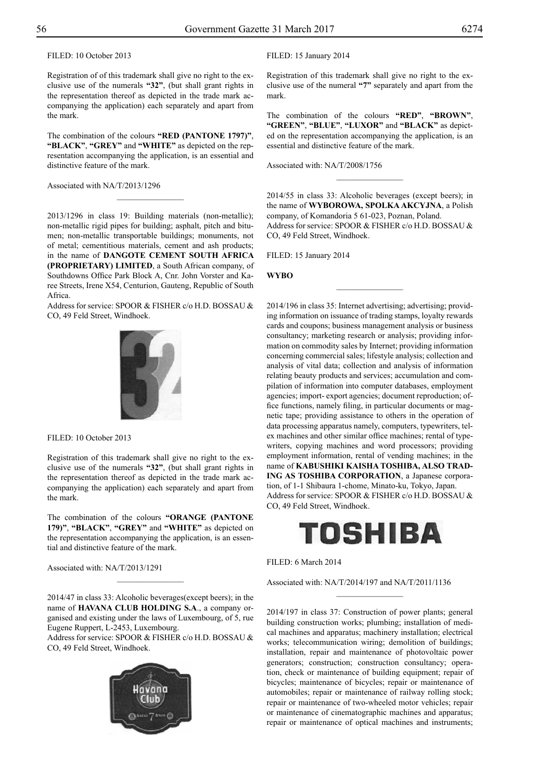FILED: 10 October 2013

Registration of of this trademark shall give no right to the exclusive use of the numerals **"32"**, (but shall grant rights in the representation thereof as depicted in the trade mark accompanying the application) each separately and apart from the mark.

The combination of the colours "RED (PANTONE 1797)", **"BLACK"**, **"GREY"** and **"WHITE"** as depicted on the representation accompanying the application, is an essential and distinctive feature of the mark.

 $\overline{\phantom{a}}$  , where  $\overline{\phantom{a}}$ 

Associated with NA/T/2013/1296

2013/1296 in class 19: Building materials (non-metallic); non-metallic rigid pipes for building; asphalt, pitch and bitumen; non-metallic transportable buildings; monuments, not of metal; cementitious materials, cement and ash products; in the name of **DANGOTE CEMENT SOUTH AFRICA (PROPRIETARY) LIMITED**, a South African company, of Southdowns Office Park Block A, Cnr. John Vorster and Karee Streets, Irene X54, Centurion, Gauteng, Republic of South Africa.

Address for service: SPOOR & FISHER c/o H.D. BOSSAU & Co, 49 Feld Street, Windhoek.



Filed: 10 October 2013

Registration of this trademark shall give no right to the exclusive use of the numerals **"32"**, (but shall grant rights in the representation thereof as depicted in the trade mark accompanying the application) each separately and apart from the mark.

The combination of the colours "ORANGE (PANTONE **179)"**, **"BLACK"**, **"GREY"** and **"WHITE"** as depicted on the representation accompanying the application, is an essential and distinctive feature of the mark.

Associated with: NA/T/2013/1291

2014/47 in class 33: Alcoholic beverages(except beers); in the name of **HAVANA CLUB HOLDING S.A**., a company organised and existing under the laws of Luxembourg, of 5, rue Eugene Ruppert, L-2453, Luxembourg.

 $\frac{1}{2}$ 

Address for service: SPOOR & FISHER c/o H.D. BOSSAU & Co, 49 Feld Street, Windhoek.



## FILED: 15 January 2014

Registration of this trademark shall give no right to the exclusive use of the numeral **"7"** separately and apart from the mark.

The combination of the colours **"RED"**, **"BROWN"**, **"GREEN"**, **"BLUE"**, **"LUXOR"** and **"BLACK"** as depicted on the representation accompanying the application, is an essential and distinctive feature of the mark.

Associated with: NA/T/2008/1756

2014/55 in class 33: Alcoholic beverages (except beers); in the name of **WYBOROWA, SPOLKA AKCYJNA**, a Polish company, of Komandoria 5 61-023, Poznan, Poland. Address for service: SPOOR & FISHER c/o H.D. BOSSAU & CO, 49 Feld Street, Windhoek.

 $\frac{1}{2}$ 

 $\frac{1}{2}$ 

FILED: 15 January 2014

**WYBO**

2014/196 in class 35: Internet advertising; advertising; providing information on issuance of trading stamps, loyalty rewards cards and coupons; business management analysis or business consultancy; marketing research or analysis; providing information on commodity sales by Internet; providing information concerning commercial sales; lifestyle analysis; collection and analysis of vital data; collection and analysis of information relating beauty products and services; accumulation and compilation of information into computer databases, employment agencies; import- export agencies; document reproduction; office functions, namely filing, in particular documents or magnetic tape; providing assistance to others in the operation of data processing apparatus namely, computers, typewriters, telex machines and other similar office machines; rental of typewriters, copying machines and word processors; providing employment information, rental of vending machines; in the name of **KABUSHIKI KAISHA TOSHIBA, ALSO TRAD-ING AS TOSHIBA CORPORATION**, a Japanese corporation, of 1-1 Shibaura 1-chome, Minato-ku, Tokyo, Japan. Address for service: SPOOR & FISHER c/o H.D. BOSSAU & Co, 49 Feld Street, Windhoek.



 $\frac{1}{2}$ 

FILED: 6 March 2014

Associated with: NA/T/2014/197 and NA/T/2011/1136

2014/197 in class 37: Construction of power plants; general building construction works; plumbing; installation of medical machines and apparatus; machinery installation; electrical works; telecommunication wiring; demolition of buildings; installation, repair and maintenance of photovoltaic power generators; construction; construction consultancy; operation, check or maintenance of building equipment; repair of bicycles; maintenance of bicycles; repair or maintenance of automobiles; repair or maintenance of railway rolling stock; repair or maintenance of two-wheeled motor vehicles; repair or maintenance of cinematographic machines and apparatus; repair or maintenance of optical machines and instruments;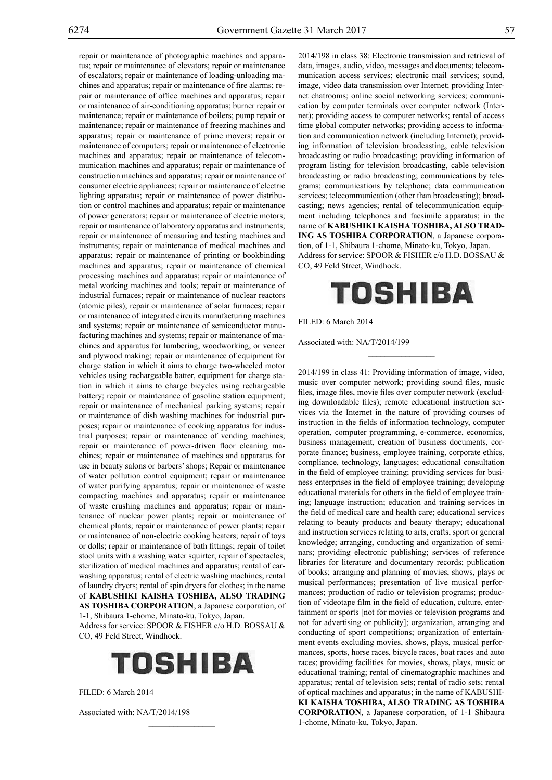repair or maintenance of photographic machines and apparatus; repair or maintenance of elevators; repair or maintenance of escalators; repair or maintenance of loading-unloading machines and apparatus; repair or maintenance of fire alarms; repair or maintenance of office machines and apparatus; repair or maintenance of air-conditioning apparatus; burner repair or maintenance; repair or maintenance of boilers; pump repair or maintenance; repair or maintenance of freezing machines and apparatus; repair or maintenance of prime movers; repair or maintenance of computers; repair or maintenance of electronic machines and apparatus; repair or maintenance of telecommunication machines and apparatus; repair or maintenance of construction machines and apparatus; repair or maintenance of consumer electric appliances; repair or maintenance of electric lighting apparatus; repair or maintenance of power distribution or control machines and apparatus; repair or maintenance of power generators; repair or maintenance of electric motors; repair or maintenance of laboratory apparatus and instruments; repair or maintenance of measuring and testing machines and instruments; repair or maintenance of medical machines and apparatus; repair or maintenance of printing or bookbinding machines and apparatus; repair or maintenance of chemical processing machines and apparatus; repair or maintenance of metal working machines and tools; repair or maintenance of industrial furnaces; repair or maintenance of nuclear reactors (atomic piles); repair or maintenance of solar furnaces; repair or maintenance of integrated circuits manufacturing machines and systems; repair or maintenance of semiconductor manufacturing machines and systems; repair or maintenance of machines and apparatus for lumbering, woodworking, or veneer and plywood making; repair or maintenance of equipment for charge station in which it aims to charge two-wheeled motor vehicles using rechargeable batter, equipment for charge station in which it aims to charge bicycles using rechargeable battery; repair or maintenance of gasoline station equipment; repair or maintenance of mechanical parking systems; repair or maintenance of dish washing machines for industrial purposes; repair or maintenance of cooking apparatus for industrial purposes; repair or maintenance of vending machines; repair or maintenance of power-driven floor cleaning machines; repair or maintenance of machines and apparatus for use in beauty salons or barbers' shops; Repair or maintenance of water pollution control equipment; repair or maintenance of water purifying apparatus; repair or maintenance of waste compacting machines and apparatus; repair or maintenance of waste crushing machines and apparatus; repair or maintenance of nuclear power plants; repair or maintenance of chemical plants; repair or maintenance of power plants; repair or maintenance of non-electric cooking heaters; repair of toys or dolls; repair or maintenance of bath fittings; repair of toilet stool units with a washing water squirter; repair of spectacles; sterilization of medical machines and apparatus; rental of carwashing apparatus; rental of electric washing machines; rental of laundry dryers; rental of spin dryers for clothes; in the name of **KABUSHIKI KAISHA TOSHIBA, ALSO TRADING AS TOSHIBA CORPORATION**, a Japanese corporation, of 1-1, Shibaura 1-chome, Minato-ku, Tokyo, Japan. Address for service: SPOOR & FISHER c/o H.D. BOSSAU & Co, 49 Feld Street, Windhoek.



 $\mathcal{L}=\mathcal{L}^{\mathcal{L}}$ 

FILED: 6 March 2014

Associated with: NA/T/2014/198

2014/198 in class 38: Electronic transmission and retrieval of data, images, audio, video, messages and documents; telecommunication access services; electronic mail services; sound, image, video data transmission over Internet; providing Internet chatrooms; online social networking services; communication by computer terminals over computer network (Internet); providing access to computer networks; rental of access time global computer networks; providing access to information and communication network (including Internet); providing information of television broadcasting, cable television broadcasting or radio broadcasting; providing information of program listing for television broadcasting, cable television broadcasting or radio broadcasting; communications by telegrams; communications by telephone; data communication services; telecommunication (other than broadcasting); broadcasting; news agencies; rental of telecommunication equipment including telephones and facsimile apparatus; in the name of **KABUSHIKI KAISHA TOSHIBA, ALSO TRAD-ING AS TOSHIBA CORPORATION**, a Japanese corporation, of 1-1, Shibaura 1-chome, Minato-ku, Tokyo, Japan. Address for service: SPOOR & FISHER c/o H.D. BOSSAU & Co, 49 Feld Street, Windhoek.

# TOSHIBA

 $\frac{1}{2}$ 

FILED: 6 March 2014

Associated with: NA/T/2014/199

2014/199 in class 41: Providing information of image, video, music over computer network; providing sound files, music files, image files, movie files over computer network (excluding downloadable files); remote educational instruction services via the Internet in the nature of providing courses of instruction in the fields of information technology, computer operation, computer programming, e-commerce, economics, business management, creation of business documents, corporate finance; business, employee training, corporate ethics, compliance, technology, languages; educational consultation in the field of employee training; providing services for business enterprises in the field of employee training; developing educational materials for others in the field of employee training; language instruction; education and training services in the field of medical care and health care; educational services relating to beauty products and beauty therapy; educational and instruction services relating to arts, crafts, sport or general knowledge; arranging, conducting and organization of seminars; providing electronic publishing; services of reference libraries for literature and documentary records; publication of books; arranging and planning of movies, shows, plays or musical performances; presentation of live musical performances; production of radio or television programs; production of videotape film in the field of education, culture, entertainment or sports [not for movies or television programs and not for advertising or publicity]; organization, arranging and conducting of sport competitions; organization of entertainment events excluding movies, shows, plays, musical performances, sports, horse races, bicycle races, boat races and auto races; providing facilities for movies, shows, plays, music or educational training; rental of cinematographic machines and apparatus; rental of television sets; rental of radio sets; rental of optical machines and apparatus; in the name of KABUSHI-**KI KAISHA TOSHIBA, ALSO TRADING AS TOSHIBA CORPORATION**, a Japanese corporation, of 1-1 Shibaura 1-chome, Minato-ku, Tokyo, Japan.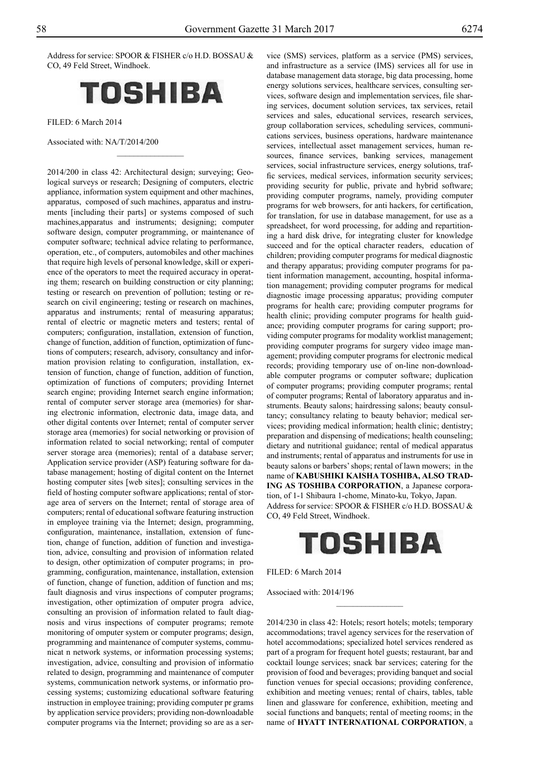Address for service: SPOOR & FISHER c/o H.D. BOSSAU & Co, 49 Feld Street, Windhoek.



 $\frac{1}{2}$ 

FILED: 6 March 2014

Associated with: NA/T/2014/200

2014/200 in class 42: Architectural design; surveying; Geological surveys or research; Designing of computers, electric appliance, information system equipment and other machines, apparatus, composed of such machines, apparatus and instruments [including their parts] or systems composed of such machines,apparatus and instruments; designing; computer software design, computer programming, or maintenance of computer software; technical advice relating to performance, operation, etc., of computers, automobiles and other machines that require high levels of personal knowledge, skill or experience of the operators to meet the required accuracy in operating them; research on building construction or city planning; testing or research on prevention of pollution; testing or research on civil engineering; testing or research on machines, apparatus and instruments; rental of measuring apparatus; rental of electric or magnetic meters and testers; rental of computers; configuration, installation, extension of function, change of function, addition of function, optimization of functions of computers; research, advisory, consultancy and information provision relating to configuration, installation, extension of function, change of function, addition of function, optimization of functions of computers; providing Internet search engine; providing Internet search engine information; rental of computer server storage area (memories) for sharing electronic information, electronic data, image data, and other digital contents over Internet; rental of computer server storage area (memories) for social networking or provision of information related to social networking; rental of computer server storage area (memories); rental of a database server; Application service provider (ASP) featuring software for database management; hosting of digital content on the Internet hosting computer sites [web sites]; consulting services in the field of hosting computer software applications; rental of storage area of servers on the Internet; rental of storage area of computers; rental of educational software featuring instruction in employee training via the Internet; design, programming, configuration, maintenance, installation, extension of function, change of function, addition of function and investigation, advice, consulting and provision of information related to design, other optimization of computer programs; in programming, configuration, maintenance, installation, extension of function, change of function, addition of function and ms; fault diagnosis and virus inspections of computer programs; investigation, other optimization of omputer progra advice, consulting an provision of information related to fault diagnosis and virus inspections of computer programs; remote monitoring of omputer system or computer programs; design, programming and maintenance of computer systems, communicat n network systems, or information processing systems; investigation, advice, consulting and provision of informatio related to design, programming and maintenance of computer systems, communication network systems, or informatio processing systems; customizing educational software featuring instruction in employee training; providing computer pr grams by application service providers; providing non-downloadable computer programs via the Internet; providing so are as a ser-

vice (SMS) services, platform as a service (PMS) services, and infrastructure as a service (IMS) services all for use in database management data storage, big data processing, home energy solutions services, healthcare services, consulting services, software design and implementation services, file sharing services, document solution services, tax services, retail services and sales, educational services, research services, group collaboration services, scheduling services, communications services, business operations, hardware maintenance services, intellectual asset management services, human resources, finance services, banking services, management services, social infrastructure services, energy solutions, traffic services, medical services, information security services; providing security for public, private and hybrid software; providing computer programs, namely, providing computer programs for web browsers, for anti hackers, for certification, for translation, for use in database management, for use as a spreadsheet, for word processing, for adding and repartitioning a hard disk drive, for integrating cluster for knowledge succeed and for the optical character readers, education of children; providing computer programs for medical diagnostic and therapy apparatus; providing computer programs for patient information management, accounting, hospital information management; providing computer programs for medical diagnostic image processing apparatus; providing computer programs for health care; providing computer programs for health clinic; providing computer programs for health guidance; providing computer programs for caring support; providing computer programs for modality worklist management; providing computer programs for surgery video image management; providing computer programs for electronic medical records; providing temporary use of on-line non-downloadable computer programs or computer software; duplication of computer programs; providing computer programs; rental of computer programs; Rental of laboratory apparatus and instruments. Beauty salons; hairdressing salons; beauty consultancy; consultancy relating to beauty behavior; medical services; providing medical information; health clinic; dentistry; preparation and dispensing of medications; health counseling; dietary and nutritional guidance; rental of medical apparatus and instruments; rental of apparatus and instruments for use in beauty salons or barbers' shops; rental of lawn mowers; in the name of **KABUSHIKI KAISHA TOSHIBA, ALSO TRAD-ING AS TOSHIBA CORPORATION**, a Japanese corporation, of 1-1 Shibaura 1-chome, Minato-ku, Tokyo, Japan. Address for service: SPOOR & FISHER c/o H.D. BOSSAU & Co, 49 Feld Street, Windhoek.



 $\overline{\phantom{a}}$  , where  $\overline{\phantom{a}}$ 

FILED: 6 March 2014

Associaed with: 2014/196

2014/230 in class 42: Hotels; resort hotels; motels; temporary accommodations; travel agency services for the reservation of hotel accommodations; specialized hotel services rendered as part of a program for frequent hotel guests; restaurant, bar and cocktail lounge services; snack bar services; catering for the provision of food and beverages; providing banquet and social function venues for special occasions; providing conference, exhibition and meeting venues; rental of chairs, tables, table linen and glassware for conference, exhibition, meeting and social functions and banquets; rental of meeting rooms; in the name of **HYATT INTERNATIONAL CORPORATION**, a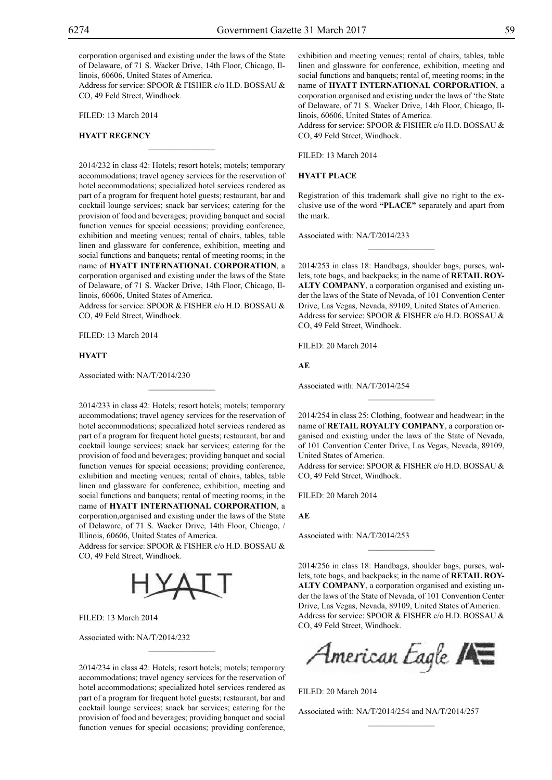corporation organised and existing under the laws of the State of Delaware, of 71 S. Wacker Drive, 14th Floor, Chicago, Illinois, 60606, United States of America.

Address for service: SPOOR & FISHER c/o H.D. BOSSAU & Co, 49 Feld Street, Windhoek.

 $\overline{\phantom{a}}$  , where  $\overline{\phantom{a}}$ 

Filed: 13 March 2014

### **HYATT REGENCY**

2014/232 in class 42: Hotels; resort hotels; motels; temporary accommodations; travel agency services for the reservation of hotel accommodations; specialized hotel services rendered as part of a program for frequent hotel guests; restaurant, bar and cocktail lounge services; snack bar services; catering for the provision of food and beverages; providing banquet and social function venues for special occasions; providing conference, exhibition and meeting venues; rental of chairs, tables, table linen and glassware for conference, exhibition, meeting and social functions and banquets; rental of meeting rooms; in the name of **HYATT INTERNATIONAL CORPORATION**, a corporation organised and existing under the laws of the State of Delaware, of 71 S. Wacker Drive, 14th Floor, Chicago, Illinois, 60606, United States of America.

Address for service: SPOOR & FISHER c/o H.D. BOSSAU & Co, 49 Feld Street, Windhoek.

 $\mathcal{L}=\mathcal{L}^{\text{max}}$ 

Filed: 13 March 2014

#### **HYATT**

Associated with: NA/T/2014/230

2014/233 in class 42: Hotels; resort hotels; motels; temporary accommodations; travel agency services for the reservation of hotel accommodations; specialized hotel services rendered as part of a program for frequent hotel guests; restaurant, bar and cocktail lounge services; snack bar services; catering for the provision of food and beverages; providing banquet and social function venues for special occasions; providing conference, exhibition and meeting venues; rental of chairs, tables, table linen and glassware for conference, exhibition, meeting and social functions and banquets; rental of meeting rooms; in the name of **HYATT INTERNATIONAL CORPORATION**, a corporation,organised and existing under the laws of the State of Delaware, of 71 S. Wacker Drive, 14th Floor, Chicago, / Illinois, 60606, United States of America.

Address for service: SPOOR & FISHER c/o H.D. BOSSAU & Co, 49 Feld Street, Windhoek.



Filed: 13 March 2014

Associated with: NA/T/2014/232

2014/234 in class 42: Hotels; resort hotels; motels; temporary accommodations; travel agency services for the reservation of hotel accommodations; specialized hotel services rendered as part of a program for frequent hotel guests; restaurant, bar and cocktail lounge services; snack bar services; catering for the provision of food and beverages; providing banquet and social function venues for special occasions; providing conference,

 $\mathcal{L}=\mathcal{L}^{\text{max}}$ 

exhibition and meeting venues; rental of chairs, tables, table linen and glassware for conference, exhibition, meeting and social functions and banquets; rental of, meeting rooms; in the name of **HYATT INTERNATIONAL CORPORATION**, a corporation organised and existing under the laws of 'the State of Delaware, of 71 S. Wacker Drive, 14th Floor, Chicago, Illinois, 60606, United States of America.

Address for service: SPOOR & FISHER c/o H.D. BOSSAU & CO, 49 Feld Street, Windhoek.

Filed: 13 March 2014

**HYATT PLACE**

Registration of this trademark shall give no right to the exclusive use of the word **"PLACE"** separately and apart from the mark.

 $\overline{\phantom{a}}$  , where  $\overline{\phantom{a}}$ 

Associated with: NA/T/2014/233

2014/253 in class 18: Handbags, shoulder bags, purses, wallets, tote bags, and backpacks; in the name of **RETAIL ROY-ALTY COMPANY**, a corporation organised and existing under the laws of the State of Nevada, of 101 Convention Center Drive, Las Vegas, Nevada, 89109, United States of America. Address for service: SPOOR & FISHER c/o H.D. BOSSAU & Co, 49 Feld Street, Windhoek.

Filed: 20 March 2014

**AE**

Associated with: NA/T/2014/254

2014/254 in class 25: Clothing, footwear and headwear; in the name of **RETAIL ROYALTY COMPANY**, a corporation organised and existing under the laws of the State of Nevada, of 101 Convention Center Drive, Las Vegas, Nevada, 89109, United States of America.

 $\frac{1}{2}$ 

Address for service: SPOOR & FISHER c/o H.D. BOSSAU & Co, 49 Feld Street, Windhoek.

Filed: 20 March 2014

**AE**

Associated with: NA/T/2014/253

2014/256 in class 18: Handbags, shoulder bags, purses, wallets, tote bags, and backpacks; in the name of **RETAIL ROY-ALTY COMPANY**, a corporation organised and existing under the laws of the State of Nevada, of 101 Convention Center Drive, Las Vegas, Nevada, 89109, United States of America. Address for service: SPOOR & FISHER c/o H.D. BOSSAU & Co, 49 Feld Street, Windhoek.

 $\frac{1}{2}$ 

American Eagle **AE** 

Filed: 20 March 2014

Associated with: NA/T/2014/254 and NA/T/2014/257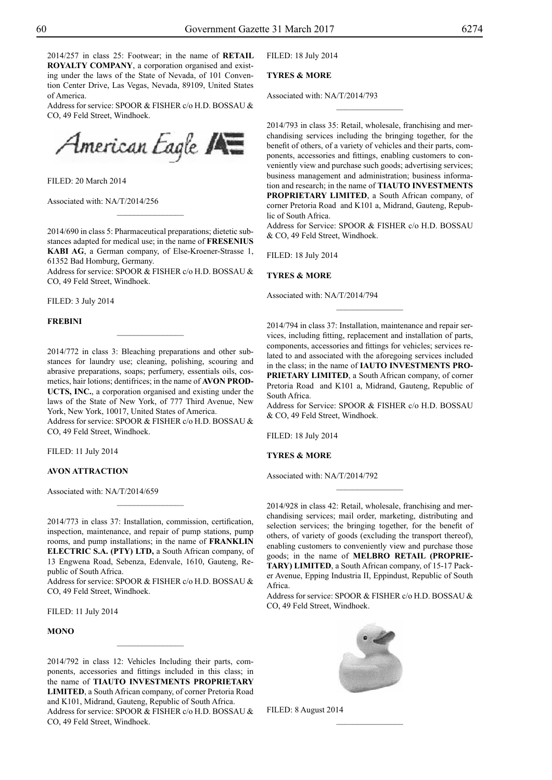2014/257 in class 25: Footwear; in the name of **RETAIL ROYALTY COMPANY**, a corporation organised and existing under the laws of the State of Nevada, of 101 Convention Center Drive, Las Vegas, Nevada, 89109, United States of America.

Address for service: SPOOR & FISHER c/o H.D. BOSSAU & CO, 49 Feld Street, Windhoek.



Filed: 20 March 2014

Associated with: NA/T/2014/256

2014/690 in class 5: Pharmaceutical preparations; dietetic substances adapted for medical use; in the name of **FRESENIUS KABI AG**, a German company, of Else-Kroener-Strasse 1, 61352 Bad Homburg, Germany.

 $\overline{\phantom{a}}$  , where  $\overline{\phantom{a}}$ 

Address for service: SPOOR & FISHER c/o H.D. BOSSAU & Co, 49 Feld Street, Windhoek.

Filed: 3 July 2014

#### **FREBINI**

2014/772 in class 3: Bleaching preparations and other substances for laundry use; cleaning, polishing, scouring and abrasive preparations, soaps; perfumery, essentials oils, cosmetics, hair lotions; dentifrices; in the name of **AVON PROD-UCTS, INC.**, a corporation organised and existing under the laws of the State of New York, of 777 Third Avenue, New York, New York, 10017, United States of America.

 $\frac{1}{2}$ 

Address for service: SPOOR & FISHER c/o H.D. BOSSAU & Co, 49 Feld Street, Windhoek.

Filed: 11 July 2014

## **AVON ATTRACTION**

Associated with: NA/T/2014/659

2014/773 in class 37: Installation, commission, certification, inspection, maintenance, and repair of pump stations, pump rooms, and pump installations; in the name of **FRANKLIN ELECTRIC S.A. (PTY) LTD,** a South African company, of 13 Engwena Road, Sebenza, Edenvale, 1610, Gauteng, Republic of South Africa.

 $\frac{1}{2}$ 

Address for service: SPOOR & FISHER c/o H.D. BOSSAU & Co, 49 Feld Street, Windhoek.

Filed: 11 July 2014

#### **MONO**

2014/792 in class 12: Vehicles Including their parts, components, accessories and fittings included in this class; in the name of **TIAUTO INVESTMENTS PROPRIETARY LIMITED**, a South African company, of corner Pretoria Road and K101, Midrand, Gauteng, Republic of South Africa. Address for service: SPOOR & FISHER c/o H.D. BOSSAU & Co, 49 Feld Street, Windhoek.

Filed: 18 July 2014

## **TYRES & MORE**

Associated with: NA/T/2014/793

2014/793 in class 35: Retail, wholesale, franchising and merchandising services including the bringing together, for the benefit of others, of a variety of vehicles and their parts, components, accessories and fittings, enabling customers to conveniently view and purchase such goods; advertising services; business management and administration; business information and research; in the name of **TIAUTO INVESTMENTS PROPRIETARY LIMITED**, a South African company, of corner Pretoria Road and K101 a, Midrand, Gauteng, Republic of South Africa.

 $\frac{1}{2}$ 

Address for Service: SPOOR & FISHER c/o H.D. BOSSAU & Co, 49 Feld Street, Windhoek.

Filed: 18 July 2014

#### **TYRES & MORE**

Associated with: NA/T/2014/794

2014/794 in class 37: Installation, maintenance and repair services, including fitting, replacement and installation of parts, components, accessories and fittings for vehicles; services related to and associated with the aforegoing services included in the class; in the name of **IAUTO INVESTMENTS PRO-PRIETARY LIMITED**, a South African company, of corner Pretoria Road and K101 a, Midrand, Gauteng, Republic of South Africa.

 $\frac{1}{2}$ 

Address for Service: SPOOR & FISHER c/o H.D. BOSSAU & Co, 49 Feld Street, Windhoek.

Filed: 18 July 2014

## **TYRES & MORE**

Associated with: NA/T/2014/792

2014/928 in class 42: Retail, wholesale, franchising and merchandising services; mail order, marketing, distributing and selection services; the bringing together, for the benefit of others, of variety of goods (excluding the transport thereof), enabling customers to conveniently view and purchase those goods; in the name of **MELBRO RETAIL (PROPRIE-TARY) LIMITED**, a South African company, of 15-17 Packer Avenue, Epping Industria II, Eppindust, Republic of South Africa.

 $\frac{1}{2}$ 

Address for service: SPOOR & FISHER c/o H.D. BOSSAU & Co, 49 Feld Street, Windhoek.



Filed: 8 August 2014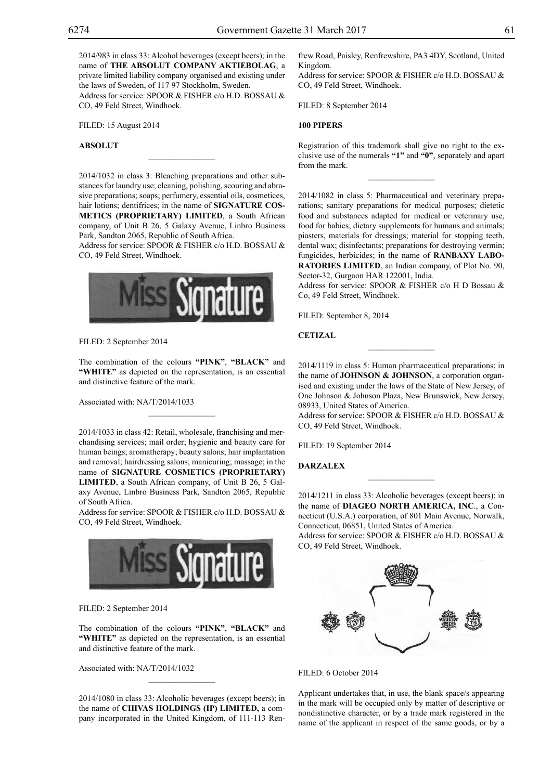2014/983 in class 33: Alcohol beverages (except beers); in the name of **THE ABSOLUT COMPANY AKTIEBOLAG**, a private limited liability company organised and existing under the laws of Sweden, of 117 97 Stockholm, Sweden.

Address for service: SPOOR & FISHER c/o H.D. BOSSAU & Co, 49 Feld Street, Windhoek.

Filed: 15 August 2014

## **ABSOLUT**

2014/1032 in class 3: Bleaching preparations and other substances for laundry use; cleaning, polishing, scouring and abrasive preparations; soaps; perfumery, essential oils, cosmetices, hair lotions; dentifrices; in the name of **SIGNATURE COS-METICS (PROPRIETARY) LIMITED**, a South African company, of Unit B 26, 5 Galaxy Avenue, Linbro Business Park, Sandton 2065, Republic of South Africa.

 $\mathcal{L}=\mathcal{L}^{\text{max}}$ 

Address for service: SPOOR & FISHER c/o H.D. BOSSAU & Co, 49 Feld Street, Windhoek.



Filed: 2 September 2014

The combination of the colours **"PINK"**, **"BLACK"** and **"WHITE"** as depicted on the representation, is an essential and distinctive feature of the mark.

 $\mathcal{L}=\mathcal{L}^{\text{max}}$ 

Associated with: NA/T/2014/1033

2014/1033 in class 42: Retail, wholesale, franchising and merchandising services; mail order; hygienic and beauty care for human beings; aromatherapy; beauty salons; hair implantation and removal; hairdressing salons; manicuring; massage; in the name of **SIGNATURE COSMETICS (PROPRIETARY) LIMITED**, a South African company, of Unit B 26, 5 Galaxy Avenue, Linbro Business Park, Sandton 2065, Republic of South Africa.

Address for service: SPOOR & FISHER c/o H.D. BOSSAU & Co, 49 Feld Street, Windhoek.



Filed: 2 September 2014

The combination of the colours **"PINK"**, **"BLACK"** and **"WHITE"** as depicted on the representation, is an essential and distinctive feature of the mark.

Associated with: NA/T/2014/1032

2014/1080 in class 33: Alcoholic beverages (except beers); in the name of **CHIVAS HOLDINGS (IP) LIMITED,** a company incorporated in the United Kingdom, of 111-113 Renfrew Road, Paisley, Renfrewshire, PA3 4DY, Scotland, United Kingdom.

Address for service: SPOOR & FISHER c/o H.D. BOSSAU & Co, 49 Feld Street, Windhoek.

FILED: 8 September 2014

## **100 PIPERS**

Registration of this trademark shall give no right to the exclusive use of the numerals **"1"** and **"0"**, separately and apart from the mark.

 $\frac{1}{2}$ 

2014/1082 in class 5: Pharmaceutical and veterinary preparations; sanitary preparations for medical purposes; dietetic food and substances adapted for medical or veterinary use, food for babies; dietary supplements for humans and animals; piasters, materials for dressings; material for stopping teeth, dental wax; disinfectants; preparations for destroying vermin; fungicides, herbicides; in the name of **RANBAXY LABO-RATORIES LIMITED**, an Indian company, of Plot No. 90, Sector-32, Gurgaon HAR 122001, India.

Address for service: SPOOR & FISHER c/o H D Bossau & Co, 49 Feld Street, Windhoek.

FILED: September 8, 2014

**CETIZAL**

2014/1119 in class 5: Human pharmaceutical preparations; in the name of **JOHNSON & JOHNSON**, a corporation organised and existing under the laws of the State of New Jersey, of One Johnson & Johnson Plaza, New Brunswick, New Jersey, 08933, United States of America.

 $\overline{\phantom{a}}$  , where  $\overline{\phantom{a}}$ 

Address for service: SPOOR & FISHER c/o H.D. BOSSAU & Co, 49 Feld Street, Windhoek.

FILED: 19 September 2014

## **DARZALEX**

2014/1211 in class 33: Alcoholic beverages (except beers); in the name of **DIAGEO NORTH AMERICA, INC**., a Connecticut (U.S.A.) corporation, of 801 Main Avenue, Norwalk, Connecticut, 06851, United States of America. Address for service: SPOOR & FISHER c/o H.D. BOSSAU & CO, 49 Feld Street, Windhoek.

 $\frac{1}{2}$ 



FILED: 6 October 2014

Applicant undertakes that, in use, the blank space/s appearing in the mark will be occupied only by matter of descriptive or nondistinctive character, or by a trade mark registered in the name of the applicant in respect of the same goods, or by a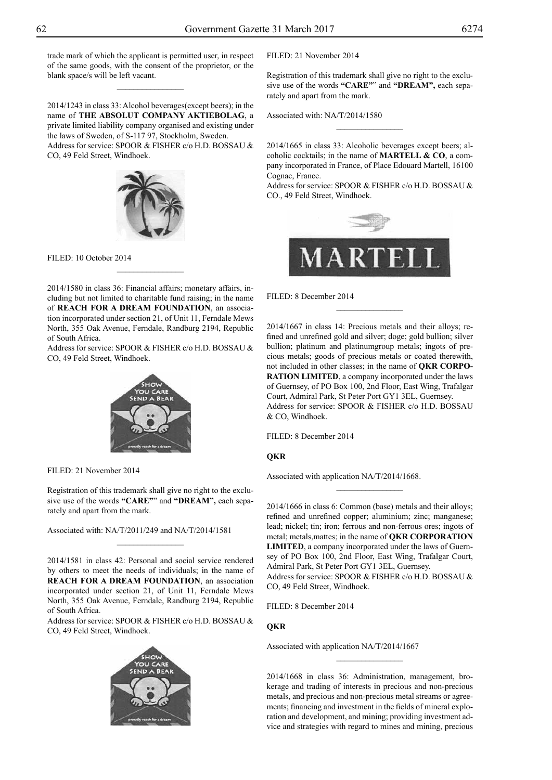trade mark of which the applicant is permitted user, in respect of the same goods, with the consent of the proprietor, or the blank space/s will be left vacant.

 $\overline{\phantom{a}}$  , where  $\overline{\phantom{a}}$ 

2014/1243 in class 33: Alcohol beverages(except beers); in the name of **THE ABSOLUT COMPANY AKTIEBOLAG**, a private limited liability company organised and existing under the laws of Sweden, of S-117 97, Stockholm, Sweden. Address for service: SPOOR & FISHER c/o H.D. BOSSAU & Co, 49 Feld Street, Windhoek.



FILED: 10 October 2014

2014/1580 in class 36: Financial affairs; monetary affairs, including but not limited to charitable fund raising; in the name of **REACH FOR A DREAM FOUNDATION**, an association incorporated under section 21, of Unit 11, Ferndale Mews North, 355 Oak Avenue, Ferndale, Randburg 2194, Republic of South Africa.

 $\frac{1}{2}$ 

Address for service: SPOOR & FISHER c/o H.D. BOSSAU & Co, 49 Feld Street, Windhoek.



Filed: 21 November 2014

Registration of this trademark shall give no right to the exclusive use of the words **"CARE"**" and **"DREAM",** each separately and apart from the mark.

 $\frac{1}{2}$ 

Associated with: NA/T/2011/249 and NA/T/2014/1581

2014/1581 in class 42: Personal and social service rendered by others to meet the needs of individuals; in the name of **REACH FOR A DREAM FOUNDATION**, an association incorporated under section 21, of Unit 11, Ferndale Mews North, 355 Oak Avenue, Ferndale, Randburg 2194, Republic of South Africa.

Address for service: SPOOR & FISHER c/o H.D. BOSSAU & Co, 49 Feld Street, Windhoek.



Filed: 21 November 2014

Registration of this trademark shall give no right to the exclusive use of the words **"CARE"**" and **"DREAM",** each separately and apart from the mark.

Associated with: NA/T/2014/1580

2014/1665 in class 33: Alcoholic beverages except beers; alcoholic cocktails; in the name of **MARTELL & CO**, a company incorporated in France, of Place Edouard Martell, 16100 Cognac, France.

 $\frac{1}{2}$ 

Address for service: SPOOR & FISHER c/o H.D. BOSSAU & Co., 49 Feld Street, Windhoek.



FILED: 8 December 2014

2014/1667 in class 14: Precious metals and their alloys; refined and unrefined gold and silver; doge; gold bullion; silver bullion; platinum and platinumgroup metals; ingots of precious metals; goods of precious metals or coated therewith, not included in other classes; in the name of **QKR CORPO-RATION LIMITED**, a company incorporated under the laws of Guernsey, of PO Box 100, 2nd Floor, East Wing, Trafalgar Court, Admiral Park, St Peter Port GY1 3EL, Guernsey. Address for service: SPOOR & FISHER c/o H.D. BOSSAU & Co, Windhoek.

 $\overline{\phantom{a}}$  , where  $\overline{\phantom{a}}$ 

Filed: 8 December 2014

## **QKR**

Associated with application NA/T/2014/1668.

2014/1666 in class 6: Common (base) metals and their alloys; refined and unrefined copper; aluminium; zinc; manganese; lead; nickel; tin; iron; ferrous and non-ferrous ores; ingots of metal; metals,mattes; in the name of **QKR CORPORATION LIMITED**, a company incorporated under the laws of Guernsey of PO Box 100, 2nd Floor, East Wing, Trafalgar Court, Admiral Park, St Peter Port GY1 3EL, Guernsey. Address for service: SPOOR & FISHER c/o H.D. BOSSAU & Co, 49 Feld Street, Windhoek.

 $\frac{1}{2}$ 

Filed: 8 December 2014

## **QKR**

Associated with application NA/T/2014/1667

2014/1668 in class 36: Administration, management, brokerage and trading of interests in precious and non-precious metals, and precious and non-precious metal streams or agreements; financing and investment in the fields of mineral exploration and development, and mining; providing investment advice and strategies with regard to mines and mining, precious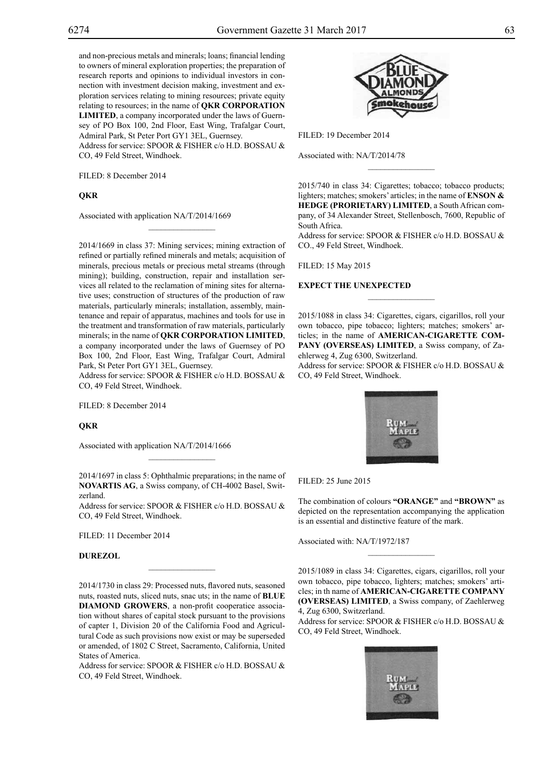and non-precious metals and minerals; loans; financial lending to owners of mineral exploration properties; the preparation of research reports and opinions to individual investors in connection with investment decision making, investment and exploration services relating to mining resources; private equity relating to resources; in the name of **QKR CORPORATION LIMITED**, a company incorporated under the laws of Guernsey of PO Box 100, 2nd Floor, East Wing, Trafalgar Court, Admiral Park, St Peter Port GY1 3EL, Guernsey. Address for service: SPOOR & FISHER c/o H.D. BOSSAU &

CO, 49 Feld Street, Windhoek.

 $\mathcal{L}=\mathcal{L}^{\text{max}}$ 

Filed: 8 December 2014

## **QKR**

Associated with application NA/T/2014/1669

2014/1669 in class 37: Mining services; mining extraction of refined or partially refined minerals and metals; acquisition of minerals, precious metals or precious metal streams (through mining); building, construction, repair and installation services all related to the reclamation of mining sites for alternative uses; construction of structures of the production of raw materials, particularly minerals; installation, assembly, maintenance and repair of apparatus, machines and tools for use in the treatment and transformation of raw materials, particularly minerals; in the name of **QKR CORPORATION LIMITED**, a company incorporated under the laws of Guernsey of PO Box 100, 2nd Floor, East Wing, Trafalgar Court, Admiral Park, St Peter Port GY1 3EL, Guernsey.

Address for service: SPOOR & FISHER c/o H.D. BOSSAU & Co, 49 Feld Street, Windhoek.

FILED: 8 December 2014

## **QKR**

Associated with application NA/T/2014/1666

2014/1697 in class 5: Ophthalmic preparations; in the name of **NOVARTIS AG**, a Swiss company, of CH-4002 Basel, Switzerland.

 $\overline{\phantom{a}}$  , where  $\overline{\phantom{a}}$ 

Address for service: SPOOR & FISHER c/o H.D. BOSSAU & Co, 49 Feld Street, Windhoek.

Filed: 11 December 2014

## **DUREZOL**

2014/1730 in class 29: Processed nuts, flavored nuts, seasoned nuts, roasted nuts, sliced nuts, snac uts; in the name of **BLUE DIAMOND GROWERS**, a non-profit cooperatice association without shares of capital stock pursuant to the provisions of capter 1, Division 20 of the California Food and Agricultural Code as such provisions now exist or may be superseded or amended, of 1802 C Street, Sacramento, California, United States of America.

 $\overline{\phantom{a}}$  , where  $\overline{\phantom{a}}$ 

Address for service: SPOOR & FISHER c/o H.D. BOSSAU & CO, 49 Feld Street, Windhoek.



Filed: 19 December 2014

Associated with: NA/T/2014/78

2015/740 in class 34: Cigarettes; tobacco; tobacco products; lighters; matches; smokers' articles; in the name of **ENSON & HEDGE (PRORIETARY) LIMITED**, a South African company, of 34 Alexander Street, Stellenbosch, 7600, Republic of South Africa.

 $\frac{1}{2}$ 

Address for service: SPOOR & FISHER c/o H.D. BOSSAU & Co., 49 Feld Street, Windhoek.

Filed: 15 May 2015

### **EXPECT THE UNEXPECTED**

2015/1088 in class 34: Cigarettes, cigars, cigarillos, roll your own tobacco, pipe tobacco; lighters; matches; smokers' articles; in the name of **AMERICAN-CIGARETTE COM-PANY (OVERSEAS) LIMITED**, a Swiss company, of Zaehlerweg 4, Zug 6300, Switzerland.

Address for service: SPOOR & FISHER c/o H.D. BOSSAU & Co, 49 Feld Street, Windhoek.



Filed: 25 June 2015

The combination of colours "ORANGE" and "BROWN" as depicted on the representation accompanying the application is an essential and distinctive feature of the mark.

Associated with: NA/T/1972/187

2015/1089 in class 34: Cigarettes, cigars, cigarillos, roll your own tobacco, pipe tobacco, lighters; matches; smokers' articles; in th name of **AMERICAN-CIGARETTE COMPANY (OVERSEAS) LIMITED**, a Swiss company, of Zaehlerweg 4, Zug 6300, Switzerland.

 $\overline{\phantom{a}}$  , where  $\overline{\phantom{a}}$ 

Address for service: SPOOR & FISHER c/o H.D. BOSSAU & Co, 49 Feld Street, Windhoek.

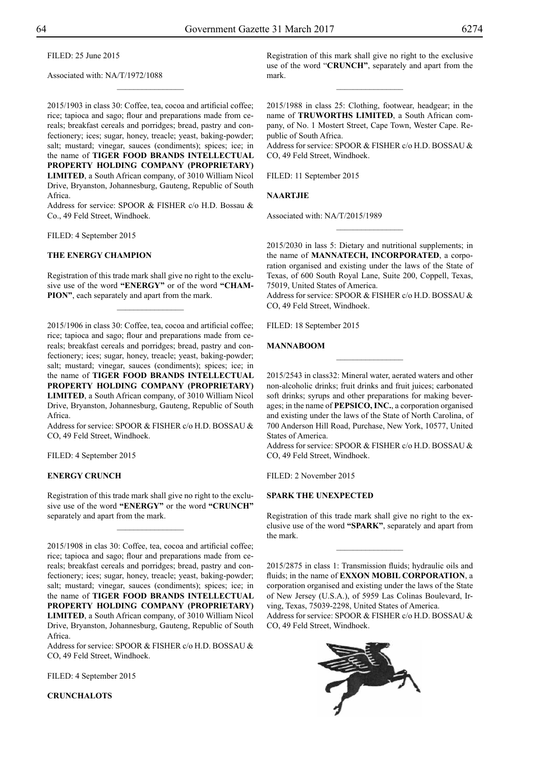Filed: 25 June 2015

Associated with: NA/T/1972/1088

2015/1903 in class 30: Coffee, tea, cocoa and artificial coffee; rice; tapioca and sago; flour and preparations made from cereals; breakfast cereals and porridges; bread, pastry and confectionery; ices; sugar, honey, treacle; yeast, baking-powder; salt; mustard; vinegar, sauces (condiments); spices; ice; in the name of **TIGER FOOD BRANDS INTELLECTUAL PROPERTY HOLDING COMPANY (PROPRIETARY) LIMITED**, a South African company, of 3010 William Nicol Drive, Bryanston, Johannesburg, Gauteng, Republic of South Africa.

 $\overline{\phantom{a}}$  , where  $\overline{\phantom{a}}$ 

Address for service: SPOOR & FISHER c/o H.D. Bossau & Co., 49 Feld Street, Windhoek.

Filed: 4 September 2015

## **THE ENERGY CHAMPION**

Registration of this trade mark shall give no right to the exclusive use of the word **"ENERGY"** or of the word **"CHAM-PION"**, each separately and apart from the mark.

 $\frac{1}{2}$ 

2015/1906 in class 30: Coffee, tea, cocoa and artificial coffee; rice; tapioca and sago; flour and preparations made from cereals; breakfast cereals and porridges; bread, pastry and confectionery; ices; sugar, honey, treacle; yeast, baking-powder; salt; mustard; vinegar, sauces (condiments); spices; ice; in the name of **TIGER FOOD BRANDS INTELLECTUAL PROPERTY HOLDING COMPANY (PROPRIETARY) LIMITED**, a South African company, of 3010 William Nicol Drive, Bryanston, Johannesburg, Gauteng, Republic of South Africa.

Address for service: SPOOR & FISHER c/o H.D. BOSSAU & Co, 49 Feld Street, Windhoek.

FILED: 4 September 2015

## **ENERGY CRUNCH**

Registration of this trade mark shall give no right to the exclusive use of the word **"ENERGY"** or the word **"CRUNCH"**  separately and apart from the mark.

 $\frac{1}{2}$ 

2015/1908 in clas 30: Coffee, tea, cocoa and artificial coffee; rice; tapioca and sago; flour and preparations made from cereals; breakfast cereals and porridges; bread, pastry and confectionery; ices; sugar, honey, treacle; yeast, baking-powder; salt; mustard; vinegar, sauces (condiments); spices; ice; in the name of **TIGER FOOD BRANDS INTELLECTUAL PROPERTY HOLDING COMPANY (PROPRIETARY) LIMITED**, a South African company, of 3010 William Nicol Drive, Bryanston, Johannesburg, Gauteng, Republic of South Africa.

Address for service: SPOOR & FISHER c/o H.D. BOSSAU & Co, 49 Feld Street, Windhoek.

FILED: 4 September 2015

**CRUNCHALOTS**

Registration of this mark shall give no right to the exclusive use of the word "**CRUNCH"**, separately and apart from the mark.

 $\overline{\phantom{a}}$  , where  $\overline{\phantom{a}}$ 

2015/1988 in class 25: Clothing, footwear, headgear; in the name of **TRUWORTHS LIMITED**, a South African company, of No. 1 Mostert Street, Cape Town, Wester Cape. Republic of South Africa.

Address for service: SPOOR & FISHER c/o H.D. BOSSAU & Co, 49 Feld Street, Windhoek.

FILED: 11 September 2015

## **NAARTJIE**

Associated with: NA/T/2015/1989

2015/2030 in lass 5: Dietary and nutritional supplements; in the name of **MANNATECH, INCORPORATED**, a corporation organised and existing under the laws of the State of Texas, of 600 South Royal Lane, Suite 200, Coppell, Texas, 75019, United States of America.

 $\frac{1}{2}$ 

Address for service: SPOOR & FISHER c/o H.D. BOSSAU & Co, 49 Feld Street, Windhoek.

FILED: 18 September 2015

#### **MANNABOOM**

2015/2543 in class32: Mineral water, aerated waters and other non-alcoholic drinks; fruit drinks and fruit juices; carbonated soft drinks; syrups and other preparations for making beverages; in the name of **PEPSICO, INC.**, a corporation organised and existing under the laws of the State of North Carolina, of 700 Anderson Hill Road, Purchase, New York, 10577, United States of America.

 $\overline{\phantom{a}}$  , where  $\overline{\phantom{a}}$ 

Address for service: SPOOR & FISHER c/o H.D. BOSSAU & Co, 49 Feld Street, Windhoek.

Filed: 2 November 2015

#### **SPARK THE UNEXPECTED**

Registration of this trade mark shall give no right to the exclusive use of the word **"SPARK"**, separately and apart from the mark.

 $\frac{1}{2}$ 

2015/2875 in class 1: Transmission fluids; hydraulic oils and fluids; in the name of **EXXON MOBIL CORPORATION**, a corporation organised and existing under the laws of the State of New Jersey (U.S.A.), of 5959 Las Colinas Boulevard, Irving, Texas, 75039-2298, United States of America.

Address for service: SPOOR & FISHER c/o H.D. BOSSAU & Co, 49 Feld Street, Windhoek.

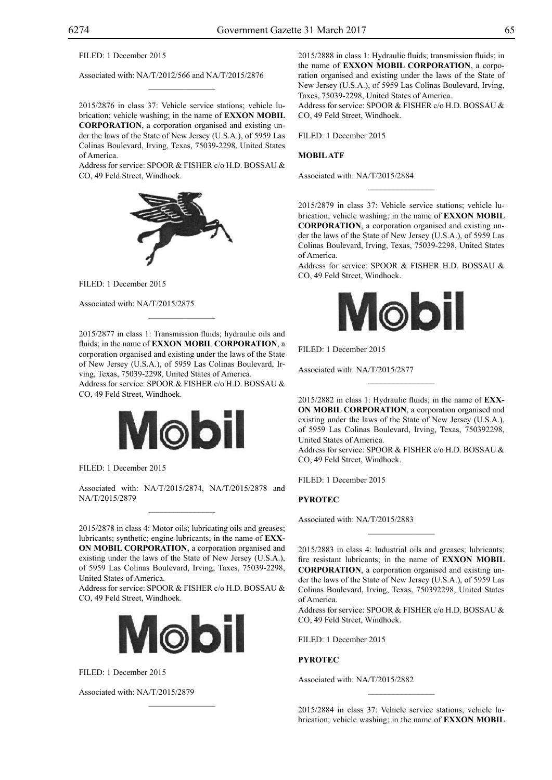FILED: 1 December 2015

Associated with: NA/T/2012/566 and NA/T/2015/2876

2015/2876 in class 37: Vehicle service stations; vehicle lubrication; vehicle washing; in the name of **EXXON MOBIL CORPORATION**, a corporation organised and existing under the laws of the State of New Jersey (U.S.A.), of 5959 Las Colinas Boulevard, Irving, Texas, 75039-2298, United States of America.

 $\overline{\phantom{a}}$  , where  $\overline{\phantom{a}}$ 

Address for service: SPOOR & FISHER c/o H.D. BOSSAU & CO, 49 Feld Street, Windhoek.



Filed: 1 December 2015

Associated with: NA/T/2015/2875

2015/2877 in class 1: Transmission fluids; hydraulic oils and fluids; in the name of **EXXON MOBIL CORPORATION**, a corporation organised and existing under the laws of the State of New Jersey (U.S.A.), of 5959 Las Colinas Boulevard, Irving, Texas, 75039-2298, United States of America. Address for service: SPOOR & FISHER c/o H.D. BOSSAU & Co, 49 Feld Street, Windhoek.

 $\mathcal{L}=\mathcal{L}^{\mathcal{L}}$ 



FILED: 1 December 2015

Associated with: NA/T/2015/2874, NA/T/2015/2878 and NA/T/2015/2879

2015/2878 in class 4: Motor oils; lubricating oils and greases; lubricants; synthetic; engine lubricants; in the name of **EXX-ON MOBIL CORPORATION**, a corporation organised and existing under the laws of the State of New Jersey (U.S.A.), of 5959 Las Colinas Boulevard, Irving, Taxes, 75039-2298, United States of America.

Address for service: SPOOR & FISHER c/o H.D. BOSSAU & CO, 49 Feld Street, Windhoek.



 $\mathcal{L}=\mathcal{L}^{\mathcal{L}}$ 

FILED: 1 December 2015

Associated with: NA/T/2015/2879

2015/2888 in class 1: Hydraulic fluids; transmission fluids; in the name of **EXXON MOBIL CORPORATION**, a corporation organised and existing under the laws of the State of New Jersey (U.S.A.), of 5959 Las Colinas Boulevard, Irving, Taxes, 75039-2298, United States of America. Address for service: SPOOR & FISHER c/o H.D. BOSSAU & Co, 49 Feld Street, Windhoek.

FILED: 1 December 2015

## **MOBIL ATF**

Associated with: NA/T/2015/2884

2015/2879 in class 37: Vehicle service stations; vehicle lubrication; vehicle washing; in the name of **EXXON MOBIL CORPORATION**, a corporation organised and existing under the laws of the State of New Jersey (U.S.A.), of 5959 Las Colinas Boulevard, Irving, Texas, 75039-2298, United States of America.

 $\overline{\phantom{a}}$  , where  $\overline{\phantom{a}}$ 

Address for service: SPOOR & FISHER H.D. BOSSAU & Co, 49 Feld Street, Windhoek.



Filed: 1 December 2015

Associated with: NA/T/2015/2877

2015/2882 in class 1: Hydraulic fluids; in the name of **EXX-ON MOBIL CORPORATION**, a corporation organised and existing under the laws of the State of New Jersey (U.S.A.), of 5959 Las Colinas Boulevard, Irving, Texas, 750392298, United States of America.

 $\overline{\phantom{a}}$  , where  $\overline{\phantom{a}}$ 

Address for service: SPOOR & FISHER c/o H.D. BOSSAU & CO, 49 Feld Street, Windhoek.

Filed: 1 December 2015

**PYROTEC**

Associated with: NA/T/2015/2883

2015/2883 in class 4: Industrial oils and greases; lubricants; fire resistant lubricants; in the name of **EXXON MOBIL CORPORATION**, a corporation organised and existing under the laws of the State of New Jersey (U.S.A.), of 5959 Las Colinas Boulevard, Irving, Texas, 750392298, United States of America.

 $\frac{1}{2}$ 

Address for service: SPOOR & FISHER c/o H.D. BOSSAU & CO, 49 Feld Street, Windhoek.

Filed: 1 December 2015

**PYROTEC**

Associated with: NA/T/2015/2882

2015/2884 in class 37: Vehicle service stations; vehicle lubrication; vehicle washing; in the name of **EXXON MOBIL**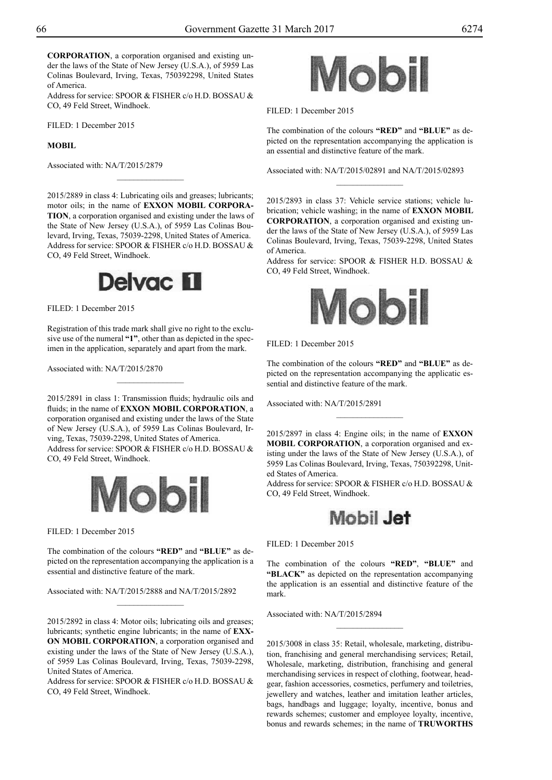**CORPORATION**, a corporation organised and existing under the laws of the State of New Jersey (U.S.A.), of 5959 Las Colinas Boulevard, Irving, Texas, 750392298, United States of America.

Address for service: SPOOR & FISHER c/o H.D. BOSSAU & Co, 49 Feld Street, Windhoek.

Filed: 1 December 2015

## **MOBIL**

Associated with: NA/T/2015/2879

2015/2889 in class 4: Lubricating oils and greases; lubricants; motor oils; in the name of **EXXON MOBIL CORPORA-TION**, a corporation organised and existing under the laws of the State of New Jersey (U.S.A.), of 5959 Las Colinas Boulevard, Irving, Texas, 75039-2298, United States of America. Address for service: SPOOR & FISHER c/o H.D. BOSSAU & CO, 49 Feld Street, Windhoek.

 $\frac{1}{2}$ 



FILED: 1 December 2015

Registration of this trade mark shall give no right to the exclusive use of the numeral **"1"**, other than as depicted in the specimen in the application, separately and apart from the mark.

 $\frac{1}{2}$ 

Associated with: NA/T/2015/2870

2015/2891 in class 1: Transmission fluids; hydraulic oils and fluids; in the name of **EXXON MOBIL CORPORATION**, a corporation organised and existing under the laws of the State of New Jersey (U.S.A.), of 5959 Las Colinas Boulevard, Irving, Texas, 75039-2298, United States of America. Address for service: SPOOR & FISHER c/o H.D. BOSSAU & Co, 49 Feld Street, Windhoek.



Filed: 1 December 2015

The combination of the colours **"RED"** and **"BLUE"** as depicted on the representation accompanying the application is a essential and distinctive feature of the mark.

 $\frac{1}{2}$ 

Associated with: NA/T/2015/2888 and NA/T/2015/2892

2015/2892 in class 4: Motor oils; lubricating oils and greases; lubricants; synthetic engine lubricants; in the name of **EXX-ON MOBIL CORPORATION**, a corporation organised and existing under the laws of the State of New Jersey (U.S.A.), of 5959 Las Colinas Boulevard, Irving, Texas, 75039-2298, United States of America.

Address for service: SPOOR & FISHER c/o H.D. BOSSAU & Co, 49 Feld Street, Windhoek.



FILED: 1 December 2015

The combination of the colours **"RED"** and **"BLUE"** as depicted on the representation accompanying the application is an essential and distinctive feature of the mark.

Associated with: NA/T/2015/02891 and NA/T/2015/02893  $\frac{1}{2}$ 

2015/2893 in class 37: Vehicle service stations; vehicle lubrication; vehicle washing; in the name of **EXXON MOBIL CORPORATION**, a corporation organised and existing under the laws of the State of New Jersey (U.S.A.), of 5959 Las Colinas Boulevard, Irving, Texas, 75039-2298, United States of America.

Address for service: SPOOR & FISHER H.D. BOSSAU & Co, 49 Feld Street, Windhoek.



Filed: 1 December 2015

The combination of the colours **"RED"** and **"BLUE"** as depicted on the representation accompanying the applicatic essential and distinctive feature of the mark.

Associated with: NA/T/2015/2891

2015/2897 in class 4: Engine oils; in the name of **EXXON MOBIL CORPORATION**, a corporation organised and existing under the laws of the State of New Jersey (U.S.A.), of 5959 Las Colinas Boulevard, Irving, Texas, 750392298, United States of America.

Address for service: SPOOR & FISHER c/o H.D. BOSSAU & CO, 49 Feld Street, Windhoek.



Filed: 1 December 2015

The combination of the colours **"RED"**, **"BLUE"** and **"BLACK"** as depicted on the representation accompanying the application is an essential and distinctive feature of the mark.

 $\frac{1}{2}$ 

Associated with: NA/T/2015/2894

2015/3008 in class 35: Retail, wholesale, marketing, distribution, franchising and general merchandising services; Retail, Wholesale, marketing, distribution, franchising and general merchandising services in respect of clothing, footwear, headgear, fashion accessories, cosmetics, perfumery and toiletries, jewellery and watches, leather and imitation leather articles, bags, handbags and luggage; loyalty, incentive, bonus and rewards schemes; customer and employee loyalty, incentive, bonus and rewards schemes; in the name of **TRUWORTHS**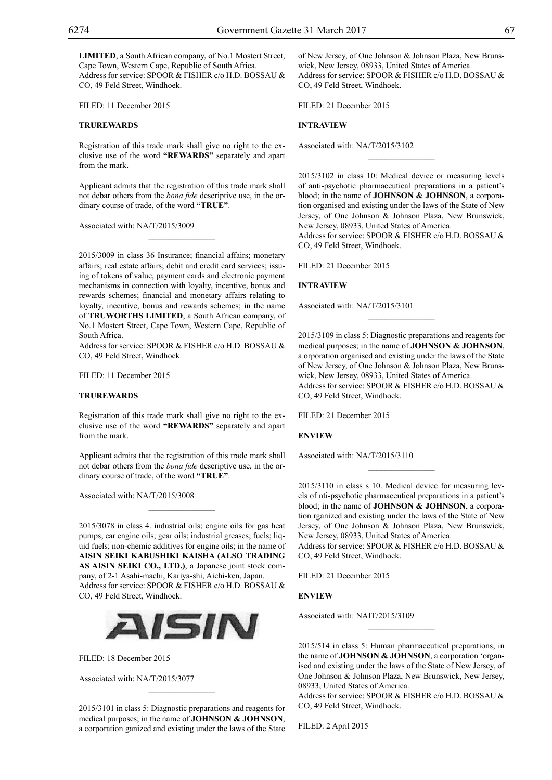**LIMITED**, a South African company, of No.1 Mostert Street, Cape Town, Western Cape, Republic of South Africa. Address for service: SPOOR & FISHER c/o H.D. BOSSAU & CO, 49 Feld Street, Windhoek.

Filed: 11 December 2015

## **TRUREWARDS**

Registration of this trade mark shall give no right to the exclusive use of the word **"REWARDS"** separately and apart from the mark.

Applicant admits that the registration of this trade mark shall not debar others from the *bona fide* descriptive use, in the ordinary course of trade, of the word **"TRUE"**.

 $\mathcal{L}=\mathcal{L}^{\mathcal{L}}$ 

Associated with: NA/T/2015/3009

2015/3009 in class 36 Insurance; financial affairs; monetary affairs; real estate affairs; debit and credit card services; issuing of tokens of value, payment cards and electronic payment mechanisms in connection with loyalty, incentive, bonus and rewards schemes; financial and monetary affairs relating to loyalty, incentive, bonus and rewards schemes; in the name of **TRUWORTHS LIMITED**, a South African company, of No.1 Mostert Street, Cape Town, Western Cape, Republic of South Africa.

Address for service: SPOOR & FISHER c/o H.D. BOSSAU & Co, 49 Feld Street, Windhoek.

Filed: 11 December 2015

## **TRUREWARDS**

Registration of this trade mark shall give no right to the exclusive use of the word **"REWARDS"** separately and apart from the mark.

Applicant admits that the registration of this trade mark shall not debar others from the *bona fide* descriptive use, in the ordinary course of trade, of the word **"TRUE"**.

 $\overline{\phantom{a}}$  , where  $\overline{\phantom{a}}$ 

Associated with: NA/T/2015/3008

2015/3078 in class 4. industrial oils; engine oils for gas heat pumps; car engine oils; gear oils; industrial greases; fuels; liquid fuels; non-chemic additives for engine oils; in the name of **AISIN SEIKI KABUSHIKI KAISHA (ALSO TRADING AS AISIN SEIKI CO., LTD.)**, a Japanese joint stock company, of 2-1 Asahi-machi, Kariya-shi, Aichi-ken, Japan. Address for service: SPOOR & FISHER c/o H.D. BOSSAU & Co, 49 Feld Street, Windhoek.



Filed: 18 December 2015

Associated with: NA/T/2015/3077

2015/3101 in class 5: Diagnostic preparations and reagents for medical purposes; in the name of **JOHNSON & JOHNSON**, a corporation ganized and existing under the laws of the State

 $\overline{\phantom{a}}$  , where  $\overline{\phantom{a}}$ 

of New Jersey, of One Johnson & Johnson Plaza, New Brunswick, New Jersey, 08933, United States of America. Address for service: SPOOR & FISHER c/o H.D. BOSSAU & Co, 49 Feld Street, Windhoek.

Filed: 21 December 2015

## **INTRAVIEW**

Associated with: NA/T/2015/3102

2015/3102 in class 10: Medical device or measuring levels of anti-psychotic pharmaceutical preparations in a patient's blood; in the name of **JOHNSON & JOHNSON**, a corporation organised and existing under the laws of the State of New Jersey, of One Johnson & Johnson Plaza, New Brunswick, New Jersey, 08933, United States of America. Address for service: SPOOR & FISHER c/o H.D. BOSSAU & Co, 49 Feld Street, Windhoek.

 $\frac{1}{2}$ 

Filed: 21 December 2015

#### **INTRAVIEW**

Associated with: NA/T/2015/3101

2015/3109 in class 5: Diagnostic preparations and reagents for medical purposes; in the name of **JOHNSON & JOHNSON**, a orporation organised and existing under the laws of the State of New Jersey, of One Johnson & Johnson Plaza, New Brunswick, New Jersey, 08933, United States of America. Address for service: SPOOR & FISHER c/o H.D. BOSSAU & Co, 49 Feld Street, Windhoek.

FILED: 21 December 2015

**ENVIEW**

Associated with: NA/T/2015/3110

2015/3110 in class s 10. Medical device for measuring levels of nti-psychotic pharmaceutical preparations in a patient's blood; in the name of **JOHNSON & JOHNSON**, a corporation rganized and existing under the laws of the State of New Jersey, of One Johnson & Johnson Plaza, New Brunswick, New Jersey, 08933, United States of America.

Address for service: SPOOR & FISHER c/o H.D. BOSSAU & Co, 49 Feld Street, Windhoek.

FILED: 21 December 2015

**ENVIEW**

Associated with: NAIT/2015/3109

2015/514 in class 5: Human pharmaceutical preparations; in the name of **JOHNSON & JOHNSON**, a corporation 'organised and existing under the laws of the State of New Jersey, of One Johnson & Johnson Plaza, New Brunswick, New Jersey, 08933, United States of America.

 $\frac{1}{2}$ 

Address for service: SPOOR & FISHER c/o H.D. BOSSAU & CO, 49 Feld Street, Windhoek.

Filed: 2 April 2015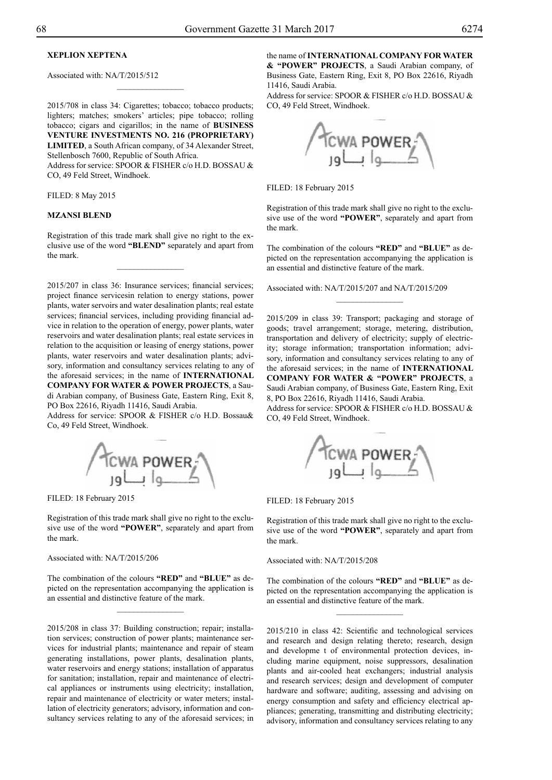## **XEPLION XEPTENA**

Associated with: NA/T/2015/512

2015/708 in class 34: Cigarettes; tobacco; tobacco products; lighters; matches; smokers' articles; pipe tobacco; rolling tobacco; cigars and cigarillos; in the name of **BUSINESS VENTURE INVESTMENTS NO. 216 (PROPRIETARY) LIMITED**, a South African company, of 34 Alexander Street, Stellenbosch 7600, Republic of South Africa. Address for service: SPOOR & FISHER c/o H.D. BOSSAU & Co, 49 Feld Street, Windhoek.

 $\frac{1}{2}$ 

Filed: 8 May 2015

#### **MZANSI BLEND**

Registration of this trade mark shall give no right to the exclusive use of the word **"BLEND"** separately and apart from the mark.

 $\frac{1}{2}$ 

2015/207 in class 36: Insurance services; financial services; project finance servicesin relation to energy stations, power plants, water servoirs and water desalination plants; real estate services; financial services, including providing financial advice in relation to the operation of energy, power plants, water reservoirs and water desalination plants; real estate services in relation to the acquisition or leasing of energy stations, power plants, water reservoirs and water desalination plants; advisory, information and consultancy services relating to any of the aforesaid services; in the name of **INTERNATIONAL COMPANY FOR WATER & POWER PROJECTS**, a Saudi Arabian company, of Business Gate, Eastern Ring, Exit 8, PO Box 22616, Riyadh 11416, Saudi Arabia.

Address for service: SPOOR & FISHER c/o H.D. Bossau& Co, 49 Feld Street, Windhoek.



FILED: 18 February 2015

Registration of this trade mark shall give no right to the exclusive use of the word **"POWER"**, separately and apart from the mark.

#### Associated with: NA/T/2015/206

The combination of the colours "RED" and "BLUE" as depicted on the representation accompanying the application is an essential and distinctive feature of the mark.

2015/208 in class 37: Building construction; repair; installation services; construction of power plants; maintenance services for industrial plants; maintenance and repair of steam generating installations, power plants, desalination plants, water reservoirs and energy stations; installation of apparatus for sanitation; installation, repair and maintenance of electrical appliances or instruments using electricity; installation, repair and maintenance of electricity or water meters; installation of electricity generators; advisory, information and consultancy services relating to any of the aforesaid services; in

the name of **INTERNATIONAL COMPANY FOR WATER & "POWER" PROJECTS**, a Saudi Arabian company, of Business Gate, Eastern Ring, Exit 8, PO Box 22616, Riyadh

Address for service: SPOOR & FISHER c/o H.D. BOSSAU & Co, 49 Feld Street, Windhoek.



FILED: 18 February 2015

11416, Saudi Arabia.

Registration of this trade mark shall give no right to the exclusive use of the word **"POWER"**, separately and apart from the mark.

The combination of the colours "RED" and "BLUE" as depicted on the representation accompanying the application is an essential and distinctive feature of the mark.

 $\overline{\phantom{a}}$  , where  $\overline{\phantom{a}}$ 

Associated with: NA/T/2015/207 and NA/T/2015/209

2015/209 in class 39: Transport; packaging and storage of goods; travel arrangement; storage, metering, distribution, transportation and delivery of electricity; supply of electricity; storage information; transportation information; advisory, information and consultancy services relating to any of the aforesaid services; in the name of **INTERNATIONAL COMPANY FOR WATER & "POWER" PROJECTS**, a Saudi Arabian company, of Business Gate, Eastern Ring, Exit 8, PO Box 22616, Riyadh 11416, Saudi Arabia.

Address for service: SPOOR & FISHER c/o H.D. BOSSAU & Co, 49 Feld Street, Windhoek.



#### FILED: 18 February 2015

Registration of this trade mark shall give no right to the exclusive use of the word **"POWER"**, separately and apart from the mark.

#### Associated with: NA/T/2015/208

The combination of the colours "RED" and "BLUE" as depicted on the representation accompanying the application is an essential and distinctive feature of the mark.

 $\frac{1}{2}$ 

2015/210 in class 42: Scientific and technological services and research and design relating thereto; research, design and developme t of environmental protection devices, including marine equipment, noise suppressors, desalination plants and air-cooled heat exchangers; industrial analysis and research services; design and development of computer hardware and software; auditing, assessing and advising on energy consumption and safety and efficiency electrical appliances; generating, transmitting and distributing electricity; advisory, information and consultancy services relating to any